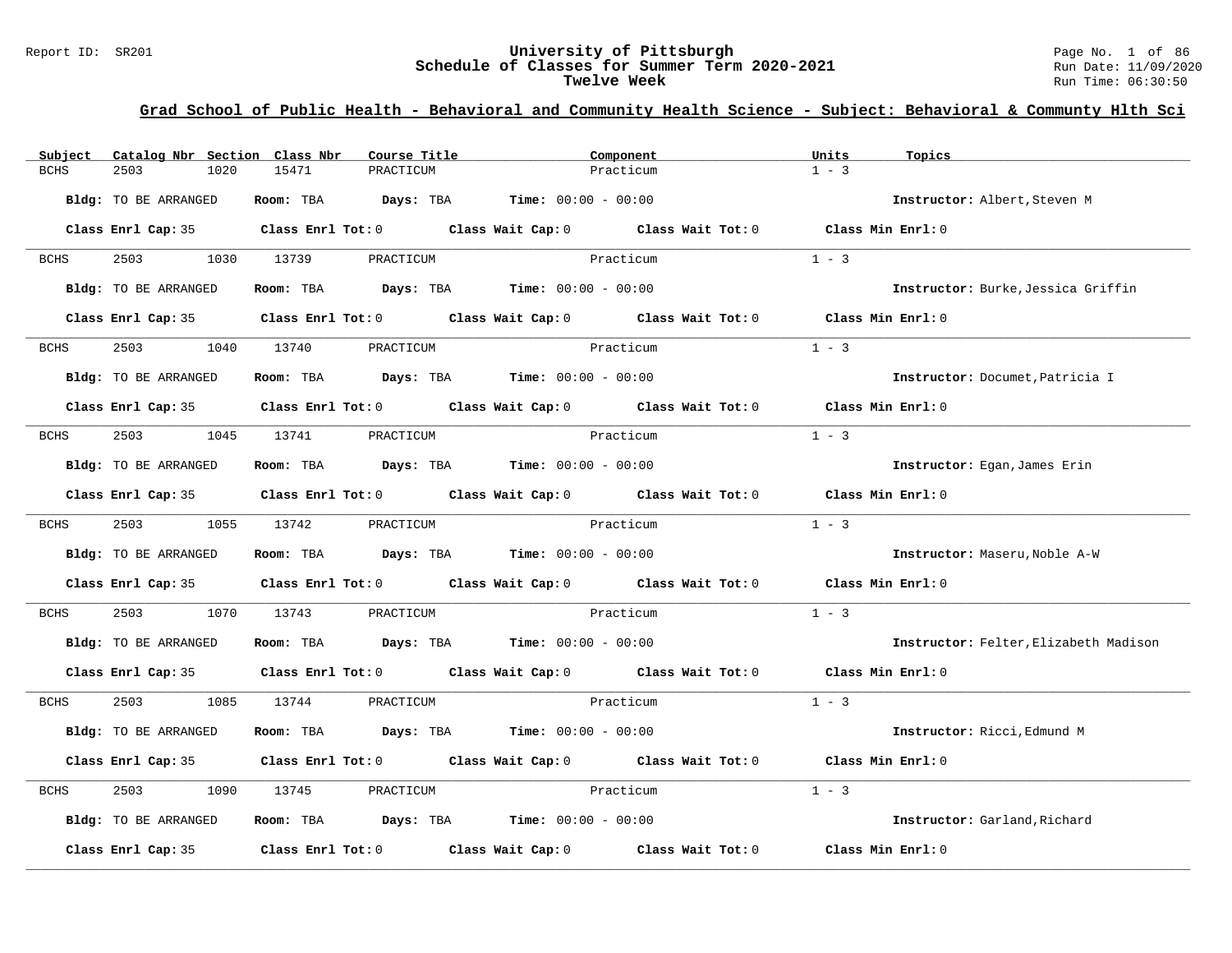# Report ID: SR201 **University of Pittsburgh University of Pittsburgh** Page No. 1 of 86<br>**Schedule of Classes for Summer Term 2020-2021** Run Date: 11/09/2020 Schedule of Classes for Summer Term 2020-2021<br>Twelve Week

**Twelve Week** Run Time: 06:30:50

| Subject     | Catalog Nbr Section Class Nbr | Course Title                                                 | Component                                                                                           | Units<br>Topics                       |
|-------------|-------------------------------|--------------------------------------------------------------|-----------------------------------------------------------------------------------------------------|---------------------------------------|
| <b>BCHS</b> | 2503<br>1020                  | 15471<br>PRACTICUM                                           | Practicum                                                                                           | $1 - 3$                               |
|             |                               |                                                              |                                                                                                     |                                       |
|             | Bldg: TO BE ARRANGED          | Room: TBA $Days:$ TBA $Time: 00:00 - 00:00$                  |                                                                                                     | Instructor: Albert, Steven M          |
|             |                               |                                                              | Class Enrl Cap: 35 Class Enrl Tot: 0 Class Wait Cap: 0 Class Wait Tot: 0 Class Min Enrl: 0          |                                       |
|             |                               |                                                              |                                                                                                     |                                       |
| BCHS        | 2503 and $\sim$               | 1030 13739<br>PRACTICUM                                      | Practicum                                                                                           | $1 - 3$                               |
|             |                               |                                                              |                                                                                                     |                                       |
|             | Bldg: TO BE ARRANGED          | Room: TBA $Days:$ TBA $Time: 00:00 - 00:00$                  |                                                                                                     | Instructor: Burke, Jessica Griffin    |
|             |                               |                                                              | Class Enrl Cap: 35 $\qquad$ Class Enrl Tot: 0 $\qquad$ Class Wait Cap: 0 $\qquad$ Class Wait Tot: 0 | Class Min Enrl: 0                     |
|             |                               |                                                              |                                                                                                     |                                       |
| BCHS        | 2503                          | 1040 13740<br>PRACTICUM                                      | Practicum                                                                                           | $1 - 3$                               |
|             | Bldg: TO BE ARRANGED          | Room: TBA $Days:$ TBA $Time: 00:00 - 00:00$                  |                                                                                                     | Instructor: Documet, Patricia I       |
|             |                               |                                                              |                                                                                                     |                                       |
|             |                               |                                                              | Class Enrl Cap: 35 $\,$ Class Enrl Tot: 0 $\,$ Class Wait Cap: 0 $\,$ Class Wait Tot: 0 $\,$        | Class Min Enrl: 0                     |
|             |                               |                                                              |                                                                                                     |                                       |
| BCHS        |                               | 2503 1045 13741 PRACTICUM                                    | Practicum                                                                                           | $1 - 3$                               |
|             | Bldg: TO BE ARRANGED          | <b>Room:</b> TBA <b>Days:</b> TBA <b>Time:</b> 00:00 - 00:00 |                                                                                                     | Instructor: Egan, James Erin          |
|             |                               |                                                              |                                                                                                     |                                       |
|             |                               |                                                              | Class Enrl Cap: 35 Class Enrl Tot: 0 Class Wait Cap: 0 Class Wait Tot: 0 Class Min Enrl: 0          |                                       |
|             |                               |                                                              |                                                                                                     |                                       |
| BCHS        | 2503 and 2503                 | 1055 13742<br>PRACTICUM                                      | Practicum                                                                                           | $1 - 3$                               |
|             | Bldg: TO BE ARRANGED          | Room: TBA $Days: TBA$ Time: $00:00 - 00:00$                  |                                                                                                     | Instructor: Maseru, Noble A-W         |
|             |                               |                                                              |                                                                                                     |                                       |
|             |                               |                                                              | Class Enrl Cap: 35 Class Enrl Tot: 0 Class Wait Cap: 0 Class Wait Tot: 0                            | Class Min Enrl: 0                     |
|             |                               |                                                              |                                                                                                     |                                       |
| BCHS        | 2503<br>1070                  | 13743<br>PRACTICUM                                           | <b>Example 21 Practicum</b>                                                                         | $1 - 3$                               |
|             | Bldg: TO BE ARRANGED          | <b>Room:</b> TBA $Days:$ TBA $Time: 00:00 - 00:00$           |                                                                                                     | Instructor: Felter, Elizabeth Madison |
|             |                               |                                                              |                                                                                                     |                                       |
|             |                               |                                                              | Class Enrl Cap: 35 Class Enrl Tot: 0 Class Wait Cap: 0 Class Wait Tot: 0 Class Min Enrl: 0          |                                       |
|             |                               |                                                              |                                                                                                     |                                       |
| BCHS        | 2503 and 2503                 | 1085 13744<br>PRACTICUM                                      | Practicum                                                                                           | $1 - 3$                               |
|             | Bldg: TO BE ARRANGED          | Room: TBA $Days: TBA$ Time: $00:00 - 00:00$                  |                                                                                                     | Instructor: Ricci, Edmund M           |
|             |                               |                                                              |                                                                                                     |                                       |
|             |                               |                                                              | Class Enrl Cap: 35 Class Enrl Tot: 0 Class Wait Cap: 0 Class Wait Tot: 0                            | Class Min Enrl: 0                     |
|             |                               |                                                              |                                                                                                     |                                       |
| BCHS        | 2503<br>1090                  | 13745<br>PRACTICUM                                           | Practicum                                                                                           | $1 - 3$                               |
|             | Bldg: TO BE ARRANGED          | Room: TBA $Days: TBA$ Time: $00:00 - 00:00$                  |                                                                                                     | Instructor: Garland, Richard          |
|             |                               |                                                              |                                                                                                     |                                       |
|             | Class Enrl Cap: 35            |                                                              | Class Enrl Tot: $0$ Class Wait Cap: $0$ Class Wait Tot: $0$                                         | Class Min Enrl: 0                     |
|             |                               |                                                              |                                                                                                     |                                       |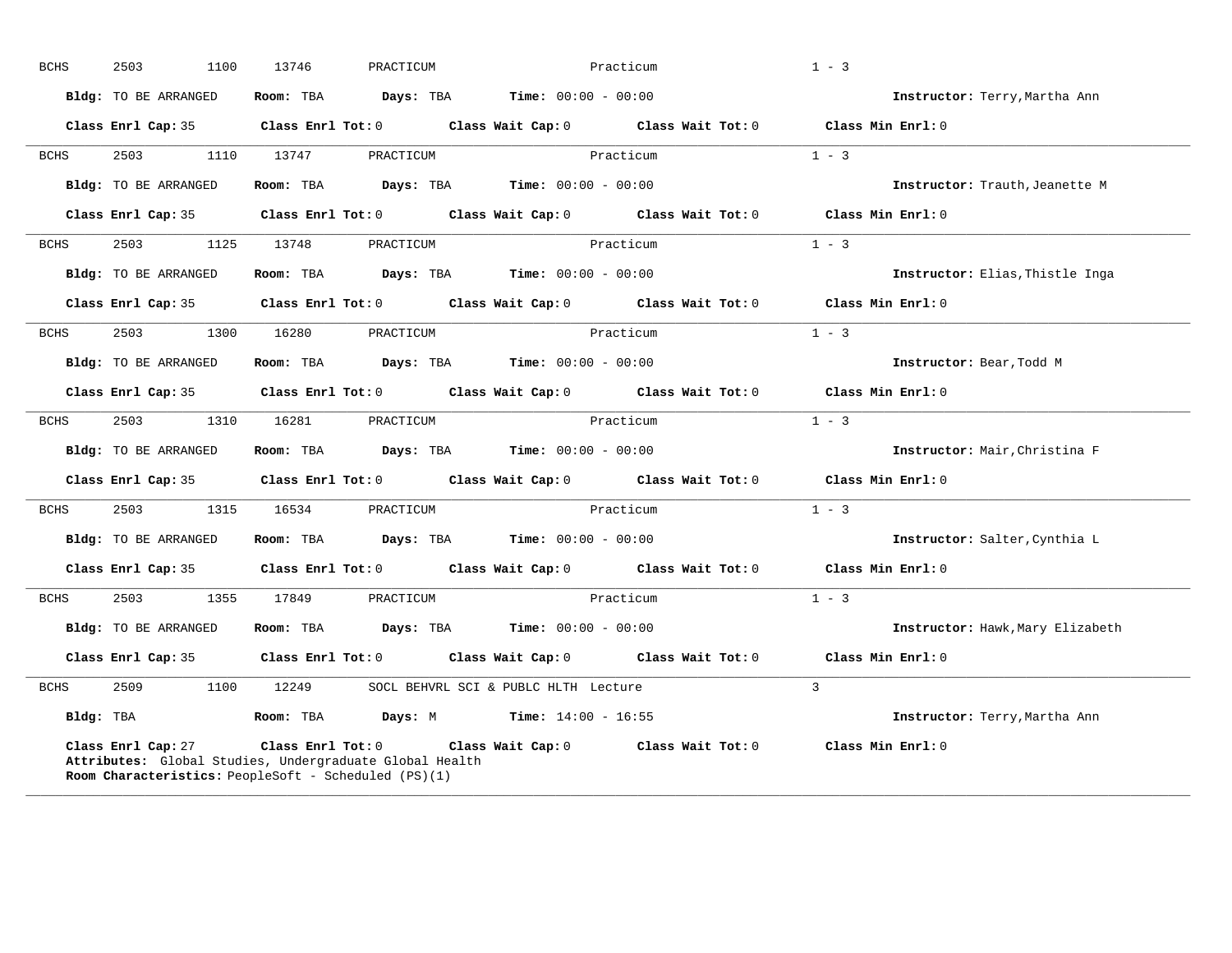| <b>BCHS</b> | 2503<br>1100                                                               | 13746             | PRACTICUM                                               |                                      | Practicum         | $1 - 3$                          |
|-------------|----------------------------------------------------------------------------|-------------------|---------------------------------------------------------|--------------------------------------|-------------------|----------------------------------|
|             | Bldg: TO BE ARRANGED                                                       | Room: TBA         | Days: TBA                                               | <b>Time:</b> $00:00 - 00:00$         |                   | Instructor: Terry, Martha Ann    |
|             | Class Enrl Cap: 35                                                         | Class Enrl Tot: 0 |                                                         | Class Wait Cap: 0                    | Class Wait Tot: 0 | Class Min Enrl: 0                |
| <b>BCHS</b> | 2503<br>1110                                                               | 13747             | PRACTICUM                                               |                                      | Practicum         | $1 - 3$                          |
|             | <b>Bldg:</b> TO BE ARRANGED                                                | Room: TBA         | Days: TBA                                               | <b>Time:</b> $00:00 - 00:00$         |                   | Instructor: Trauth, Jeanette M   |
|             | Class Enrl Cap: 35                                                         | Class Enrl Tot: 0 |                                                         | Class Wait Cap: 0                    | Class Wait Tot: 0 | Class Min Enrl: 0                |
| <b>BCHS</b> | 2503<br>1125                                                               | 13748             | PRACTICUM                                               |                                      | Practicum         | $1 - 3$                          |
|             | Bldg: TO BE ARRANGED                                                       | Room: TBA         | Days: TBA                                               | <b>Time:</b> $00:00 - 00:00$         |                   | Instructor: Elias, Thistle Inga  |
|             | Class Enrl Cap: 35                                                         | Class Enrl Tot: 0 |                                                         | Class Wait Cap: 0                    | Class Wait Tot: 0 | Class Min Enrl: 0                |
| <b>BCHS</b> | 2503<br>1300                                                               | 16280             | PRACTICUM                                               |                                      | Practicum         | $1 - 3$                          |
|             | <b>Bldg:</b> TO BE ARRANGED                                                | Room: TBA         | Days: TBA                                               | <b>Time:</b> $00:00 - 00:00$         |                   | Instructor: Bear, Todd M         |
|             | Class Enrl Cap: 35                                                         | Class Enrl Tot: 0 |                                                         | Class Wait Cap: 0                    | Class Wait Tot: 0 | Class Min Enrl: 0                |
| <b>BCHS</b> | 2503<br>1310                                                               | 16281             | PRACTICUM                                               |                                      | Practicum         | $1 - 3$                          |
|             | <b>Bldg:</b> TO BE ARRANGED                                                | Room: TBA         | Days: TBA                                               | <b>Time:</b> $00:00 - 00:00$         |                   | Instructor: Mair, Christina F    |
|             | Class Enrl Cap: 35                                                         |                   | $Class$ $Enrl$ $Tot: 0$                                 | Class Wait Cap: 0                    | Class Wait Tot: 0 | Class Min Enrl: 0                |
| <b>BCHS</b> | 2503<br>1315                                                               | 16534             | PRACTICUM                                               |                                      | Practicum         | $1 - 3$                          |
|             | Bldg: TO BE ARRANGED                                                       | Room: TBA         | Days: TBA                                               | <b>Time:</b> $00:00 - 00:00$         |                   | Instructor: Salter, Cynthia L    |
|             | Class Enrl Cap: 35                                                         | Class Enrl Tot: 0 |                                                         | Class Wait Cap: 0                    | Class Wait Tot: 0 | Class Min Enrl: 0                |
| BCHS        | 2503<br>1355                                                               | 17849             | PRACTICUM                                               |                                      | Practicum         | $1 - 3$                          |
|             | Bldg: TO BE ARRANGED                                                       | Room: TBA         | Days: TBA                                               | <b>Time:</b> $00:00 - 00:00$         |                   | Instructor: Hawk, Mary Elizabeth |
|             | Class Enrl Cap: 35                                                         | Class Enrl Tot: 0 |                                                         | Class Wait Cap: 0                    | Class Wait Tot: 0 | Class Min Enrl: 0                |
| BCHS        | 2509<br>1100                                                               | 12249             |                                                         | SOCL BEHVRL SCI & PUBLC HLTH Lecture |                   | $\overline{3}$                   |
| Bldg: TBA   |                                                                            | Room: TBA         | Days: M                                                 | <b>Time:</b> $14:00 - 16:55$         |                   | Instructor: Terry, Martha Ann    |
|             | Class Enrl Cap: 27<br>Room Characteristics: PeopleSoft - Scheduled (PS)(1) | Class Enrl Tot: 0 | Attributes: Global Studies, Undergraduate Global Health | Class Wait Cap: 0                    | Class Wait Tot: 0 | Class Min Enrl: 0                |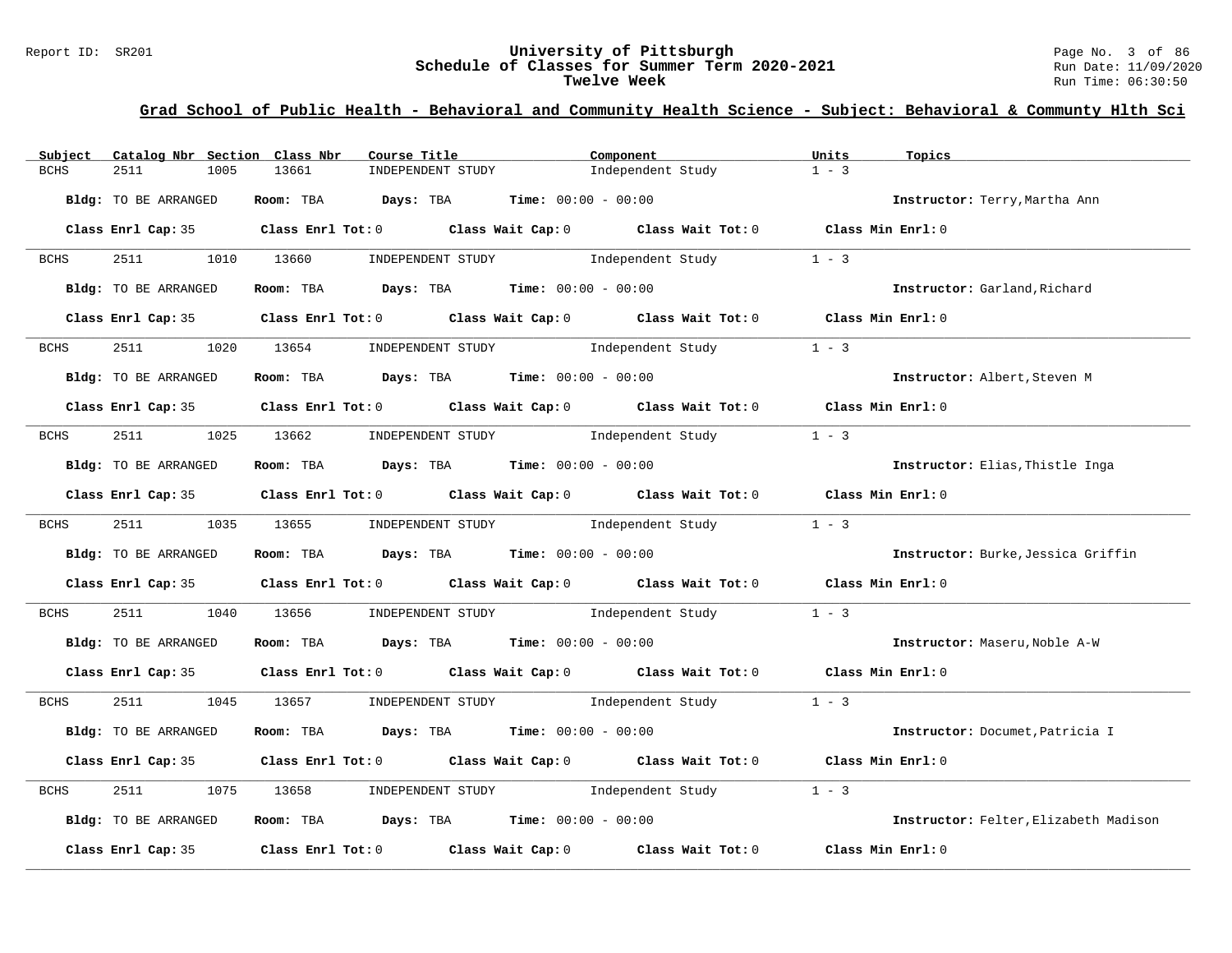#### Report ID: SR201 **University of Pittsburgh** Page No. 3 of 86 **Schedule of Classes for Summer Term 2020-2021** Run Date: 11/09/2020 **Twelve Week** Run Time: 06:30:50

| Subject              | Catalog Nbr Section Class Nbr<br>Course Title                                              | Component                           | Units<br>Topics                       |
|----------------------|--------------------------------------------------------------------------------------------|-------------------------------------|---------------------------------------|
| <b>BCHS</b><br>2511  | 1005<br>13661<br>INDEPENDENT STUDY                                                         | Independent Study                   | $1 - 3$                               |
| Bldg: TO BE ARRANGED | Room: TBA $Days:$ TBA $Time: 00:00 - 00:00$                                                |                                     | Instructor: Terry, Martha Ann         |
|                      | Class Enrl Cap: 35 Class Enrl Tot: 0 Class Wait Cap: 0 Class Wait Tot: 0 Class Min Enrl: 0 |                                     |                                       |
| <b>BCHS</b>          | 2511 1010 13660<br>INDEPENDENT STUDY                                                       | Independent Study                   | $1 - 3$                               |
| Bldg: TO BE ARRANGED | Room: TBA $Days:$ TBA $Time: 00:00 - 00:00$                                                |                                     | Instructor: Garland, Richard          |
|                      | Class Enrl Cap: 35 Class Enrl Tot: 0 Class Wait Cap: 0 Class Wait Tot: 0 Class Min Enrl: 0 |                                     |                                       |
| BCHS<br>2511         | 1020 13654 INDEPENDENT STUDY 1ndependent Study                                             |                                     | $1 - 3$                               |
| Bldg: TO BE ARRANGED | Room: TBA $Days:$ TBA $Time: 00:00 - 00:00$                                                |                                     | Instructor: Albert, Steven M          |
|                      | Class Enrl Cap: 35 Class Enrl Tot: 0 Class Wait Cap: 0 Class Wait Tot: 0 Class Min Enrl: 0 |                                     |                                       |
| BCHS                 | 2511 1025 13662 INDEPENDENT STUDY Independent Study                                        |                                     | $1 - 3$                               |
| Bldg: TO BE ARRANGED | Room: TBA $\rule{1em}{0.15mm}$ Days: TBA Time: $00:00 - 00:00$                             |                                     | Instructor: Elias, Thistle Inga       |
|                      | Class Enrl Cap: 35 Class Enrl Tot: 0 Class Wait Cap: 0 Class Wait Tot: 0 Class Min Enrl: 0 |                                     |                                       |
| <b>BCHS</b>          | 2511 1035 13655 INDEPENDENT STUDY Independent Study                                        |                                     | $1 - 3$                               |
| Bldg: TO BE ARRANGED | Room: TBA $Days:$ TBA $Time: 00:00 - 00:00$                                                |                                     | Instructor: Burke, Jessica Griffin    |
|                      | Class Enrl Cap: 35 Class Enrl Tot: 0 Class Wait Cap: 0 Class Wait Tot: 0 Class Min Enrl: 0 |                                     |                                       |
| 2511<br>BCHS         | 1040<br>13656                                                                              | INDEPENDENT STUDY 1ndependent Study | $1 - 3$                               |
| Bldg: TO BE ARRANGED | Room: TBA $\rule{1em}{0.15mm}$ Days: TBA $\rule{1.15mm}]{0.15mm}$ Time: $0.000 - 0.0000$   |                                     | Instructor: Maseru, Noble A-W         |
|                      | Class Enrl Cap: 35 Class Enrl Tot: 0 Class Wait Cap: 0 Class Wait Tot: 0 Class Min Enrl: 0 |                                     |                                       |
| 2511 25<br>BCHS      | 1045 13657 INDEPENDENT STUDY Independent Study                                             |                                     | $1 - 3$                               |
| Bldg: TO BE ARRANGED | Room: TBA $Days: TBA$ Time: $00:00 - 00:00$                                                |                                     | Instructor: Documet, Patricia I       |
|                      | Class Enrl Cap: 35 Class Enrl Tot: 0 Class Wait Cap: 0 Class Wait Tot: 0                   |                                     | Class Min $Enr1:0$                    |
| 2511<br>BCHS         | 1075<br>13658                                                                              | INDEPENDENT STUDY 1ndependent Study | $1 - 3$                               |
| Bldg: TO BE ARRANGED | Room: TBA $Days:$ TBA $Time: 00:00 - 00:00$                                                |                                     | Instructor: Felter, Elizabeth Madison |
| Class Enrl Cap: 35   | Class Enrl Tot: 0 $\qquad$ Class Wait Cap: 0 $\qquad$ Class Wait Tot: 0                    |                                     | Class Min Enrl: 0                     |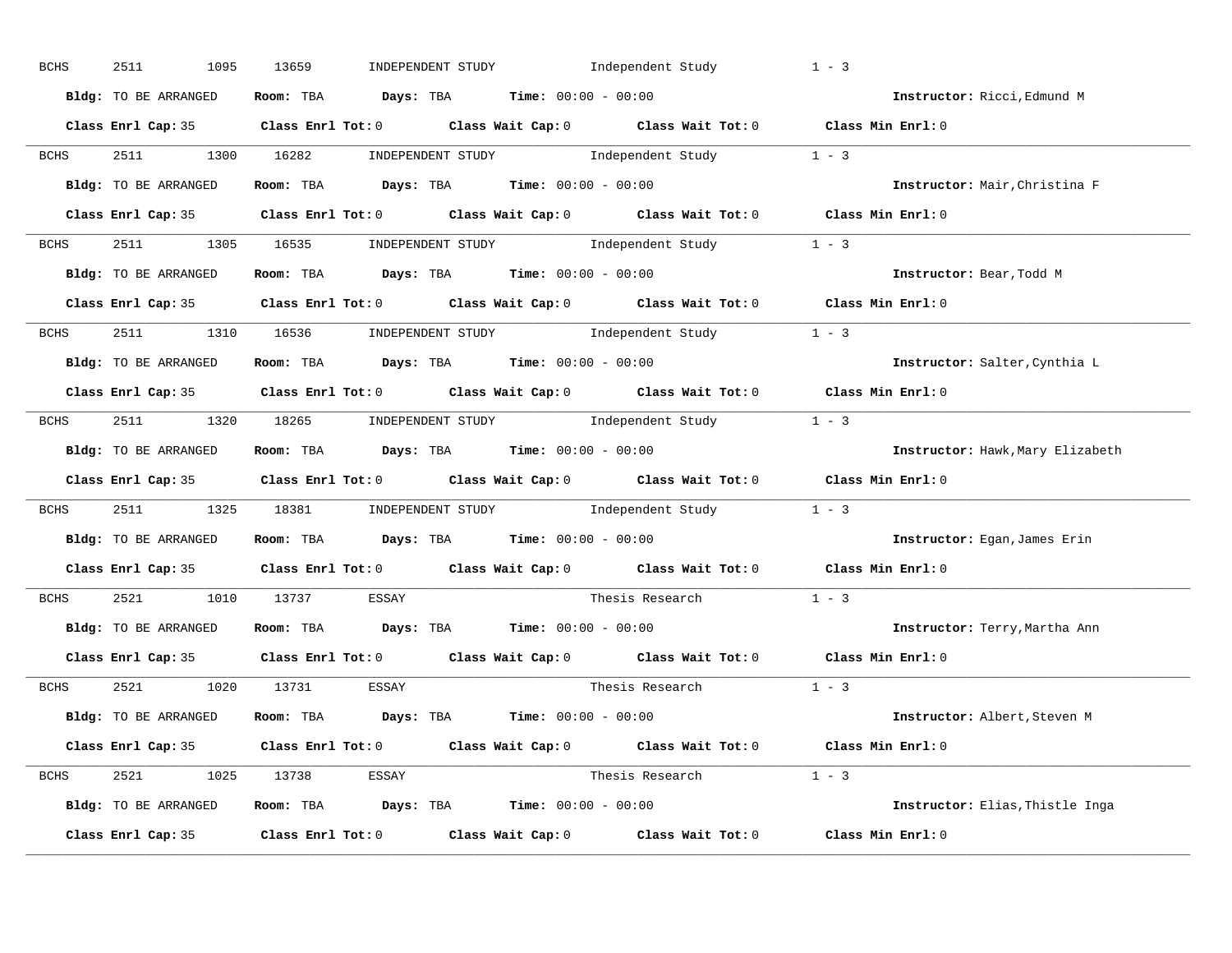| BCHS        | 2511<br>1095         | 13659<br>INDEPENDENT STUDY                                                              | Independent Study                                                                                   | $1 - 3$                          |
|-------------|----------------------|-----------------------------------------------------------------------------------------|-----------------------------------------------------------------------------------------------------|----------------------------------|
|             | Bldg: TO BE ARRANGED | Room: TBA $Days:$ TBA $Time: 00:00 - 00:00$                                             |                                                                                                     | Instructor: Ricci, Edmund M      |
|             |                      |                                                                                         | Class Enrl Cap: 35 Class Enrl Tot: 0 Class Wait Cap: 0 Class Wait Tot: 0 Class Min Enrl: 0          |                                  |
| <b>BCHS</b> |                      |                                                                                         | 2511 1300 16282 INDEPENDENT STUDY Independent Study 1 - 3                                           |                                  |
|             | Bldg: TO BE ARRANGED | Room: TBA $\rule{1em}{0.15mm}$ Days: TBA Time: $00:00 - 00:00$                          |                                                                                                     | Instructor: Mair, Christina F    |
|             |                      |                                                                                         | Class Enrl Cap: 35 Class Enrl Tot: 0 Class Wait Cap: 0 Class Wait Tot: 0 Class Min Enrl: 0          |                                  |
| <b>BCHS</b> |                      |                                                                                         | 2511 1305 16535 INDEPENDENT STUDY Independent Study 1 - 3                                           |                                  |
|             | Bldg: TO BE ARRANGED | Room: TBA $Days:$ TBA $Time: 00:00 - 00:00$                                             |                                                                                                     | Instructor: Bear, Todd M         |
|             |                      |                                                                                         | Class Enrl Cap: 35 Class Enrl Tot: 0 Class Wait Cap: 0 Class Wait Tot: 0 Class Min Enrl: 0          |                                  |
| <b>BCHS</b> |                      |                                                                                         | 2511 1310 16536 INDEPENDENT STUDY Independent Study 1 - 3                                           |                                  |
|             | Bldg: TO BE ARRANGED | Room: TBA $\rule{1em}{0.15mm}$ Days: TBA $\rule{1.5mm}{0.15mm}$ Time: $00:00 - 00:00$   |                                                                                                     | Instructor: Salter, Cynthia L    |
|             |                      |                                                                                         | Class Enrl Cap: 35 Class Enrl Tot: 0 Class Wait Cap: 0 Class Wait Tot: 0 Class Min Enrl: 0          |                                  |
| <b>BCHS</b> |                      |                                                                                         | 2511 1320 18265 INDEPENDENT STUDY Independent Study 1 - 3                                           |                                  |
|             | Bldg: TO BE ARRANGED | Room: TBA $\rule{1em}{0.15mm}$ Days: TBA $\rule{1.5mm}{0.15mm}$ Time: $00:00 - 00:00$   |                                                                                                     | Instructor: Hawk, Mary Elizabeth |
|             |                      |                                                                                         | Class Enrl Cap: 35 Class Enrl Tot: 0 Class Wait Cap: 0 Class Wait Tot: 0 Class Min Enrl: 0          |                                  |
|             |                      |                                                                                         |                                                                                                     |                                  |
| <b>BCHS</b> |                      |                                                                                         | 2511 1325 18381 INDEPENDENT STUDY Independent Study 1 - 3                                           |                                  |
|             | Bldg: TO BE ARRANGED | Room: TBA $\rule{1em}{0.15mm}$ Days: TBA Time: $00:00 - 00:00$                          |                                                                                                     | Instructor: Egan, James Erin     |
|             |                      |                                                                                         | Class Enrl Cap: 35 $\qquad$ Class Enrl Tot: 0 $\qquad$ Class Wait Cap: 0 $\qquad$ Class Wait Tot: 0 | Class Min Enrl: 0                |
| <b>BCHS</b> | 2521 1010 13737      | ESSAY                                                                                   | Thesis Research                                                                                     | $1 - 3$                          |
|             | Bldg: TO BE ARRANGED | Room: TBA $\rule{1em}{0.15mm}$ Days: TBA Time: $00:00 - 00:00$                          |                                                                                                     | Instructor: Terry, Martha Ann    |
|             |                      |                                                                                         | Class Enrl Cap: 35 Class Enrl Tot: 0 Class Wait Cap: 0 Class Wait Tot: 0                            | Class Min Enrl: 0                |
| <b>BCHS</b> |                      | 2521 1020 13731 ESSAY                                                                   | Thesis Research                                                                                     | $1 - 3$                          |
|             | Bldg: TO BE ARRANGED | Room: TBA $\rule{1em}{0.15mm}$ Days: TBA $\rule{1.15mm}]{0.15mm}$ Time: $0.000 - 0.000$ |                                                                                                     | Instructor: Albert, Steven M     |
|             |                      |                                                                                         | Class Enrl Cap: 35 Class Enrl Tot: 0 Class Wait Cap: 0 Class Wait Tot: 0 Class Min Enrl: 0          |                                  |
|             |                      | BCHS 2521 1025 13738 ESSAY                                                              | Thesis Research $1 - 3$                                                                             |                                  |
|             | Bldg: TO BE ARRANGED | Room: TBA $Days:$ TBA $Time: 00:00 - 00:00$                                             |                                                                                                     | Instructor: Elias, Thistle Inga  |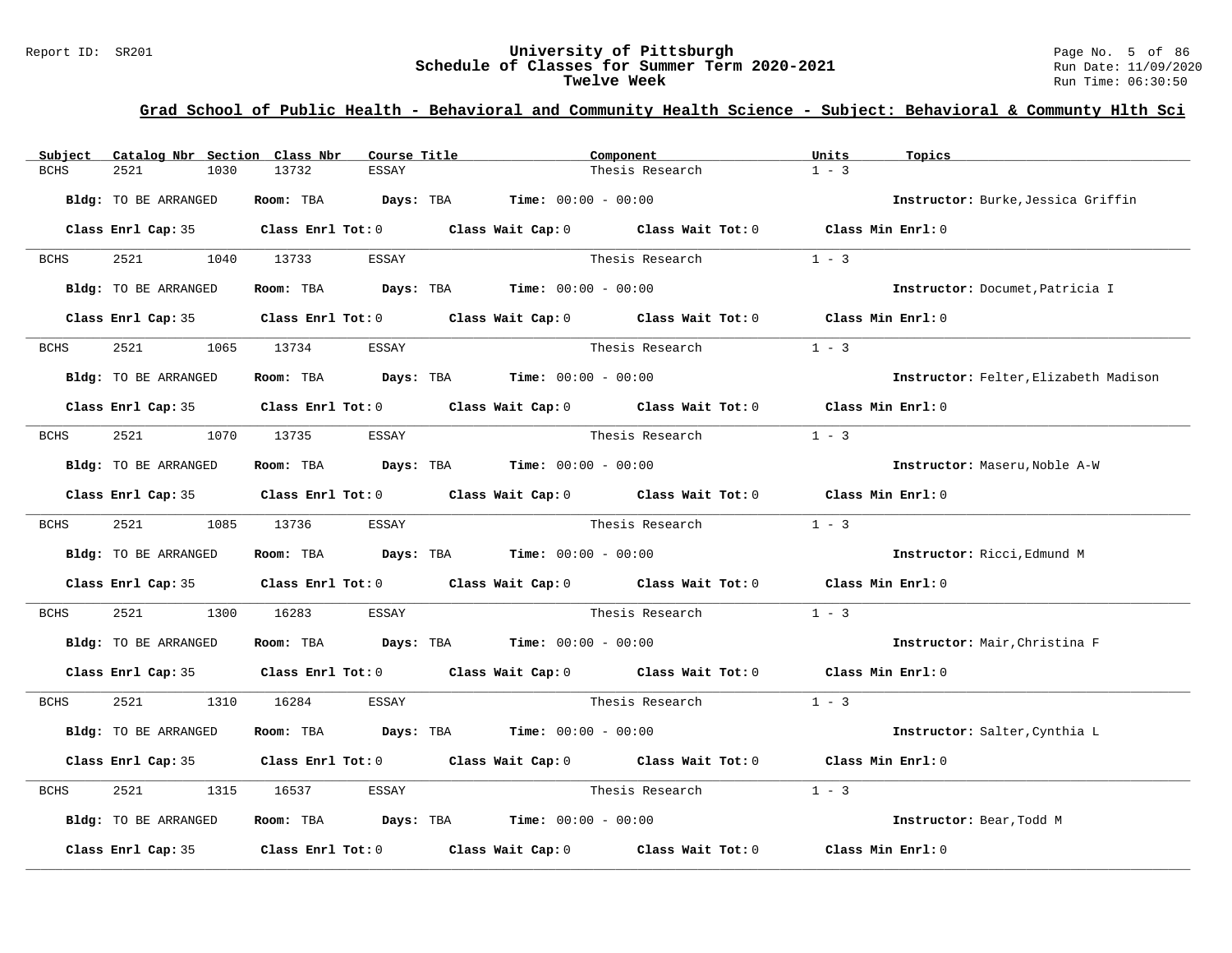#### Report ID: SR201 **University of Pittsburgh** Page No. 5 of 86 **Schedule of Classes for Summer Term 2020-2021** Run Date: 11/09/2020 **Twelve Week** Run Time: 06:30:50

| Subject     | Catalog Nbr Section Class Nbr | Course Title          |                                                                                            | Component       | Units<br>Topics                       |  |
|-------------|-------------------------------|-----------------------|--------------------------------------------------------------------------------------------|-----------------|---------------------------------------|--|
| BCHS        | 2521<br>1030                  | 13732<br><b>ESSAY</b> |                                                                                            | Thesis Research | $1 - 3$                               |  |
|             | <b>Bldg:</b> TO BE ARRANGED   | Room: TBA             | <b>Days:</b> TBA <b>Time:</b> $00:00 - 00:00$                                              |                 | Instructor: Burke, Jessica Griffin    |  |
|             |                               |                       | Class Enrl Cap: 35 Class Enrl Tot: 0 Class Wait Cap: 0 Class Wait Tot: 0 Class Min Enrl: 0 |                 |                                       |  |
| BCHS        | 2521                          | 1040 13733<br>ESSAY   |                                                                                            | Thesis Research | $1 - 3$                               |  |
|             | Bldg: TO BE ARRANGED          |                       | Room: TBA $Days:$ TBA $Time: 00:00 - 00:00$                                                |                 | Instructor: Documet, Patricia I       |  |
|             |                               |                       | Class Enrl Cap: 35 Class Enrl Tot: 0 Class Wait Cap: 0 Class Wait Tot: 0 Class Min Enrl: 0 |                 |                                       |  |
| BCHS        | 2521                          | 1065 13734<br>ESSAY   |                                                                                            | Thesis Research | $1 - 3$                               |  |
|             | Bldg: TO BE ARRANGED          |                       | Room: TBA $Days:$ TBA $Time: 00:00 - 00:00$                                                |                 | Instructor: Felter, Elizabeth Madison |  |
|             |                               |                       | Class Enrl Cap: 35 Class Enrl Tot: 0 Class Wait Cap: 0 Class Wait Tot: 0 Class Min Enrl: 0 |                 |                                       |  |
| <b>BCHS</b> | 2521                          | 1070 13735<br>ESSAY   |                                                                                            | Thesis Research | $1 - 3$                               |  |
|             | Bldg: TO BE ARRANGED          |                       | Room: TBA $\rule{1em}{0.15mm}$ Days: TBA Time: $00:00 - 00:00$                             |                 | Instructor: Maseru, Noble A-W         |  |
|             |                               |                       | Class Enrl Cap: 35 Class Enrl Tot: 0 Class Wait Cap: 0 Class Wait Tot: 0 Class Min Enrl: 0 |                 |                                       |  |
| BCHS        | 2521 252                      | 1085 13736<br>ESSAY   |                                                                                            | Thesis Research | $1 - 3$                               |  |
|             | Bldg: TO BE ARRANGED          |                       | Room: TBA $Days:$ TBA $Time: 00:00 - 00:00$                                                |                 | Instructor: Ricci, Edmund M           |  |
|             |                               |                       | Class Enrl Cap: 35 Class Enrl Tot: 0 Class Wait Cap: 0 Class Wait Tot: 0                   |                 | Class Min Enrl: 0                     |  |
| <b>BCHS</b> | 2521<br>1300                  | 16283<br>ESSAY        |                                                                                            | Thesis Research | $1 - 3$                               |  |
|             | Bldg: TO BE ARRANGED          |                       | Room: TBA $Days:$ TBA $Time: 00:00 - 00:00$                                                |                 | Instructor: Mair, Christina F         |  |
|             |                               |                       | Class Enrl Cap: 35 Class Enrl Tot: 0 Class Wait Cap: 0 Class Wait Tot: 0 Class Min Enrl: 0 |                 |                                       |  |
| BCHS        | 2521 252                      | 1310 16284<br>ESSAY   |                                                                                            | Thesis Research | $1 - 3$                               |  |
|             | Bldg: TO BE ARRANGED          | Room: TBA             | <b>Days:</b> TBA <b>Time:</b> $00:00 - 00:00$                                              |                 | Instructor: Salter, Cynthia L         |  |
|             |                               |                       | Class Enrl Cap: 35 Class Enrl Tot: 0 Class Wait Cap: 0 Class Wait Tot: 0                   |                 | Class Min Enrl: 0                     |  |
| BCHS        | 2521<br>1315                  | 16537<br>ESSAY        |                                                                                            | Thesis Research | $1 - 3$                               |  |
|             | Bldg: TO BE ARRANGED          |                       | Room: TBA $Days: TBA$ Time: $00:00 - 00:00$                                                |                 | Instructor: Bear, Todd M              |  |
|             | Class Enrl Cap: 35            |                       | Class Enrl Tot: $0$ Class Wait Cap: $0$ Class Wait Tot: $0$                                |                 | Class Min Enrl: 0                     |  |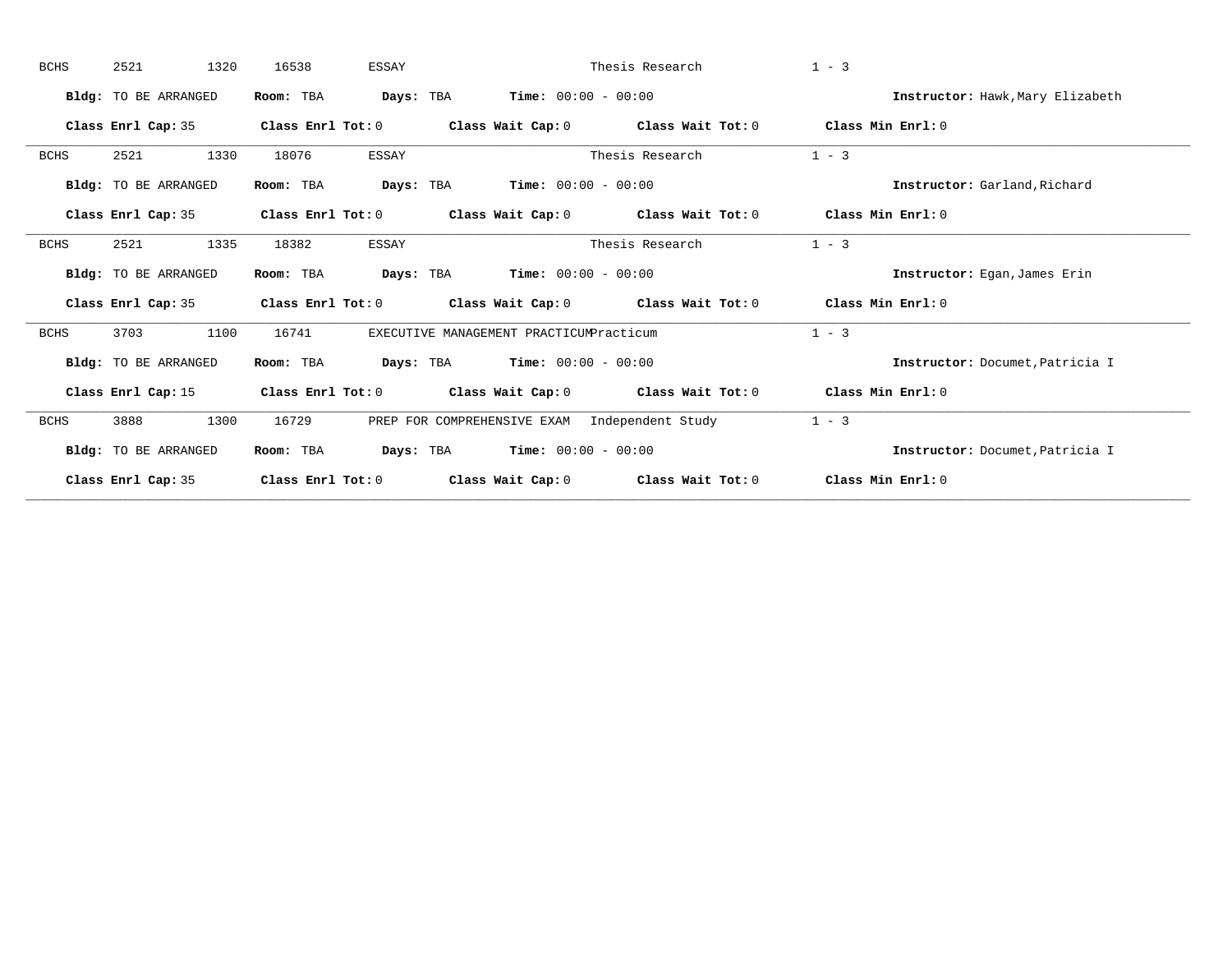| <b>BCHS</b> | 2521<br>1320                | 16538<br>ESSAY          |                                               | Thesis Research   | $1 - 3$                          |
|-------------|-----------------------------|-------------------------|-----------------------------------------------|-------------------|----------------------------------|
|             | Bldg: TO BE ARRANGED        | Days: TBA<br>Room: TBA  | <b>Time:</b> $00:00 - 00:00$                  |                   | Instructor: Hawk, Mary Elizabeth |
|             | Class Enrl Cap: 35          | Class Enrl Tot: 0       | Class Wait Cap: 0                             | Class Wait Tot: 0 | Class Min Enrl: 0                |
| <b>BCHS</b> | 2521<br>1330                | 18076<br>ESSAY          |                                               | Thesis Research   | $1 - 3$                          |
|             | Bldg: TO BE ARRANGED        | Room: TBA<br>Days: TBA  | <b>Time:</b> $00:00 - 00:00$                  |                   | Instructor: Garland, Richard     |
|             | Class Enrl Cap: 35          | Class Enrl Tot: 0       | Class Wait Cap: 0                             | Class Wait Tot: 0 | Class Min Enrl: 0                |
| <b>BCHS</b> | 2521<br>1335                | 18382<br><b>ESSAY</b>   |                                               | Thesis Research   | $1 - 3$                          |
|             | Bldg: TO BE ARRANGED        | Days: TBA<br>Room: TBA  | <b>Time:</b> $00:00 - 00:00$                  |                   | Instructor: Eqan, James Erin     |
|             | Class Enrl Cap: 35          | Class Enrl Tot: 0       | Class Wait Cap: 0                             | Class Wait Tot: 0 | Class Min Enrl: 0                |
| BCHS        | 3703<br>1100                | 16741                   | EXECUTIVE MANAGEMENT PRACTICUMPracticum       |                   | $1 - 3$                          |
|             | Bldg: TO BE ARRANGED        | Room: TBA<br>Days: TBA  | <b>Time:</b> $00:00 - 00:00$                  |                   | Instructor: Documet, Patricia I  |
|             | Class Enrl Cap: 15          | $Class$ $Enr1$ $Tot: 0$ | Class Wait Cap: 0 Class Wait Tot: 0           |                   | Class Min Enrl: 0                |
| <b>BCHS</b> | 3888<br>1300                | 16729                   | PREP FOR COMPREHENSIVE EXAM Independent Study |                   | $1 - 3$                          |
|             | <b>Bldg:</b> TO BE ARRANGED | Room: TBA               | Days: TBA<br><b>Time:</b> $00:00 - 00:00$     |                   | Instructor: Documet, Patricia I  |
|             |                             |                         |                                               |                   |                                  |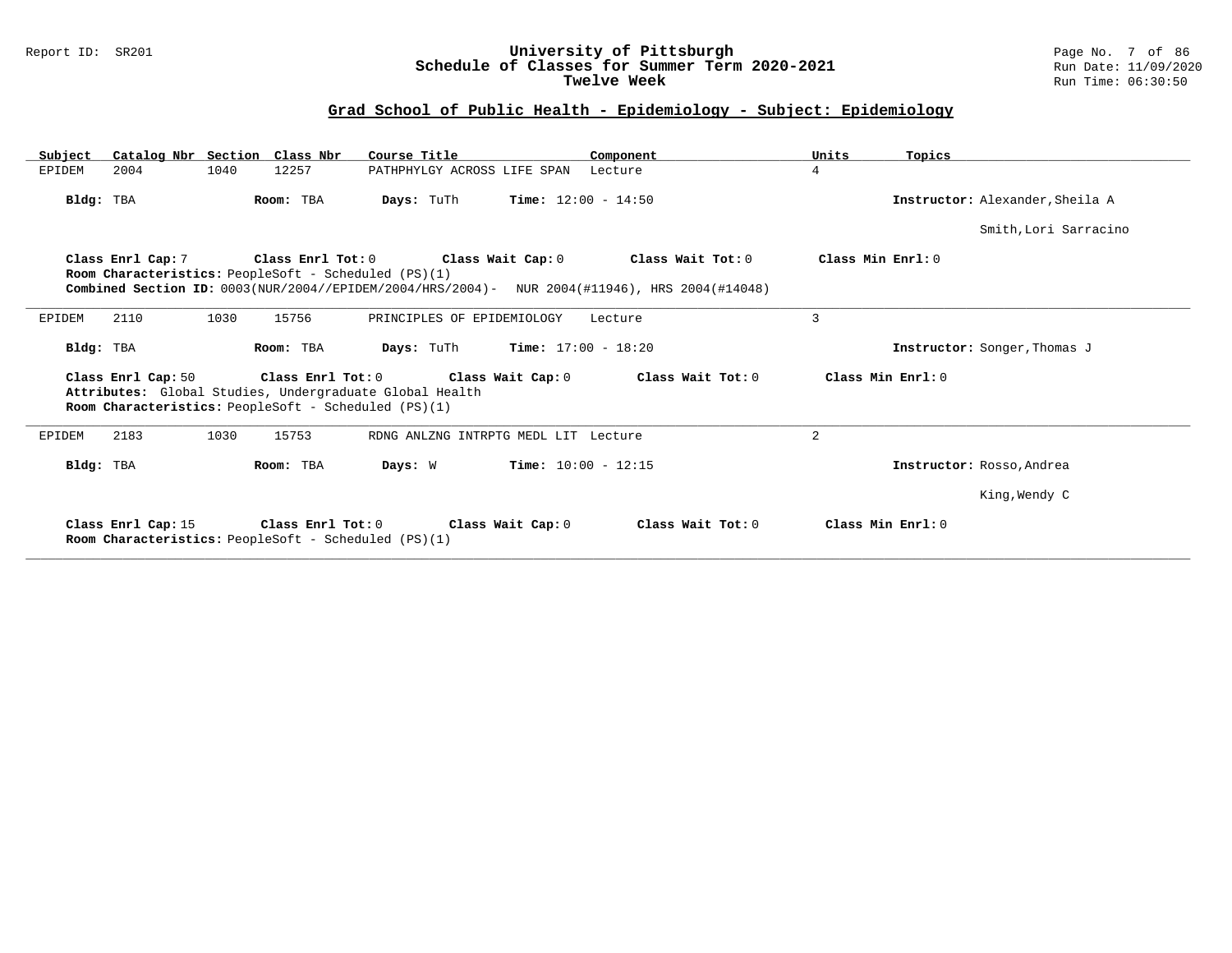#### Report ID: SR201 **University of Pittsburgh** Page No. 7 of 86 **Schedule of Classes for Summer Term 2020-2021** Run Date: 11/09/2020 **Twelve Week Run Time: 06:30:50**

| Subject            | Catalog Nbr Section Class Nbr                                                                                   | Course Title                                           | Component                                                                                                          | Units<br>Topics                 |
|--------------------|-----------------------------------------------------------------------------------------------------------------|--------------------------------------------------------|--------------------------------------------------------------------------------------------------------------------|---------------------------------|
| 2004<br>EPIDEM     | 1040<br>12257                                                                                                   | PATHPHYLGY ACROSS LIFE SPAN                            | Lecture                                                                                                            | 4                               |
| Bldg: TBA          | Room: TBA                                                                                                       | <b>Days:</b> TuTh                                      | <b>Time:</b> $12:00 - 14:50$                                                                                       | Instructor: Alexander, Sheila A |
|                    |                                                                                                                 |                                                        |                                                                                                                    | Smith, Lori Sarracino           |
|                    | Room Characteristics: PeopleSoft - Scheduled (PS)(1)                                                            | Class Enrl Cap: 7 Class Enrl Tot: 0 Class Wait Cap: 0  | Class Wait Tot: 0<br>Combined Section ID: 0003(NUR/2004//EPIDEM/2004/HRS/2004)- NUR 2004(#11946), HRS 2004(#14048) | Class Min Enrl: 0               |
| 2110<br>EPIDEM     | 1030<br>15756                                                                                                   | PRINCIPLES OF EPIDEMIOLOGY                             | Lecture                                                                                                            | 3                               |
| Bldg: TBA          | Room: TBA                                                                                                       | <b>Days:</b> TuTh <b>Time:</b> $17:00 - 18:20$         |                                                                                                                    | Instructor: Songer, Thomas J    |
| Class Enrl Cap: 50 | Attributes: Global Studies, Undergraduate Global Health<br>Room Characteristics: PeopleSoft - Scheduled (PS)(1) |                                                        | Class Enrl Tot: $0$ Class Wait Cap: $0$ Class Wait Tot: $0$                                                        | Class Min Enrl: 0               |
| 2183<br>EPIDEM     | 1030<br>15753                                                                                                   | RDNG ANLZNG INTRPTG MEDL LIT Lecture                   |                                                                                                                    | $\overline{a}$                  |
| Bldg: TBA          | Room: TBA                                                                                                       | Days: W                                                | <b>Time:</b> $10:00 - 12:15$                                                                                       | Instructor: Rosso, Andrea       |
|                    |                                                                                                                 |                                                        |                                                                                                                    | King, Wendy C                   |
|                    | Room Characteristics: PeopleSoft - Scheduled (PS)(1)                                                            | Class Enrl Cap: 15 Class Enrl Tot: 0 Class Wait Cap: 0 | Class Wait Tot: 0                                                                                                  | Class Min Enrl: 0               |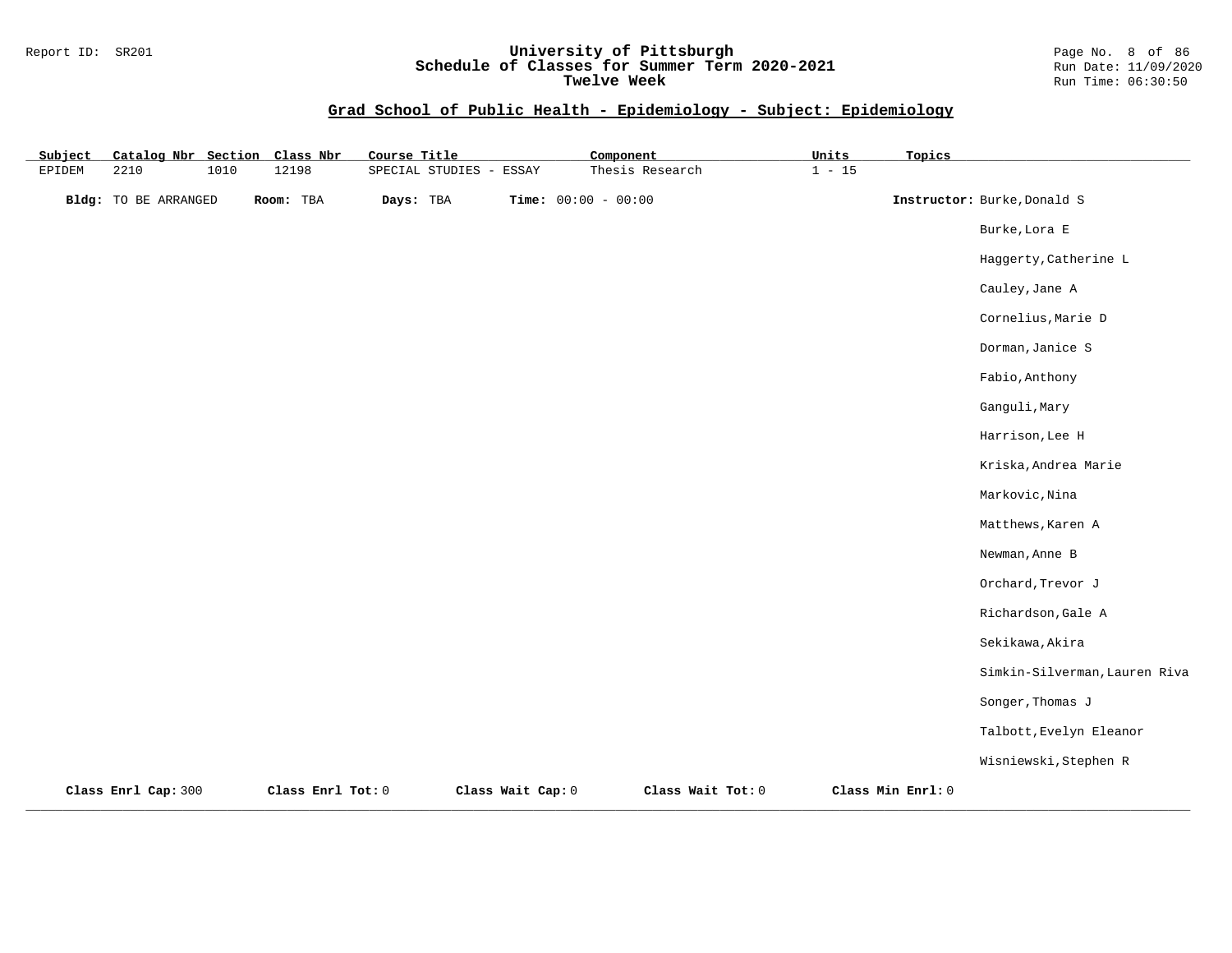#### Report ID: SR201 **University of Pittsburgh** Page No. 8 of 86 **Schedule of Classes for Summer Term 2020-2021** Run Date: 11/09/2020 **Twelve Week Run Time: 06:30:50**

| Subject | Catalog Nbr Section Class Nbr |      |                   | Course Title            |                   | Component             |                   | Units    | Topics            |                               |
|---------|-------------------------------|------|-------------------|-------------------------|-------------------|-----------------------|-------------------|----------|-------------------|-------------------------------|
| EPIDEM  | 2210                          | 1010 | 12198             | SPECIAL STUDIES - ESSAY |                   |                       | Thesis Research   | $1 - 15$ |                   |                               |
|         | <b>Bldg:</b> TO BE ARRANGED   |      | Room: TBA         | Days: TBA               |                   | Time: $00:00 - 00:00$ |                   |          |                   | Instructor: Burke, Donald S   |
|         |                               |      |                   |                         |                   |                       |                   |          |                   | Burke, Lora E                 |
|         |                               |      |                   |                         |                   |                       |                   |          |                   | Haggerty, Catherine L         |
|         |                               |      |                   |                         |                   |                       |                   |          |                   | Cauley, Jane A                |
|         |                               |      |                   |                         |                   |                       |                   |          |                   | Cornelius, Marie D            |
|         |                               |      |                   |                         |                   |                       |                   |          |                   | Dorman, Janice S              |
|         |                               |      |                   |                         |                   |                       |                   |          |                   | Fabio, Anthony                |
|         |                               |      |                   |                         |                   |                       |                   |          |                   | Ganguli, Mary                 |
|         |                               |      |                   |                         |                   |                       |                   |          |                   | Harrison, Lee H               |
|         |                               |      |                   |                         |                   |                       |                   |          |                   | Kriska, Andrea Marie          |
|         |                               |      |                   |                         |                   |                       |                   |          |                   | Markovic, Nina                |
|         |                               |      |                   |                         |                   |                       |                   |          |                   | Matthews, Karen A             |
|         |                               |      |                   |                         |                   |                       |                   |          |                   | Newman, Anne B                |
|         |                               |      |                   |                         |                   |                       |                   |          |                   | Orchard, Trevor J             |
|         |                               |      |                   |                         |                   |                       |                   |          |                   | Richardson, Gale A            |
|         |                               |      |                   |                         |                   |                       |                   |          |                   | Sekikawa, Akira               |
|         |                               |      |                   |                         |                   |                       |                   |          |                   | Simkin-Silverman, Lauren Riva |
|         |                               |      |                   |                         |                   |                       |                   |          |                   | Songer, Thomas J              |
|         |                               |      |                   |                         |                   |                       |                   |          |                   | Talbott, Evelyn Eleanor       |
|         |                               |      |                   |                         |                   |                       |                   |          |                   | Wisniewski, Stephen R         |
|         | Class Enrl Cap: 300           |      | Class Enrl Tot: 0 |                         | Class Wait Cap: 0 |                       | Class Wait Tot: 0 |          | Class Min Enrl: 0 |                               |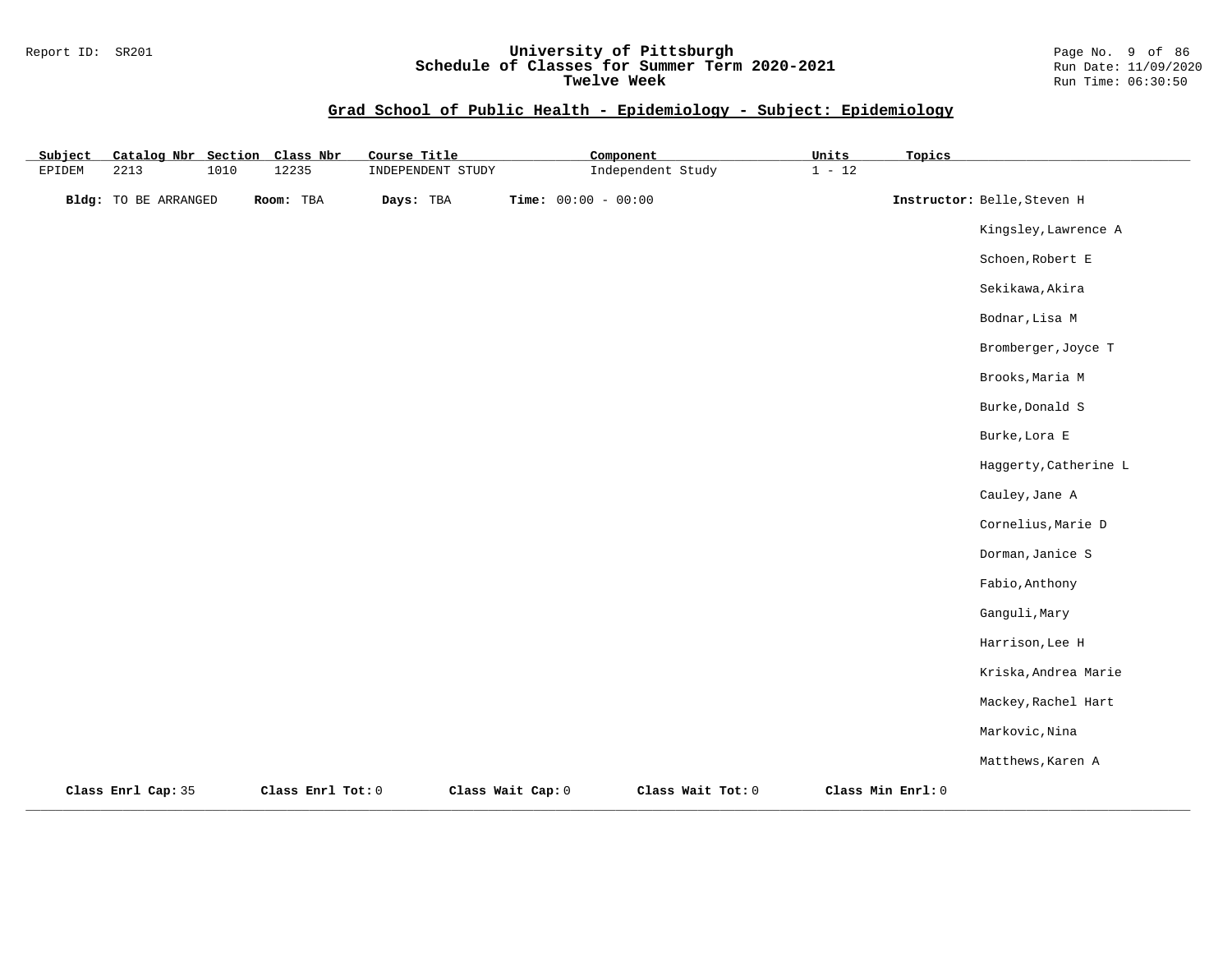#### Report ID: SR201 **University of Pittsburgh** Page No. 9 of 86 **Schedule of Classes for Summer Term 2020-2021** Run Date: 11/09/2020 **Twelve Week Run Time: 06:30:50**

| Subject | Catalog Nbr Section         |      | Class Nbr         | Course Title      |                       | Component         | Units    | Topics            |                             |
|---------|-----------------------------|------|-------------------|-------------------|-----------------------|-------------------|----------|-------------------|-----------------------------|
| EPIDEM  | 2213                        | 1010 | 12235             | INDEPENDENT STUDY |                       | Independent Study | $1 - 12$ |                   |                             |
|         | <b>Bldg:</b> TO BE ARRANGED |      | Room: TBA         | Days: TBA         | Time: $00:00 - 00:00$ |                   |          |                   | Instructor: Belle, Steven H |
|         |                             |      |                   |                   |                       |                   |          |                   | Kingsley, Lawrence A        |
|         |                             |      |                   |                   |                       |                   |          |                   | Schoen, Robert E            |
|         |                             |      |                   |                   |                       |                   |          |                   | Sekikawa, Akira             |
|         |                             |      |                   |                   |                       |                   |          |                   | Bodnar, Lisa M              |
|         |                             |      |                   |                   |                       |                   |          |                   | Bromberger, Joyce T         |
|         |                             |      |                   |                   |                       |                   |          |                   | Brooks, Maria M             |
|         |                             |      |                   |                   |                       |                   |          |                   | Burke, Donald S             |
|         |                             |      |                   |                   |                       |                   |          |                   | Burke, Lora E               |
|         |                             |      |                   |                   |                       |                   |          |                   | Haggerty, Catherine L       |
|         |                             |      |                   |                   |                       |                   |          |                   | Cauley, Jane A              |
|         |                             |      |                   |                   |                       |                   |          |                   | Cornelius, Marie D          |
|         |                             |      |                   |                   |                       |                   |          |                   | Dorman, Janice S            |
|         |                             |      |                   |                   |                       |                   |          |                   | Fabio, Anthony              |
|         |                             |      |                   |                   |                       |                   |          |                   | Ganguli, Mary               |
|         |                             |      |                   |                   |                       |                   |          |                   | Harrison, Lee H             |
|         |                             |      |                   |                   |                       |                   |          |                   | Kriska, Andrea Marie        |
|         |                             |      |                   |                   |                       |                   |          |                   | Mackey, Rachel Hart         |
|         |                             |      |                   |                   |                       |                   |          |                   | Markovic, Nina              |
|         |                             |      |                   |                   |                       |                   |          |                   | Matthews, Karen A           |
|         | Class Enrl Cap: 35          |      | Class Enrl Tot: 0 |                   | Class Wait Cap: 0     | Class Wait Tot: 0 |          | Class Min Enrl: 0 |                             |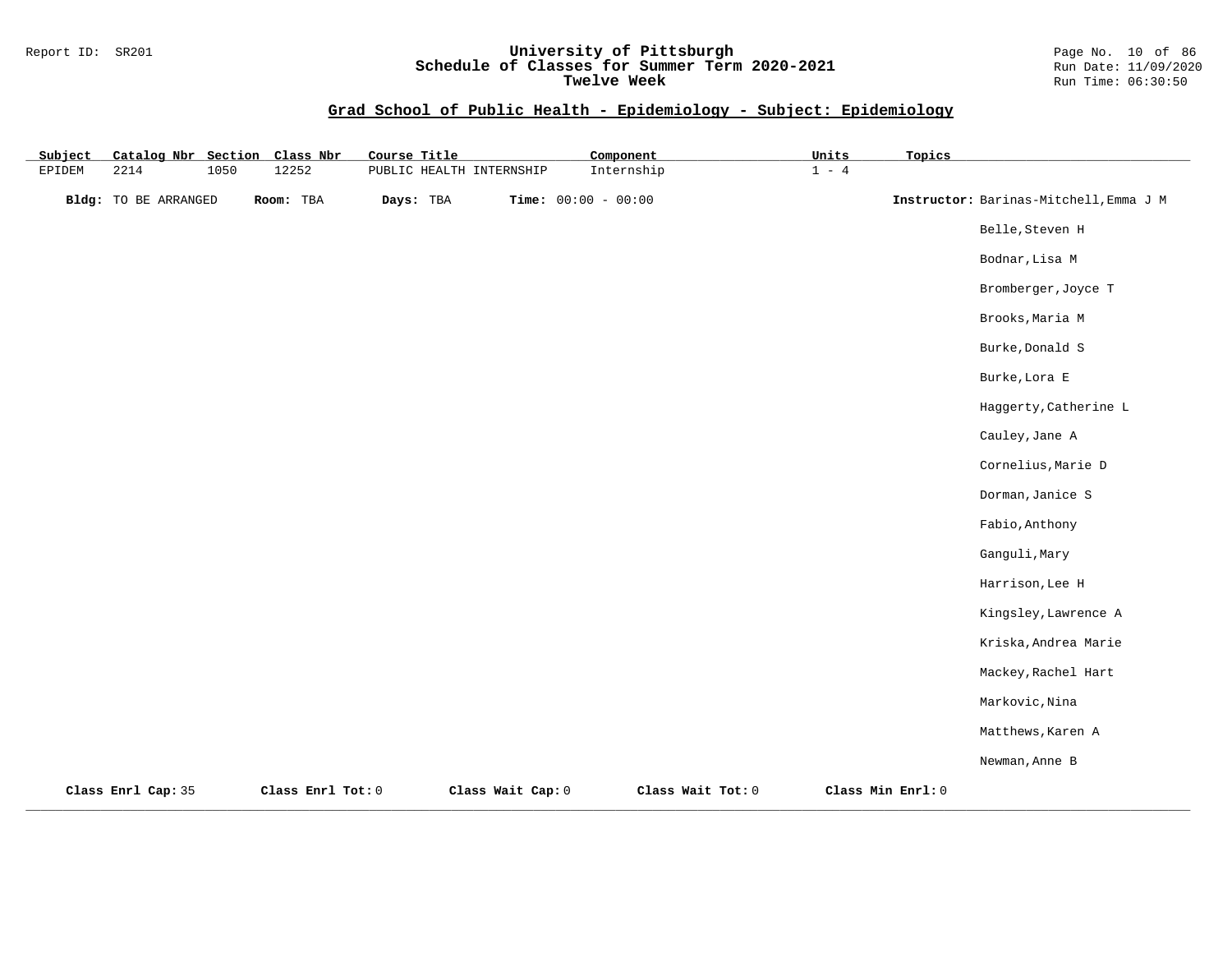#### Report ID: SR201 **University of Pittsburgh** Page No. 10 of 86 **Schedule of Classes for Summer Term 2020-2021** Run Date: 11/09/2020 **Twelve Week Run Time: 06:30:50**

| Subject | Catalog Nbr Section Class Nbr |      |                   | Course Title             |                   |                       | Component         | Units   | Topics            |                                        |
|---------|-------------------------------|------|-------------------|--------------------------|-------------------|-----------------------|-------------------|---------|-------------------|----------------------------------------|
| EPIDEM  | 2214                          | 1050 | 12252             | PUBLIC HEALTH INTERNSHIP |                   |                       | Internship        | $1 - 4$ |                   |                                        |
|         | <b>Bldg:</b> TO BE ARRANGED   |      | Room: TBA         | Days: TBA                |                   | Time: $00:00 - 00:00$ |                   |         |                   | Instructor: Barinas-Mitchell, Emma J M |
|         |                               |      |                   |                          |                   |                       |                   |         |                   | Belle, Steven H                        |
|         |                               |      |                   |                          |                   |                       |                   |         |                   | Bodnar, Lisa M                         |
|         |                               |      |                   |                          |                   |                       |                   |         |                   | Bromberger, Joyce T                    |
|         |                               |      |                   |                          |                   |                       |                   |         |                   | Brooks, Maria M                        |
|         |                               |      |                   |                          |                   |                       |                   |         |                   | Burke, Donald S                        |
|         |                               |      |                   |                          |                   |                       |                   |         |                   | Burke, Lora E                          |
|         |                               |      |                   |                          |                   |                       |                   |         |                   | Haggerty, Catherine L                  |
|         |                               |      |                   |                          |                   |                       |                   |         |                   | Cauley, Jane A                         |
|         |                               |      |                   |                          |                   |                       |                   |         |                   | Cornelius, Marie D                     |
|         |                               |      |                   |                          |                   |                       |                   |         |                   | Dorman, Janice S                       |
|         |                               |      |                   |                          |                   |                       |                   |         |                   | Fabio, Anthony                         |
|         |                               |      |                   |                          |                   |                       |                   |         |                   | Ganguli, Mary                          |
|         |                               |      |                   |                          |                   |                       |                   |         |                   | Harrison, Lee H                        |
|         |                               |      |                   |                          |                   |                       |                   |         |                   | Kingsley, Lawrence A                   |
|         |                               |      |                   |                          |                   |                       |                   |         |                   | Kriska, Andrea Marie                   |
|         |                               |      |                   |                          |                   |                       |                   |         |                   | Mackey, Rachel Hart                    |
|         |                               |      |                   |                          |                   |                       |                   |         |                   | Markovic, Nina                         |
|         |                               |      |                   |                          |                   |                       |                   |         |                   | Matthews, Karen A                      |
|         |                               |      |                   |                          |                   |                       |                   |         |                   | Newman, Anne B                         |
|         | Class Enrl Cap: 35            |      | Class Enrl Tot: 0 |                          | Class Wait Cap: 0 |                       | Class Wait Tot: 0 |         | Class Min Enrl: 0 |                                        |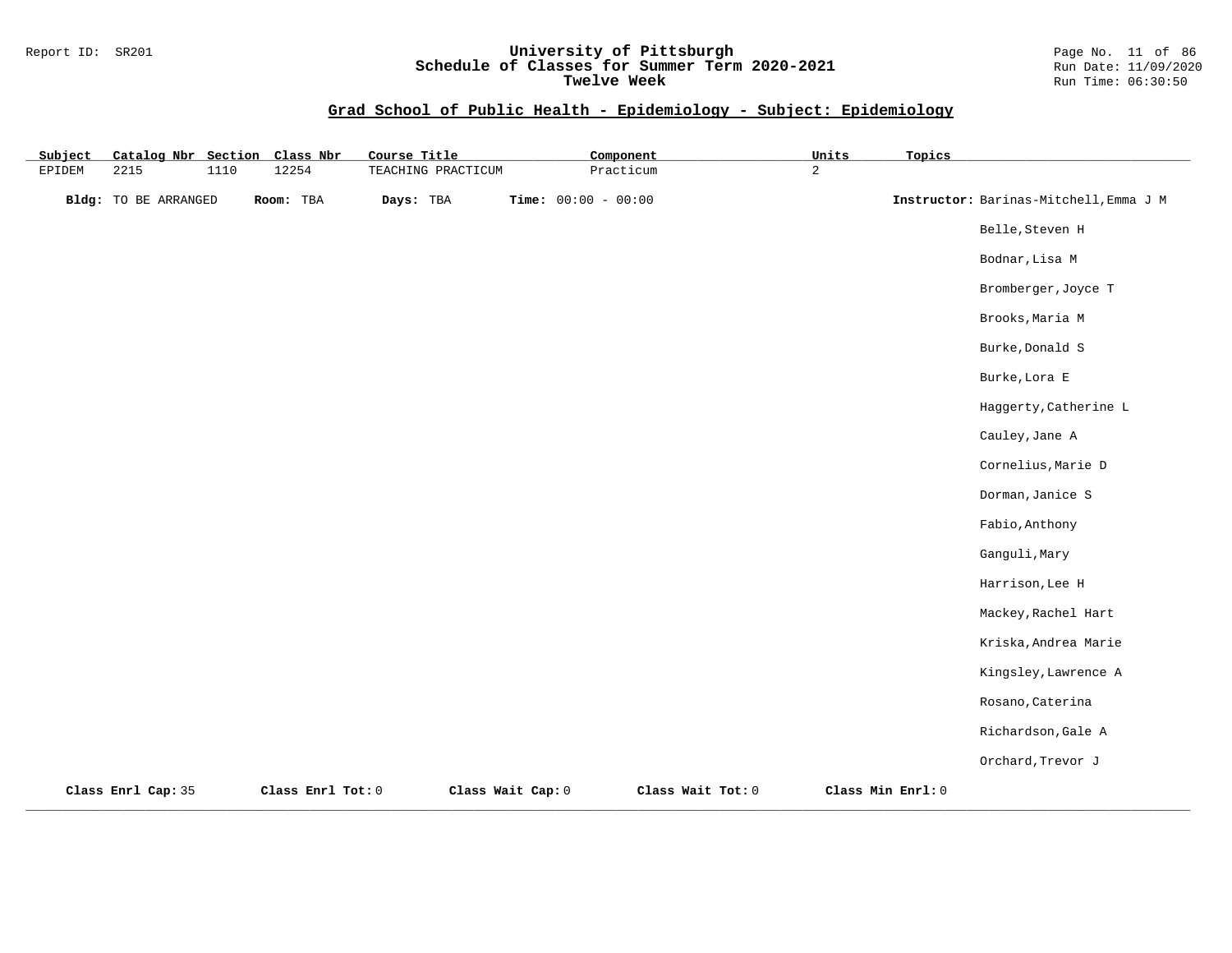### Report ID: SR201 **University of Pittsburgh** Page No. 11 of 86 **Schedule of Classes for Summer Term 2020-2021** Run Date: 11/09/2020 **Twelve Week Run Time: 06:30:50**

| Subject |                             |      | Catalog Nbr Section Class Nbr | Course Title       |                   | Component             |                   | Units          | Topics            |                                        |
|---------|-----------------------------|------|-------------------------------|--------------------|-------------------|-----------------------|-------------------|----------------|-------------------|----------------------------------------|
| EPIDEM  | 2215                        | 1110 | 12254                         | TEACHING PRACTICUM |                   | Practicum             |                   | $\overline{a}$ |                   |                                        |
|         | <b>Bldg:</b> TO BE ARRANGED |      | Room: TBA                     | Days: TBA          |                   | Time: $00:00 - 00:00$ |                   |                |                   | Instructor: Barinas-Mitchell, Emma J M |
|         |                             |      |                               |                    |                   |                       |                   |                |                   | Belle, Steven H                        |
|         |                             |      |                               |                    |                   |                       |                   |                |                   | Bodnar, Lisa M                         |
|         |                             |      |                               |                    |                   |                       |                   |                |                   | Bromberger, Joyce T                    |
|         |                             |      |                               |                    |                   |                       |                   |                |                   | Brooks, Maria M                        |
|         |                             |      |                               |                    |                   |                       |                   |                |                   | Burke, Donald S                        |
|         |                             |      |                               |                    |                   |                       |                   |                |                   | Burke, Lora E                          |
|         |                             |      |                               |                    |                   |                       |                   |                |                   | Haggerty, Catherine L                  |
|         |                             |      |                               |                    |                   |                       |                   |                |                   | Cauley, Jane A                         |
|         |                             |      |                               |                    |                   |                       |                   |                |                   | Cornelius, Marie D                     |
|         |                             |      |                               |                    |                   |                       |                   |                |                   | Dorman, Janice S                       |
|         |                             |      |                               |                    |                   |                       |                   |                |                   | Fabio, Anthony                         |
|         |                             |      |                               |                    |                   |                       |                   |                |                   | Ganguli, Mary                          |
|         |                             |      |                               |                    |                   |                       |                   |                |                   | Harrison, Lee H                        |
|         |                             |      |                               |                    |                   |                       |                   |                |                   | Mackey, Rachel Hart                    |
|         |                             |      |                               |                    |                   |                       |                   |                |                   | Kriska, Andrea Marie                   |
|         |                             |      |                               |                    |                   |                       |                   |                |                   | Kingsley, Lawrence A                   |
|         |                             |      |                               |                    |                   |                       |                   |                |                   | Rosano, Caterina                       |
|         |                             |      |                               |                    |                   |                       |                   |                |                   | Richardson, Gale A                     |
|         |                             |      |                               |                    |                   |                       |                   |                |                   | Orchard, Trevor J                      |
|         | Class Enrl Cap: 35          |      | Class Enrl Tot: 0             |                    | Class Wait Cap: 0 |                       | Class Wait Tot: 0 |                | Class Min Enrl: 0 |                                        |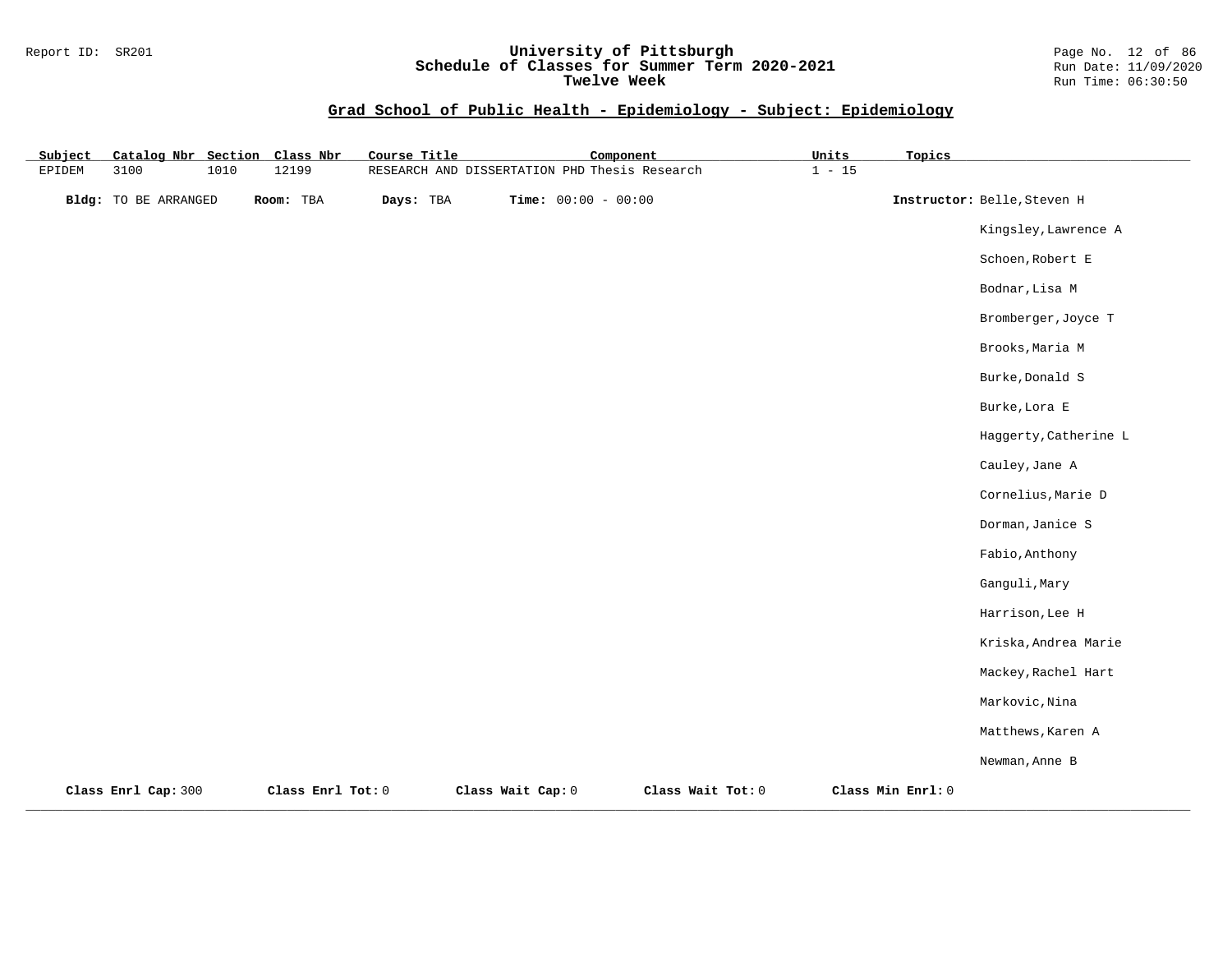#### Report ID: SR201 **University of Pittsburgh** Page No. 12 of 86 **Schedule of Classes for Summer Term 2020-2021** Run Date: 11/09/2020 **Twelve Week Run Time: 06:30:50**

| Subject       | Catalog Nbr Section         |      | Class Nbr         | Course Title | Component                                     |                   | Units    | Topics            |                             |
|---------------|-----------------------------|------|-------------------|--------------|-----------------------------------------------|-------------------|----------|-------------------|-----------------------------|
| <b>EPIDEM</b> | 3100                        | 1010 | 12199             |              | RESEARCH AND DISSERTATION PHD Thesis Research |                   | $1 - 15$ |                   |                             |
|               | <b>Bldg:</b> TO BE ARRANGED |      | Room: TBA         | Days: TBA    | Time: $00:00 - 00:00$                         |                   |          |                   | Instructor: Belle, Steven H |
|               |                             |      |                   |              |                                               |                   |          |                   | Kingsley, Lawrence A        |
|               |                             |      |                   |              |                                               |                   |          |                   | Schoen, Robert E            |
|               |                             |      |                   |              |                                               |                   |          |                   | Bodnar, Lisa M              |
|               |                             |      |                   |              |                                               |                   |          |                   | Bromberger, Joyce T         |
|               |                             |      |                   |              |                                               |                   |          |                   | Brooks, Maria M             |
|               |                             |      |                   |              |                                               |                   |          |                   | Burke, Donald S             |
|               |                             |      |                   |              |                                               |                   |          |                   | Burke, Lora E               |
|               |                             |      |                   |              |                                               |                   |          |                   | Haggerty, Catherine L       |
|               |                             |      |                   |              |                                               |                   |          |                   | Cauley, Jane A              |
|               |                             |      |                   |              |                                               |                   |          |                   | Cornelius, Marie D          |
|               |                             |      |                   |              |                                               |                   |          |                   | Dorman, Janice S            |
|               |                             |      |                   |              |                                               |                   |          |                   | Fabio, Anthony              |
|               |                             |      |                   |              |                                               |                   |          |                   | Ganguli, Mary               |
|               |                             |      |                   |              |                                               |                   |          |                   | Harrison, Lee H             |
|               |                             |      |                   |              |                                               |                   |          |                   | Kriska, Andrea Marie        |
|               |                             |      |                   |              |                                               |                   |          |                   | Mackey, Rachel Hart         |
|               |                             |      |                   |              |                                               |                   |          |                   | Markovic, Nina              |
|               |                             |      |                   |              |                                               |                   |          |                   | Matthews, Karen A           |
|               |                             |      |                   |              |                                               |                   |          |                   | Newman, Anne B              |
|               | Class Enrl Cap: 300         |      | Class Enrl Tot: 0 |              | Class Wait Cap: 0                             | Class Wait Tot: 0 |          | Class Min Enrl: 0 |                             |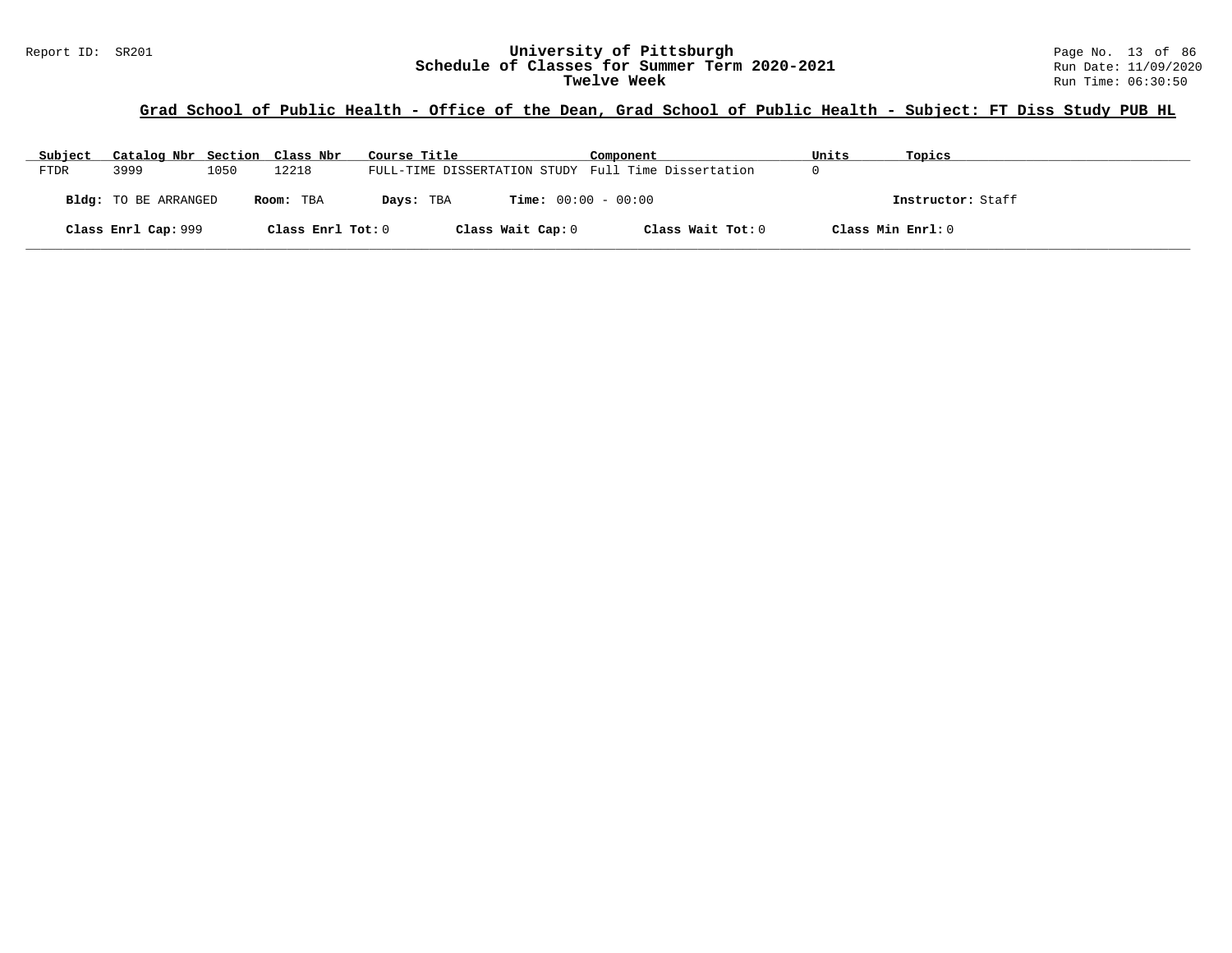# Report ID: SR201 **1988 Mage 10: SR201 University of Pittsburgh** Page No. 13 of 86<br>**Schedule of Classes for Summer Term 2020-2021** Run Date: 11/09/2020 Schedule of Classes for Summer Term 2020-2021<br>Twelve Week

## **Grad School of Public Health - Office of the Dean, Grad School of Public Health - Subject: FT Diss Study PUB HL**

| Subject     | Catalog Nbr Section Class Nbr |      |                   | Course Title                                        | Component         | Units             | Topics            |
|-------------|-------------------------------|------|-------------------|-----------------------------------------------------|-------------------|-------------------|-------------------|
| <b>FTDR</b> | 3999                          | 1050 | 12218             | FULL-TIME DISSERTATION STUDY Full Time Dissertation |                   |                   |                   |
|             | Bldg: TO BE ARRANGED          |      | Room: TBA         | <b>Time:</b> $00:00 - 00:00$<br>Days: TBA           |                   |                   | Instructor: Staff |
|             | Class Enrl Cap: 999           |      | Class Enrl Tot: 0 | Class Wait Cap: 0                                   | Class Wait Tot: 0 | Class Min Enrl: 0 |                   |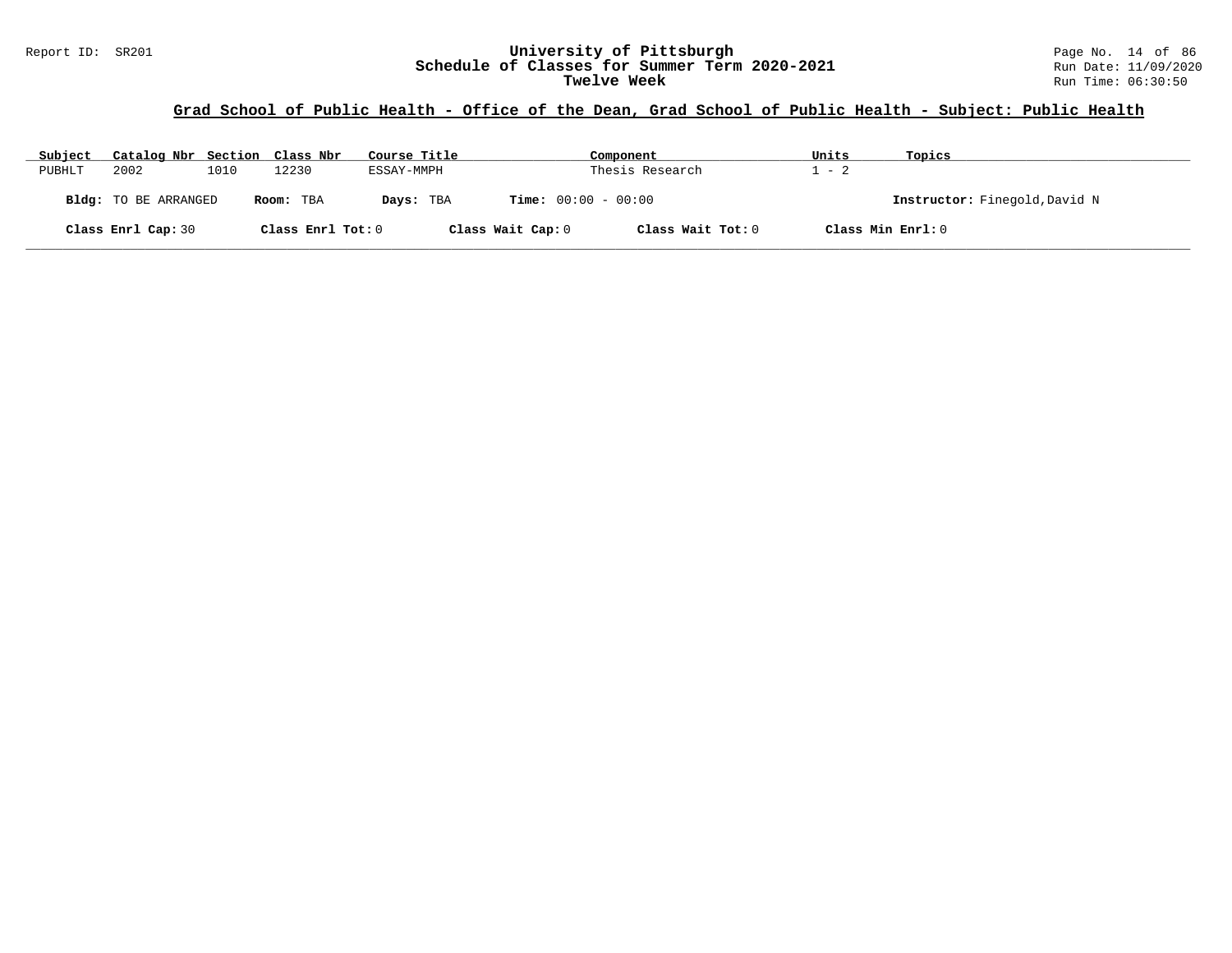# Report ID: SR201 **1988 Mage 10: SR201 University of Pittsburgh** Page No. 14 of 86<br>**Schedule of Classes for Summer Term 2020-2021** Run Date: 11/09/2020 Schedule of Classes for Summer Term 2020-2021<br>Twelve Week

## **Grad School of Public Health - Office of the Dean, Grad School of Public Health - Subject: Public Health**

| Subject | Catalog Nbr Section Class Nbr |      |                   | Course Title |                              | Component         | Units             | Topics                        |
|---------|-------------------------------|------|-------------------|--------------|------------------------------|-------------------|-------------------|-------------------------------|
| PUBHLT  | 2002                          | 1010 | L2230             | ESSAY-MMPH   |                              | Thesis Research   | $-2$              |                               |
|         | <b>Bldg:</b> TO BE ARRANGED   |      | Room: TBA         | Days: TBA    | <b>Time:</b> $00:00 - 00:00$ |                   |                   | Instructor: Finegold, David N |
|         | Class Enrl Cap: 30            |      | Class Enrl Tot: 0 |              | Class Wait Cap: 0            | Class Wait Tot: 0 | Class Min Enrl: 0 |                               |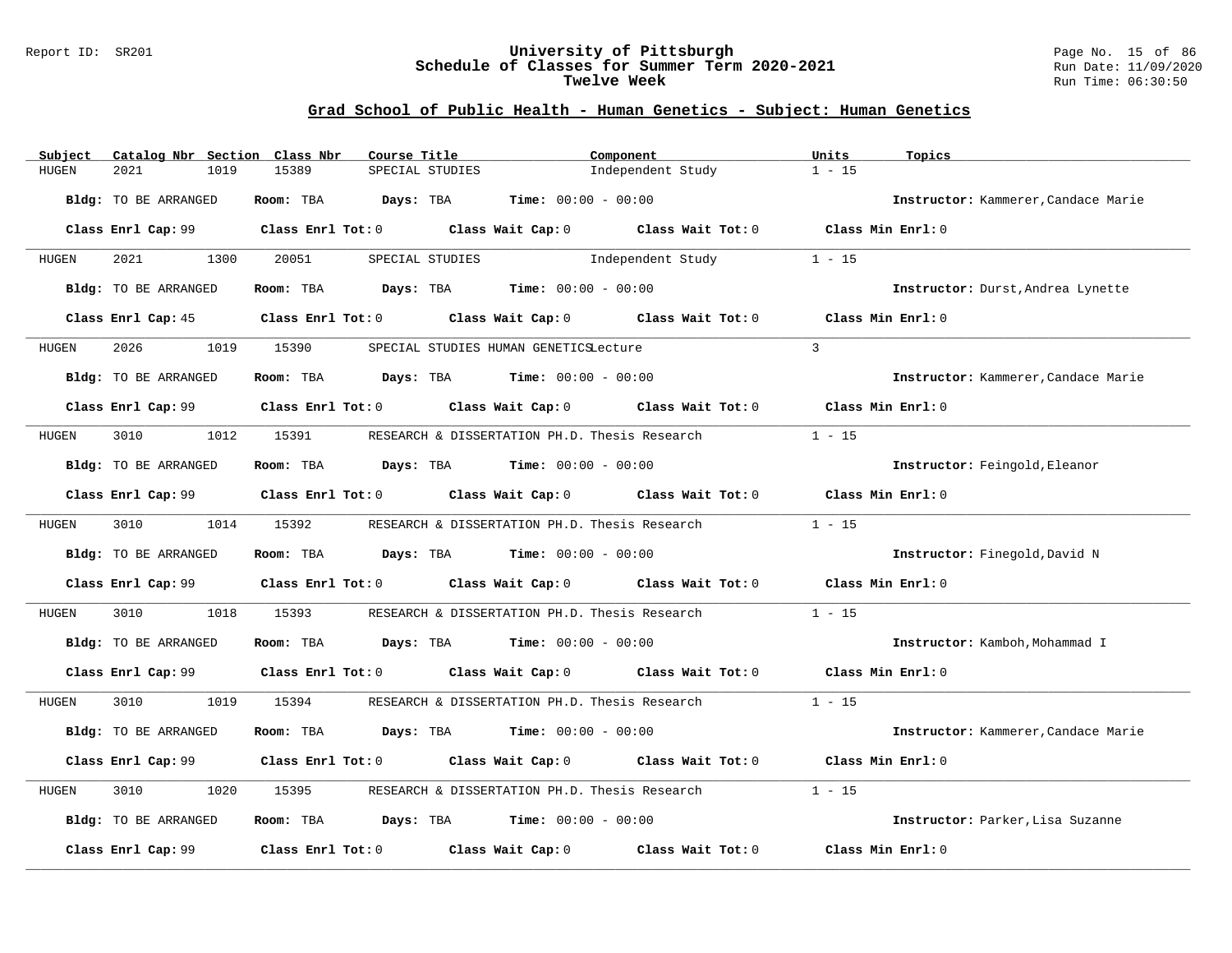#### Report ID: SR201 **University of Pittsburgh** Page No. 15 of 86 **Schedule of Classes for Summer Term 2020-2021** Run Date: 11/09/2020 **Twelve Week Run Time: 06:30:50**

## **Grad School of Public Health - Human Genetics - Subject: Human Genetics**

| Subject      | Catalog Nbr Section Class Nbr | Course Title                            | Component                                                                                           |                   | Units<br>Topics                     |
|--------------|-------------------------------|-----------------------------------------|-----------------------------------------------------------------------------------------------------|-------------------|-------------------------------------|
| HUGEN        | 2021<br>1019                  | 15389<br>SPECIAL STUDIES                |                                                                                                     | Independent Study | $1 - 15$                            |
|              | Bldg: TO BE ARRANGED          | Room: TBA<br>Days: TBA                  | Time: $00:00 - 00:00$                                                                               |                   | Instructor: Kammerer, Candace Marie |
|              | Class Enrl Cap: 99            |                                         | Class Enrl Tot: 0 Class Wait Cap: 0 Class Wait Tot: 0 Class Min Enrl: 0                             |                   |                                     |
| HUGEN        | 2021<br>1300                  | 20051                                   | SPECIAL STUDIES                                                                                     | Independent Study | $1 - 15$                            |
|              | Bldg: TO BE ARRANGED          | Room: TBA                               | $\texttt{Days:}$ TBA $\texttt{Time:}$ 00:00 - 00:00                                                 |                   | Instructor: Durst, Andrea Lynette   |
|              | Class Enrl Cap: 45            |                                         | Class Enrl Tot: 0 Class Wait Cap: 0 Class Wait Tot: 0                                               |                   | Class Min Enrl: 0                   |
| HUGEN        | 2026<br>1019                  | 15390                                   | SPECIAL STUDIES HUMAN GENETICSLecture                                                               |                   | $\overline{3}$                      |
|              | Bldg: TO BE ARRANGED          |                                         | Room: TBA $Days:$ TBA $Time: 00:00 - 00:00$                                                         |                   | Instructor: Kammerer, Candace Marie |
|              |                               |                                         | Class Enrl Cap: 99 $\qquad$ Class Enrl Tot: 0 $\qquad$ Class Wait Cap: 0 $\qquad$ Class Wait Tot: 0 |                   | Class Min $Enr1:0$                  |
| HUGEN        | 1012<br>3010                  | 15391                                   | RESEARCH & DISSERTATION PH.D. Thesis Research                                                       |                   | $1 - 15$                            |
|              | Bldg: TO BE ARRANGED          |                                         | Room: TBA $Days:$ TBA $Time: 00:00 - 00:00$                                                         |                   | Instructor: Feingold, Eleanor       |
|              | Class Enrl Cap: 99            |                                         | Class Enrl Tot: 0 Class Wait Cap: 0 Class Wait Tot: 0                                               |                   | Class Min Enrl: 0                   |
| HUGEN        | 3010                          | 1014 15392                              | RESEARCH & DISSERTATION PH.D. Thesis Research                                                       |                   | $1 - 15$                            |
|              | Bldg: TO BE ARRANGED          |                                         | Room: TBA $Days: TBA$ Time: $00:00 - 00:00$                                                         |                   | Instructor: Finegold, David N       |
|              |                               |                                         | Class Enrl Cap: 99 $\qquad$ Class Enrl Tot: 0 $\qquad$ Class Wait Cap: 0 $\qquad$ Class Wait Tot: 0 |                   | Class Min Enrl: 0                   |
| <b>HUGEN</b> | 3010<br>1018                  | 15393                                   | RESEARCH & DISSERTATION PH.D. Thesis Research                                                       |                   | $1 - 15$                            |
|              | Bldg: TO BE ARRANGED          |                                         | Room: TBA $Days:$ TBA $Time: 00:00 - 00:00$                                                         |                   | Instructor: Kamboh, Mohammad I      |
|              |                               |                                         | Class Enrl Cap: 99 Class Enrl Tot: 0 Class Wait Cap: 0 Class Wait Tot: 0 Class Min Enrl: 0          |                   |                                     |
| HUGEN        | 3010<br>1019                  | 15394                                   | RESEARCH & DISSERTATION PH.D. Thesis Research                                                       |                   | $1 - 15$                            |
|              | Bldg: TO BE ARRANGED          | Room: TBA                               | <b>Days:</b> TBA <b>Time:</b> $00:00 - 00:00$                                                       |                   | Instructor: Kammerer, Candace Marie |
|              | Class Enrl Cap: 99            |                                         | Class Enrl Tot: 0 Class Wait Cap: 0 Class Wait Tot: 0                                               |                   | Class Min Enrl: 0                   |
| HUGEN        | 3010<br>1020                  | 15395                                   | RESEARCH & DISSERTATION PH.D. Thesis Research                                                       |                   | $1 - 15$                            |
|              | Bldg: TO BE ARRANGED          |                                         | Room: TBA $Days:$ TBA $Time: 00:00 - 00:00$                                                         |                   | Instructor: Parker, Lisa Suzanne    |
|              | Class Enrl Cap: 99            | Class Enrl Tot: $0$ Class Wait Cap: $0$ |                                                                                                     | Class Wait Tot: 0 | Class Min Enrl: 0                   |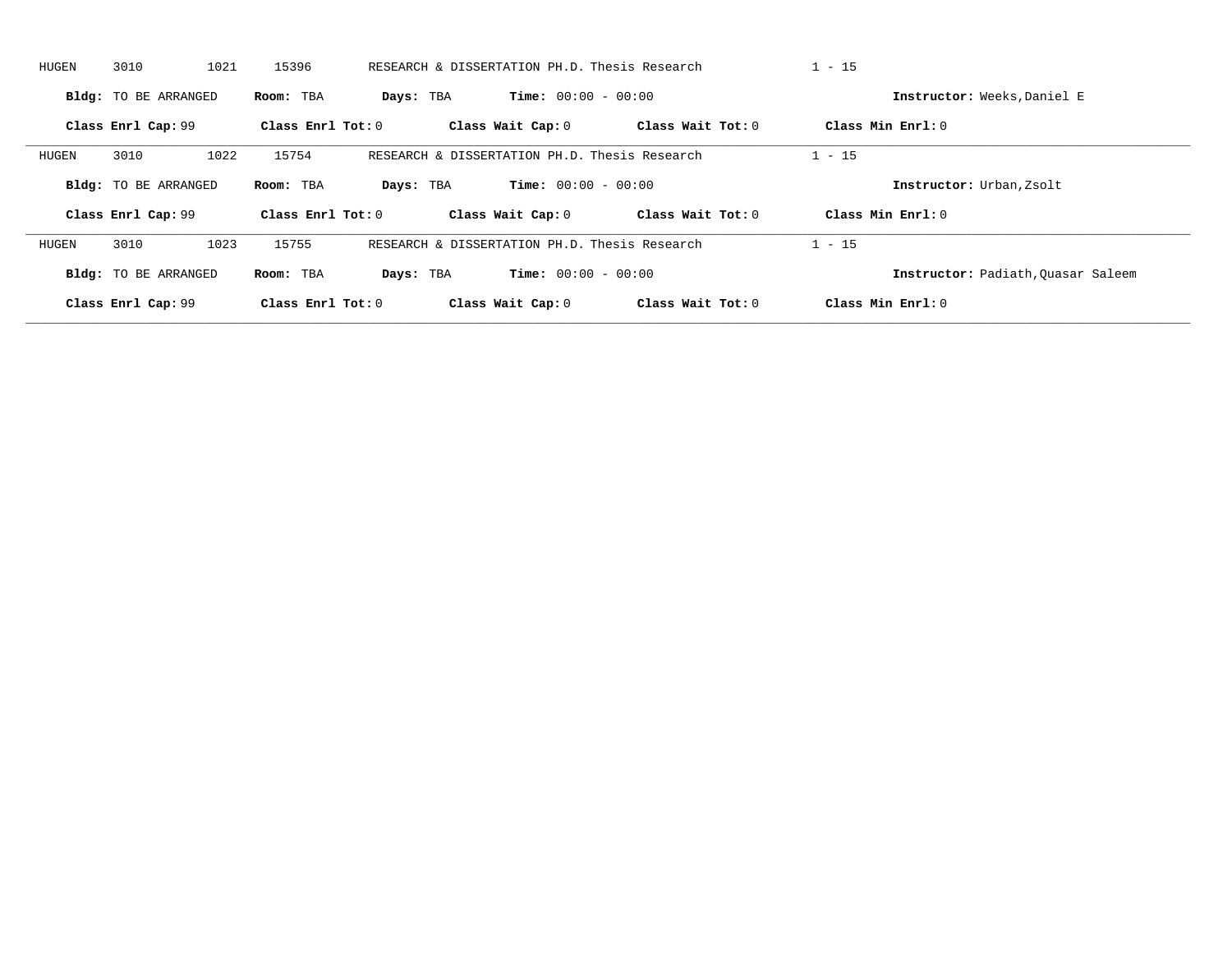| HUGEN | 3010                        | 1021 | 15396               |           | RESEARCH & DISSERTATION PH.D. Thesis Research |                     | $1 - 15$ |                                    |
|-------|-----------------------------|------|---------------------|-----------|-----------------------------------------------|---------------------|----------|------------------------------------|
|       | Bldg: TO BE ARRANGED        |      | Room: TBA           | Days: TBA | <b>Time:</b> $00:00 - 00:00$                  |                     |          | Instructor: Weeks, Daniel E        |
|       | Class Enrl Cap: 99          |      | Class Enrl Tot: $0$ |           | Class Wait Cap: 0                             | Class Wait Tot: 0   |          | Class Min Enrl: 0                  |
| HUGEN | 3010                        | 1022 | 15754               |           | RESEARCH & DISSERTATION PH.D. Thesis Research |                     | $1 - 15$ |                                    |
|       | <b>Bldg:</b> TO BE ARRANGED |      | Room: TBA           | Days: TBA | <b>Time:</b> $00:00 - 00:00$                  |                     |          | Instructor: Urban, Zsolt           |
|       | Class Enrl Cap: 99          |      | Class Enrl Tot: 0   |           | Class Wait Cap: 0                             | Class Wait $Tot: 0$ |          | Class Min $Enrl: 0$                |
| HUGEN | 3010                        | 1023 | 15755               |           | RESEARCH & DISSERTATION PH.D. Thesis Research |                     | $1 - 15$ |                                    |
|       | <b>Bldg:</b> TO BE ARRANGED |      | Room: TBA           | Days: TBA | <b>Time:</b> $00:00 - 00:00$                  |                     |          | Instructor: Padiath, Ouasar Saleem |
|       | Class Enrl Cap: 99          |      | Class Enrl Tot: 0   |           | Class Wait Cap: 0                             | Class Wait Tot: 0   |          | Class Min Enrl: 0                  |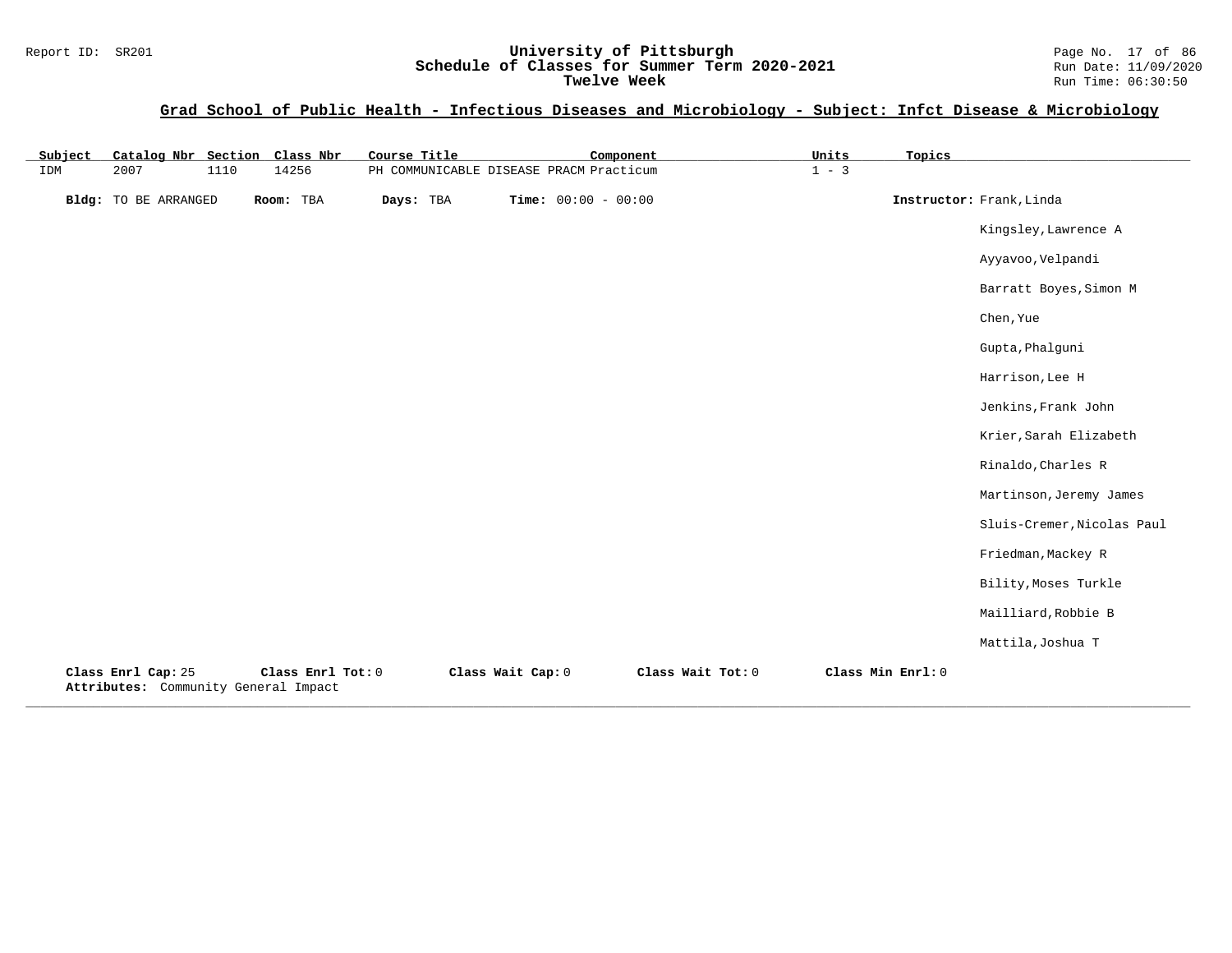#### Report ID: SR201 **University of Pittsburgh** Page No. 17 of 86 **Schedule of Classes for Summer Term 2020-2021** Run Date: 11/09/2020 **Twelve Week** Run Time: 06:30:50

## **Grad School of Public Health - Infectious Diseases and Microbiology - Subject: Infct Disease & Microbiology**

| Catalog Nbr Section Class Nbr<br>Subject                   |                   | Course Title | Component                               |                   | Units   | Topics            |                            |
|------------------------------------------------------------|-------------------|--------------|-----------------------------------------|-------------------|---------|-------------------|----------------------------|
| 2007<br>1110<br>IDM                                        | 14256             |              | PH COMMUNICABLE DISEASE PRACM Practicum |                   | $1 - 3$ |                   |                            |
| <b>Bldg:</b> TO BE ARRANGED                                | Room: TBA         | Days: TBA    | Time: $00:00 - 00:00$                   |                   |         |                   | Instructor: Frank, Linda   |
|                                                            |                   |              |                                         |                   |         |                   | Kingsley, Lawrence A       |
|                                                            |                   |              |                                         |                   |         |                   | Ayyavoo, Velpandi          |
|                                                            |                   |              |                                         |                   |         |                   | Barratt Boyes, Simon M     |
|                                                            |                   |              |                                         |                   |         |                   | Chen, Yue                  |
|                                                            |                   |              |                                         |                   |         |                   | Gupta, Phalguni            |
|                                                            |                   |              |                                         |                   |         |                   | Harrison, Lee H            |
|                                                            |                   |              |                                         |                   |         |                   | Jenkins, Frank John        |
|                                                            |                   |              |                                         |                   |         |                   | Krier, Sarah Elizabeth     |
|                                                            |                   |              |                                         |                   |         |                   | Rinaldo, Charles R         |
|                                                            |                   |              |                                         |                   |         |                   | Martinson, Jeremy James    |
|                                                            |                   |              |                                         |                   |         |                   | Sluis-Cremer, Nicolas Paul |
|                                                            |                   |              |                                         |                   |         |                   | Friedman, Mackey R         |
|                                                            |                   |              |                                         |                   |         |                   | Bility, Moses Turkle       |
|                                                            |                   |              |                                         |                   |         |                   | Mailliard, Robbie B        |
|                                                            |                   |              |                                         |                   |         |                   | Mattila, Joshua T          |
| Class Enrl Cap: 25<br>Attributes: Community General Impact | Class Enrl Tot: 0 |              | Class Wait Cap: 0                       | Class Wait Tot: 0 |         | Class Min Enrl: 0 |                            |

**\_\_\_\_\_\_\_\_\_\_\_\_\_\_\_\_\_\_\_\_\_\_\_\_\_\_\_\_\_\_\_\_\_\_\_\_\_\_\_\_\_\_\_\_\_\_\_\_\_\_\_\_\_\_\_\_\_\_\_\_\_\_\_\_\_\_\_\_\_\_\_\_\_\_\_\_\_\_\_\_\_\_\_\_\_\_\_\_\_\_\_\_\_\_\_\_\_\_\_\_\_\_\_\_\_\_\_\_\_\_\_\_\_\_\_\_\_\_\_\_\_\_\_\_\_\_\_\_\_\_\_\_\_\_\_\_\_\_\_\_\_\_\_\_\_\_\_\_\_\_\_\_\_\_\_\_**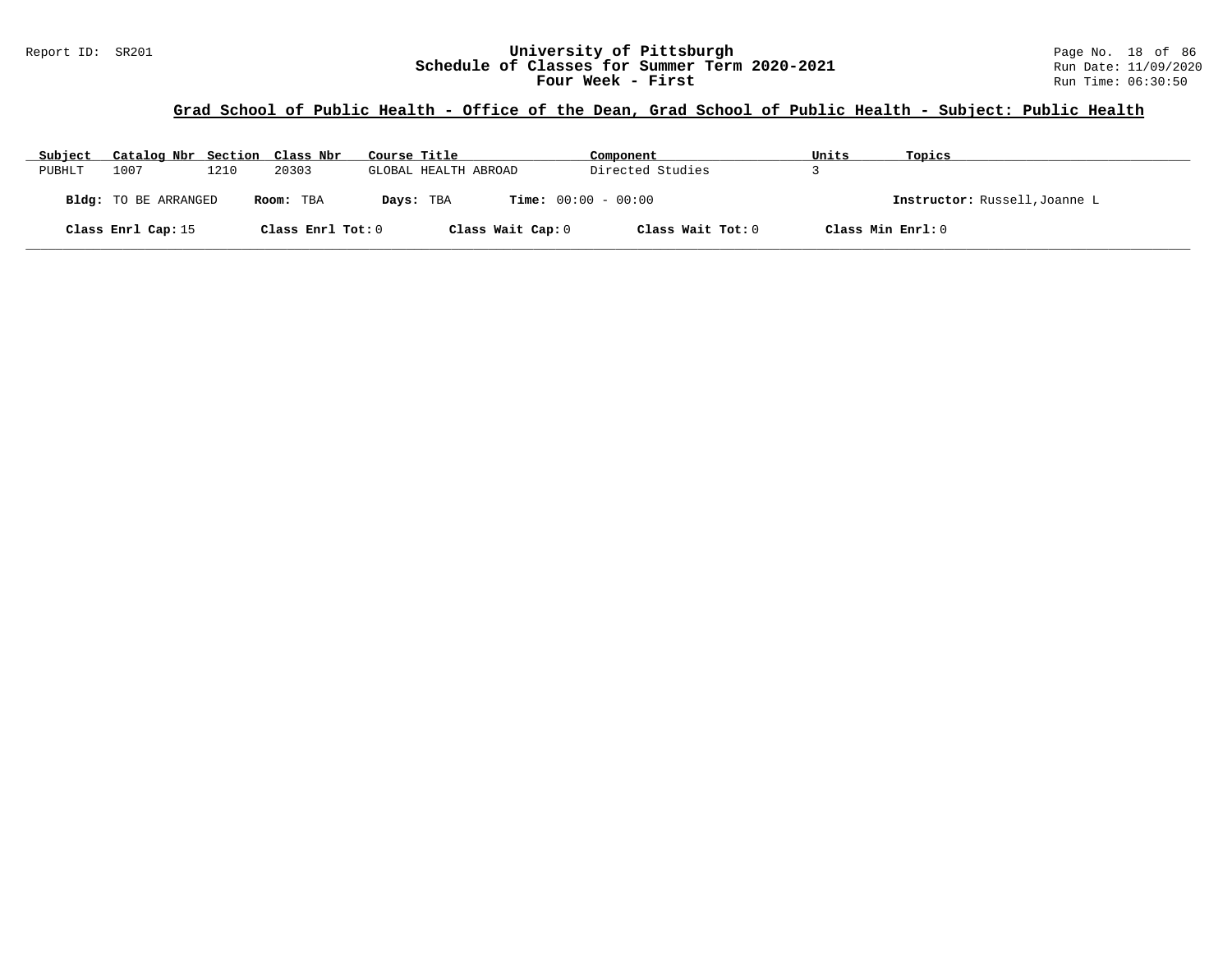## **Grad School of Public Health - Office of the Dean, Grad School of Public Health - Subject: Public Health**

| Subject | Catalog Nbr Section Class Nbr |      |                   | Course Title |                              | Component         | Units             | Topics                        |
|---------|-------------------------------|------|-------------------|--------------|------------------------------|-------------------|-------------------|-------------------------------|
| PUBHLT  | 1007                          | 1210 | 20303             |              | GLOBAL HEALTH ABROAD         | Directed Studies  |                   |                               |
|         | <b>Bldg:</b> TO BE ARRANGED   |      | Room: TBA         | Days: TBA    | <b>Time:</b> $00:00 - 00:00$ |                   |                   | Instructor: Russell, Joanne L |
|         | Class Enrl Cap: 15            |      | Class Enrl Tot: 0 |              | Class Wait Cap: 0            | Class Wait Tot: 0 | Class Min Enrl: 0 |                               |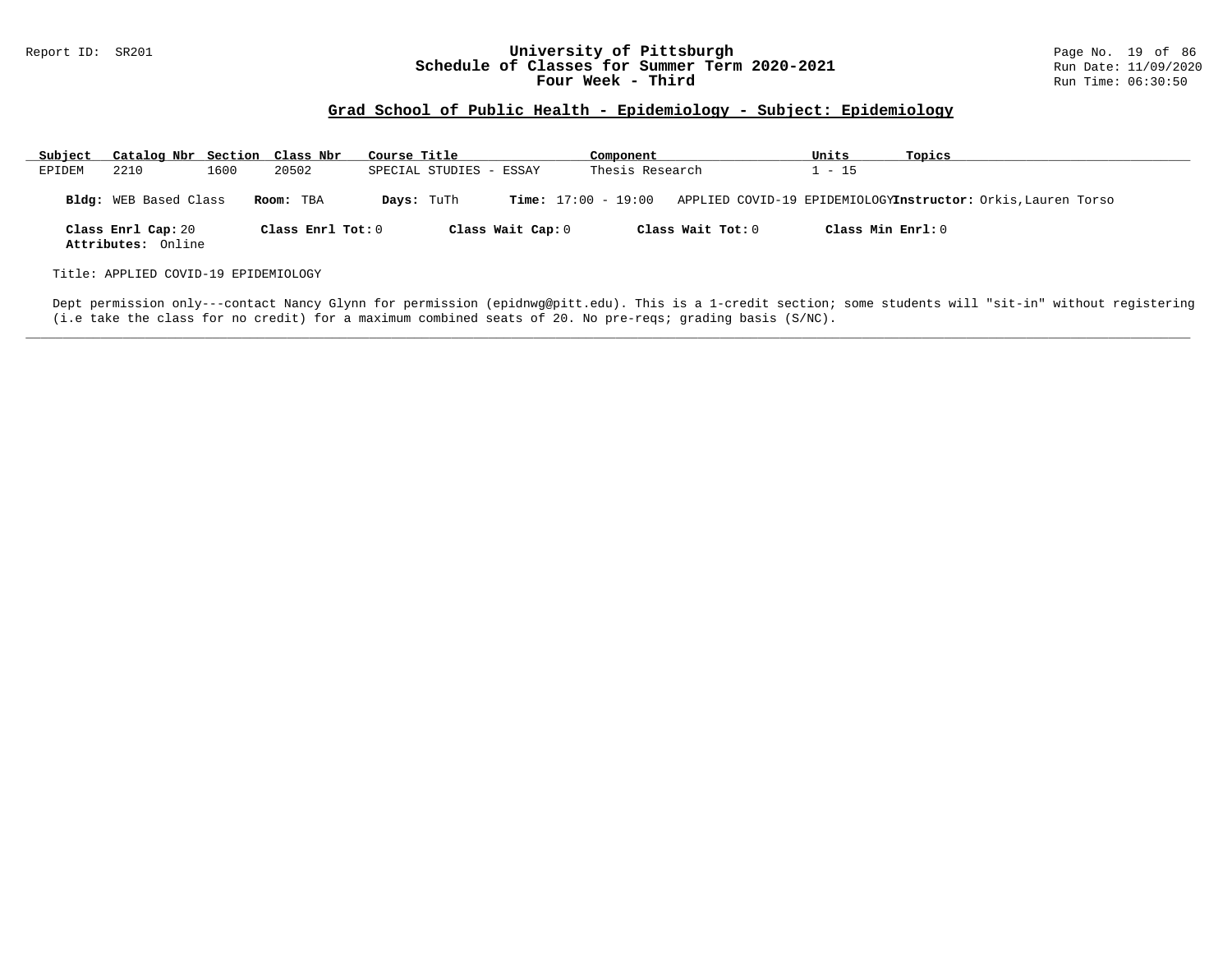#### Report ID: SR201 **University of Pittsburgh University of Pittsburgh** Page No. 19 of 86<br>**Schedule of Classes for Summer Term 2020-2021** Run Date: 11/09/2020 **Schedule of Classes for Summer Term 2020-2021** Run Date: 11/09/2020<br>**Four Week - Third** Run Time: 06:30:50 Four Week - Third

## **Grad School of Public Health - Epidemiology - Subject: Epidemiology**

| Subject | Catalog Nbr Section Class Nbr            |      |                   | Course Title            |                   | Component                    |                   | Units               | Topics                                                       |
|---------|------------------------------------------|------|-------------------|-------------------------|-------------------|------------------------------|-------------------|---------------------|--------------------------------------------------------------|
| EPIDEM  | 2210                                     | 1600 | 20502             | SPECIAL STUDIES - ESSAY |                   | Thesis Research              |                   | $1 - 15$            |                                                              |
|         | <b>Bldg:</b> WEB Based Class             |      | Room: TBA         | Days: TuTh              |                   | <b>Time:</b> $17:00 - 19:00$ |                   |                     | APPLIED COVID-19 EPIDEMIOLOGYInstructor: Orkis, Lauren Torso |
|         | Class Enrl Cap: 20<br>Attributes: Online |      | Class Enrl Tot: 0 |                         | Class Wait Cap: 0 |                              | Class Wait Tot: 0 | Class Min $Enrl: 0$ |                                                              |
|         | Title: APPLIED COVID-19 EPIDEMIOLOGY     |      |                   |                         |                   |                              |                   |                     |                                                              |

Dept permission only---contact Nancy Glynn for permission (epidnwg@pitt.edu). This is a 1-credit section; some students will "sit-in" without registering (i.e take the class for no credit) for a maximum combined seats of 20. No pre-reqs; grading basis (S/NC).

**\_\_\_\_\_\_\_\_\_\_\_\_\_\_\_\_\_\_\_\_\_\_\_\_\_\_\_\_\_\_\_\_\_\_\_\_\_\_\_\_\_\_\_\_\_\_\_\_\_\_\_\_\_\_\_\_\_\_\_\_\_\_\_\_\_\_\_\_\_\_\_\_\_\_\_\_\_\_\_\_\_\_\_\_\_\_\_\_\_\_\_\_\_\_\_\_\_\_\_\_\_\_\_\_\_\_\_\_\_\_\_\_\_\_\_\_\_\_\_\_\_\_\_\_\_\_\_\_\_\_\_\_\_\_\_\_\_\_\_\_\_\_\_\_\_\_\_\_\_\_\_\_\_\_\_\_**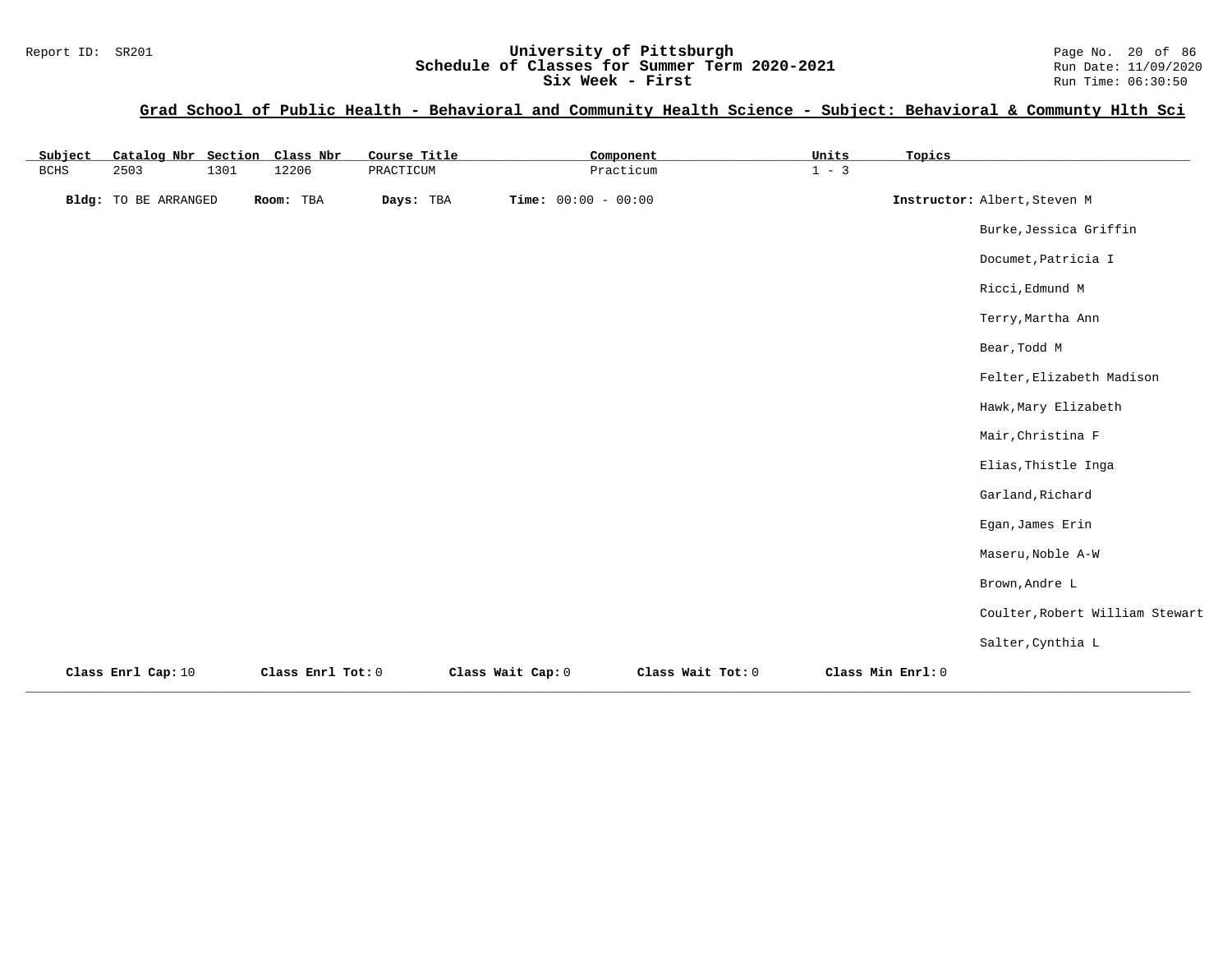### Report ID: SR201 **1988 Mage 10: SR201 University of Pittsburgh** Page No. 20 of 86<br>**Schedule of Classes for Summer Term 2020-2021** Run Date: 11/09/2020 **Schedule of Classes for Summer Term 2020-2021** Run Date: 11/09/2020<br>Six Week - First Run Time: 06:30:50 **Six Week - First**

| Subject | Catalog Nbr Section Class Nbr |      |                   | Course Title |                       | Component         | Units   | Topics            |                                 |
|---------|-------------------------------|------|-------------------|--------------|-----------------------|-------------------|---------|-------------------|---------------------------------|
| BCHS    | 2503                          | 1301 | 12206             | PRACTICUM    |                       | Practicum         | $1 - 3$ |                   |                                 |
|         | Bldg: TO BE ARRANGED          |      | Room: TBA         | Days: TBA    | Time: $00:00 - 00:00$ |                   |         |                   | Instructor: Albert, Steven M    |
|         |                               |      |                   |              |                       |                   |         |                   | Burke, Jessica Griffin          |
|         |                               |      |                   |              |                       |                   |         |                   | Documet, Patricia I             |
|         |                               |      |                   |              |                       |                   |         |                   | Ricci, Edmund M                 |
|         |                               |      |                   |              |                       |                   |         |                   | Terry, Martha Ann               |
|         |                               |      |                   |              |                       |                   |         |                   | Bear, Todd M                    |
|         |                               |      |                   |              |                       |                   |         |                   | Felter, Elizabeth Madison       |
|         |                               |      |                   |              |                       |                   |         |                   | Hawk, Mary Elizabeth            |
|         |                               |      |                   |              |                       |                   |         |                   | Mair, Christina F               |
|         |                               |      |                   |              |                       |                   |         |                   | Elias, Thistle Inga             |
|         |                               |      |                   |              |                       |                   |         |                   | Garland, Richard                |
|         |                               |      |                   |              |                       |                   |         |                   | Egan, James Erin                |
|         |                               |      |                   |              |                       |                   |         |                   | Maseru, Noble A-W               |
|         |                               |      |                   |              |                       |                   |         |                   | Brown, Andre L                  |
|         |                               |      |                   |              |                       |                   |         |                   | Coulter, Robert William Stewart |
|         |                               |      |                   |              |                       |                   |         |                   | Salter, Cynthia L               |
|         | Class Enrl Cap: 10            |      | Class Enrl Tot: 0 |              | Class Wait Cap: 0     | Class Wait Tot: 0 |         | Class Min Enrl: 0 |                                 |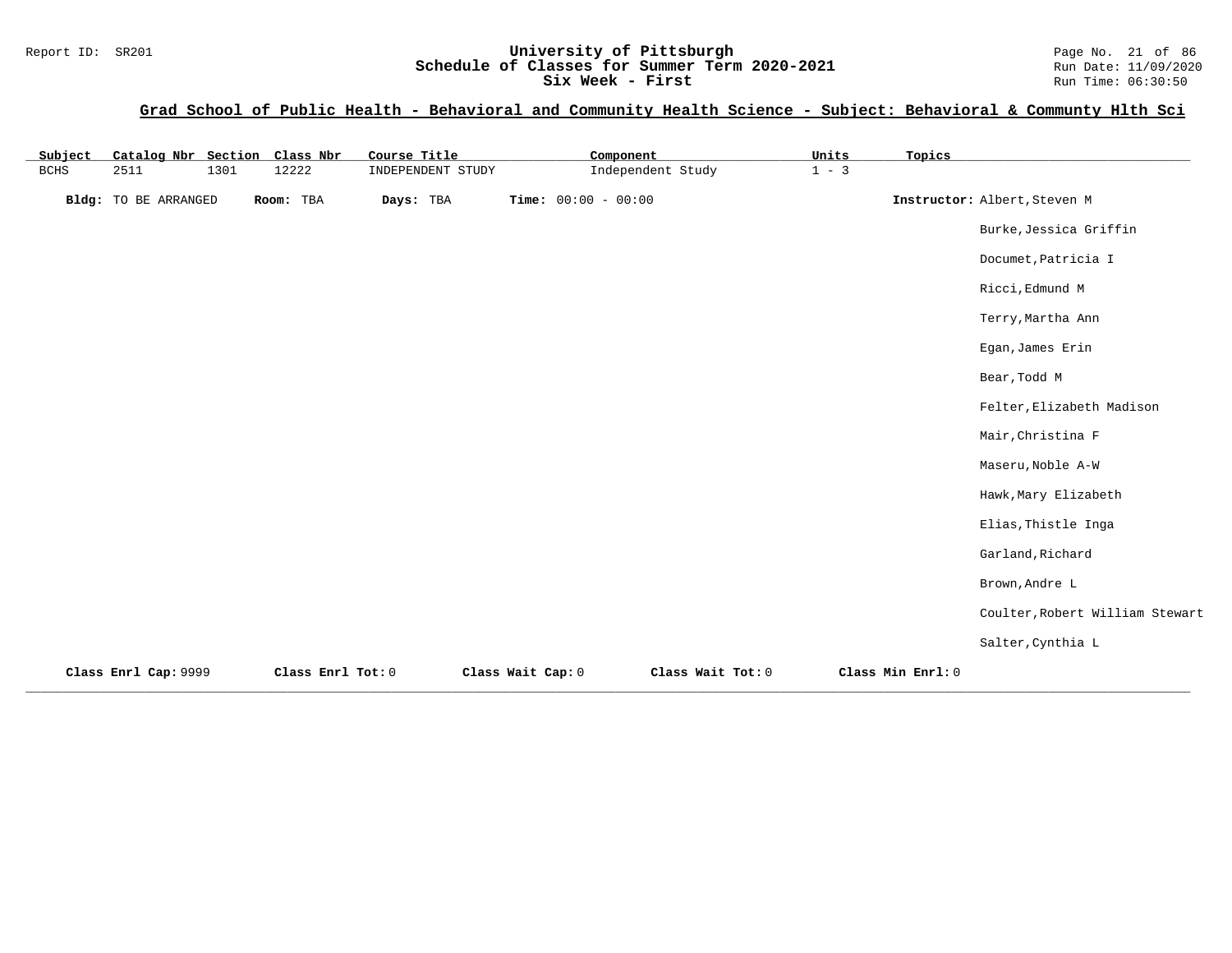### Report ID: SR201 **University of Pittsburgh University of Pittsburgh** Page No. 21 of 86<br>**Schedule of Classes for Summer Term 2020-2021** Run Date: 11/09/2020 **Schedule of Classes for Summer Term 2020-2021** Run Date: 11/09/2020<br>Six Week - First Run Time: 06:30:50 **Six Week - First**

| Subject     | Catalog Nbr Section Class Nbr |      |                   | Course Title      | Component             |                   | Units   | Topics            |                                 |
|-------------|-------------------------------|------|-------------------|-------------------|-----------------------|-------------------|---------|-------------------|---------------------------------|
| <b>BCHS</b> | 2511                          | 1301 | 12222             | INDEPENDENT STUDY |                       | Independent Study | $1 - 3$ |                   |                                 |
|             | Bldg: TO BE ARRANGED          |      | Room: TBA         | Days: TBA         | Time: $00:00 - 00:00$ |                   |         |                   | Instructor: Albert, Steven M    |
|             |                               |      |                   |                   |                       |                   |         |                   | Burke, Jessica Griffin          |
|             |                               |      |                   |                   |                       |                   |         |                   | Documet, Patricia I             |
|             |                               |      |                   |                   |                       |                   |         |                   | Ricci, Edmund M                 |
|             |                               |      |                   |                   |                       |                   |         |                   | Terry, Martha Ann               |
|             |                               |      |                   |                   |                       |                   |         |                   | Egan, James Erin                |
|             |                               |      |                   |                   |                       |                   |         |                   | Bear, Todd M                    |
|             |                               |      |                   |                   |                       |                   |         |                   | Felter, Elizabeth Madison       |
|             |                               |      |                   |                   |                       |                   |         |                   | Mair, Christina F               |
|             |                               |      |                   |                   |                       |                   |         |                   | Maseru, Noble A-W               |
|             |                               |      |                   |                   |                       |                   |         |                   | Hawk, Mary Elizabeth            |
|             |                               |      |                   |                   |                       |                   |         |                   | Elias, Thistle Inga             |
|             |                               |      |                   |                   |                       |                   |         |                   | Garland, Richard                |
|             |                               |      |                   |                   |                       |                   |         |                   | Brown, Andre L                  |
|             |                               |      |                   |                   |                       |                   |         |                   | Coulter, Robert William Stewart |
|             |                               |      |                   |                   |                       |                   |         |                   | Salter, Cynthia L               |
|             | Class Enrl Cap: 9999          |      | Class Enrl Tot: 0 |                   | Class Wait Cap: 0     | Class Wait Tot: 0 |         | Class Min Enrl: 0 |                                 |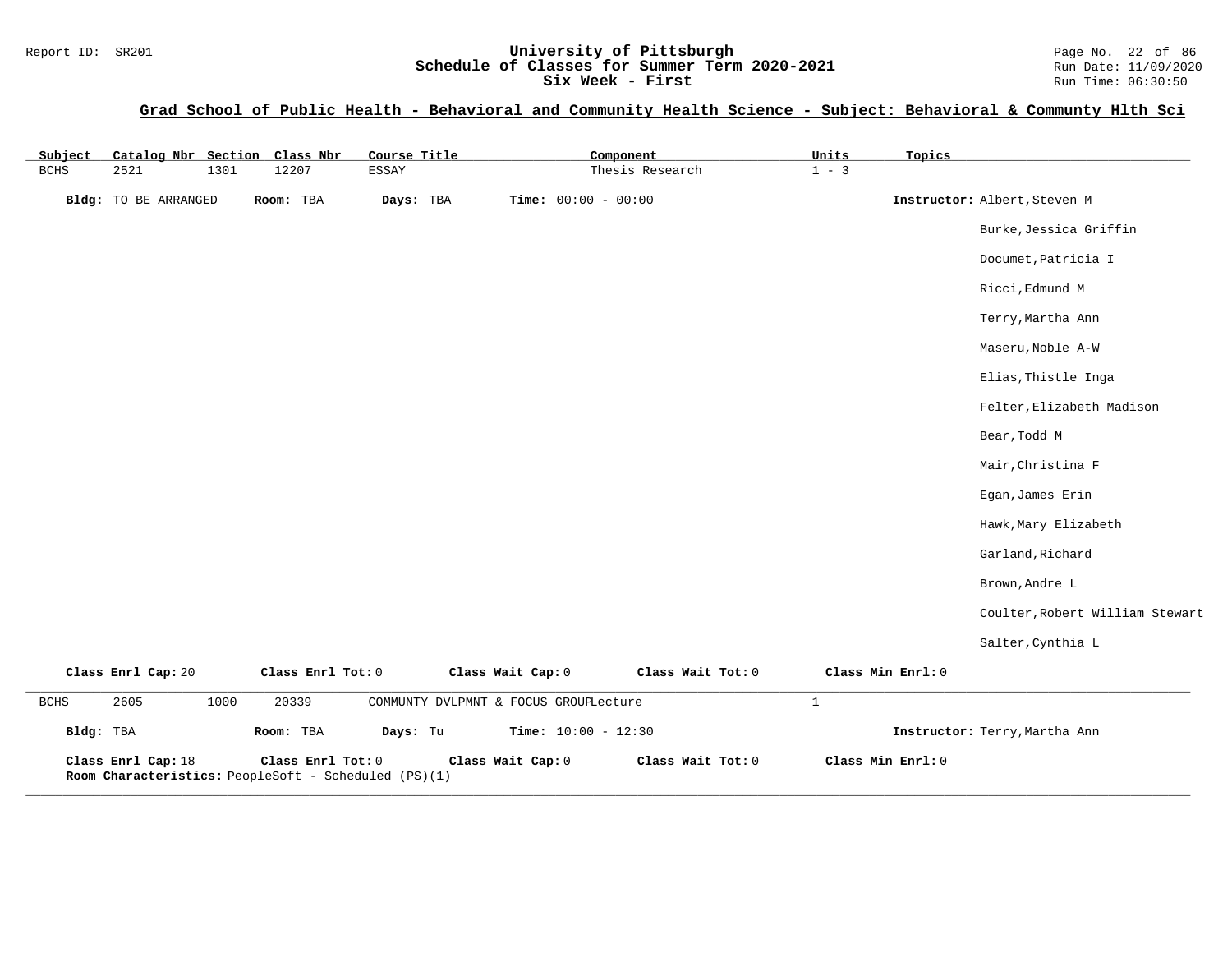### Report ID: SR201 **1988 Mage 10: SR201 University of Pittsburgh** Page No. 22 of 86<br>**Schedule of Classes for Summer Term 2020-2021** Run Date: 11/09/2020 **Schedule of Classes for Summer Term 2020-2021** Run Date: 11/09/2020<br>Six Week - First Run Time: 06:30:50 **Six Week - First**

| Subject       |                                                                            |      | Catalog Nbr Section Class Nbr | Course Title |                   |                                       | Component         | Units        | Topics            |                                 |
|---------------|----------------------------------------------------------------------------|------|-------------------------------|--------------|-------------------|---------------------------------------|-------------------|--------------|-------------------|---------------------------------|
| $_{\rm BCHS}$ | 2521                                                                       | 1301 | 12207                         | ESSAY        |                   |                                       | Thesis Research   | $1 - 3$      |                   |                                 |
|               | Bldg: TO BE ARRANGED                                                       |      | Room: TBA                     | Days: TBA    |                   | Time: $00:00 - 00:00$                 |                   |              |                   | Instructor: Albert, Steven M    |
|               |                                                                            |      |                               |              |                   |                                       |                   |              |                   | Burke, Jessica Griffin          |
|               |                                                                            |      |                               |              |                   |                                       |                   |              |                   | Documet, Patricia I             |
|               |                                                                            |      |                               |              |                   |                                       |                   |              |                   | Ricci, Edmund M                 |
|               |                                                                            |      |                               |              |                   |                                       |                   |              |                   | Terry, Martha Ann               |
|               |                                                                            |      |                               |              |                   |                                       |                   |              |                   | Maseru, Noble A-W               |
|               |                                                                            |      |                               |              |                   |                                       |                   |              |                   | Elias, Thistle Inga             |
|               |                                                                            |      |                               |              |                   |                                       |                   |              |                   | Felter, Elizabeth Madison       |
|               |                                                                            |      |                               |              |                   |                                       |                   |              |                   | Bear, Todd M                    |
|               |                                                                            |      |                               |              |                   |                                       |                   |              |                   | Mair, Christina F               |
|               |                                                                            |      |                               |              |                   |                                       |                   |              |                   | Egan, James Erin                |
|               |                                                                            |      |                               |              |                   |                                       |                   |              |                   | Hawk, Mary Elizabeth            |
|               |                                                                            |      |                               |              |                   |                                       |                   |              |                   | Garland, Richard                |
|               |                                                                            |      |                               |              |                   |                                       |                   |              |                   | Brown, Andre L                  |
|               |                                                                            |      |                               |              |                   |                                       |                   |              |                   | Coulter, Robert William Stewart |
|               |                                                                            |      |                               |              |                   |                                       |                   |              |                   | Salter, Cynthia L               |
|               | Class Enrl Cap: 20                                                         |      | Class Enrl Tot: 0             |              | Class Wait Cap: 0 |                                       | Class Wait Tot: 0 |              | Class Min Enrl: 0 |                                 |
| BCHS          | 2605                                                                       | 1000 | 20339                         |              |                   | COMMUNTY DVLPMNT & FOCUS GROUPLecture |                   | $\mathbf{1}$ |                   |                                 |
| Bldg: TBA     |                                                                            |      | Room: TBA                     | Days: Tu     |                   | Time: $10:00 - 12:30$                 |                   |              |                   | Instructor: Terry, Martha Ann   |
|               | Class Enrl Cap: 18<br>Room Characteristics: PeopleSoft - Scheduled (PS)(1) |      | Class Enrl Tot: 0             |              | Class Wait Cap: 0 |                                       | Class Wait Tot: 0 |              | Class Min Enrl: 0 |                                 |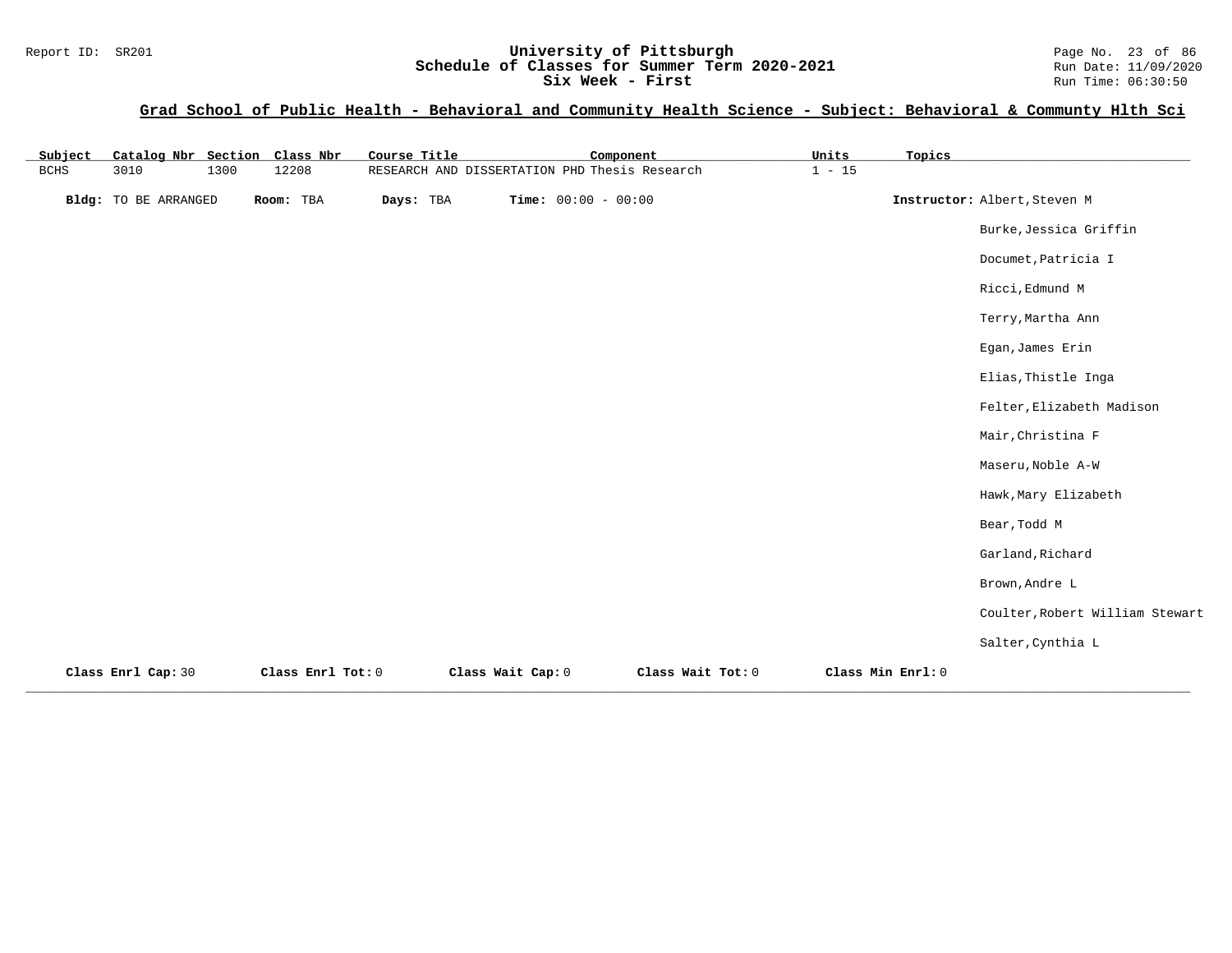#### Report ID: SR201 **1988 Mage 10: SR201 University of Pittsburgh** Page No. 23 of 86<br>**Schedule of Classes for Summer Term 2020-2021** Run Date: 11/09/2020 **Schedule of Classes for Summer Term 2020-2021** Run Date: 11/09/2020<br>Six Week - First Run Time: 06:30:50 **Six Week - First**

| Subject |                      |      | Catalog Nbr Section Class Nbr | Course Title |                   | Component                                     |                   | Units    | Topics            |                                 |
|---------|----------------------|------|-------------------------------|--------------|-------------------|-----------------------------------------------|-------------------|----------|-------------------|---------------------------------|
| BCHS    | 3010                 | 1300 | 12208                         |              |                   | RESEARCH AND DISSERTATION PHD Thesis Research |                   | $1 - 15$ |                   |                                 |
|         | Bldg: TO BE ARRANGED |      | Room: TBA                     | Days: TBA    |                   | Time: $00:00 - 00:00$                         |                   |          |                   | Instructor: Albert, Steven M    |
|         |                      |      |                               |              |                   |                                               |                   |          |                   | Burke, Jessica Griffin          |
|         |                      |      |                               |              |                   |                                               |                   |          |                   | Documet, Patricia I             |
|         |                      |      |                               |              |                   |                                               |                   |          |                   | Ricci, Edmund M                 |
|         |                      |      |                               |              |                   |                                               |                   |          |                   | Terry, Martha Ann               |
|         |                      |      |                               |              |                   |                                               |                   |          |                   | Egan, James Erin                |
|         |                      |      |                               |              |                   |                                               |                   |          |                   | Elias, Thistle Inga             |
|         |                      |      |                               |              |                   |                                               |                   |          |                   | Felter, Elizabeth Madison       |
|         |                      |      |                               |              |                   |                                               |                   |          |                   | Mair, Christina F               |
|         |                      |      |                               |              |                   |                                               |                   |          |                   | Maseru, Noble A-W               |
|         |                      |      |                               |              |                   |                                               |                   |          |                   | Hawk, Mary Elizabeth            |
|         |                      |      |                               |              |                   |                                               |                   |          |                   | Bear, Todd M                    |
|         |                      |      |                               |              |                   |                                               |                   |          |                   | Garland, Richard                |
|         |                      |      |                               |              |                   |                                               |                   |          |                   | Brown, Andre L                  |
|         |                      |      |                               |              |                   |                                               |                   |          |                   | Coulter, Robert William Stewart |
|         |                      |      |                               |              |                   |                                               |                   |          |                   | Salter, Cynthia L               |
|         | Class Enrl Cap: 30   |      | Class Enrl Tot: 0             |              | Class Wait Cap: 0 |                                               | Class Wait Tot: 0 |          | Class Min Enrl: 0 |                                 |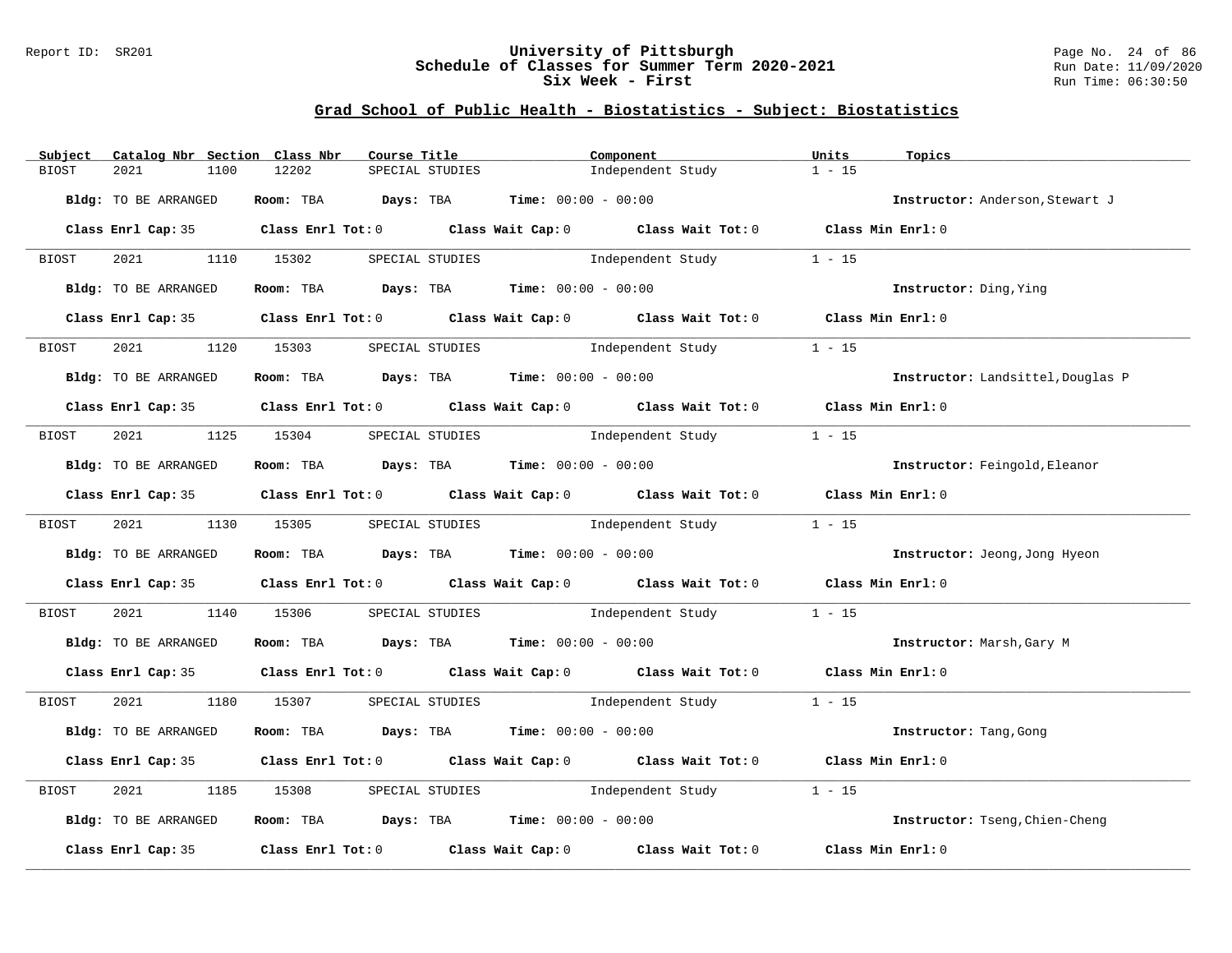#### Report ID: SR201 **University of Pittsburgh** Page No. 24 of 86 **Schedule of Classes for Summer Term 2020-2021** Run Date: 11/09/2020 **Six Week - First Run Time: 06:30:50** Run Time: 06:30:50

## **Grad School of Public Health - Biostatistics - Subject: Biostatistics**

| Subject      | Catalog Nbr Section Class Nbr | Course Title                                                   |                 | Component                                                                                           | Units<br>Topics                   |  |
|--------------|-------------------------------|----------------------------------------------------------------|-----------------|-----------------------------------------------------------------------------------------------------|-----------------------------------|--|
| BIOST        | 2021<br>1100                  | 12202                                                          | SPECIAL STUDIES | Independent Study                                                                                   | $1 - 15$                          |  |
|              | Bldg: TO BE ARRANGED          | Room: TBA $Days:$ TBA $Time: 00:00 - 00:00$                    |                 |                                                                                                     | Instructor: Anderson, Stewart J   |  |
|              |                               |                                                                |                 | Class Enrl Cap: 35 Class Enrl Tot: 0 Class Wait Cap: 0 Class Wait Tot: 0 Class Min Enrl: 0          |                                   |  |
| <b>BIOST</b> | 2021 1110 15302               |                                                                |                 | SPECIAL STUDIES <b>SPECIAL</b> STUDIES                                                              | $1 - 15$                          |  |
|              | Bldg: TO BE ARRANGED          |                                                                |                 | Room: TBA $Days:$ TBA $Time:$ $00:00 - 00:00$                                                       | Instructor: Ding, Ying            |  |
|              |                               |                                                                |                 | Class Enrl Cap: 35 Class Enrl Tot: 0 Class Wait Cap: 0 Class Wait Tot: 0 Class Min Enrl: 0          |                                   |  |
| BIOST        | 2021                          | 1120 15303                                                     | SPECIAL STUDIES | Independent Study                                                                                   | $1 - 15$                          |  |
|              | Bldg: TO BE ARRANGED          | Room: TBA $\rule{1em}{0.15mm}$ Days: TBA Time: $00:00 - 00:00$ |                 |                                                                                                     | Instructor: Landsittel, Douglas P |  |
|              |                               |                                                                |                 | Class Enrl Cap: 35 Class Enrl Tot: 0 Class Wait Cap: 0 Class Wait Tot: 0 Class Min Enrl: 0          |                                   |  |
| BIOST        | 2021 1125 15304               |                                                                | SPECIAL STUDIES | Independent Study                                                                                   | $1 - 15$                          |  |
|              | Bldg: TO BE ARRANGED          | Room: TBA $Days:$ TBA $Time: 00:00 - 00:00$                    |                 |                                                                                                     | Instructor: Feingold, Eleanor     |  |
|              |                               |                                                                |                 | Class Enrl Cap: 35 Class Enrl Tot: 0 Class Wait Cap: 0 Class Wait Tot: 0 Class Min Enrl: 0          |                                   |  |
| BIOST        |                               | 2021 1130 15305 SPECIAL STUDIES                                |                 | Independent Study                                                                                   | $1 - 15$                          |  |
|              | Bldg: TO BE ARRANGED          | Room: TBA Days: TBA Time: $00:00 - 00:00$                      |                 |                                                                                                     | Instructor: Jeong, Jong Hyeon     |  |
|              |                               |                                                                |                 | Class Enrl Cap: 35 Class Enrl Tot: 0 Class Wait Cap: 0 Class Wait Tot: 0 Class Min Enrl: 0          |                                   |  |
| BIOST        | 2021 2022                     | 1140 15306                                                     |                 | SPECIAL STUDIES <b>Example 1</b> Independent Study                                                  | $1 - 15$                          |  |
|              | Bldg: TO BE ARRANGED          | Room: TBA $Days: TBA$ Time: $00:00 - 00:00$                    |                 |                                                                                                     | Instructor: Marsh, Gary M         |  |
|              |                               |                                                                |                 | Class Enrl Cap: 35 Class Enrl Tot: 0 Class Wait Cap: 0 Class Wait Tot: 0 Class Min Enrl: 0          |                                   |  |
| BIOST        |                               |                                                                |                 | 2021 1180 15307 SPECIAL STUDIES Independent Study 1 - 15                                            |                                   |  |
|              | Bldg: TO BE ARRANGED          | Room: TBA $Days:$ TBA $Time: 00:00 - 00:00$                    |                 |                                                                                                     | Instructor: Tang, Gong            |  |
|              |                               |                                                                |                 | Class Enrl Cap: 35 Class Enrl Tot: 0 Class Wait Cap: 0 Class Wait Tot: 0 Class Min Enrl: 0          |                                   |  |
| BIOST        | 2021<br>1185                  | 15308                                                          |                 | SPECIAL STUDIES 1ndependent Study                                                                   | $1 - 15$                          |  |
|              | Bldg: TO BE ARRANGED          | Room: TBA $Days:$ TBA $Time: 00:00 - 00:00$                    |                 |                                                                                                     | Instructor: Tseng, Chien-Cheng    |  |
|              |                               |                                                                |                 | Class Enrl Cap: 35 $\qquad$ Class Enrl Tot: 0 $\qquad$ Class Wait Cap: 0 $\qquad$ Class Wait Tot: 0 | Class Min Enrl: 0                 |  |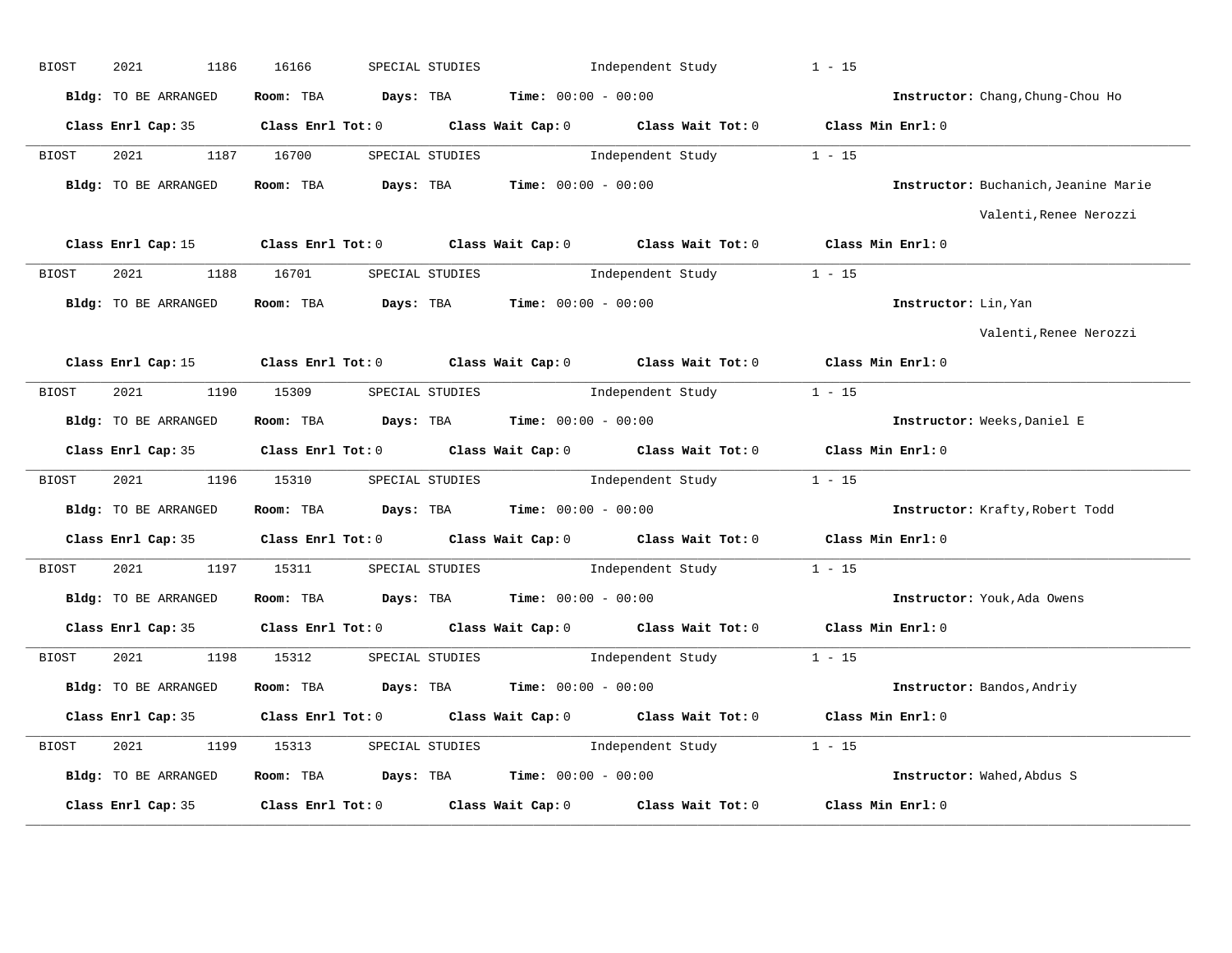| BIOST | 2021<br>1186         | 16166                           | SPECIAL STUDIES                                                                       | Independent Study                                                                          | $1 - 15$                             |
|-------|----------------------|---------------------------------|---------------------------------------------------------------------------------------|--------------------------------------------------------------------------------------------|--------------------------------------|
|       | Bldg: TO BE ARRANGED |                                 | Room: TBA $Days:$ TBA $Time: 00:00 - 00:00$                                           |                                                                                            | Instructor: Chang, Chung-Chou Ho     |
|       |                      |                                 |                                                                                       | Class Enrl Cap: 35 Class Enrl Tot: 0 Class Wait Cap: 0 Class Wait Tot: 0 Class Min Enrl: 0 |                                      |
| BIOST | 2021 1187 16700      |                                 | SPECIAL STUDIES                                                                       | Independent Study 1 - 15                                                                   |                                      |
|       | Bldg: TO BE ARRANGED |                                 | Room: TBA $Days:$ TBA $Time: 00:00 - 00:00$                                           |                                                                                            | Instructor: Buchanich, Jeanine Marie |
|       |                      |                                 |                                                                                       |                                                                                            | Valenti, Renee Nerozzi               |
|       |                      |                                 |                                                                                       | Class Enrl Cap: 15 Class Enrl Tot: 0 Class Wait Cap: 0 Class Wait Tot: 0 Class Min Enrl: 0 |                                      |
| BIOST | 2021 1188 16701      |                                 |                                                                                       | SPECIAL STUDIES 1 - 15                                                                     |                                      |
|       |                      |                                 | Bldg: TO BE ARRANGED Room: TBA Days: TBA Time: 00:00 - 00:00                          |                                                                                            | Instructor: Lin, Yan                 |
|       |                      |                                 |                                                                                       |                                                                                            | Valenti, Renee Nerozzi               |
|       | Class Enrl Cap: 15   |                                 | Class Enrl Tot: 0 Class Wait Cap: 0 Class Wait Tot: 0                                 |                                                                                            | Class Min $Enr1:0$                   |
| BIOST | 2021 00              | 1190 15309                      | SPECIAL STUDIES                                                                       | $1 - 15$<br>Independent Study                                                              |                                      |
|       | Bldg: TO BE ARRANGED |                                 | Room: TBA $\rule{1em}{0.15mm}$ Days: TBA $\rule{1.5mm}{0.15mm}$ Time: $00:00 - 00:00$ |                                                                                            | Instructor: Weeks, Daniel E          |
|       |                      |                                 |                                                                                       | Class Enrl Cap: 35 Class Enrl Tot: 0 Class Wait Cap: 0 Class Wait Tot: 0 Class Min Enrl: 0 |                                      |
| BIOST |                      |                                 |                                                                                       | 2021 196 15310 SPECIAL STUDIES Independent Study 1 - 15                                    |                                      |
|       | Bldg: TO BE ARRANGED |                                 | Room: TBA $\rule{1em}{0.15mm}$ Days: TBA Time: $00:00 - 00:00$                        |                                                                                            | Instructor: Krafty, Robert Todd      |
|       |                      |                                 |                                                                                       | Class Enrl Cap: 35 Class Enrl Tot: 0 Class Wait Cap: 0 Class Wait Tot: 0 Class Min Enrl: 0 |                                      |
| BIOST |                      | 2021 1197 15311 SPECIAL STUDIES |                                                                                       | Independent Study 1 - 15                                                                   |                                      |
|       | Bldg: TO BE ARRANGED |                                 | Room: TBA $Days:$ TBA $Time: 00:00 - 00:00$                                           |                                                                                            | Instructor: Youk, Ada Owens          |
|       |                      |                                 |                                                                                       | Class Enrl Cap: 35 Class Enrl Tot: 0 Class Wait Cap: 0 Class Wait Tot: 0 Class Min Enrl: 0 |                                      |
| BIOST | 2021                 |                                 |                                                                                       | 1198 15312 SPECIAL STUDIES 1ndependent Study 1 - 15                                        |                                      |
|       | Bldg: TO BE ARRANGED |                                 | Room: TBA $Days:$ TBA $Time: 00:00 - 00:00$                                           |                                                                                            | Instructor: Bandos, Andriy           |
|       |                      |                                 | Class Enrl Cap: 35 Class Enrl Tot: 0 Class Wait Cap: 0 Class Wait Tot: 0              |                                                                                            | Class Min Enrl: 0                    |
| BIOST |                      | 2021 1199 15313 SPECIAL STUDIES |                                                                                       | Independent Study 1 - 15                                                                   |                                      |
|       | Bldg: TO BE ARRANGED |                                 | Room: TBA $\rule{1em}{0.15mm}$ Days: TBA Time: $00:00 - 00:00$                        |                                                                                            | Instructor: Wahed, Abdus S           |
|       | Class Enrl Cap: 35   |                                 | Class Enrl Tot: $0$ Class Wait Cap: $0$ Class Wait Tot: $0$                           |                                                                                            | Class Min Enrl: 0                    |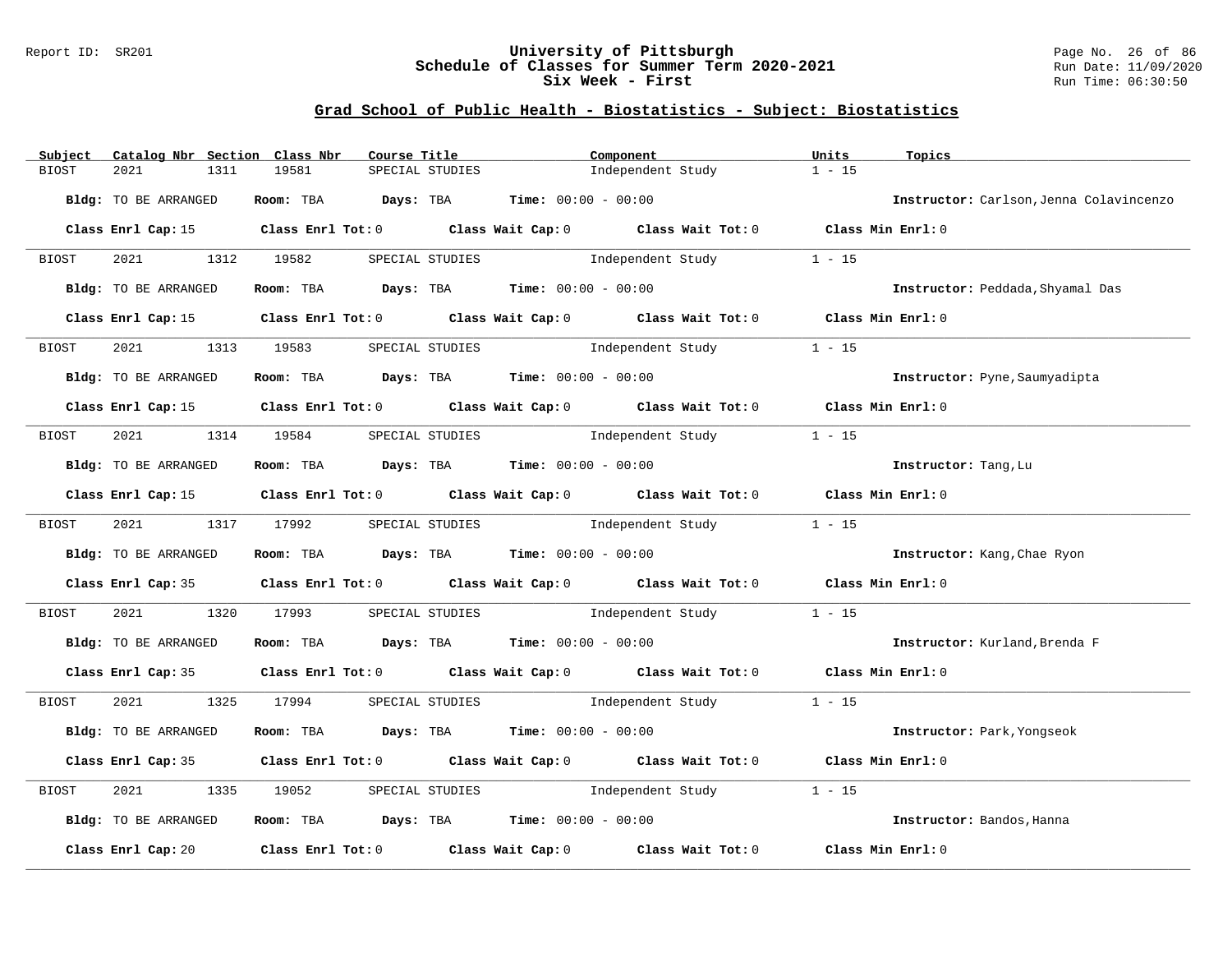#### Report ID: SR201 **University of Pittsburgh** Page No. 26 of 86 **Schedule of Classes for Summer Term 2020-2021** Run Date: 11/09/2020 **Six Week - First Run Time: 06:30:50** Run Time: 06:30:50

## **Grad School of Public Health - Biostatistics - Subject: Biostatistics**

| Subject              | Catalog Nbr Section Class Nbr<br>Course Title                                         | Component                                                                                  | Units<br>Topics                         |
|----------------------|---------------------------------------------------------------------------------------|--------------------------------------------------------------------------------------------|-----------------------------------------|
| 2021<br>BIOST        | 1311<br>19581<br>SPECIAL STUDIES                                                      | Independent Study                                                                          | $1 - 15$                                |
| Bldg: TO BE ARRANGED | Room: TBA $Days:$ TBA $Time: 00:00 - 00:00$                                           |                                                                                            | Instructor: Carlson, Jenna Colavincenzo |
|                      |                                                                                       | Class Enrl Cap: 15 Class Enrl Tot: 0 Class Wait Cap: 0 Class Wait Tot: 0 Class Min Enrl: 0 |                                         |
| BIOST                | 2021 1312 19582                                                                       | SPECIAL STUDIES The Independent Study                                                      | $1 - 15$                                |
| Bldg: TO BE ARRANGED | Room: TBA $Days: TBA$ Time: $00:00 - 00:00$                                           |                                                                                            | Instructor: Peddada, Shyamal Das        |
| Class Enrl Cap: 15   |                                                                                       | Class Enrl Tot: 0 Class Wait Cap: 0 Class Wait Tot: 0 Class Min Enrl: 0                    |                                         |
| 2021<br>BIOST        | 1313 19583 SPECIAL STUDIES                                                            | Independent Study                                                                          | $1 - 15$                                |
| Bldg: TO BE ARRANGED | Room: TBA $\rule{1em}{0.15mm}$ Days: TBA $\rule{1.5mm}{0.15mm}$ Time: $00:00 - 00:00$ |                                                                                            | Instructor: Pyne, Saumyadipta           |
|                      |                                                                                       | Class Enrl Cap: 15 Class Enrl Tot: 0 Class Wait Cap: 0 Class Wait Tot: 0 Class Min Enrl: 0 |                                         |
| BIOST                | 2021 1314 19584 SPECIAL STUDIES                                                       | Independent Study                                                                          | $1 - 15$                                |
| Bldg: TO BE ARRANGED | Room: TBA Days: TBA Time: $00:00 - 00:00$                                             |                                                                                            | Instructor: Tang, Lu                    |
|                      |                                                                                       | Class Enrl Cap: 15 Class Enrl Tot: 0 Class Wait Cap: 0 Class Wait Tot: 0 Class Min Enrl: 0 |                                         |
| BIOST                | 2021 1317 17992 SPECIAL STUDIES                                                       | Independent Study                                                                          | $1 - 15$                                |
| Bldg: TO BE ARRANGED | Room: TBA $Days: TBA$ Time: $00:00 - 00:00$                                           |                                                                                            | Instructor: Kang, Chae Ryon             |
|                      |                                                                                       | Class Enrl Cap: 35 Class Enrl Tot: 0 Class Wait Cap: 0 Class Wait Tot: 0 Class Min Enrl: 0 |                                         |
| 2021 2022<br>BIOST   | 1320 17993                                                                            | SPECIAL STUDIES The Independent Study                                                      | $1 - 15$                                |
| Bldg: TO BE ARRANGED | Room: TBA $Days:$ TBA Time: $00:00 - 00:00$                                           |                                                                                            | Instructor: Kurland, Brenda F           |
|                      |                                                                                       | Class Enrl Cap: 35 Class Enrl Tot: 0 Class Wait Cap: 0 Class Wait Tot: 0 Class Min Enrl: 0 |                                         |
| BIOST                |                                                                                       | 2021 1325 17994 SPECIAL STUDIES Independent Study 1 - 15                                   |                                         |
| Bldg: TO BE ARRANGED | Room: TBA $\rule{1em}{0.15mm}$ Days: TBA Time: $00:00 - 00:00$                        |                                                                                            | Instructor: Park, Yongseok              |
|                      |                                                                                       | Class Enrl Cap: 35 Class Enrl Tot: 0 Class Wait Cap: 0 Class Wait Tot: 0 Class Min Enrl: 0 |                                         |
| 2021<br>BIOST        | 1335<br>19052                                                                         | SPECIAL STUDIES The Independent Study                                                      | $1 - 15$                                |
| Bldg: TO BE ARRANGED | Room: TBA $Days:$ TBA $Time: 00:00 - 00:00$                                           |                                                                                            | Instructor: Bandos, Hanna               |
| Class Enrl Cap: 20   |                                                                                       | Class Enrl Tot: $0$ Class Wait Cap: $0$ Class Wait Tot: $0$                                | Class Min Enrl: 0                       |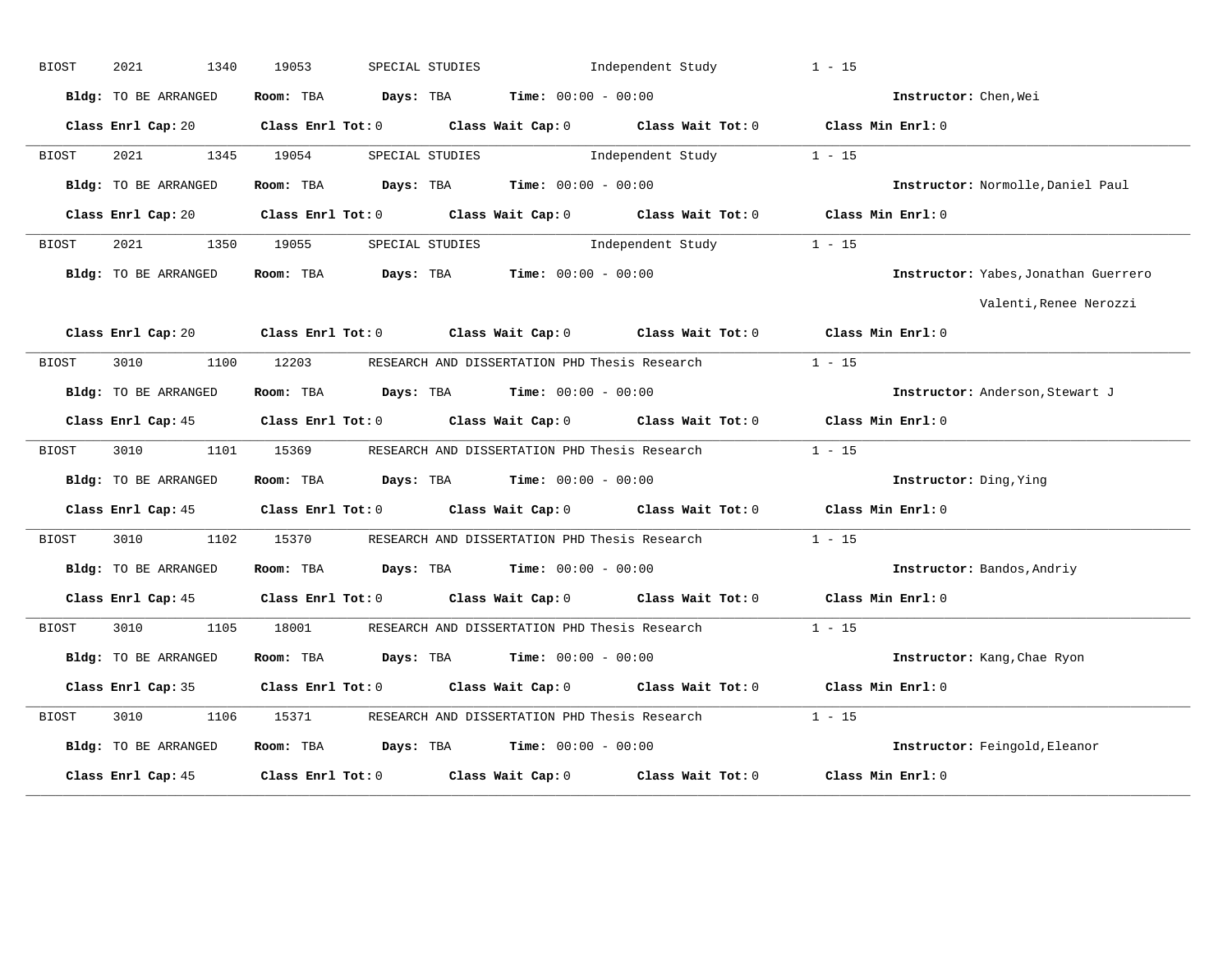| <b>BIOST</b> | 2021<br>1340         | 19053      | SPECIAL STUDIES                                                                            | Independent Study | $1 - 15$                             |
|--------------|----------------------|------------|--------------------------------------------------------------------------------------------|-------------------|--------------------------------------|
|              | Bldg: TO BE ARRANGED |            | Room: TBA $Days:$ TBA $Time: 00:00 - 00:00$                                                |                   | Instructor: Chen, Wei                |
|              |                      |            | Class Enrl Cap: 20 Class Enrl Tot: 0 Class Wait Cap: 0 Class Wait Tot: 0 Class Min Enrl: 0 |                   |                                      |
| BIOST        | 2021 1345 19054      |            | SPECIAL STUDIES                                                                            | Independent Study | $1 - 15$                             |
|              | Bldg: TO BE ARRANGED |            | Room: TBA Days: TBA Time: $00:00 - 00:00$                                                  |                   | Instructor: Normolle, Daniel Paul    |
|              | Class Enrl Cap: 20   |            | Class Enrl Tot: 0 Class Wait Cap: 0 Class Wait Tot: 0 Class Min Enrl: 0                    |                   |                                      |
| BIOST        | 2021 2022            | 1350 19055 | SPECIAL STUDIES                                                                            | Independent Study | $1 - 15$                             |
|              | Bldg: TO BE ARRANGED |            | Room: TBA $Days:$ TBA $Time: 00:00 - 00:00$                                                |                   | Instructor: Yabes, Jonathan Guerrero |
|              |                      |            |                                                                                            |                   | Valenti, Renee Nerozzi               |
|              | Class Enrl Cap: 20   |            | Class Enrl Tot: 0 Class Wait Cap: 0 Class Wait Tot: 0 Class Min Enrl: 0                    |                   |                                      |
| BIOST        | 3010<br>1100         |            | 12203 RESEARCH AND DISSERTATION PHD Thesis Research                                        |                   | $1 - 15$                             |
|              | Bldg: TO BE ARRANGED |            | Room: TBA $Days:$ TBA $Time: 00:00 - 00:00$                                                |                   | Instructor: Anderson, Stewart J      |
|              |                      |            | Class Enrl Cap: 45 Class Enrl Tot: 0 Class Wait Cap: 0 Class Wait Tot: 0 Class Min Enrl: 0 |                   |                                      |
| BIOST        | 3010                 |            | 1101 15369 RESEARCH AND DISSERTATION PHD Thesis Research                                   |                   | $1 - 15$                             |
|              | Bldg: TO BE ARRANGED |            | Room: TBA $Days:$ TBA $Time: 00:00 - 00:00$                                                |                   | Instructor: Ding, Ying               |
|              | Class Enrl Cap: 45   |            | Class Enrl Tot: $0$ Class Wait Cap: $0$ Class Wait Tot: $0$ Class Min Enrl: $0$            |                   |                                      |
| BIOST        | 3010<br>1102         | 15370      | RESEARCH AND DISSERTATION PHD Thesis Research                                              |                   | $1 - 15$                             |
|              | Bldg: TO BE ARRANGED |            | Room: TBA $\rule{1em}{0.15mm}$ Days: TBA $\rule{1.5mm}{0.15mm}$ Time: $00:00 - 00:00$      |                   | Instructor: Bandos, Andriy           |
|              |                      |            | Class Enrl Cap: 45 Class Enrl Tot: 0 Class Wait Cap: 0 Class Wait Tot: 0 Class Min Enrl: 0 |                   |                                      |
| BIOST        | 3010 1105            |            | 18001 RESEARCH AND DISSERTATION PHD Thesis Research                                        |                   | $1 - 15$                             |
|              | Bldg: TO BE ARRANGED |            | Room: TBA $Days:$ TBA $Time: 00:00 - 00:00$                                                |                   | Instructor: Kang, Chae Ryon          |
|              | Class Enrl Cap: 35   |            | Class Enrl Tot: 0 Class Wait Cap: 0 Class Wait Tot: 0 Class Min Enrl: 0                    |                   |                                      |
| BIOST        | 3010<br>1106         | 15371      | RESEARCH AND DISSERTATION PHD Thesis Research                                              |                   | $1 - 15$                             |
|              | Bldg: TO BE ARRANGED |            | Room: TBA $Days:$ TBA $Time: 00:00 - 00:00$                                                |                   | Instructor: Feingold, Eleanor        |
|              | Class Enrl Cap: 45   |            | Class Enrl Tot: $0$ Class Wait Cap: $0$ Class Wait Tot: $0$                                |                   | Class Min Enrl: 0                    |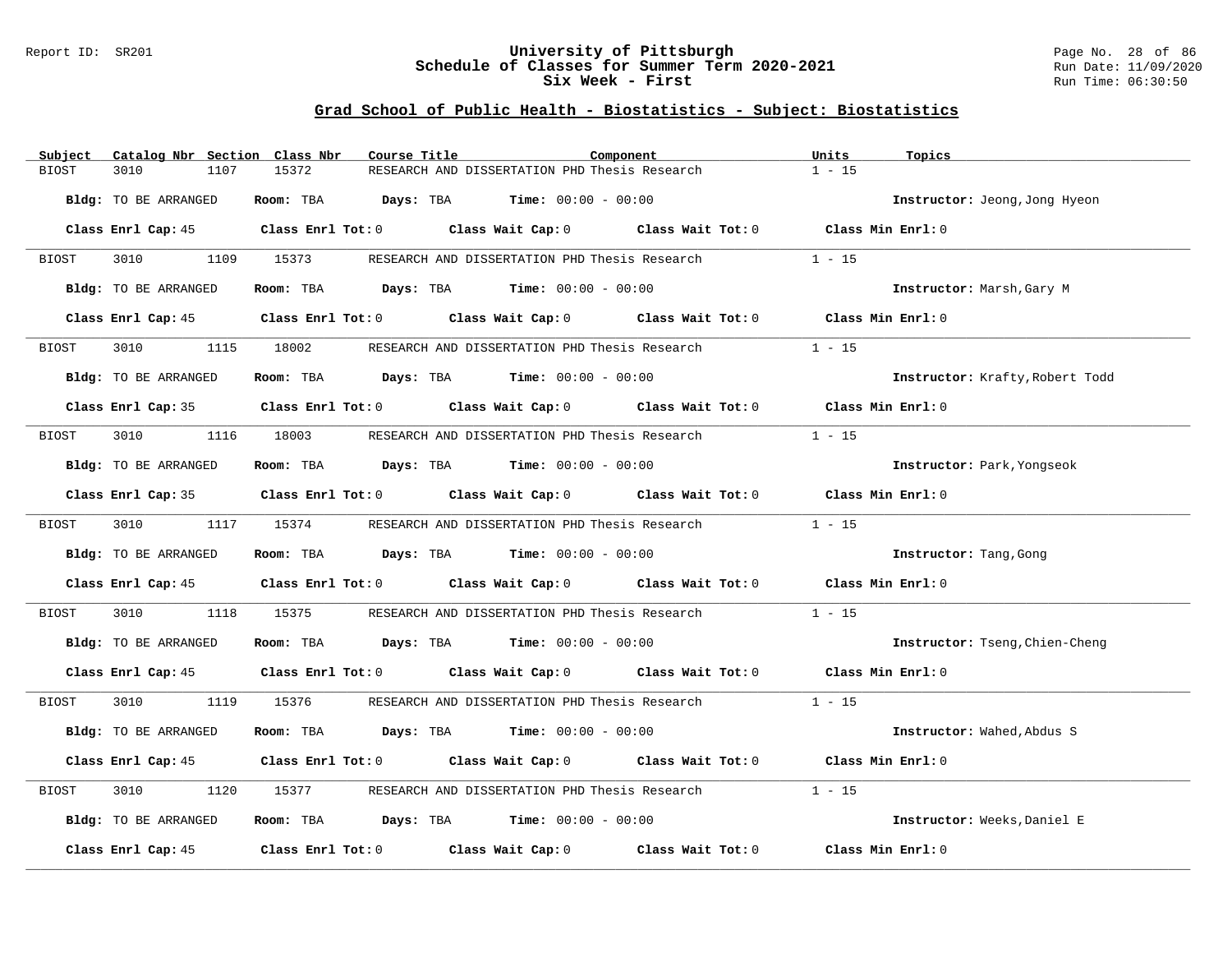#### Report ID: SR201 **University of Pittsburgh** Page No. 28 of 86 **Schedule of Classes for Summer Term 2020-2021** Run Date: 11/09/2020 **Six Week - First Run Time: 06:30:50** Run Time: 06:30:50

## **Grad School of Public Health - Biostatistics - Subject: Biostatistics**

| Subject | Catalog Nbr Section Class Nbr | Course Title | Component                                                                                  | Units<br>Topics                 |
|---------|-------------------------------|--------------|--------------------------------------------------------------------------------------------|---------------------------------|
| BIOST   | 3010<br>1107                  | 15372        | RESEARCH AND DISSERTATION PHD Thesis Research                                              | $1 - 15$                        |
|         | Bldg: TO BE ARRANGED          |              | Room: TBA $Days:$ TBA $Time: 00:00 - 00:00$                                                | Instructor: Jeong, Jong Hyeon   |
|         |                               |              | Class Enrl Cap: 45 Class Enrl Tot: 0 Class Wait Cap: 0 Class Wait Tot: 0 Class Min Enrl: 0 |                                 |
| BIOST   |                               |              | 3010 1109 15373 RESEARCH AND DISSERTATION PHD Thesis Research                              | $1 - 15$                        |
|         | Bldg: TO BE ARRANGED          |              | Room: TBA $Days:$ TBA $Time: 00:00 - 00:00$                                                | Instructor: Marsh, Gary M       |
|         |                               |              | Class Enrl Cap: 45 Class Enrl Tot: 0 Class Wait Cap: 0 Class Wait Tot: 0 Class Min Enrl: 0 |                                 |
| BIOST   | 3010 700                      | 1115 18002   | RESEARCH AND DISSERTATION PHD Thesis Research                                              | $1 - 15$                        |
|         | Bldg: TO BE ARRANGED          |              | Room: TBA $\rule{1em}{0.15mm}$ Days: TBA $\rule{1.5mm}{0.15mm}$ Time: $00:00 - 00:00$      | Instructor: Krafty, Robert Todd |
|         |                               |              | Class Enrl Cap: 35 Class Enrl Tot: 0 Class Wait Cap: 0 Class Wait Tot: 0 Class Min Enrl: 0 |                                 |
| BIOST   |                               |              | 3010 1116 18003 RESEARCH AND DISSERTATION PHD Thesis Research                              | $1 - 15$                        |
|         | Bldg: TO BE ARRANGED          |              | Room: TBA $\rule{1em}{0.15mm}$ Days: TBA $\rule{1em}{0.15mm}$ Time: $00:00 - 00:00$        | Instructor: Park, Yongseok      |
|         |                               |              | Class Enrl Cap: 35 Class Enrl Tot: 0 Class Wait Cap: 0 Class Wait Tot: 0 Class Min Enrl: 0 |                                 |
| BIOST   | 3010 1117 15374               |              | RESEARCH AND DISSERTATION PHD Thesis Research                                              | $1 - 15$                        |
|         | Bldg: TO BE ARRANGED          |              | Room: TBA $Days:$ TBA $Time: 00:00 - 00:00$                                                | Instructor: Tang, Gong          |
|         |                               |              | Class Enrl Cap: 45 Class Enrl Tot: 0 Class Wait Cap: 0 Class Wait Tot: 0 Class Min Enrl: 0 |                                 |
| BIOST   | 3010<br>1118                  | 15375        | RESEARCH AND DISSERTATION PHD Thesis Research                                              | $1 - 15$                        |
|         | Bldg: TO BE ARRANGED          |              | Room: TBA $Days:$ TBA $Time: 00:00 - 00:00$                                                | Instructor: Tseng, Chien-Cheng  |
|         |                               |              | Class Enrl Cap: 45 Class Enrl Tot: 0 Class Wait Cap: 0 Class Wait Tot: 0 Class Min Enrl: 0 |                                 |
| BIOST   |                               |              | 3010 1119 15376 RESEARCH AND DISSERTATION PHD Thesis Research 1 - 15                       |                                 |
|         | Bldg: TO BE ARRANGED          |              | Room: TBA $Days:$ TBA $Time: 00:00 - 00:00$                                                | Instructor: Wahed, Abdus S      |
|         |                               |              | Class Enrl Cap: 45 Class Enrl Tot: 0 Class Wait Cap: 0 Class Wait Tot: 0 Class Min Enrl: 0 |                                 |
| BIOST   | 3010<br>1120                  | 15377        | RESEARCH AND DISSERTATION PHD Thesis Research                                              | $1 - 15$                        |
|         | Bldg: TO BE ARRANGED          |              | Room: TBA $Days:$ TBA Time: $00:00 - 00:00$                                                | Instructor: Weeks, Daniel E     |
|         |                               |              | Class Enrl Cap: $45$ Class Enrl Tot: 0 Class Wait Cap: 0 Class Wait Tot: 0                 | Class Min Enrl: 0               |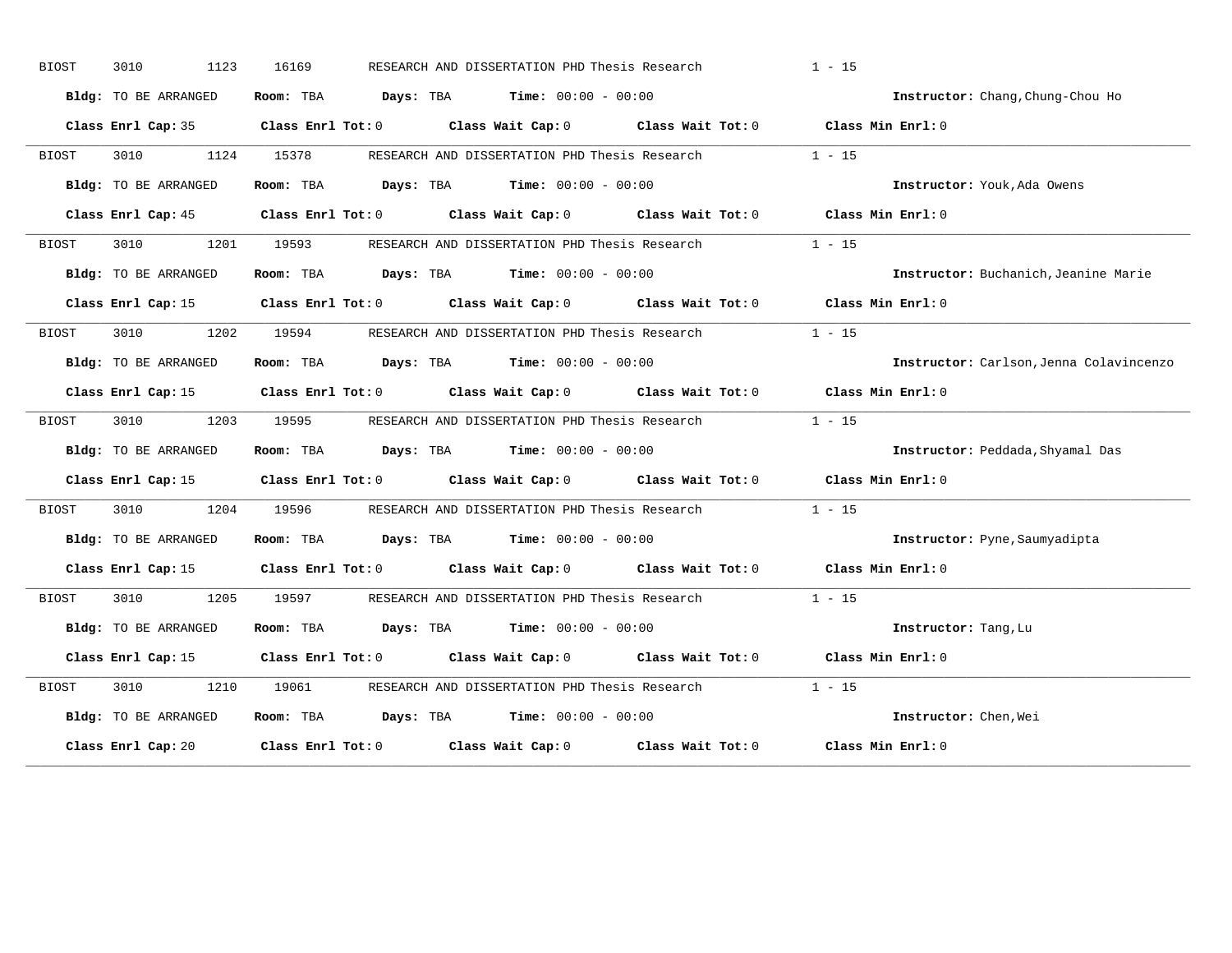| <b>BIOST</b> | 3010<br>1123         | 16169 | RESEARCH AND DISSERTATION PHD Thesis Research                                              | $1 - 15$                                |
|--------------|----------------------|-------|--------------------------------------------------------------------------------------------|-----------------------------------------|
|              | Bldg: TO BE ARRANGED |       | Room: TBA $Days:$ TBA Time: $00:00 - 00:00$                                                | Instructor: Chang, Chung-Chou Ho        |
|              |                      |       | Class Enrl Cap: 35 Class Enrl Tot: 0 Class Wait Cap: 0 Class Wait Tot: 0 Class Min Enrl: 0 |                                         |
| BIOST        | 3010 1124 15378      |       | RESEARCH AND DISSERTATION PHD Thesis Research                                              | $1 - 15$                                |
|              | Bldg: TO BE ARRANGED |       | Room: TBA $Days:$ TBA $Time: 00:00 - 00:00$                                                | Instructor: Youk, Ada Owens             |
|              |                      |       | Class Enrl Cap: 45 Class Enrl Tot: 0 Class Wait Cap: 0 Class Wait Tot: 0 Class Min Enrl: 0 |                                         |
| BIOST        |                      |       | 3010 1201 19593 RESEARCH AND DISSERTATION PHD Thesis Research 1 - 15                       |                                         |
|              | Bldg: TO BE ARRANGED |       | Room: TBA $Days:$ TBA $Time: 00:00 - 00:00$                                                | Instructor: Buchanich, Jeanine Marie    |
|              |                      |       | Class Enrl Cap: 15 Class Enrl Tot: 0 Class Wait Cap: 0 Class Wait Tot: 0 Class Min Enrl: 0 |                                         |
| BIOST        | 3010                 |       | 1202 19594 RESEARCH AND DISSERTATION PHD Thesis Research                                   | $1 - 15$                                |
|              | Bldg: TO BE ARRANGED |       | Room: TBA $Days:$ TBA $Time: 00:00 - 00:00$                                                | Instructor: Carlson, Jenna Colavincenzo |
|              |                      |       | Class Enrl Cap: 15 Class Enrl Tot: 0 Class Wait Cap: 0 Class Wait Tot: 0 Class Min Enrl: 0 |                                         |
| BIOST        | 3010 2010            |       | 1203 19595 RESEARCH AND DISSERTATION PHD Thesis Research                                   | $1 - 15$                                |
|              | Bldg: TO BE ARRANGED |       | Room: TBA $Days:$ TBA $Time: 00:00 - 00:00$                                                | Instructor: Peddada, Shyamal Das        |
|              |                      |       | Class Enrl Cap: 15 Class Enrl Tot: 0 Class Wait Cap: 0 Class Wait Tot: 0 Class Min Enrl: 0 |                                         |
| BIOST        |                      |       | 3010 1204 19596 RESEARCH AND DISSERTATION PHD Thesis Research 1 - 15                       |                                         |
|              | Bldg: TO BE ARRANGED |       | Room: TBA $Days: TBA$ Time: $00:00 - 00:00$                                                | Instructor: Pyne, Saumyadipta           |
|              |                      |       | Class Enrl Cap: 15 Class Enrl Tot: 0 Class Wait Cap: 0 Class Wait Tot: 0 Class Min Enrl: 0 |                                         |
| BIOST        | 3010<br>1205         | 19597 | RESEARCH AND DISSERTATION PHD Thesis Research                                              | $1 - 15$                                |
|              | Bldg: TO BE ARRANGED |       | <b>Room:</b> TBA $Days: TBA$ <b>Time:</b> $00:00 - 00:00$                                  | Instructor: Tang, Lu                    |
|              |                      |       | Class Enrl Cap: 15 Class Enrl Tot: 0 Class Wait Cap: 0 Class Wait Tot: 0 Class Min Enrl: 0 |                                         |
| BIOST        | 3010<br>1210         |       |                                                                                            | $1 - 15$                                |
|              | Bldg: TO BE ARRANGED |       | Room: TBA $Days:$ TBA Time: $00:00 - 00:00$                                                | Instructor: Chen, Wei                   |
|              |                      |       | Class Enrl Cap: 20 Class Enrl Tot: 0 Class Wait Cap: 0 Class Wait Tot: 0 Class Min Enrl: 0 |                                         |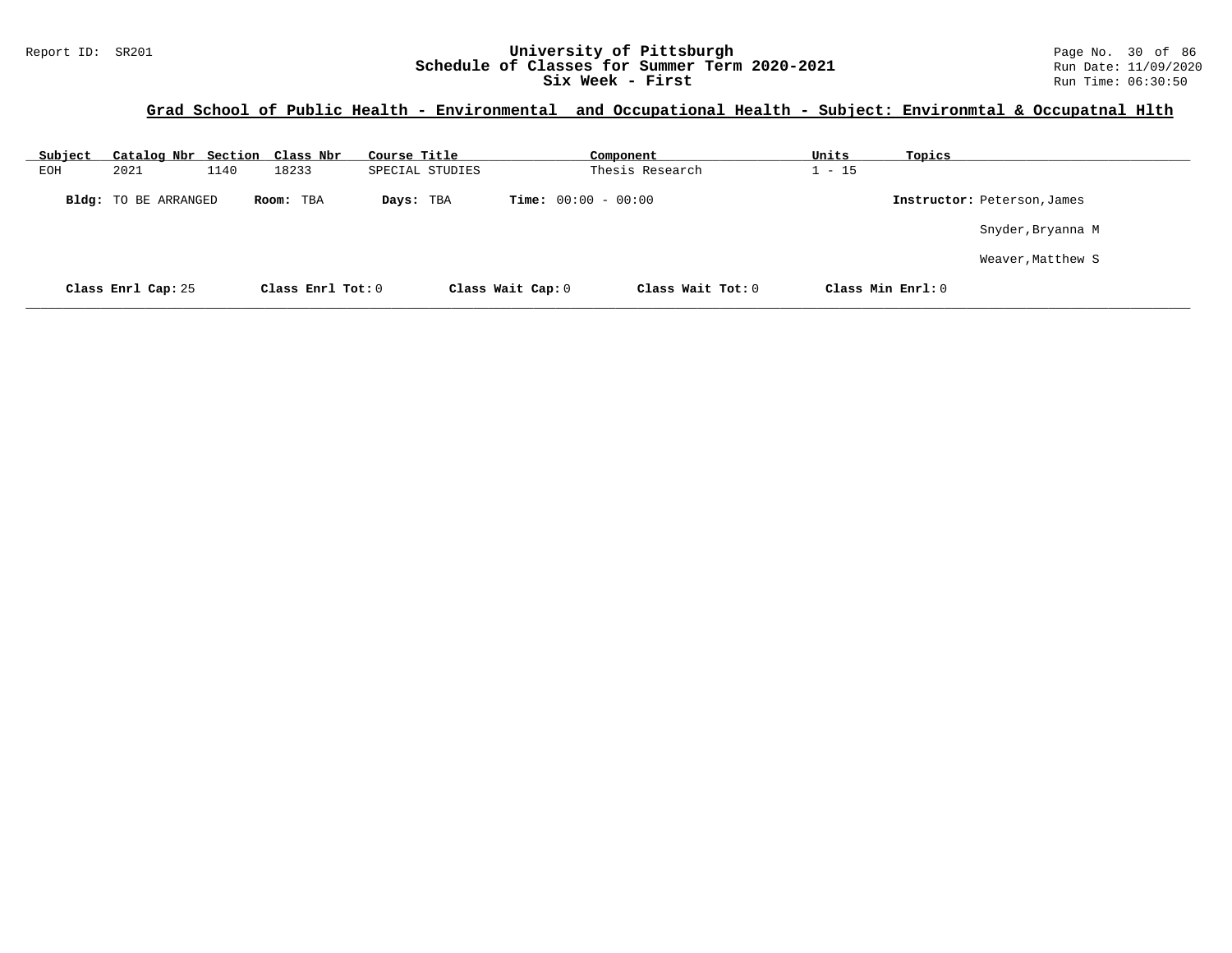#### Report ID: SR201 **1988 Mage 10: SR201 University of Pittsburgh** Page No. 30 of 86<br>**Schedule of Classes for Summer Term 2020-2021** Run Date: 11/09/2020 **Schedule of Classes for Summer Term 2020-2021** Run Date: 11/09/2020<br>Six Week - First Run Time: 06:30:50 Six Week - First

## **Grad School of Public Health - Environmental and Occupational Health - Subject: Environmtal & Occupatnal Hlth**

| Subject | Catalog Nbr Section Class Nbr |      |                   | Course Title    |                   |                              | Component         | Units             | Topics |                             |
|---------|-------------------------------|------|-------------------|-----------------|-------------------|------------------------------|-------------------|-------------------|--------|-----------------------------|
| EOH     | 2021                          | 1140 | 18233             | SPECIAL STUDIES |                   |                              | Thesis Research   | $-15$             |        |                             |
|         | Bldg: TO BE ARRANGED          |      | Room: TBA         | Days: TBA       |                   | <b>Time:</b> $00:00 - 00:00$ |                   |                   |        | Instructor: Peterson, James |
|         |                               |      |                   |                 |                   |                              |                   |                   |        | Snyder, Bryanna M           |
|         |                               |      |                   |                 |                   |                              |                   |                   |        | Weaver, Matthew S           |
|         | Class Enrl Cap: 25            |      | Class Enrl Tot: 0 |                 | Class Wait Cap: 0 |                              | Class Wait Tot: 0 | Class Min Enrl: 0 |        |                             |

**\_\_\_\_\_\_\_\_\_\_\_\_\_\_\_\_\_\_\_\_\_\_\_\_\_\_\_\_\_\_\_\_\_\_\_\_\_\_\_\_\_\_\_\_\_\_\_\_\_\_\_\_\_\_\_\_\_\_\_\_\_\_\_\_\_\_\_\_\_\_\_\_\_\_\_\_\_\_\_\_\_\_\_\_\_\_\_\_\_\_\_\_\_\_\_\_\_\_\_\_\_\_\_\_\_\_\_\_\_\_\_\_\_\_\_\_\_\_\_\_\_\_\_\_\_\_\_\_\_\_\_\_\_\_\_\_\_\_\_\_\_\_\_\_\_\_\_\_\_\_\_\_\_\_\_\_**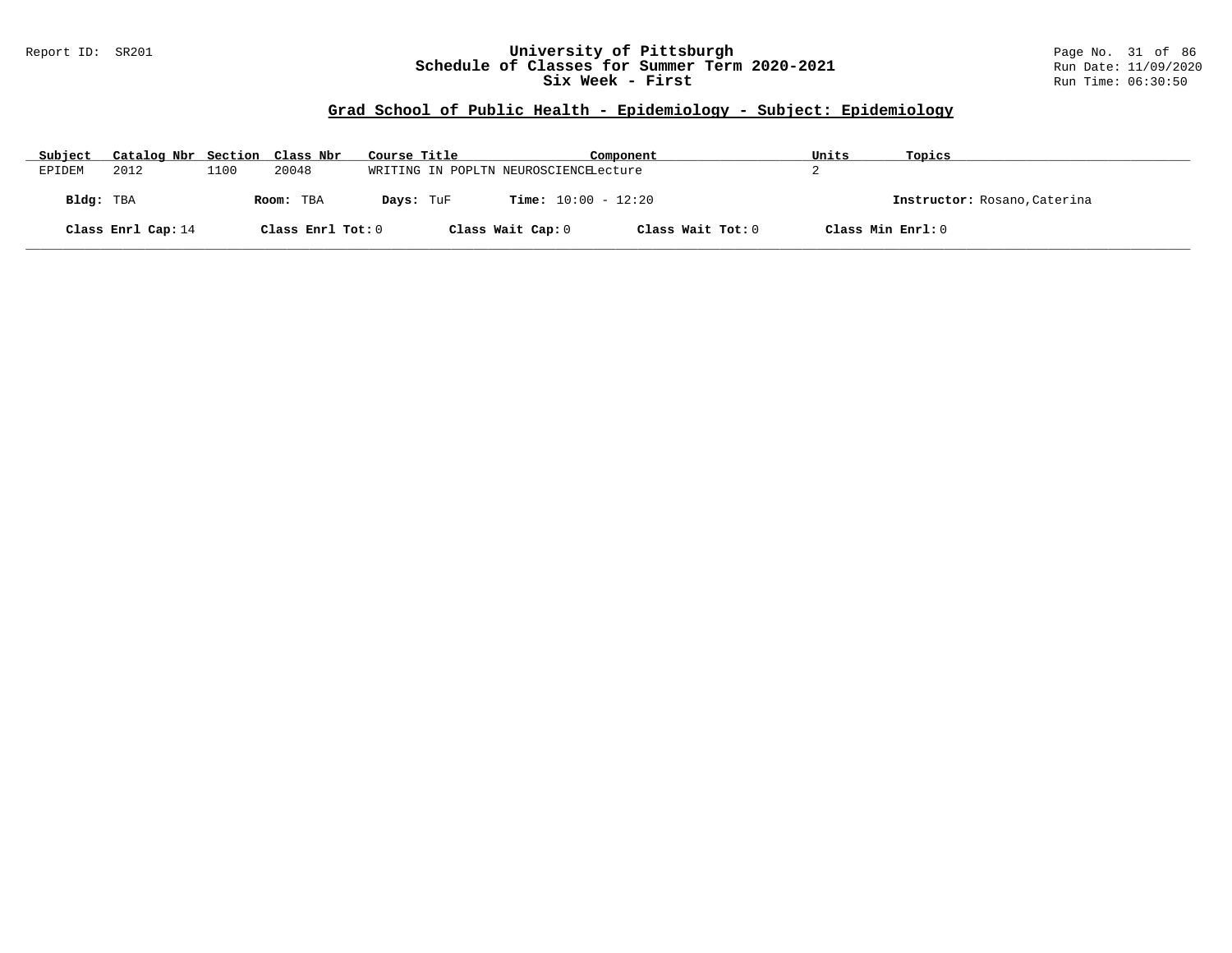### Report ID: SR201 **University of Pittsburgh** Page No. 31 of 86 **Schedule of Classes for Summer Term 2020-2021** Run Date: 11/09/2020 **Six Week - First Run Time: 06:30:50** Run Time: 06:30:50

| Subject            |           | Catalog Nbr Section Class Nbr |                   |           | Course Title      |                                       | Component         | Units | Topics                       |
|--------------------|-----------|-------------------------------|-------------------|-----------|-------------------|---------------------------------------|-------------------|-------|------------------------------|
| EPIDEM             |           | 2012                          | 1100              | 20048     |                   | WRITING IN POPLTN NEUROSCIENCELecture |                   |       |                              |
|                    | Bldg: TBA |                               |                   | Room: TBA | Days: TuF         | <b>Time:</b> $10:00 - 12:20$          |                   |       | Instructor: Rosano, Caterina |
| Class Enrl Cap: 14 |           |                               | Class Enrl Tot: 0 |           | Class Wait Cap: 0 | Class Wait Tot: 0                     | Class Min Enrl: 0 |       |                              |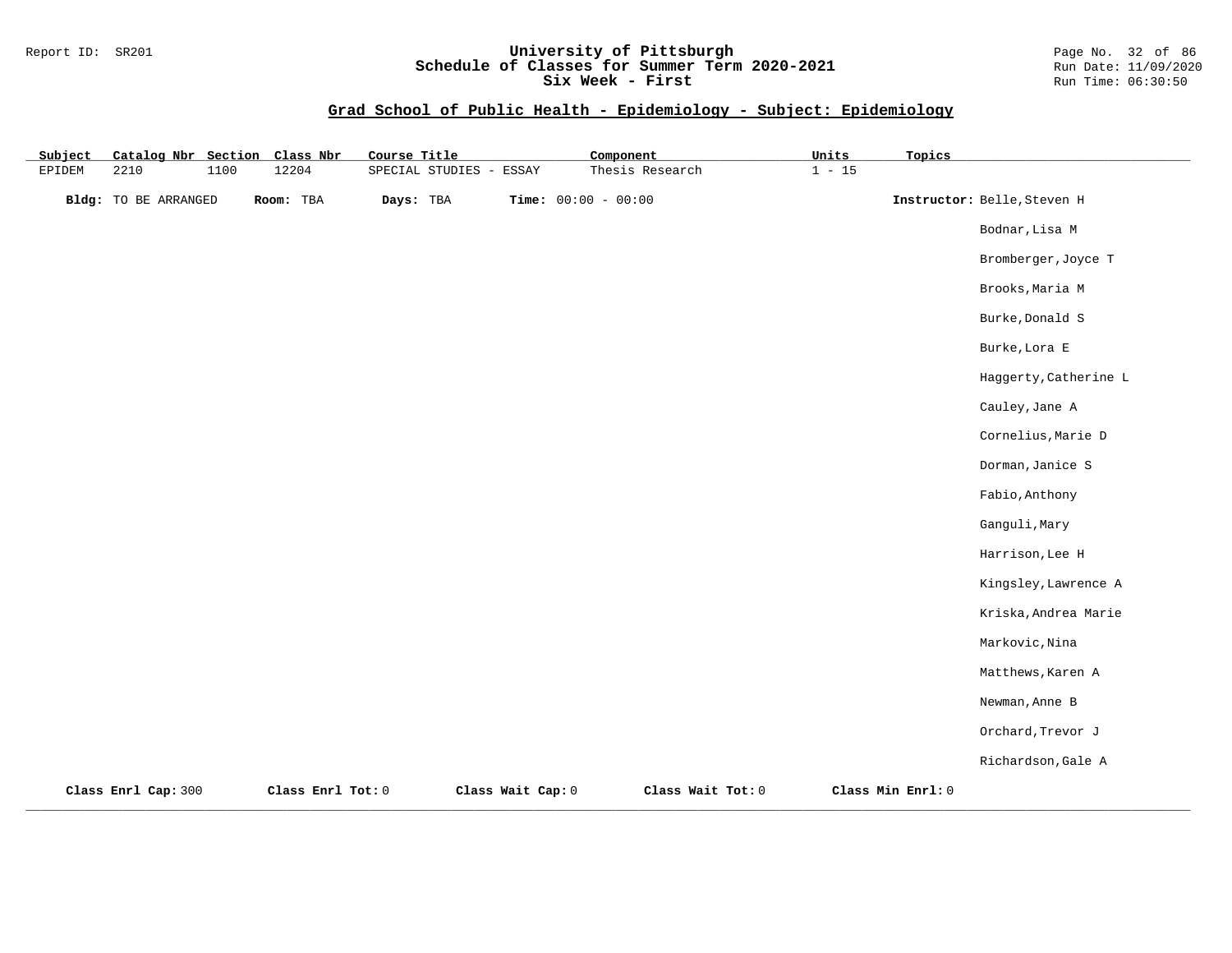#### Report ID: SR201 **University of Pittsburgh** Page No. 32 of 86 **Schedule of Classes for Summer Term 2020-2021** Run Date: 11/09/2020 **Six Week - First Run Time: 06:30:50** Run Time: 06:30:50

| Subject | Catalog Nbr Section  |      | Class Nbr         | Course Title      |                   | Component             |                   | Units    | Topics            |                             |
|---------|----------------------|------|-------------------|-------------------|-------------------|-----------------------|-------------------|----------|-------------------|-----------------------------|
| EPIDEM  | 2210                 | 1100 | 12204             | SPECIAL STUDIES - | ESSAY             |                       | Thesis Research   | $1 - 15$ |                   |                             |
|         | Bldg: TO BE ARRANGED |      | Room: TBA         | Days: TBA         |                   | Time: $00:00 - 00:00$ |                   |          |                   | Instructor: Belle, Steven H |
|         |                      |      |                   |                   |                   |                       |                   |          |                   | Bodnar, Lisa M              |
|         |                      |      |                   |                   |                   |                       |                   |          |                   | Bromberger, Joyce T         |
|         |                      |      |                   |                   |                   |                       |                   |          |                   | Brooks, Maria M             |
|         |                      |      |                   |                   |                   |                       |                   |          |                   | Burke, Donald S             |
|         |                      |      |                   |                   |                   |                       |                   |          |                   | Burke, Lora E               |
|         |                      |      |                   |                   |                   |                       |                   |          |                   | Haggerty, Catherine L       |
|         |                      |      |                   |                   |                   |                       |                   |          |                   | Cauley, Jane A              |
|         |                      |      |                   |                   |                   |                       |                   |          |                   | Cornelius, Marie D          |
|         |                      |      |                   |                   |                   |                       |                   |          |                   | Dorman, Janice S            |
|         |                      |      |                   |                   |                   |                       |                   |          |                   | Fabio, Anthony              |
|         |                      |      |                   |                   |                   |                       |                   |          |                   | Ganguli, Mary               |
|         |                      |      |                   |                   |                   |                       |                   |          |                   | Harrison, Lee H             |
|         |                      |      |                   |                   |                   |                       |                   |          |                   | Kingsley, Lawrence A        |
|         |                      |      |                   |                   |                   |                       |                   |          |                   | Kriska, Andrea Marie        |
|         |                      |      |                   |                   |                   |                       |                   |          |                   | Markovic, Nina              |
|         |                      |      |                   |                   |                   |                       |                   |          |                   | Matthews, Karen A           |
|         |                      |      |                   |                   |                   |                       |                   |          |                   | Newman, Anne B              |
|         |                      |      |                   |                   |                   |                       |                   |          |                   | Orchard, Trevor J           |
|         |                      |      |                   |                   |                   |                       |                   |          |                   | Richardson, Gale A          |
|         | Class Enrl Cap: 300  |      | Class Enrl Tot: 0 |                   | Class Wait Cap: 0 |                       | Class Wait Tot: 0 |          | Class Min Enrl: 0 |                             |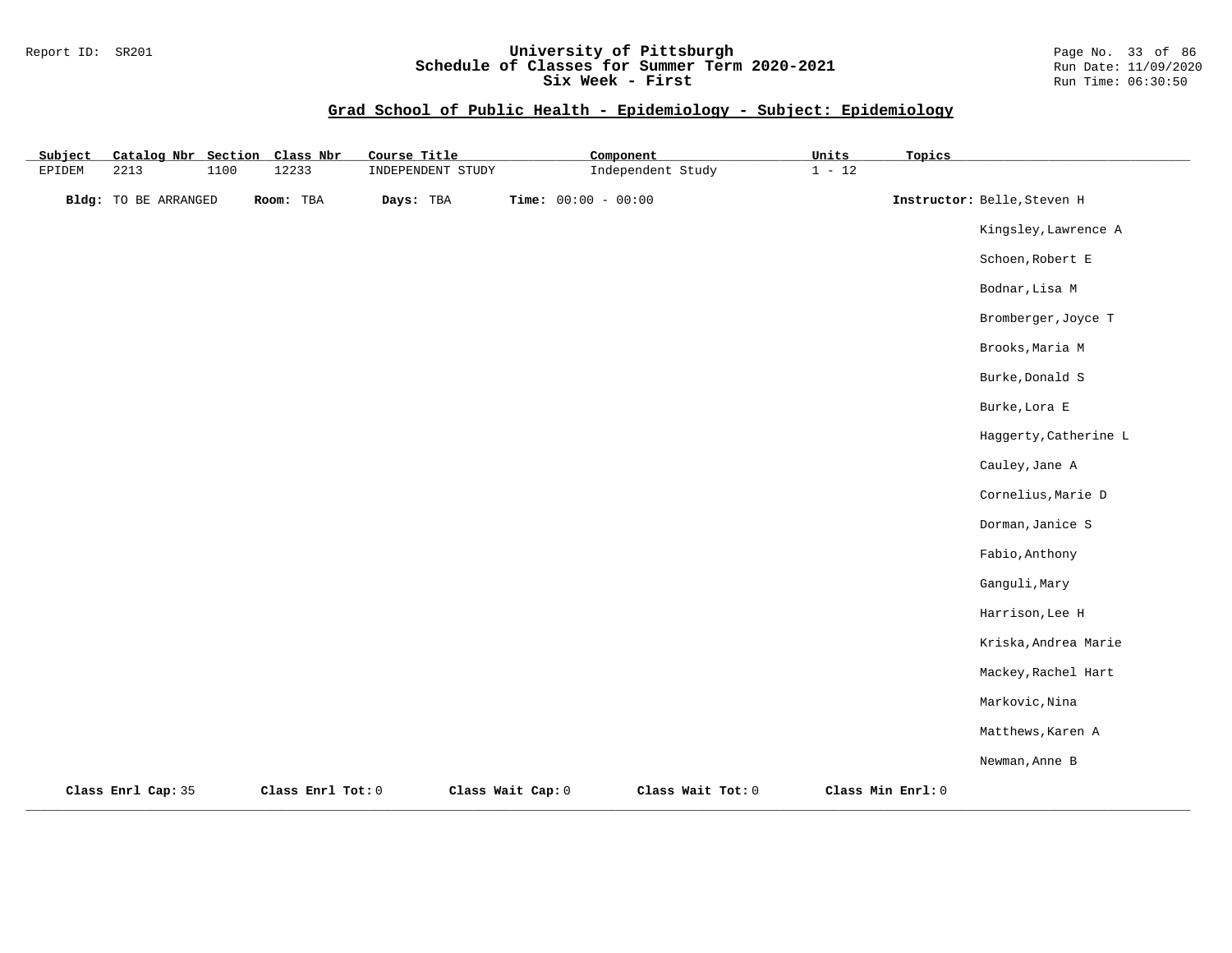### Report ID: SR201 **University of Pittsburgh** Page No. 33 of 86 **Schedule of Classes for Summer Term 2020-2021** Run Date: 11/09/2020 **Six Week - First Run Time: 06:30:50** Run Time: 06:30:50

| Subject | Catalog Nbr Section         |      | Class Nbr         | Course Title      |                              | Component         | Units    | Topics            |                             |
|---------|-----------------------------|------|-------------------|-------------------|------------------------------|-------------------|----------|-------------------|-----------------------------|
| EPIDEM  | 2213                        | 1100 | 12233             | INDEPENDENT STUDY |                              | Independent Study | $1 - 12$ |                   |                             |
|         | <b>Bldg:</b> TO BE ARRANGED |      | Room: TBA         | Days: TBA         | <b>Time:</b> $00:00 - 00:00$ |                   |          |                   | Instructor: Belle, Steven H |
|         |                             |      |                   |                   |                              |                   |          |                   | Kingsley, Lawrence A        |
|         |                             |      |                   |                   |                              |                   |          |                   | Schoen, Robert E            |
|         |                             |      |                   |                   |                              |                   |          |                   | Bodnar, Lisa M              |
|         |                             |      |                   |                   |                              |                   |          |                   | Bromberger, Joyce T         |
|         |                             |      |                   |                   |                              |                   |          |                   | Brooks, Maria M             |
|         |                             |      |                   |                   |                              |                   |          |                   | Burke, Donald S             |
|         |                             |      |                   |                   |                              |                   |          |                   | Burke, Lora E               |
|         |                             |      |                   |                   |                              |                   |          |                   | Haggerty, Catherine L       |
|         |                             |      |                   |                   |                              |                   |          |                   | Cauley, Jane A              |
|         |                             |      |                   |                   |                              |                   |          |                   | Cornelius, Marie D          |
|         |                             |      |                   |                   |                              |                   |          |                   | Dorman, Janice S            |
|         |                             |      |                   |                   |                              |                   |          |                   | Fabio, Anthony              |
|         |                             |      |                   |                   |                              |                   |          |                   | Ganguli, Mary               |
|         |                             |      |                   |                   |                              |                   |          |                   | Harrison, Lee H             |
|         |                             |      |                   |                   |                              |                   |          |                   | Kriska, Andrea Marie        |
|         |                             |      |                   |                   |                              |                   |          |                   | Mackey, Rachel Hart         |
|         |                             |      |                   |                   |                              |                   |          |                   | Markovic, Nina              |
|         |                             |      |                   |                   |                              |                   |          |                   | Matthews, Karen A           |
|         |                             |      |                   |                   |                              |                   |          |                   | Newman, Anne B              |
|         | Class Enrl Cap: 35          |      | Class Enrl Tot: 0 |                   | Class Wait Cap: 0            | Class Wait Tot: 0 |          | Class Min Enrl: 0 |                             |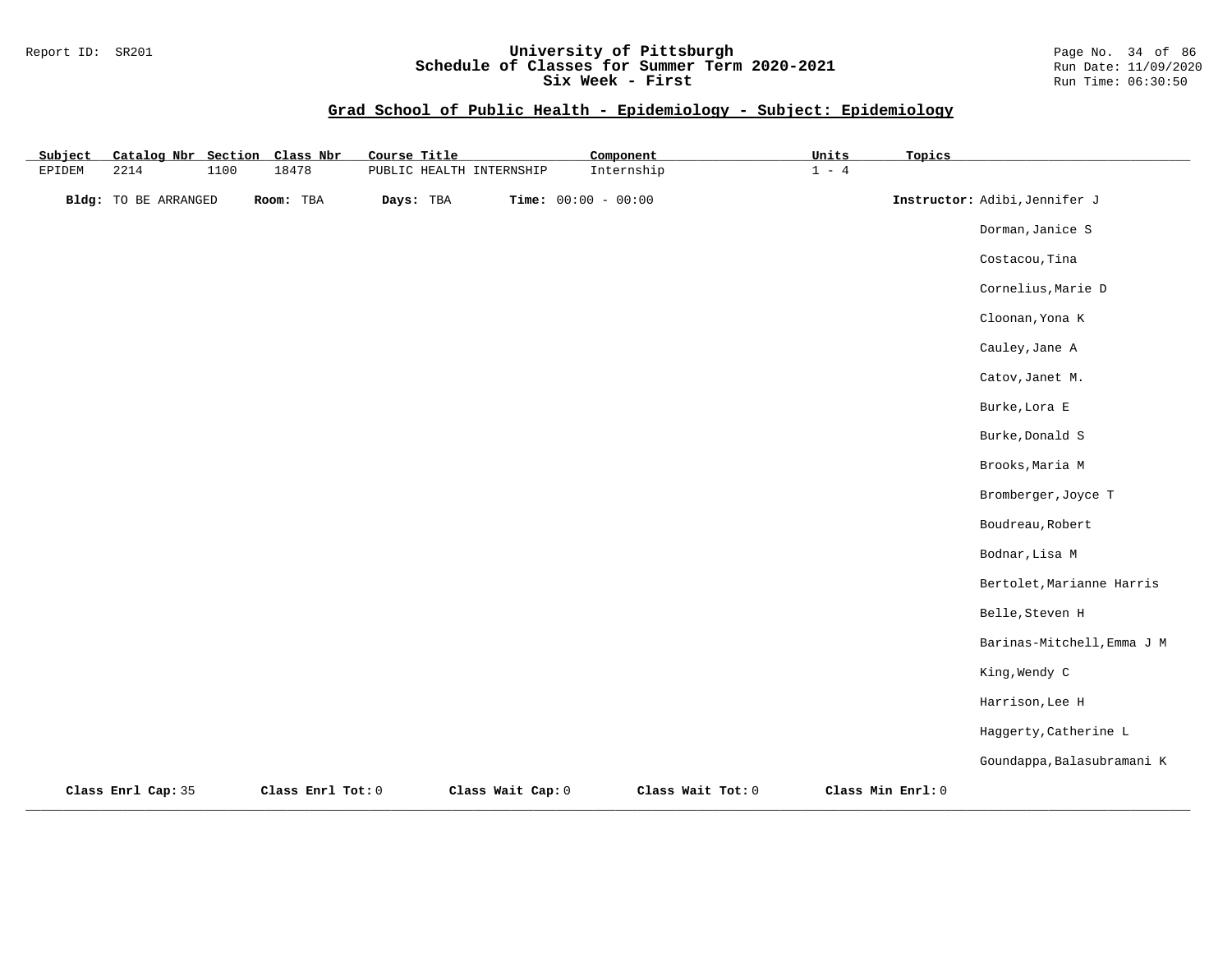#### Report ID: SR201 **University of Pittsburgh** Page No. 34 of 86 **Schedule of Classes for Summer Term 2020-2021** Run Date: 11/09/2020 **Six Week - First Run Time: 06:30:50** Run Time: 06:30:50

| Subject       | Catalog Nbr Section         |      | Class Nbr         | Course Title |                          | Component             |                   | Units   | Topics            |                               |
|---------------|-----------------------------|------|-------------------|--------------|--------------------------|-----------------------|-------------------|---------|-------------------|-------------------------------|
| <b>EPIDEM</b> | 2214                        | 1100 | 18478             |              | PUBLIC HEALTH INTERNSHIP |                       | Internship        | $1 - 4$ |                   |                               |
|               | <b>Bldg:</b> TO BE ARRANGED |      | Room: TBA         | Days: TBA    |                          | Time: $00:00 - 00:00$ |                   |         |                   | Instructor: Adibi, Jennifer J |
|               |                             |      |                   |              |                          |                       |                   |         |                   | Dorman, Janice S              |
|               |                             |      |                   |              |                          |                       |                   |         |                   | Costacou, Tina                |
|               |                             |      |                   |              |                          |                       |                   |         |                   | Cornelius, Marie D            |
|               |                             |      |                   |              |                          |                       |                   |         |                   | Cloonan, Yona K               |
|               |                             |      |                   |              |                          |                       |                   |         |                   | Cauley, Jane A                |
|               |                             |      |                   |              |                          |                       |                   |         |                   | Catov, Janet M.               |
|               |                             |      |                   |              |                          |                       |                   |         |                   | Burke, Lora E                 |
|               |                             |      |                   |              |                          |                       |                   |         |                   | Burke, Donald S               |
|               |                             |      |                   |              |                          |                       |                   |         |                   | Brooks, Maria M               |
|               |                             |      |                   |              |                          |                       |                   |         |                   | Bromberger, Joyce T           |
|               |                             |      |                   |              |                          |                       |                   |         |                   | Boudreau, Robert              |
|               |                             |      |                   |              |                          |                       |                   |         |                   | Bodnar, Lisa M                |
|               |                             |      |                   |              |                          |                       |                   |         |                   | Bertolet, Marianne Harris     |
|               |                             |      |                   |              |                          |                       |                   |         |                   | Belle, Steven H               |
|               |                             |      |                   |              |                          |                       |                   |         |                   | Barinas-Mitchell, Emma J M    |
|               |                             |      |                   |              |                          |                       |                   |         |                   | King, Wendy C                 |
|               |                             |      |                   |              |                          |                       |                   |         |                   | Harrison, Lee H               |
|               |                             |      |                   |              |                          |                       |                   |         |                   | Haggerty, Catherine L         |
|               |                             |      |                   |              |                          |                       |                   |         |                   | Goundappa, Balasubramani K    |
|               | Class Enrl Cap: 35          |      | Class Enrl Tot: 0 |              | Class Wait Cap: 0        |                       | Class Wait Tot: 0 |         | Class Min Enrl: 0 |                               |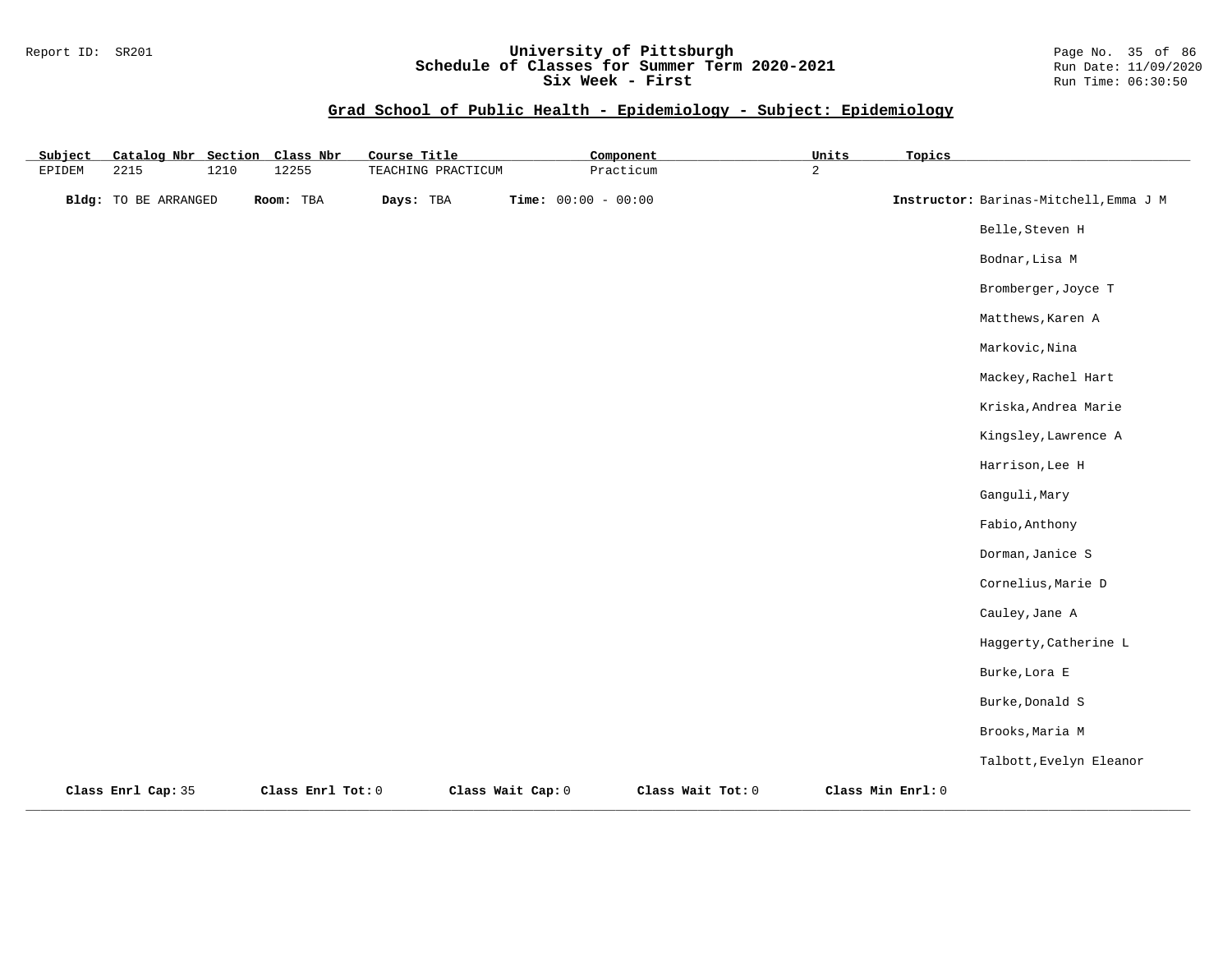### Report ID: SR201 **University of Pittsburgh** Page No. 35 of 86 **Schedule of Classes for Summer Term 2020-2021** Run Date: 11/09/2020 **Six Week - First Run Time: 06:30:50** Run Time: 06:30:50

| Subject | Catalog Nbr Section         |      | Class Nbr         | Course Title       |                   | Component             |                   | Units          | Topics            |                                        |
|---------|-----------------------------|------|-------------------|--------------------|-------------------|-----------------------|-------------------|----------------|-------------------|----------------------------------------|
| EPIDEM  | 2215                        | 1210 | 12255             | TEACHING PRACTICUM |                   | Practicum             |                   | $\overline{2}$ |                   |                                        |
|         | <b>Bldg:</b> TO BE ARRANGED |      | Room: TBA         | Days: TBA          |                   | Time: $00:00 - 00:00$ |                   |                |                   | Instructor: Barinas-Mitchell, Emma J M |
|         |                             |      |                   |                    |                   |                       |                   |                |                   | Belle, Steven H                        |
|         |                             |      |                   |                    |                   |                       |                   |                |                   | Bodnar, Lisa M                         |
|         |                             |      |                   |                    |                   |                       |                   |                |                   | Bromberger, Joyce T                    |
|         |                             |      |                   |                    |                   |                       |                   |                |                   | Matthews, Karen A                      |
|         |                             |      |                   |                    |                   |                       |                   |                |                   | Markovic, Nina                         |
|         |                             |      |                   |                    |                   |                       |                   |                |                   | Mackey, Rachel Hart                    |
|         |                             |      |                   |                    |                   |                       |                   |                |                   | Kriska, Andrea Marie                   |
|         |                             |      |                   |                    |                   |                       |                   |                |                   | Kingsley, Lawrence A                   |
|         |                             |      |                   |                    |                   |                       |                   |                |                   | Harrison, Lee H                        |
|         |                             |      |                   |                    |                   |                       |                   |                |                   | Ganguli, Mary                          |
|         |                             |      |                   |                    |                   |                       |                   |                |                   | Fabio, Anthony                         |
|         |                             |      |                   |                    |                   |                       |                   |                |                   | Dorman, Janice S                       |
|         |                             |      |                   |                    |                   |                       |                   |                |                   | Cornelius, Marie D                     |
|         |                             |      |                   |                    |                   |                       |                   |                |                   | Cauley, Jane A                         |
|         |                             |      |                   |                    |                   |                       |                   |                |                   | Haggerty, Catherine L                  |
|         |                             |      |                   |                    |                   |                       |                   |                |                   | Burke, Lora E                          |
|         |                             |      |                   |                    |                   |                       |                   |                |                   | Burke, Donald S                        |
|         |                             |      |                   |                    |                   |                       |                   |                |                   | Brooks, Maria M                        |
|         |                             |      |                   |                    |                   |                       |                   |                |                   | Talbott, Evelyn Eleanor                |
|         | Class Enrl Cap: 35          |      | Class Enrl Tot: 0 |                    | Class Wait Cap: 0 |                       | Class Wait Tot: 0 |                | Class Min Enrl: 0 |                                        |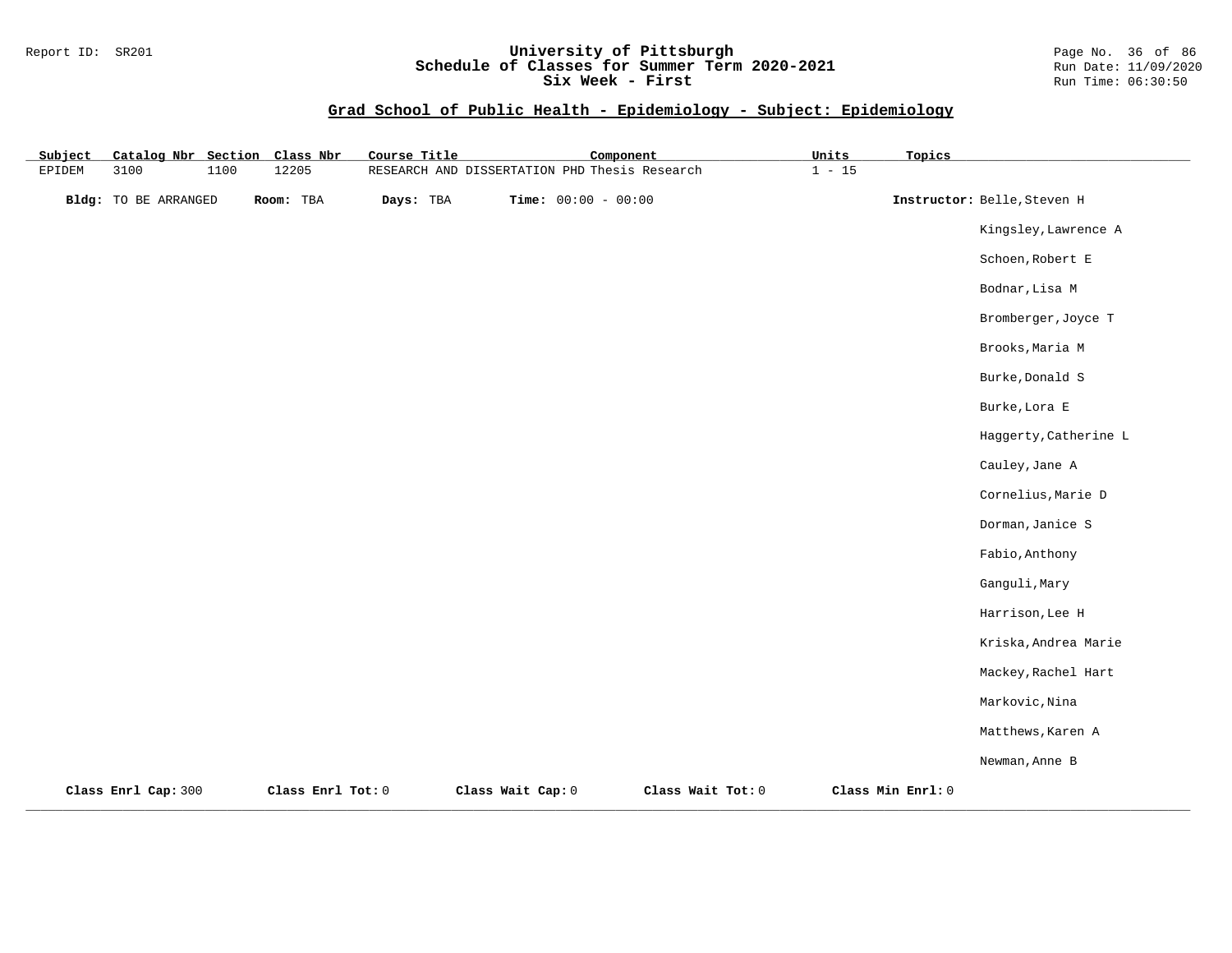#### Report ID: SR201 **University of Pittsburgh** Page No. 36 of 86 **Schedule of Classes for Summer Term 2020-2021** Run Date: 11/09/2020 **Six Week - First Run Time: 06:30:50** Run Time: 06:30:50

| Subject       |                             |      | Catalog Nbr Section Class Nbr | Course Title | Component                                     |                   | Units    | Topics            |                             |
|---------------|-----------------------------|------|-------------------------------|--------------|-----------------------------------------------|-------------------|----------|-------------------|-----------------------------|
| <b>EPIDEM</b> | 3100                        | 1100 | 12205                         |              | RESEARCH AND DISSERTATION PHD Thesis Research |                   | $1 - 15$ |                   |                             |
|               | <b>Bldg:</b> TO BE ARRANGED |      | Room: TBA                     | Days: TBA    | Time: $00:00 - 00:00$                         |                   |          |                   | Instructor: Belle, Steven H |
|               |                             |      |                               |              |                                               |                   |          |                   | Kingsley, Lawrence A        |
|               |                             |      |                               |              |                                               |                   |          |                   | Schoen, Robert E            |
|               |                             |      |                               |              |                                               |                   |          |                   | Bodnar, Lisa M              |
|               |                             |      |                               |              |                                               |                   |          |                   | Bromberger, Joyce T         |
|               |                             |      |                               |              |                                               |                   |          |                   | Brooks, Maria M             |
|               |                             |      |                               |              |                                               |                   |          |                   | Burke, Donald S             |
|               |                             |      |                               |              |                                               |                   |          |                   | Burke, Lora E               |
|               |                             |      |                               |              |                                               |                   |          |                   | Haggerty, Catherine L       |
|               |                             |      |                               |              |                                               |                   |          |                   | Cauley, Jane A              |
|               |                             |      |                               |              |                                               |                   |          |                   | Cornelius, Marie D          |
|               |                             |      |                               |              |                                               |                   |          |                   | Dorman, Janice S            |
|               |                             |      |                               |              |                                               |                   |          |                   | Fabio, Anthony              |
|               |                             |      |                               |              |                                               |                   |          |                   | Ganguli, Mary               |
|               |                             |      |                               |              |                                               |                   |          |                   | Harrison, Lee H             |
|               |                             |      |                               |              |                                               |                   |          |                   | Kriska, Andrea Marie        |
|               |                             |      |                               |              |                                               |                   |          |                   | Mackey, Rachel Hart         |
|               |                             |      |                               |              |                                               |                   |          |                   | Markovic, Nina              |
|               |                             |      |                               |              |                                               |                   |          |                   | Matthews, Karen A           |
|               |                             |      |                               |              |                                               |                   |          |                   | Newman, Anne B              |
|               | Class Enrl Cap: 300         |      | Class Enrl Tot: 0             |              | Class Wait Cap: 0                             | Class Wait Tot: 0 |          | Class Min Enrl: 0 |                             |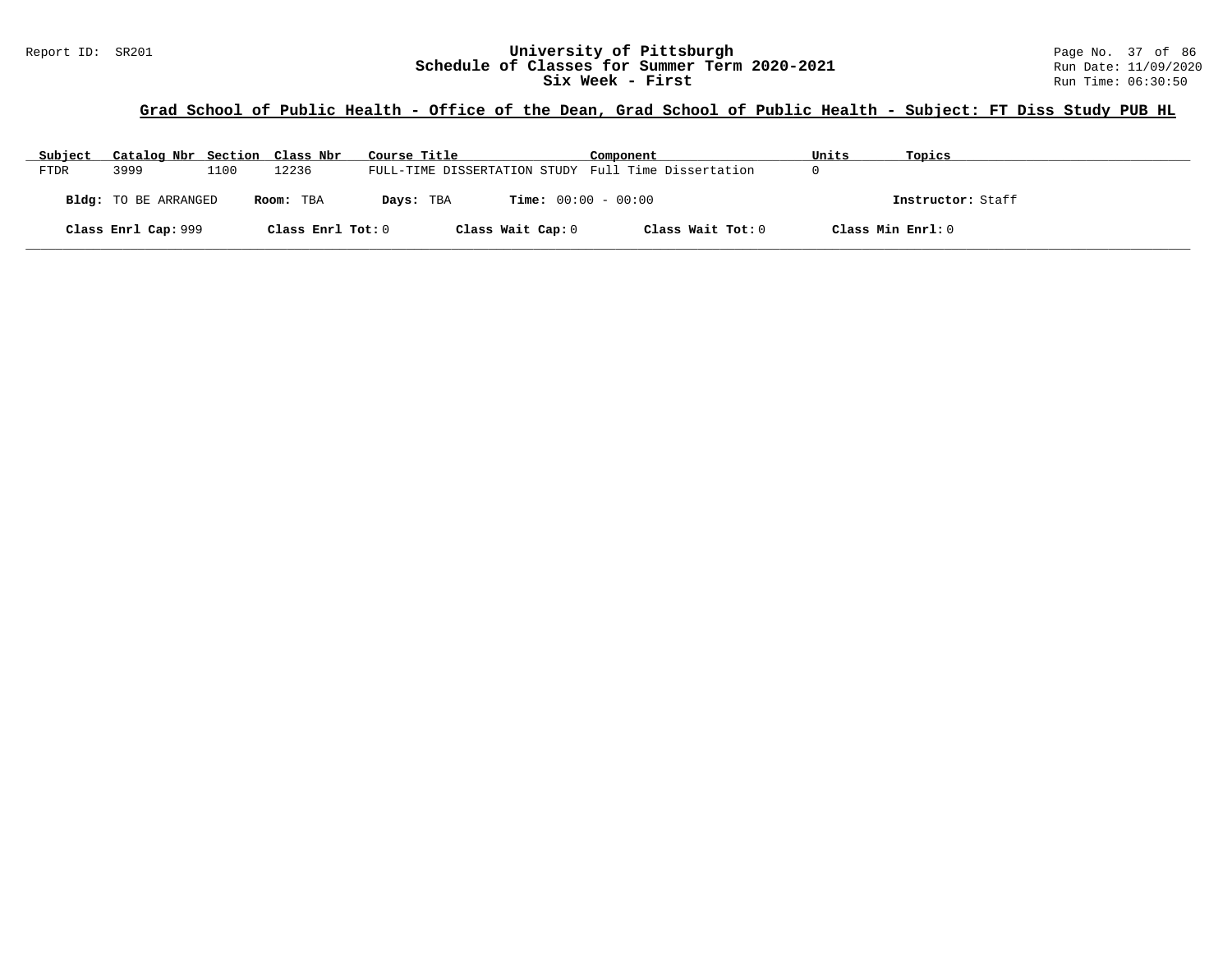## Report ID: SR201 **1988 Mage 10: SR201 University of Pittsburgh** Page No. 37 of 86<br>**Schedule of Classes for Summer Term 2020-2021** Run Date: 11/09/2020 **Schedule of Classes for Summer Term 2020-2021** Run Date: 11/09/2020<br>Six Week - First Run Time: 06:30:50 Six Week - First

# **Grad School of Public Health - Office of the Dean, Grad School of Public Health - Subject: FT Diss Study PUB HL**

| Subject     | Catalog Nbr Section Class Nbr |      |                   | Course Title                                        | Component         | Units             | Topics            |
|-------------|-------------------------------|------|-------------------|-----------------------------------------------------|-------------------|-------------------|-------------------|
| <b>FTDR</b> | 3999                          | 1100 | 12236             | FULL-TIME DISSERTATION STUDY Full Time Dissertation |                   |                   |                   |
|             | Bldg: TO BE ARRANGED          |      | Room: TBA         | <b>Time:</b> $00:00 - 00:00$<br>Days: TBA           |                   |                   | Instructor: Staff |
|             | Class Enrl Cap: 999           |      | Class Enrl Tot: 0 | Class Wait Cap: 0                                   | Class Wait Tot: 0 | Class Min Enrl: 0 |                   |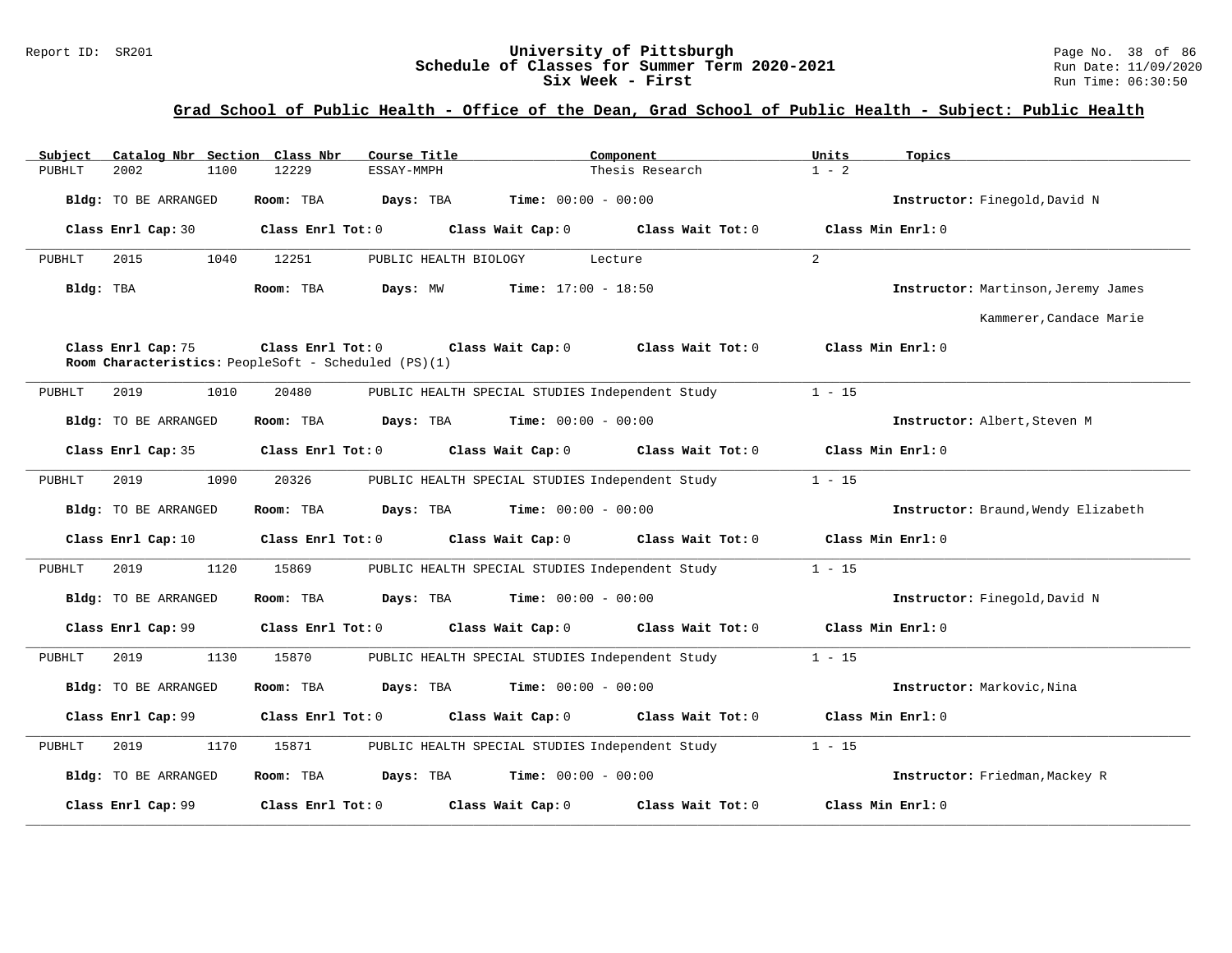#### Report ID: SR201 **1988 Mage 10: SR201 University of Pittsburgh** Page No. 38 of 86<br>**Schedule of Classes for Summer Term 2020-2021** Run Date: 11/09/2020 **Schedule of Classes for Summer Term 2020-2021** Run Date: 11/09/2020<br>Six Week - First Run Time: 06:30:50 Six Week - First

# **Grad School of Public Health - Office of the Dean, Grad School of Public Health - Subject: Public Health**

| Subject   |                             |      | Catalog Nbr Section Class Nbr | Course Title                                         |                                                 | Component         | Units    | Topics                              |
|-----------|-----------------------------|------|-------------------------------|------------------------------------------------------|-------------------------------------------------|-------------------|----------|-------------------------------------|
| PUBHLT    | 2002                        | 1100 | 12229                         | ESSAY-MMPH                                           |                                                 | Thesis Research   | $1 - 2$  |                                     |
|           | Bldg: TO BE ARRANGED        |      | Room: TBA                     | Days: TBA                                            | <b>Time:</b> $00:00 - 00:00$                    |                   |          | Instructor: Finegold, David N       |
|           | Class Enrl Cap: 30          |      | Class Enrl Tot: 0             |                                                      | Class Wait Cap: 0                               | Class Wait Tot: 0 |          | Class Min Enrl: 0                   |
| PUBHLT    | 2015                        | 1040 | 12251                         | PUBLIC HEALTH BIOLOGY                                |                                                 | Lecture           | 2        |                                     |
| Bldg: TBA |                             |      | Room: TBA                     | Days: MW                                             | <b>Time:</b> $17:00 - 18:50$                    |                   |          | Instructor: Martinson, Jeremy James |
|           |                             |      |                               |                                                      |                                                 |                   |          | Kammerer, Candace Marie             |
|           | Class Enrl Cap: 75          |      | Class Enrl Tot: 0             | Room Characteristics: PeopleSoft - Scheduled (PS)(1) | Class Wait Cap: 0                               | Class Wait Tot: 0 |          | Class Min Enrl: 0                   |
| PUBHLT    | 2019                        | 1010 | 20480                         |                                                      | PUBLIC HEALTH SPECIAL STUDIES Independent Study |                   | $1 - 15$ |                                     |
|           | Bldg: TO BE ARRANGED        |      | Room: TBA                     | Days: TBA                                            | <b>Time:</b> $00:00 - 00:00$                    |                   |          | Instructor: Albert, Steven M        |
|           | Class Enrl Cap: 35          |      | Class Enrl Tot: 0             |                                                      | Class Wait Cap: 0                               | Class Wait Tot: 0 |          | Class Min Enrl: 0                   |
| PUBHLT    | 2019                        | 1090 | 20326                         |                                                      | PUBLIC HEALTH SPECIAL STUDIES Independent Study |                   | $1 - 15$ |                                     |
|           | Bldg: TO BE ARRANGED        |      | Room: TBA                     | Days: TBA                                            | <b>Time:</b> $00:00 - 00:00$                    |                   |          | Instructor: Braund, Wendy Elizabeth |
|           | Class Enrl Cap: 10          |      | Class Enrl Tot: 0             |                                                      | Class Wait Cap: 0                               | Class Wait Tot: 0 |          | Class Min Enrl: 0                   |
| PUBHLT    | 2019                        | 1120 | 15869                         |                                                      | PUBLIC HEALTH SPECIAL STUDIES Independent Study |                   | $1 - 15$ |                                     |
|           | Bldg: TO BE ARRANGED        |      | Room: TBA                     | Days: TBA                                            | <b>Time:</b> $00:00 - 00:00$                    |                   |          | Instructor: Finegold, David N       |
|           | Class Enrl Cap: 99          |      | Class Enrl Tot: 0             |                                                      | Class Wait Cap: 0                               | Class Wait Tot: 0 |          | Class Min Enrl: 0                   |
| PUBHLT    | 2019                        | 1130 | 15870                         |                                                      | PUBLIC HEALTH SPECIAL STUDIES Independent Study |                   | $1 - 15$ |                                     |
|           | Bldg: TO BE ARRANGED        |      | Room: TBA                     | Days: TBA                                            | <b>Time:</b> $00:00 - 00:00$                    |                   |          | Instructor: Markovic, Nina          |
|           | Class Enrl Cap: 99          |      | Class Enrl Tot: 0             |                                                      | Class Wait Cap: 0                               | Class Wait Tot: 0 |          | Class Min Enrl: 0                   |
| PUBHLT    | 2019                        | 1170 | 15871                         |                                                      | PUBLIC HEALTH SPECIAL STUDIES Independent Study |                   | $1 - 15$ |                                     |
|           | <b>Bldg:</b> TO BE ARRANGED |      | Room: TBA                     | Days: TBA                                            | <b>Time:</b> $00:00 - 00:00$                    |                   |          | Instructor: Friedman, Mackey R      |
|           | Class Enrl Cap: 99          |      | Class Enrl Tot: 0             |                                                      | Class Wait Cap: 0                               | Class Wait Tot: 0 |          | Class Min Enrl: 0                   |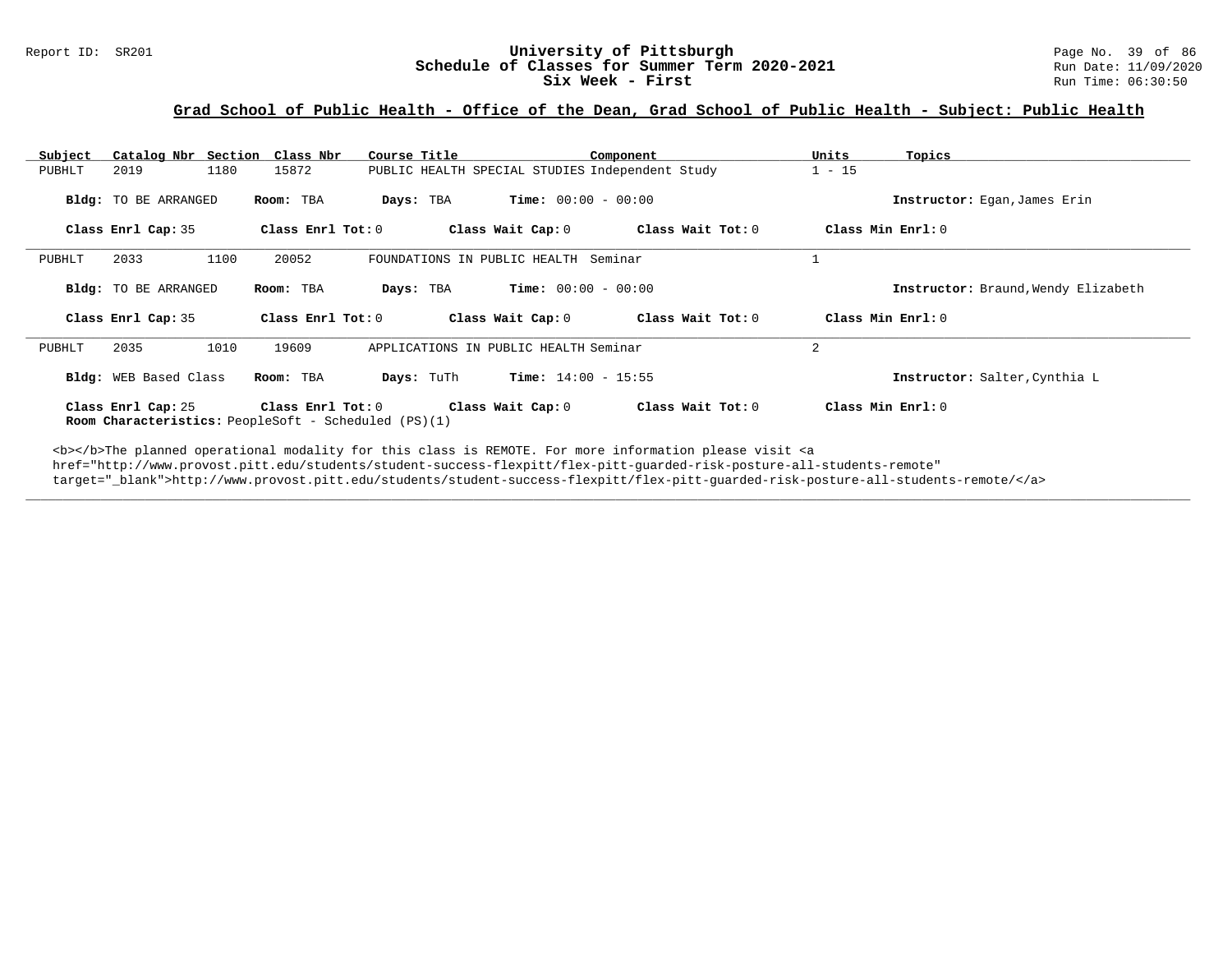#### Report ID: SR201 **University of Pittsburgh University of Pittsburgh** Page No. 39 of 86<br>**Schedule of Classes for Summer Term 2020-2021** Run Date: 11/09/2020 **Schedule of Classes for Summer Term 2020-2021** Run Date: 11/09/2020<br>Six Week - First Run Time: 06:30:50 Six Week - First

## **Grad School of Public Health - Office of the Dean, Grad School of Public Health - Subject: Public Health**

| Subject | Catalog Nbr Section Class Nbr |                   | Course Title                          | Component                                       | Units             | Topics                              |
|---------|-------------------------------|-------------------|---------------------------------------|-------------------------------------------------|-------------------|-------------------------------------|
| PUBHLT  | 1180<br>2019                  | 15872             |                                       | PUBLIC HEALTH SPECIAL STUDIES Independent Study | $1 - 15$          |                                     |
|         | Bldg: TO BE ARRANGED          | Room: TBA         | Days: TBA                             | <b>Time:</b> $00:00 - 00:00$                    |                   | Instructor: Egan, James Erin        |
|         | Class Enrl Cap: 35            | Class Enrl Tot: 0 | Class Wait Cap: 0                     |                                                 | Class Wait Tot: 0 | Class Min Enrl: 0                   |
| PUBHLT  | 2033<br>1100                  | 20052             | FOUNDATIONS IN PUBLIC HEALTH Seminar  |                                                 |                   |                                     |
|         | Bldg: TO BE ARRANGED          | Room: TBA         | Days: TBA                             | <b>Time:</b> $00:00 - 00:00$                    |                   | Instructor: Braund, Wendy Elizabeth |
|         | Class Enrl Cap: 35            |                   |                                       |                                                 |                   | Class Min Enrl: $0$                 |
|         |                               | Class Enrl Tot: 0 |                                       | Class Wait Cap: 0                               | Class Wait Tot: 0 |                                     |
| PUBHLT  | 2035<br>1010                  | 19609             | APPLICATIONS IN PUBLIC HEALTH Seminar |                                                 | $\overline{2}$    |                                     |
|         | Bldg: WEB Based Class         | Room: TBA         | Days: TuTh                            | <b>Time:</b> $14:00 - 15:55$                    |                   | Instructor: Salter, Cynthia L       |

**\_\_\_\_\_\_\_\_\_\_\_\_\_\_\_\_\_\_\_\_\_\_\_\_\_\_\_\_\_\_\_\_\_\_\_\_\_\_\_\_\_\_\_\_\_\_\_\_\_\_\_\_\_\_\_\_\_\_\_\_\_\_\_\_\_\_\_\_\_\_\_\_\_\_\_\_\_\_\_\_\_\_\_\_\_\_\_\_\_\_\_\_\_\_\_\_\_\_\_\_\_\_\_\_\_\_\_\_\_\_\_\_\_\_\_\_\_\_\_\_\_\_\_\_\_\_\_\_\_\_\_\_\_\_\_\_\_\_\_\_\_\_\_\_\_\_\_\_\_\_\_\_\_\_\_\_**

<b></b>The planned operational modality for this class is REMOTE. For more information please visit <a href="http://www.provost.pitt.edu/students/student-success-flexpitt/flex-pitt-guarded-risk-posture-all-students-remote" target="\_blank">http://www.provost.pitt.edu/students/student-success-flexpitt/flex-pitt-guarded-risk-posture-all-students-remote/</a>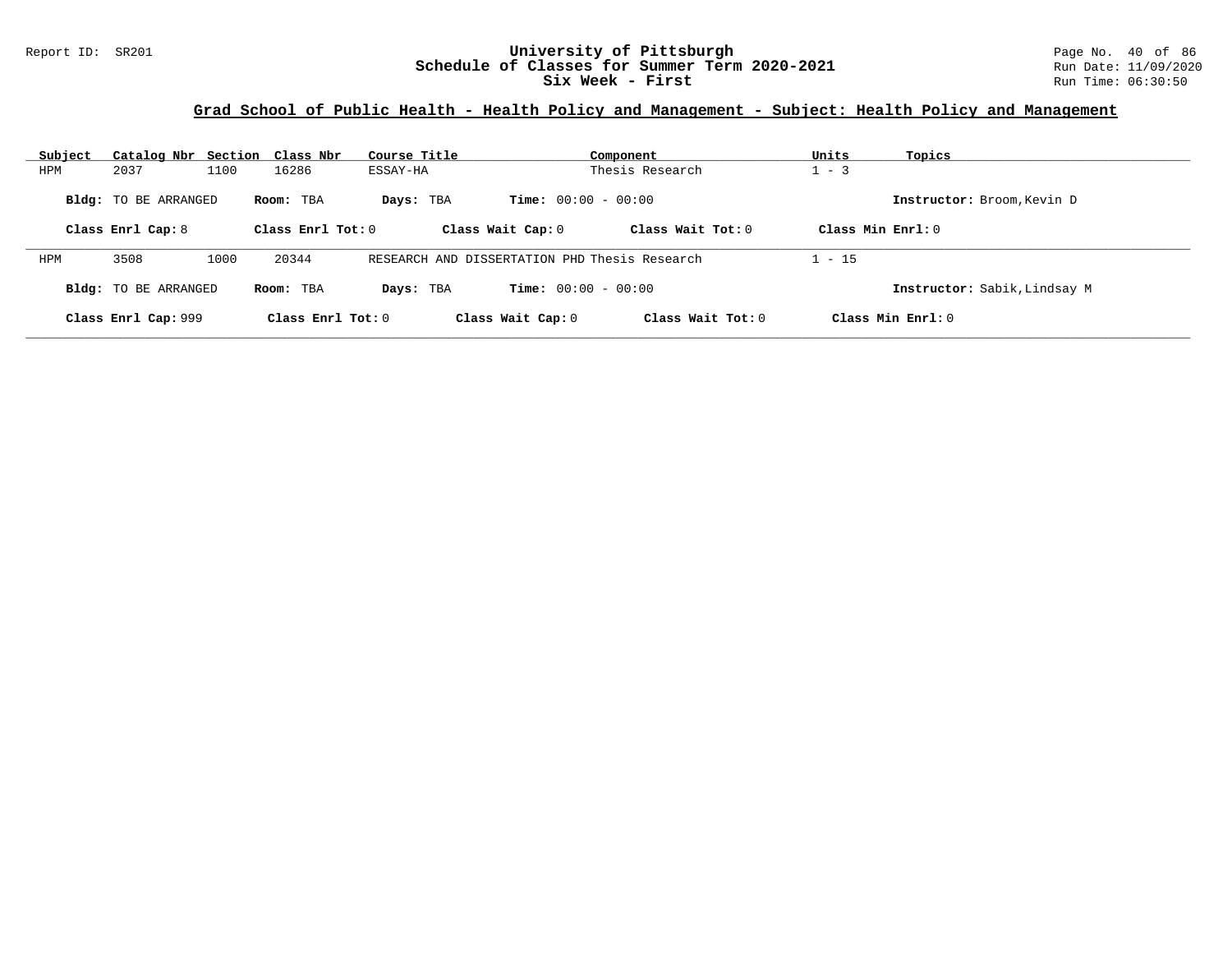#### Report ID: SR201 **1988 Chedule of Classes for Summer Term 2020-2021** Page No. 40 of 86<br>**Schedule of Classes for Summer Term 2020-2021** Run Date: 11/09/2020 **Schedule of Classes for Summer Term 2020-2021** Run Date: 11/09/2021<br>Six Week - First Run Time: 06:30:50 Six Week - First

# **Grad School of Public Health - Health Policy and Management - Subject: Health Policy and Management**

| Subject |                             |      | Catalog Nbr Section Class Nbr | Course Title                                  |                              | Component           | Units              | Topics                       |
|---------|-----------------------------|------|-------------------------------|-----------------------------------------------|------------------------------|---------------------|--------------------|------------------------------|
| HPM     | 2037                        | 1100 | 16286                         | ESSAY-HA                                      |                              | Thesis Research     | $-3$               |                              |
|         | <b>Bldg:</b> TO BE ARRANGED |      | Room: TBA                     | Days: TBA                                     | <b>Time:</b> $00:00 - 00:00$ |                     |                    | Instructor: Broom, Kevin D   |
|         | Class Enrl Cap: 8           |      | Class Enrl Tot: $0$           |                                               | Class Wait Cap: 0            | Class Wait Tot: $0$ | Class Min $Err1:0$ |                              |
| HPM     | 3508                        | 1000 | 20344                         | RESEARCH AND DISSERTATION PHD Thesis Research |                              |                     | $1 - 15$           |                              |
|         | <b>Bldg:</b> TO BE ARRANGED |      | Room: TBA                     | Days: TBA                                     | <b>Time:</b> $00:00 - 00:00$ |                     |                    | Instructor: Sabik, Lindsay M |
|         | Class Enrl Cap: 999         |      | Class Enrl Tot: $0$           |                                               | Class Wait Cap: 0            | Class Wait Tot: $0$ |                    | Class Min Enrl: 0            |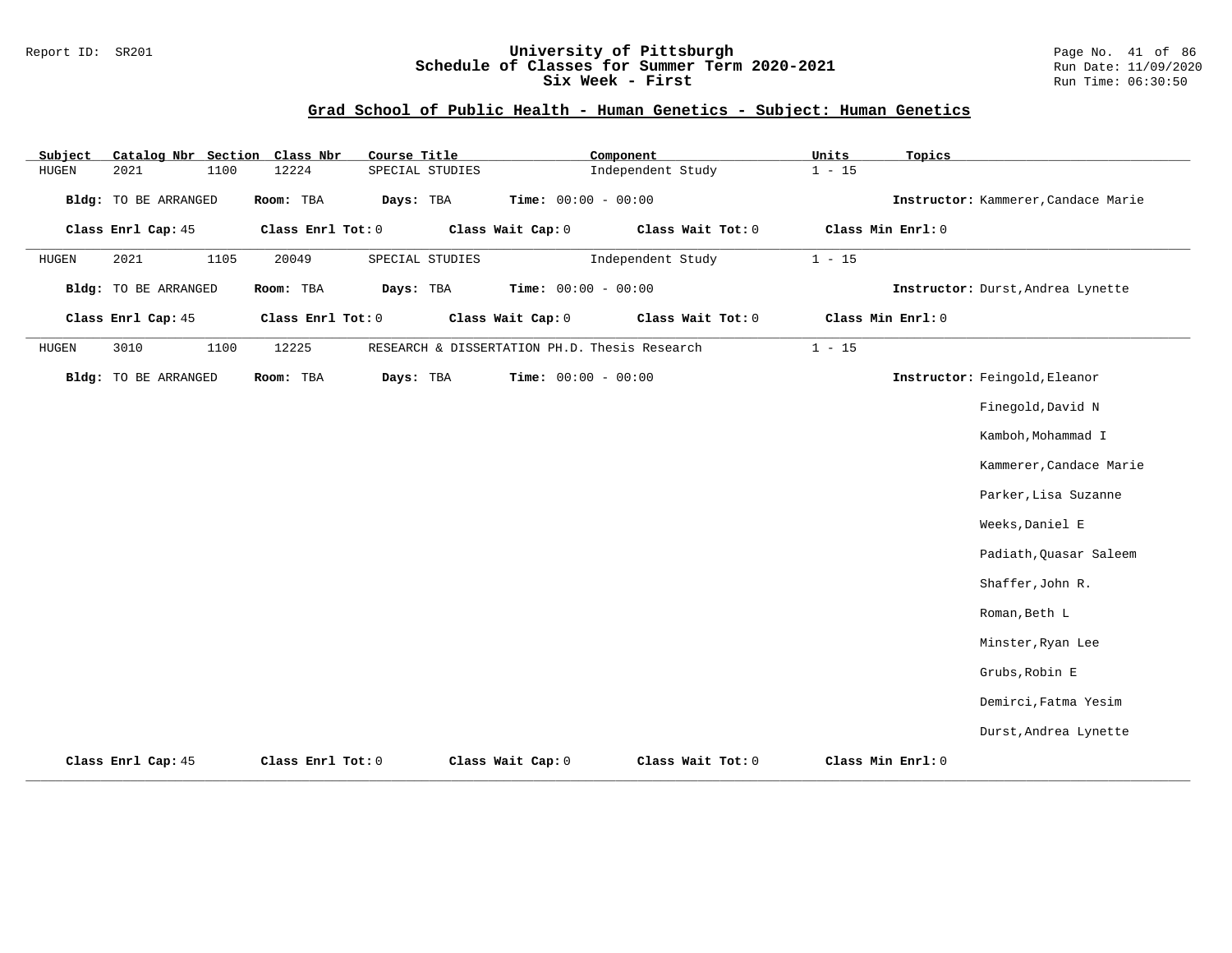## Report ID: SR201 **University of Pittsburgh** Page No. 41 of 86 **Schedule of Classes for Summer Term 2020-2021** Run Date: 11/09/2020 **Six Week - First Run Time: 06:30:50** Run Time: 06:30:50

# **Grad School of Public Health - Human Genetics - Subject: Human Genetics**

| Subject      | Catalog Nbr Section Class Nbr |      |           | Course Title      |                                               |                   | Component             |                   | Units    | Topics            |                                     |
|--------------|-------------------------------|------|-----------|-------------------|-----------------------------------------------|-------------------|-----------------------|-------------------|----------|-------------------|-------------------------------------|
| HUGEN        | 2021                          | 1100 | 12224     |                   | SPECIAL STUDIES                               |                   | Independent Study     |                   | $1 - 15$ |                   |                                     |
|              | <b>Bldg:</b> TO BE ARRANGED   |      | Room: TBA | Days: TBA         |                                               |                   | Time: $00:00 - 00:00$ |                   |          |                   | Instructor: Kammerer, Candace Marie |
|              | Class Enrl Cap: 45            |      |           | Class Enrl Tot: 0 |                                               | Class Wait Cap: 0 |                       | Class Wait Tot: 0 |          | Class Min Enrl: 0 |                                     |
| <b>HUGEN</b> | 2021                          | 1105 | 20049     |                   | SPECIAL STUDIES                               |                   | Independent Study     |                   | $1 - 15$ |                   |                                     |
|              | Bldg: TO BE ARRANGED          |      | Room: TBA | Days: TBA         |                                               |                   | Time: $00:00 - 00:00$ |                   |          |                   | Instructor: Durst, Andrea Lynette   |
|              | Class Enrl Cap: 45            |      |           | Class Enrl Tot: 0 |                                               | Class Wait Cap: 0 |                       | Class Wait Tot: 0 |          | Class Min Enrl: 0 |                                     |
| HUGEN        | 3010                          | 1100 | 12225     |                   | RESEARCH & DISSERTATION PH.D. Thesis Research |                   |                       |                   | $1 - 15$ |                   |                                     |
|              | <b>Bldg:</b> TO BE ARRANGED   |      | Room: TBA | Days: TBA         |                                               |                   | Time: $00:00 - 00:00$ |                   |          |                   | Instructor: Feingold, Eleanor       |
|              |                               |      |           |                   |                                               |                   |                       |                   |          |                   | Finegold, David N                   |
|              |                               |      |           |                   |                                               |                   |                       |                   |          |                   | Kamboh, Mohammad I                  |
|              |                               |      |           |                   |                                               |                   |                       |                   |          |                   | Kammerer, Candace Marie             |
|              |                               |      |           |                   |                                               |                   |                       |                   |          |                   | Parker, Lisa Suzanne                |
|              |                               |      |           |                   |                                               |                   |                       |                   |          |                   | Weeks, Daniel E                     |
|              |                               |      |           |                   |                                               |                   |                       |                   |          |                   | Padiath, Quasar Saleem              |
|              |                               |      |           |                   |                                               |                   |                       |                   |          |                   | Shaffer, John R.                    |
|              |                               |      |           |                   |                                               |                   |                       |                   |          |                   | Roman, Beth L                       |
|              |                               |      |           |                   |                                               |                   |                       |                   |          |                   | Minster, Ryan Lee                   |
|              |                               |      |           |                   |                                               |                   |                       |                   |          |                   | Grubs, Robin E                      |
|              |                               |      |           |                   |                                               |                   |                       |                   |          |                   | Demirci, Fatma Yesim                |
|              |                               |      |           |                   |                                               |                   |                       |                   |          |                   | Durst, Andrea Lynette               |
|              | Class Enrl Cap: 45            |      |           | Class Enrl Tot: 0 |                                               | Class Wait Cap: 0 |                       | Class Wait Tot: 0 |          | Class Min Enrl: 0 |                                     |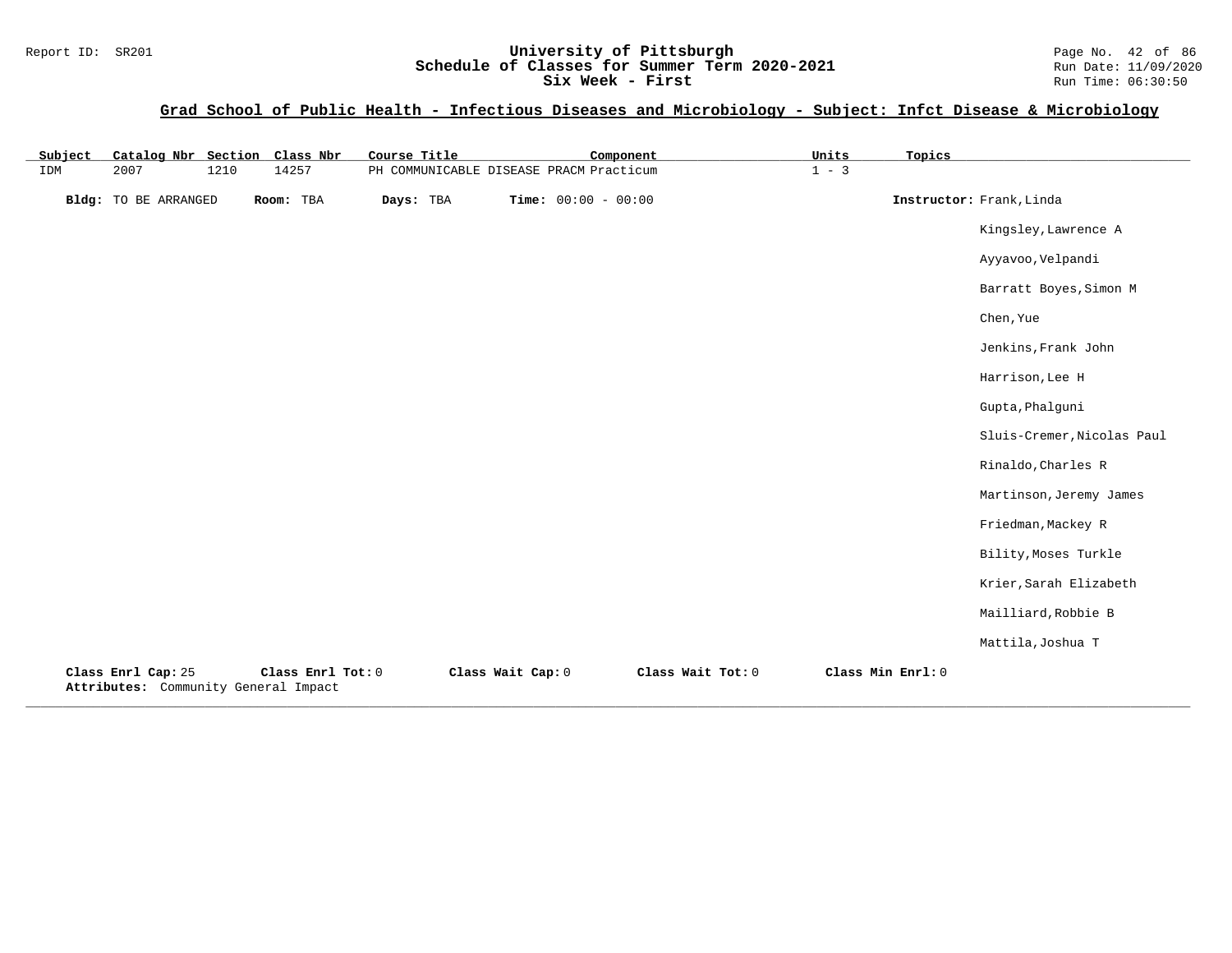# **Grad School of Public Health - Infectious Diseases and Microbiology - Subject: Infct Disease & Microbiology**

| Subject | Catalog Nbr Section Class Nbr                              |      |                   | Course Title |                   | Component                               |                   | Units   | Topics            |                            |
|---------|------------------------------------------------------------|------|-------------------|--------------|-------------------|-----------------------------------------|-------------------|---------|-------------------|----------------------------|
| IDM     | 2007                                                       | 1210 | 14257             |              |                   | PH COMMUNICABLE DISEASE PRACM Practicum |                   | $1 - 3$ |                   |                            |
|         | <b>Bldg:</b> TO BE ARRANGED                                |      | Room: TBA         | Days: TBA    |                   | <b>Time:</b> $00:00 - 00:00$            |                   |         |                   | Instructor: Frank, Linda   |
|         |                                                            |      |                   |              |                   |                                         |                   |         |                   | Kingsley, Lawrence A       |
|         |                                                            |      |                   |              |                   |                                         |                   |         |                   | Ayyavoo, Velpandi          |
|         |                                                            |      |                   |              |                   |                                         |                   |         |                   | Barratt Boyes, Simon M     |
|         |                                                            |      |                   |              |                   |                                         |                   |         |                   | Chen, Yue                  |
|         |                                                            |      |                   |              |                   |                                         |                   |         |                   | Jenkins, Frank John        |
|         |                                                            |      |                   |              |                   |                                         |                   |         |                   | Harrison, Lee H            |
|         |                                                            |      |                   |              |                   |                                         |                   |         |                   | Gupta, Phalguni            |
|         |                                                            |      |                   |              |                   |                                         |                   |         |                   | Sluis-Cremer, Nicolas Paul |
|         |                                                            |      |                   |              |                   |                                         |                   |         |                   | Rinaldo, Charles R         |
|         |                                                            |      |                   |              |                   |                                         |                   |         |                   | Martinson, Jeremy James    |
|         |                                                            |      |                   |              |                   |                                         |                   |         |                   | Friedman, Mackey R         |
|         |                                                            |      |                   |              |                   |                                         |                   |         |                   | Bility, Moses Turkle       |
|         |                                                            |      |                   |              |                   |                                         |                   |         |                   | Krier, Sarah Elizabeth     |
|         |                                                            |      |                   |              |                   |                                         |                   |         |                   | Mailliard, Robbie B        |
|         |                                                            |      |                   |              |                   |                                         |                   |         |                   | Mattila, Joshua T          |
|         | Class Enrl Cap: 25<br>Attributes: Community General Impact |      | Class Enrl Tot: 0 |              | Class Wait Cap: 0 |                                         | Class Wait Tot: 0 |         | Class Min Enrl: 0 |                            |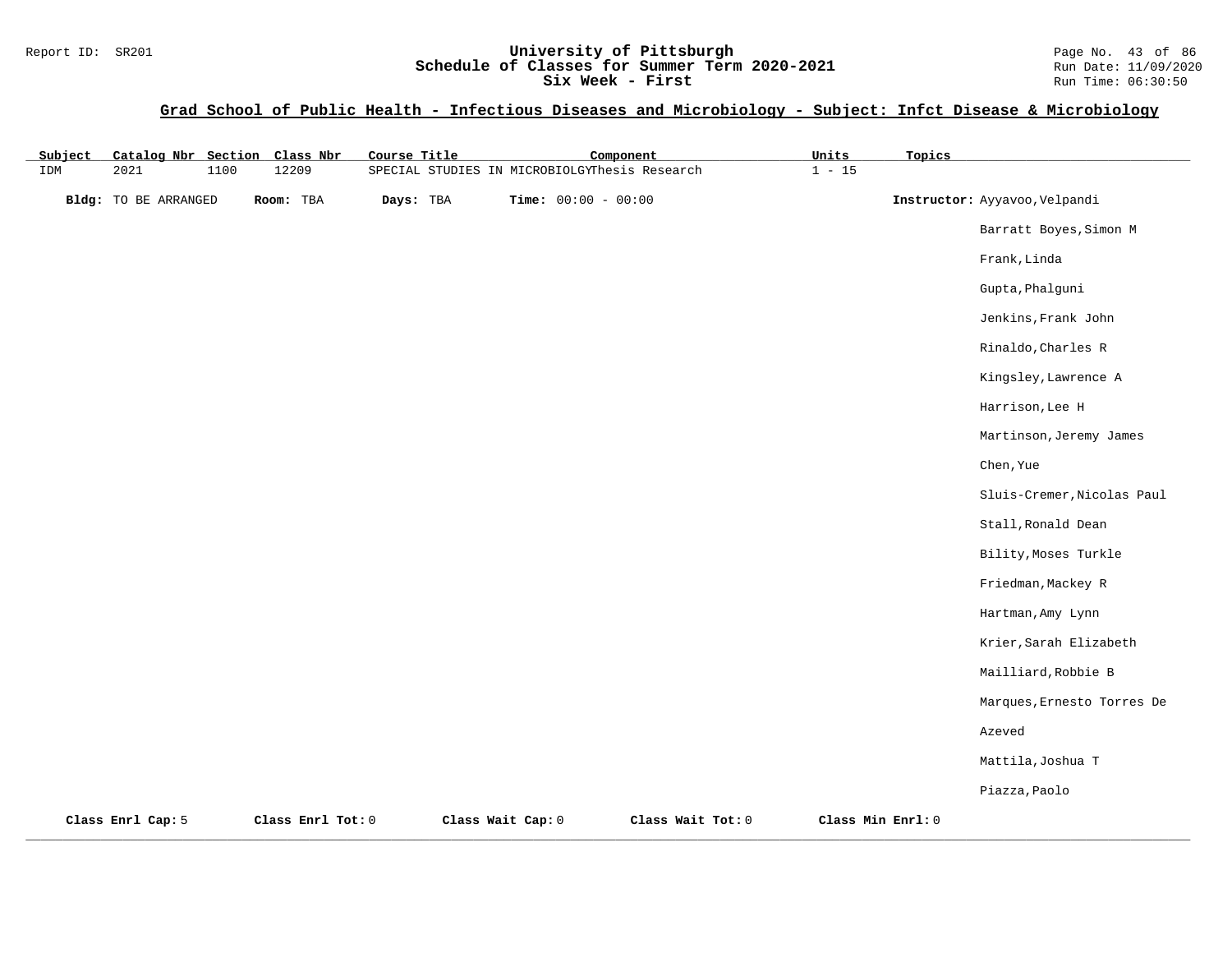## Report ID: SR201 **1988 Mage 10: SR201 University of Pittsburgh** Page No. 43 of 86<br>**Schedule of Classes for Summer Term 2020-2021** Run Date: 11/09/2020 **Schedule of Classes for Summer Term 2020-2021** Run Date: 11/09/2020<br>Six Week - First Run Time: 06:30:50 Six Week - First

## **Grad School of Public Health - Infectious Diseases and Microbiology - Subject: Infct Disease & Microbiology**

| Subject |                      |      | Catalog Nbr Section Class Nbr | Course Title |                                               | Component                    |                   | Units             | Topics |                               |
|---------|----------------------|------|-------------------------------|--------------|-----------------------------------------------|------------------------------|-------------------|-------------------|--------|-------------------------------|
| IDM     | 2021                 | 1100 | 12209                         |              | SPECIAL STUDIES IN MICROBIOLGYThesis Research |                              |                   | $1 - 15$          |        |                               |
|         | Bldg: TO BE ARRANGED |      | Room: TBA                     | Days: TBA    |                                               | <b>Time:</b> $00:00 - 00:00$ |                   |                   |        | Instructor: Ayyavoo, Velpandi |
|         |                      |      |                               |              |                                               |                              |                   |                   |        | Barratt Boyes, Simon M        |
|         |                      |      |                               |              |                                               |                              |                   |                   |        | Frank, Linda                  |
|         |                      |      |                               |              |                                               |                              |                   |                   |        | Gupta, Phalguni               |
|         |                      |      |                               |              |                                               |                              |                   |                   |        | Jenkins, Frank John           |
|         |                      |      |                               |              |                                               |                              |                   |                   |        | Rinaldo, Charles R            |
|         |                      |      |                               |              |                                               |                              |                   |                   |        | Kingsley, Lawrence A          |
|         |                      |      |                               |              |                                               |                              |                   |                   |        | Harrison, Lee H               |
|         |                      |      |                               |              |                                               |                              |                   |                   |        | Martinson, Jeremy James       |
|         |                      |      |                               |              |                                               |                              |                   |                   |        | Chen, Yue                     |
|         |                      |      |                               |              |                                               |                              |                   |                   |        | Sluis-Cremer, Nicolas Paul    |
|         |                      |      |                               |              |                                               |                              |                   |                   |        | Stall, Ronald Dean            |
|         |                      |      |                               |              |                                               |                              |                   |                   |        | Bility, Moses Turkle          |
|         |                      |      |                               |              |                                               |                              |                   |                   |        | Friedman, Mackey R            |
|         |                      |      |                               |              |                                               |                              |                   |                   |        | Hartman, Amy Lynn             |
|         |                      |      |                               |              |                                               |                              |                   |                   |        | Krier, Sarah Elizabeth        |
|         |                      |      |                               |              |                                               |                              |                   |                   |        | Mailliard, Robbie B           |
|         |                      |      |                               |              |                                               |                              |                   |                   |        | Marques, Ernesto Torres De    |
|         |                      |      |                               |              |                                               |                              |                   |                   |        | Azeved                        |
|         |                      |      |                               |              |                                               |                              |                   |                   |        | Mattila, Joshua T             |
|         |                      |      |                               |              |                                               |                              |                   |                   |        | Piazza, Paolo                 |
|         | Class Enrl Cap: 5    |      | Class Enrl Tot: 0             |              | Class Wait Cap: 0                             |                              | Class Wait Tot: 0 | Class Min Enrl: 0 |        |                               |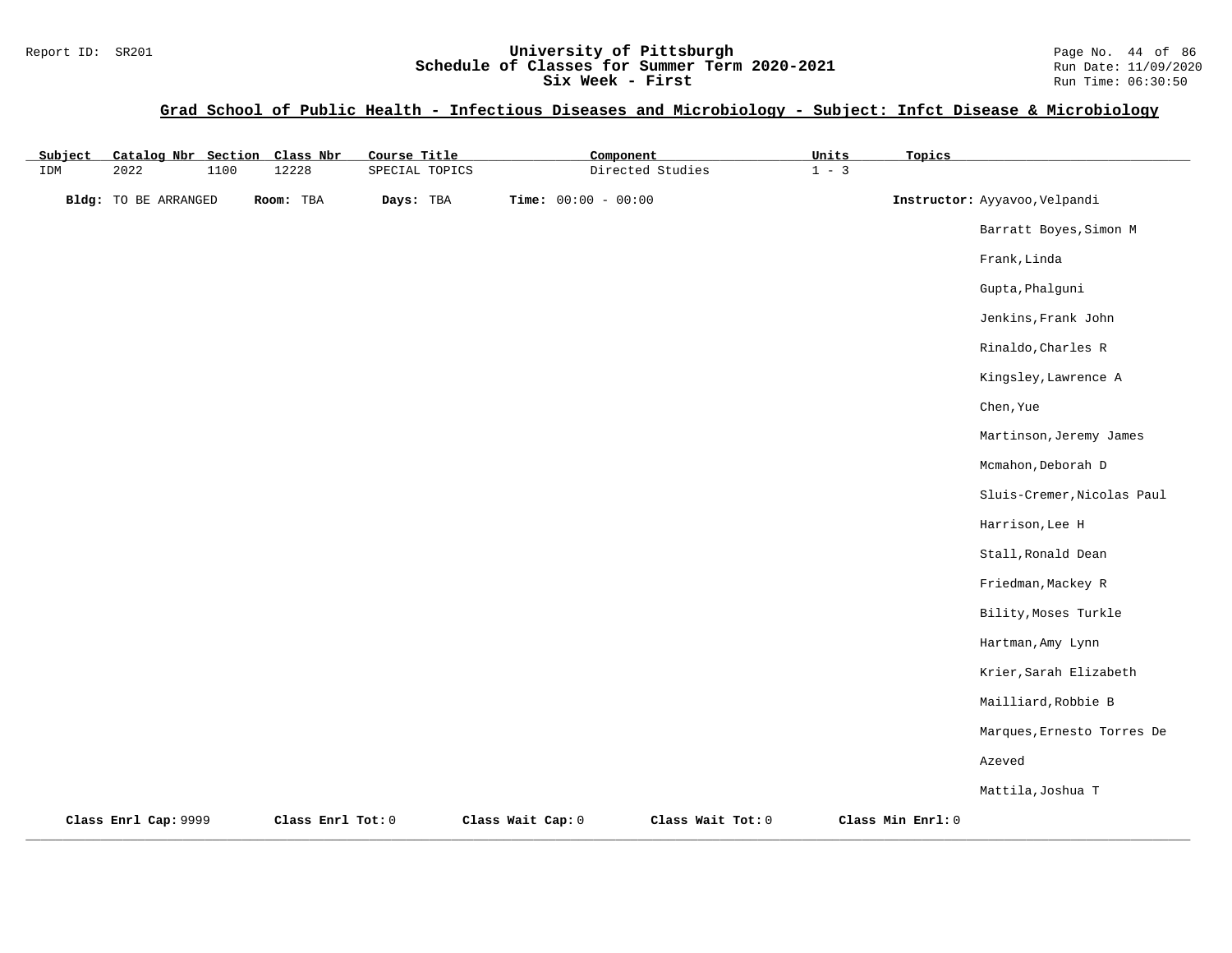## Report ID: SR201 **1988 Mage 10: SR201 University of Pittsburgh** Page No. 44 of 86<br>**Schedule of Classes for Summer Term 2020-2021** Run Date: 11/09/2020 **Schedule of Classes for Summer Term 2020-2021** Run Date: 11/09/2020<br>Six Week - First Run Time: 06:30:50 Six Week - First

## **Grad School of Public Health - Infectious Diseases and Microbiology - Subject: Infct Disease & Microbiology**

| Subject |                      |      | Catalog Nbr Section Class Nbr | Course Title   |                   | Component                    |                   | Units   | Topics            |                               |
|---------|----------------------|------|-------------------------------|----------------|-------------------|------------------------------|-------------------|---------|-------------------|-------------------------------|
| IDM     | 2022                 | 1100 | 12228                         | SPECIAL TOPICS |                   |                              | Directed Studies  | $1 - 3$ |                   |                               |
|         | Bldg: TO BE ARRANGED |      | Room: TBA                     | Days: TBA      |                   | <b>Time:</b> $00:00 - 00:00$ |                   |         |                   | Instructor: Ayyavoo, Velpandi |
|         |                      |      |                               |                |                   |                              |                   |         |                   | Barratt Boyes, Simon M        |
|         |                      |      |                               |                |                   |                              |                   |         |                   | Frank, Linda                  |
|         |                      |      |                               |                |                   |                              |                   |         |                   | Gupta, Phalguni               |
|         |                      |      |                               |                |                   |                              |                   |         |                   | Jenkins, Frank John           |
|         |                      |      |                               |                |                   |                              |                   |         |                   | Rinaldo, Charles R            |
|         |                      |      |                               |                |                   |                              |                   |         |                   | Kingsley, Lawrence A          |
|         |                      |      |                               |                |                   |                              |                   |         |                   | Chen, Yue                     |
|         |                      |      |                               |                |                   |                              |                   |         |                   | Martinson, Jeremy James       |
|         |                      |      |                               |                |                   |                              |                   |         |                   | Mcmahon, Deborah D            |
|         |                      |      |                               |                |                   |                              |                   |         |                   | Sluis-Cremer, Nicolas Paul    |
|         |                      |      |                               |                |                   |                              |                   |         |                   | Harrison, Lee H               |
|         |                      |      |                               |                |                   |                              |                   |         |                   | Stall, Ronald Dean            |
|         |                      |      |                               |                |                   |                              |                   |         |                   | Friedman, Mackey R            |
|         |                      |      |                               |                |                   |                              |                   |         |                   | Bility, Moses Turkle          |
|         |                      |      |                               |                |                   |                              |                   |         |                   | Hartman, Amy Lynn             |
|         |                      |      |                               |                |                   |                              |                   |         |                   | Krier, Sarah Elizabeth        |
|         |                      |      |                               |                |                   |                              |                   |         |                   | Mailliard, Robbie B           |
|         |                      |      |                               |                |                   |                              |                   |         |                   | Marques, Ernesto Torres De    |
|         |                      |      |                               |                |                   |                              |                   |         |                   | Azeved                        |
|         |                      |      |                               |                |                   |                              |                   |         |                   | Mattila, Joshua T             |
|         | Class Enrl Cap: 9999 |      | Class Enrl Tot: 0             |                | Class Wait Cap: 0 |                              | Class Wait Tot: 0 |         | Class Min Enrl: 0 |                               |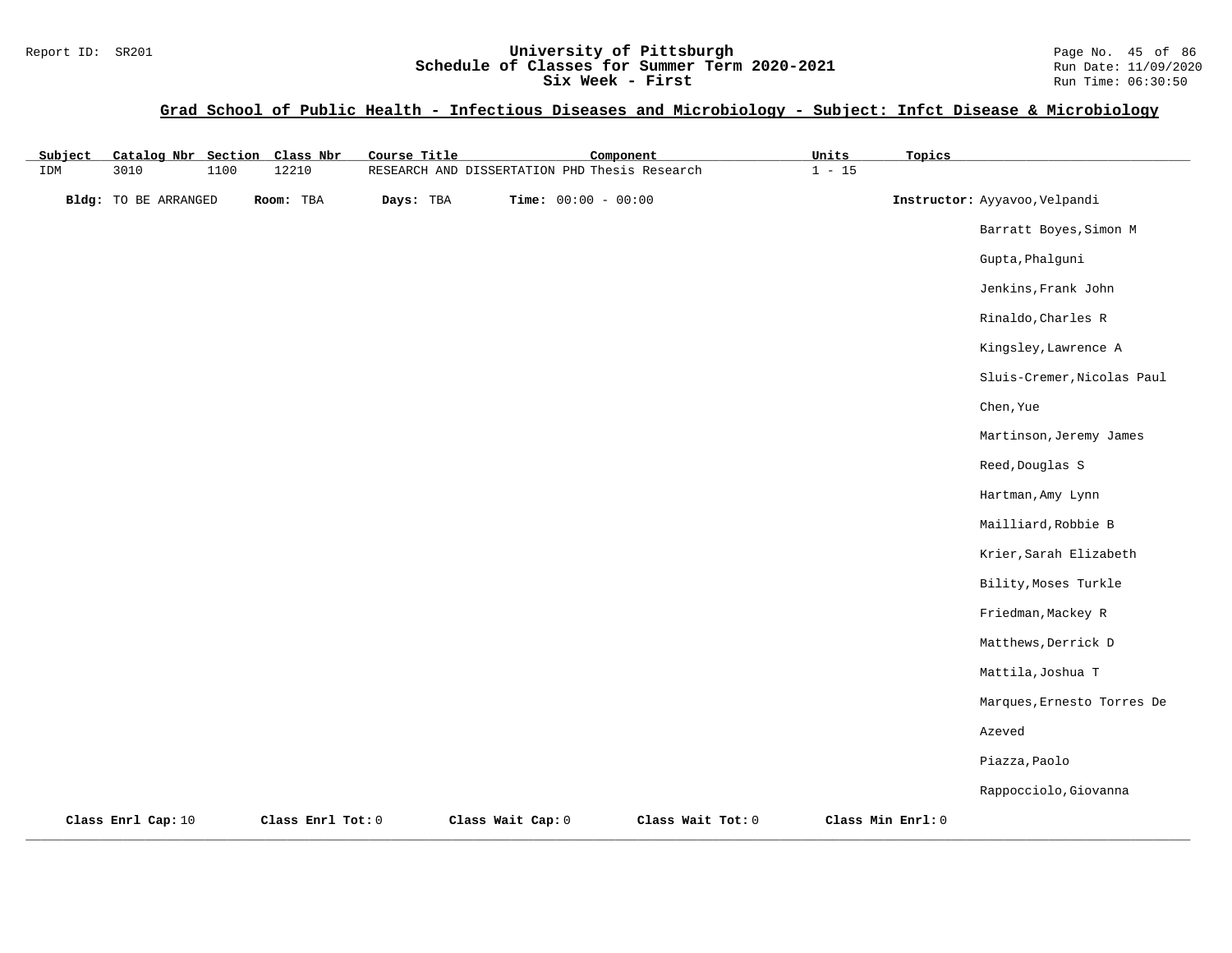## Report ID: SR201 **University of Pittsburgh University of Pittsburgh** Page No. 45 of 86<br>**Schedule of Classes for Summer Term 2020-2021** Run Date: 11/09/2020 **Schedule of Classes for Summer Term 2020-2021** Run Date: 11/09/2020<br>Six Week - First Run Time: 06:30:50 Six Week - First

## **Grad School of Public Health - Infectious Diseases and Microbiology - Subject: Infct Disease & Microbiology**

| Subject | Catalog Nbr Section Class Nbr |      |                   | Course Title |                                               | Component             |                   | Units    | Topics            |                               |
|---------|-------------------------------|------|-------------------|--------------|-----------------------------------------------|-----------------------|-------------------|----------|-------------------|-------------------------------|
| IDM     | 3010                          | 1100 | 12210             |              | RESEARCH AND DISSERTATION PHD Thesis Research |                       |                   | $1 - 15$ |                   |                               |
|         | <b>Bldg:</b> TO BE ARRANGED   |      | Room: TBA         | Days: TBA    |                                               | Time: $00:00 - 00:00$ |                   |          |                   | Instructor: Ayyavoo, Velpandi |
|         |                               |      |                   |              |                                               |                       |                   |          |                   | Barratt Boyes, Simon M        |
|         |                               |      |                   |              |                                               |                       |                   |          |                   | Gupta, Phalguni               |
|         |                               |      |                   |              |                                               |                       |                   |          |                   | Jenkins, Frank John           |
|         |                               |      |                   |              |                                               |                       |                   |          |                   | Rinaldo, Charles R            |
|         |                               |      |                   |              |                                               |                       |                   |          |                   | Kingsley, Lawrence A          |
|         |                               |      |                   |              |                                               |                       |                   |          |                   | Sluis-Cremer, Nicolas Paul    |
|         |                               |      |                   |              |                                               |                       |                   |          |                   | Chen, Yue                     |
|         |                               |      |                   |              |                                               |                       |                   |          |                   | Martinson, Jeremy James       |
|         |                               |      |                   |              |                                               |                       |                   |          |                   | Reed, Douglas S               |
|         |                               |      |                   |              |                                               |                       |                   |          |                   | Hartman, Amy Lynn             |
|         |                               |      |                   |              |                                               |                       |                   |          |                   | Mailliard, Robbie B           |
|         |                               |      |                   |              |                                               |                       |                   |          |                   | Krier, Sarah Elizabeth        |
|         |                               |      |                   |              |                                               |                       |                   |          |                   | Bility, Moses Turkle          |
|         |                               |      |                   |              |                                               |                       |                   |          |                   | Friedman, Mackey R            |
|         |                               |      |                   |              |                                               |                       |                   |          |                   | Matthews, Derrick D           |
|         |                               |      |                   |              |                                               |                       |                   |          |                   | Mattila, Joshua T             |
|         |                               |      |                   |              |                                               |                       |                   |          |                   | Marques, Ernesto Torres De    |
|         |                               |      |                   |              |                                               |                       |                   |          |                   | Azeved                        |
|         |                               |      |                   |              |                                               |                       |                   |          |                   | Piazza, Paolo                 |
|         |                               |      |                   |              |                                               |                       |                   |          |                   | Rappocciolo, Giovanna         |
|         | Class Enrl Cap: 10            |      | Class Enrl Tot: 0 |              | Class Wait Cap: 0                             |                       | Class Wait Tot: 0 |          | Class Min Enrl: 0 |                               |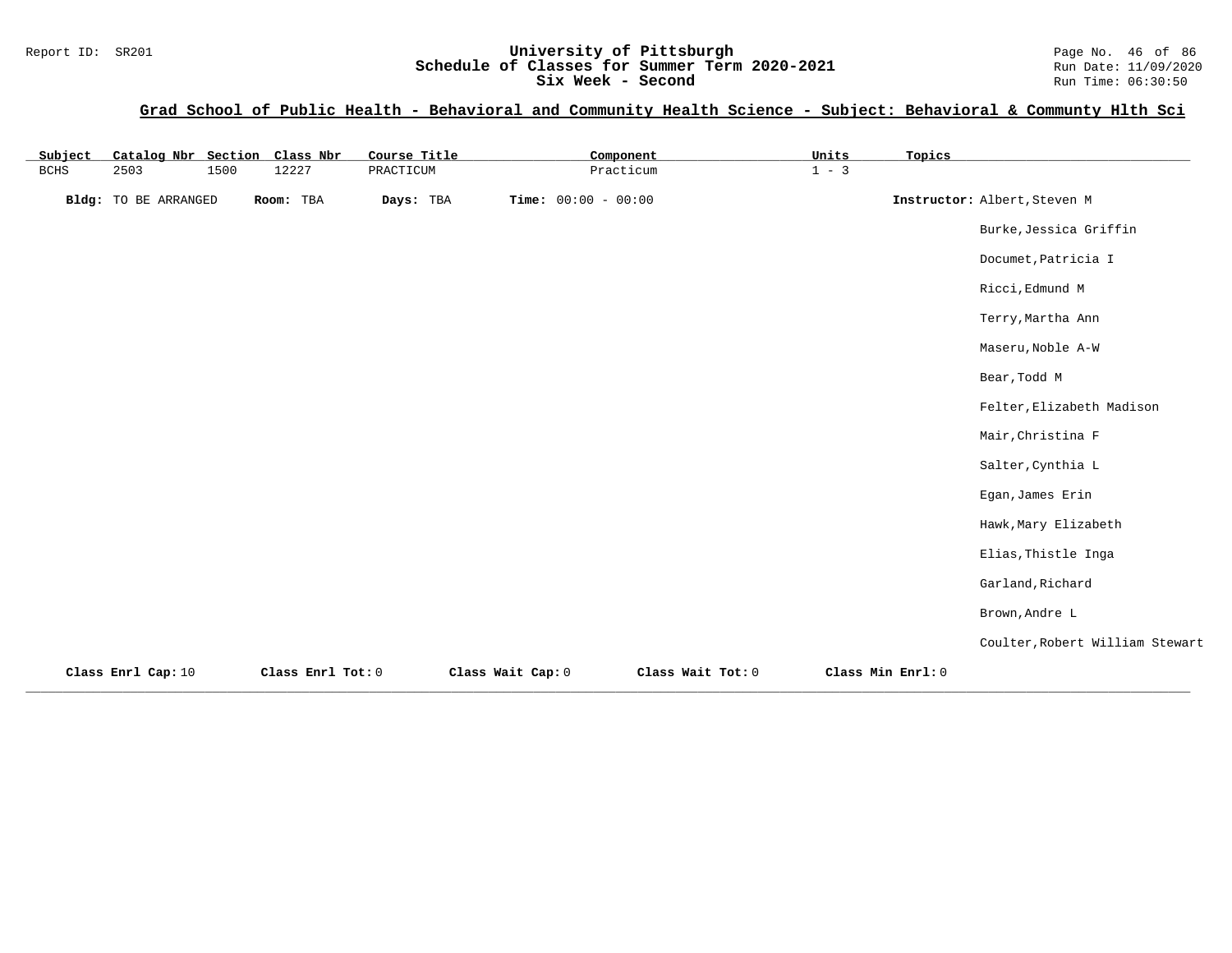| Subject     | Catalog Nbr Section Class Nbr |      |                   | Course Title |                       | Component         | Units   | Topics            |                                 |
|-------------|-------------------------------|------|-------------------|--------------|-----------------------|-------------------|---------|-------------------|---------------------------------|
| <b>BCHS</b> | 2503                          | 1500 | 12227             | PRACTICUM    |                       | Practicum         | $1 - 3$ |                   |                                 |
|             | <b>Bldg:</b> TO BE ARRANGED   |      | Room: TBA         | Days: TBA    | Time: $00:00 - 00:00$ |                   |         |                   | Instructor: Albert, Steven M    |
|             |                               |      |                   |              |                       |                   |         |                   | Burke, Jessica Griffin          |
|             |                               |      |                   |              |                       |                   |         |                   | Documet, Patricia I             |
|             |                               |      |                   |              |                       |                   |         |                   | Ricci, Edmund M                 |
|             |                               |      |                   |              |                       |                   |         |                   | Terry, Martha Ann               |
|             |                               |      |                   |              |                       |                   |         |                   | Maseru, Noble A-W               |
|             |                               |      |                   |              |                       |                   |         |                   | Bear, Todd M                    |
|             |                               |      |                   |              |                       |                   |         |                   | Felter, Elizabeth Madison       |
|             |                               |      |                   |              |                       |                   |         |                   | Mair, Christina F               |
|             |                               |      |                   |              |                       |                   |         |                   | Salter, Cynthia L               |
|             |                               |      |                   |              |                       |                   |         |                   | Egan, James Erin                |
|             |                               |      |                   |              |                       |                   |         |                   | Hawk, Mary Elizabeth            |
|             |                               |      |                   |              |                       |                   |         |                   | Elias, Thistle Inga             |
|             |                               |      |                   |              |                       |                   |         |                   | Garland, Richard                |
|             |                               |      |                   |              |                       |                   |         |                   | Brown, Andre L                  |
|             |                               |      |                   |              |                       |                   |         |                   | Coulter, Robert William Stewart |
|             | Class Enrl Cap: 10            |      | Class Enrl Tot: 0 |              | Class Wait Cap: 0     | Class Wait Tot: 0 |         | Class Min Enrl: 0 |                                 |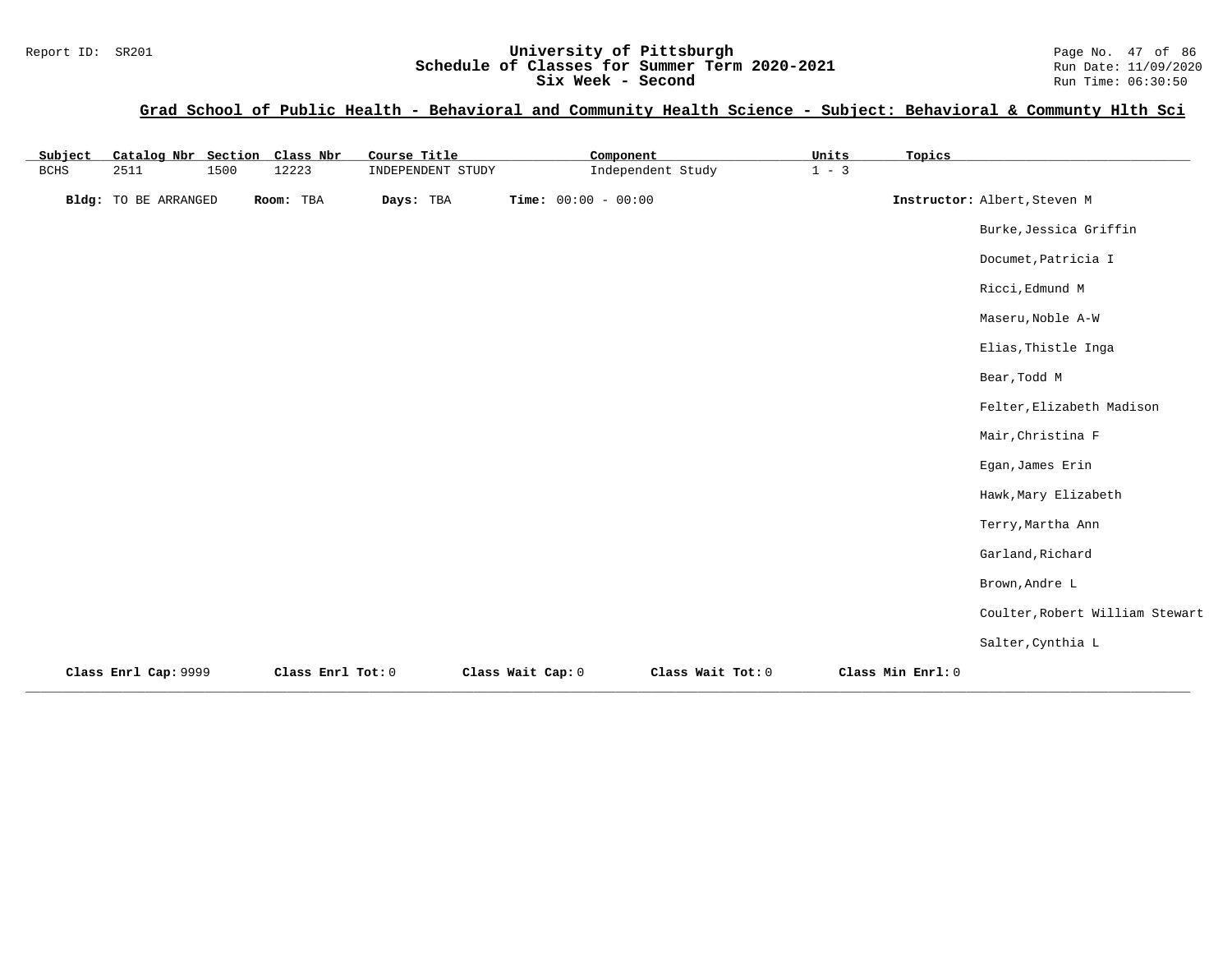| Subject | Catalog Nbr Section Class Nbr |      |                   | Course Title      | Component             |                   | Units   | Topics            |                                 |
|---------|-------------------------------|------|-------------------|-------------------|-----------------------|-------------------|---------|-------------------|---------------------------------|
| BCHS    | 2511                          | 1500 | 12223             | INDEPENDENT STUDY |                       | Independent Study | $1 - 3$ |                   |                                 |
|         | <b>Bldg:</b> TO BE ARRANGED   |      | Room: TBA         | Days: TBA         | Time: $00:00 - 00:00$ |                   |         |                   | Instructor: Albert, Steven M    |
|         |                               |      |                   |                   |                       |                   |         |                   | Burke, Jessica Griffin          |
|         |                               |      |                   |                   |                       |                   |         |                   | Documet, Patricia I             |
|         |                               |      |                   |                   |                       |                   |         |                   | Ricci, Edmund M                 |
|         |                               |      |                   |                   |                       |                   |         |                   | Maseru, Noble A-W               |
|         |                               |      |                   |                   |                       |                   |         |                   | Elias, Thistle Inga             |
|         |                               |      |                   |                   |                       |                   |         |                   | Bear, Todd M                    |
|         |                               |      |                   |                   |                       |                   |         |                   | Felter, Elizabeth Madison       |
|         |                               |      |                   |                   |                       |                   |         |                   | Mair, Christina F               |
|         |                               |      |                   |                   |                       |                   |         |                   | Egan, James Erin                |
|         |                               |      |                   |                   |                       |                   |         |                   | Hawk, Mary Elizabeth            |
|         |                               |      |                   |                   |                       |                   |         |                   | Terry, Martha Ann               |
|         |                               |      |                   |                   |                       |                   |         |                   | Garland, Richard                |
|         |                               |      |                   |                   |                       |                   |         |                   | Brown, Andre L                  |
|         |                               |      |                   |                   |                       |                   |         |                   | Coulter, Robert William Stewart |
|         |                               |      |                   |                   |                       |                   |         |                   | Salter, Cynthia L               |
|         | Class Enrl Cap: 9999          |      | Class Enrl Tot: 0 |                   | Class Wait Cap: 0     | Class Wait Tot: 0 |         | Class Min Enrl: 0 |                                 |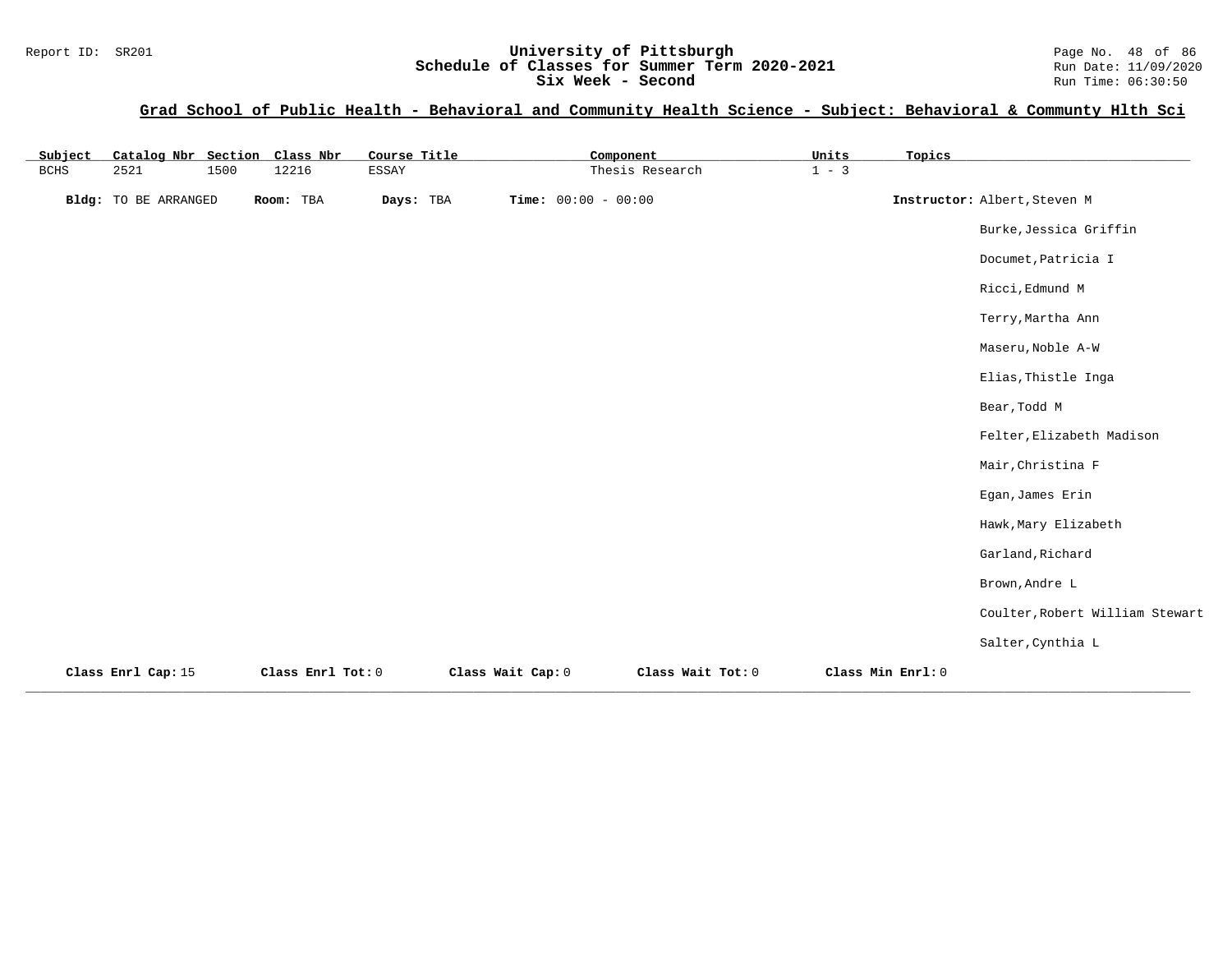## Report ID: SR201 **1988 Mage 10: SR201 University of Pittsburgh** Page No. 48 of 86<br>**Schedule of Classes for Summer Term 2020-2021** Run Date: 11/09/2020 **Schedule of Classes for Summer Term 2020-2021** Run Date: 11/09/2020<br>Six Week - Second Run Time: 06:30:50 Six Week - Second

| Subject     | Catalog Nbr Section Class Nbr |      |                   | Course Title |                       | Component         | Units             | Topics |                                 |
|-------------|-------------------------------|------|-------------------|--------------|-----------------------|-------------------|-------------------|--------|---------------------------------|
| <b>BCHS</b> | 2521                          | 1500 | 12216             | ESSAY        |                       | Thesis Research   | $1 - 3$           |        |                                 |
|             | Bldg: TO BE ARRANGED          |      | Room: TBA         | Days: TBA    | Time: $00:00 - 00:00$ |                   |                   |        | Instructor: Albert, Steven M    |
|             |                               |      |                   |              |                       |                   |                   |        | Burke, Jessica Griffin          |
|             |                               |      |                   |              |                       |                   |                   |        | Documet, Patricia I             |
|             |                               |      |                   |              |                       |                   |                   |        | Ricci, Edmund M                 |
|             |                               |      |                   |              |                       |                   |                   |        | Terry, Martha Ann               |
|             |                               |      |                   |              |                       |                   |                   |        | Maseru, Noble A-W               |
|             |                               |      |                   |              |                       |                   |                   |        | Elias, Thistle Inga             |
|             |                               |      |                   |              |                       |                   |                   |        | Bear, Todd M                    |
|             |                               |      |                   |              |                       |                   |                   |        | Felter, Elizabeth Madison       |
|             |                               |      |                   |              |                       |                   |                   |        | Mair, Christina F               |
|             |                               |      |                   |              |                       |                   |                   |        | Egan, James Erin                |
|             |                               |      |                   |              |                       |                   |                   |        | Hawk, Mary Elizabeth            |
|             |                               |      |                   |              |                       |                   |                   |        | Garland, Richard                |
|             |                               |      |                   |              |                       |                   |                   |        | Brown, Andre L                  |
|             |                               |      |                   |              |                       |                   |                   |        | Coulter, Robert William Stewart |
|             |                               |      |                   |              |                       |                   |                   |        | Salter, Cynthia L               |
|             | Class Enrl Cap: 15            |      | Class Enrl Tot: 0 |              | Class Wait Cap: 0     | Class Wait Tot: 0 | Class Min Enrl: 0 |        |                                 |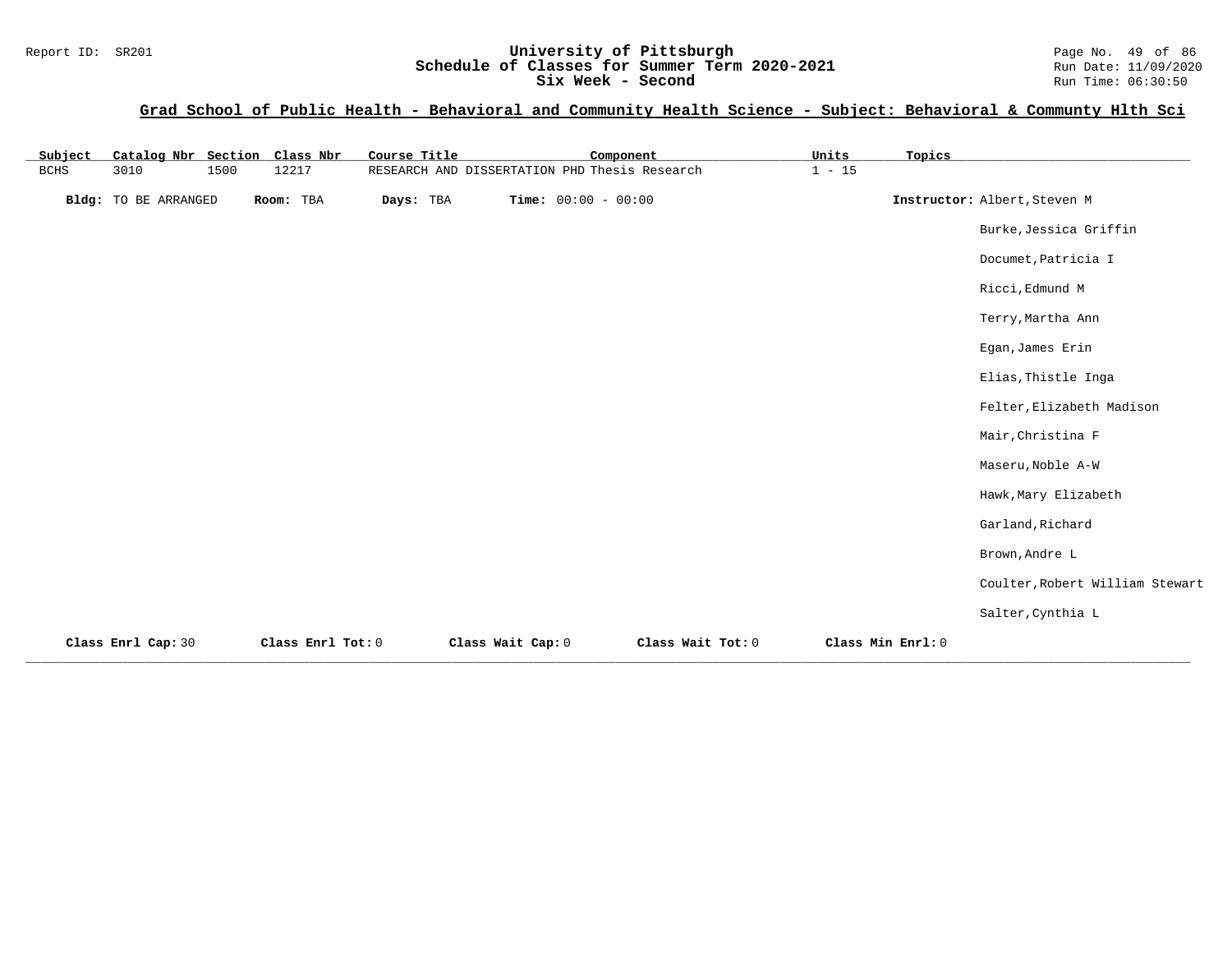# Report ID: SR201 **19 CHE CONFERNATION University of Pittsburgh** Page No. 49 of 86<br>**Schedule of Classes for Summer Term 2020-2021** Run Date: 11/09/2020 **Schedule of Classes for Summer Term 2020-2021** Run Date: 11/09/2020<br>Six Week - Second Run Time: 06:30:50

Six Week - Second

| Subject     | Catalog Nbr Section Class Nbr |      |                   | Course Title |                                               | Component         | Units             | Topics |                                 |
|-------------|-------------------------------|------|-------------------|--------------|-----------------------------------------------|-------------------|-------------------|--------|---------------------------------|
| <b>BCHS</b> | 3010                          | 1500 | 12217             |              | RESEARCH AND DISSERTATION PHD Thesis Research |                   | $1 - 15$          |        |                                 |
|             | Bldg: TO BE ARRANGED          |      | Room: TBA         | Days: TBA    | Time: $00:00 - 00:00$                         |                   |                   |        | Instructor: Albert, Steven M    |
|             |                               |      |                   |              |                                               |                   |                   |        | Burke, Jessica Griffin          |
|             |                               |      |                   |              |                                               |                   |                   |        | Documet, Patricia I             |
|             |                               |      |                   |              |                                               |                   |                   |        | Ricci, Edmund M                 |
|             |                               |      |                   |              |                                               |                   |                   |        | Terry, Martha Ann               |
|             |                               |      |                   |              |                                               |                   |                   |        | Egan, James Erin                |
|             |                               |      |                   |              |                                               |                   |                   |        | Elias, Thistle Inga             |
|             |                               |      |                   |              |                                               |                   |                   |        | Felter, Elizabeth Madison       |
|             |                               |      |                   |              |                                               |                   |                   |        | Mair, Christina F               |
|             |                               |      |                   |              |                                               |                   |                   |        | Maseru, Noble A-W               |
|             |                               |      |                   |              |                                               |                   |                   |        | Hawk, Mary Elizabeth            |
|             |                               |      |                   |              |                                               |                   |                   |        | Garland, Richard                |
|             |                               |      |                   |              |                                               |                   |                   |        | Brown, Andre L                  |
|             |                               |      |                   |              |                                               |                   |                   |        | Coulter, Robert William Stewart |
|             |                               |      |                   |              |                                               |                   |                   |        | Salter, Cynthia L               |
|             | Class Enrl Cap: 30            |      | Class Enrl Tot: 0 |              | Class Wait Cap: 0                             | Class Wait Tot: 0 | Class Min Enrl: 0 |        |                                 |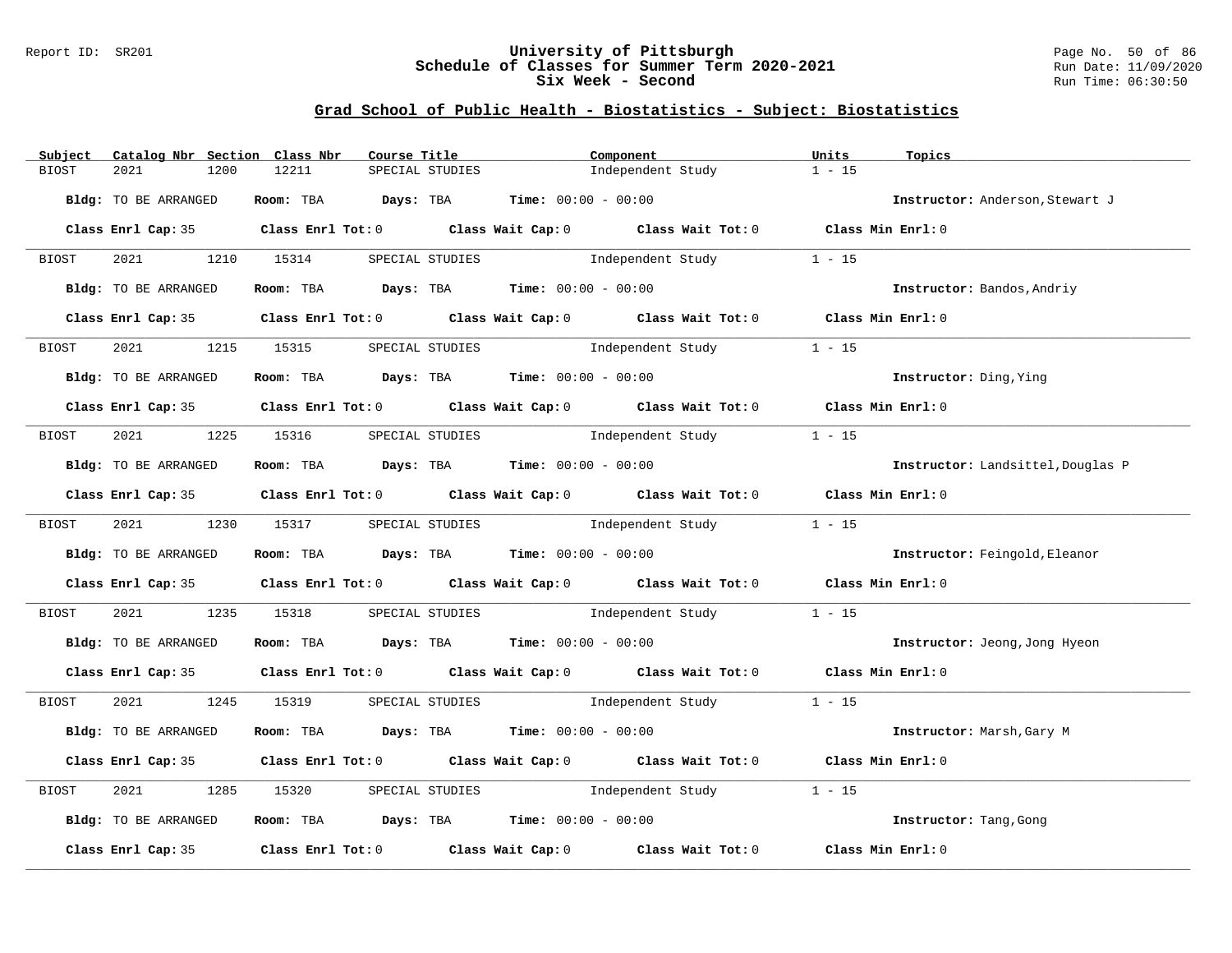## Report ID: SR201 **University of Pittsburgh** Page No. 50 of 86 **Schedule of Classes for Summer Term 2020-2021** Run Date: 11/09/2020 **Six Week - Second Run Time: 06:30:50**

| Subject      | Catalog Nbr Section Class Nbr | Course Title                                                                                        |                 | Component                         |                                       | Units             | Topics                            |
|--------------|-------------------------------|-----------------------------------------------------------------------------------------------------|-----------------|-----------------------------------|---------------------------------------|-------------------|-----------------------------------|
| BIOST        | 2021<br>1200                  | 12211                                                                                               | SPECIAL STUDIES |                                   | Independent Study                     | $1 - 15$          |                                   |
|              | Bldg: TO BE ARRANGED          | Room: TBA $Days:$ TBA $Time: 00:00 - 00:00$                                                         |                 |                                   |                                       |                   | Instructor: Anderson, Stewart J   |
|              |                               | Class Enrl Cap: 35 Class Enrl Tot: 0 Class Wait Cap: 0 Class Wait Tot: 0 Class Min Enrl: 0          |                 |                                   |                                       |                   |                                   |
| <b>BIOST</b> | 2021 1210 15314               |                                                                                                     | SPECIAL STUDIES |                                   | Independent Study                     | $1 - 15$          |                                   |
|              | Bldg: TO BE ARRANGED          | Room: TBA $Days:$ TBA $Time: 00:00 - 00:00$                                                         |                 |                                   |                                       |                   | Instructor: Bandos, Andriy        |
|              |                               | Class Enrl Cap: 35 Class Enrl Tot: 0 Class Wait Cap: 0 Class Wait Tot: 0 Class Min Enrl: 0          |                 |                                   |                                       |                   |                                   |
| BIOST        | 2021                          | 1215 15315                                                                                          | SPECIAL STUDIES |                                   | Independent Study                     | $1 - 15$          |                                   |
|              | Bldg: TO BE ARRANGED          | Room: TBA $Days: TBA$ Time: $00:00 - 00:00$                                                         |                 |                                   |                                       |                   | Instructor: Ding, Ying            |
|              |                               | Class Enrl Cap: 35 Class Enrl Tot: 0 Class Wait Cap: 0 Class Wait Tot: 0 Class Min Enrl: 0          |                 |                                   |                                       |                   |                                   |
| BIOST        | 2021 1225 15316               |                                                                                                     | SPECIAL STUDIES | Independent Study                 |                                       | $1 - 15$          |                                   |
|              | Bldg: TO BE ARRANGED          | Room: TBA $Days:$ TBA $Time: 00:00 - 00:00$                                                         |                 |                                   |                                       |                   | Instructor: Landsittel, Douglas P |
|              |                               | Class Enrl Cap: 35 Class Enrl Tot: 0 Class Wait Cap: 0 Class Wait Tot: 0 Class Min Enrl: 0          |                 |                                   |                                       |                   |                                   |
| BIOST        |                               | 2021 1230 15317 SPECIAL STUDIES Independent Study                                                   |                 |                                   |                                       | $1 - 15$          |                                   |
|              | Bldg: TO BE ARRANGED          | Room: TBA $Days:$ TBA $Time: 00:00 - 00:00$                                                         |                 |                                   |                                       |                   | Instructor: Feingold, Eleanor     |
|              |                               | Class Enrl Cap: 35 Class Enrl Tot: 0 Class Wait Cap: 0 Class Wait Tot: 0 Class Min Enrl: 0          |                 |                                   |                                       |                   |                                   |
| BIOST        | 2021 2022                     | 1235 15318                                                                                          |                 |                                   | SPECIAL STUDIES The Independent Study | $1 - 15$          |                                   |
|              | Bldg: TO BE ARRANGED          | Room: TBA $Days:$ TBA $Time:$ $00:00 - 00:00$                                                       |                 |                                   |                                       |                   | Instructor: Jeong, Jong Hyeon     |
|              |                               | Class Enrl Cap: 35 Class Enrl Tot: 0 Class Wait Cap: 0 Class Wait Tot: 0 Class Min Enrl: 0          |                 |                                   |                                       |                   |                                   |
| BIOST        |                               | 2021 1245 15319 SPECIAL STUDIES Independent Study 1 - 15                                            |                 |                                   |                                       |                   |                                   |
|              | Bldg: TO BE ARRANGED          | Room: TBA $Days:$ TBA $Time: 00:00 - 00:00$                                                         |                 |                                   |                                       |                   | Instructor: Marsh, Gary M         |
|              |                               | Class Enrl Cap: 35 Class Enrl Tot: 0 Class Wait Cap: 0 Class Wait Tot: 0 Class Min Enrl: 0          |                 |                                   |                                       |                   |                                   |
| BIOST        | 2021                          | 1285 15320                                                                                          |                 | SPECIAL STUDIES 1ndependent Study |                                       | $1 - 15$          |                                   |
|              | Bldg: TO BE ARRANGED          | Room: TBA $Days:$ TBA $Time: 00:00 - 00:00$                                                         |                 |                                   |                                       |                   | Instructor: Tang, Gong            |
|              |                               | Class Enrl Cap: 35 $\qquad$ Class Enrl Tot: 0 $\qquad$ Class Wait Cap: 0 $\qquad$ Class Wait Tot: 0 |                 |                                   |                                       | Class Min Enrl: 0 |                                   |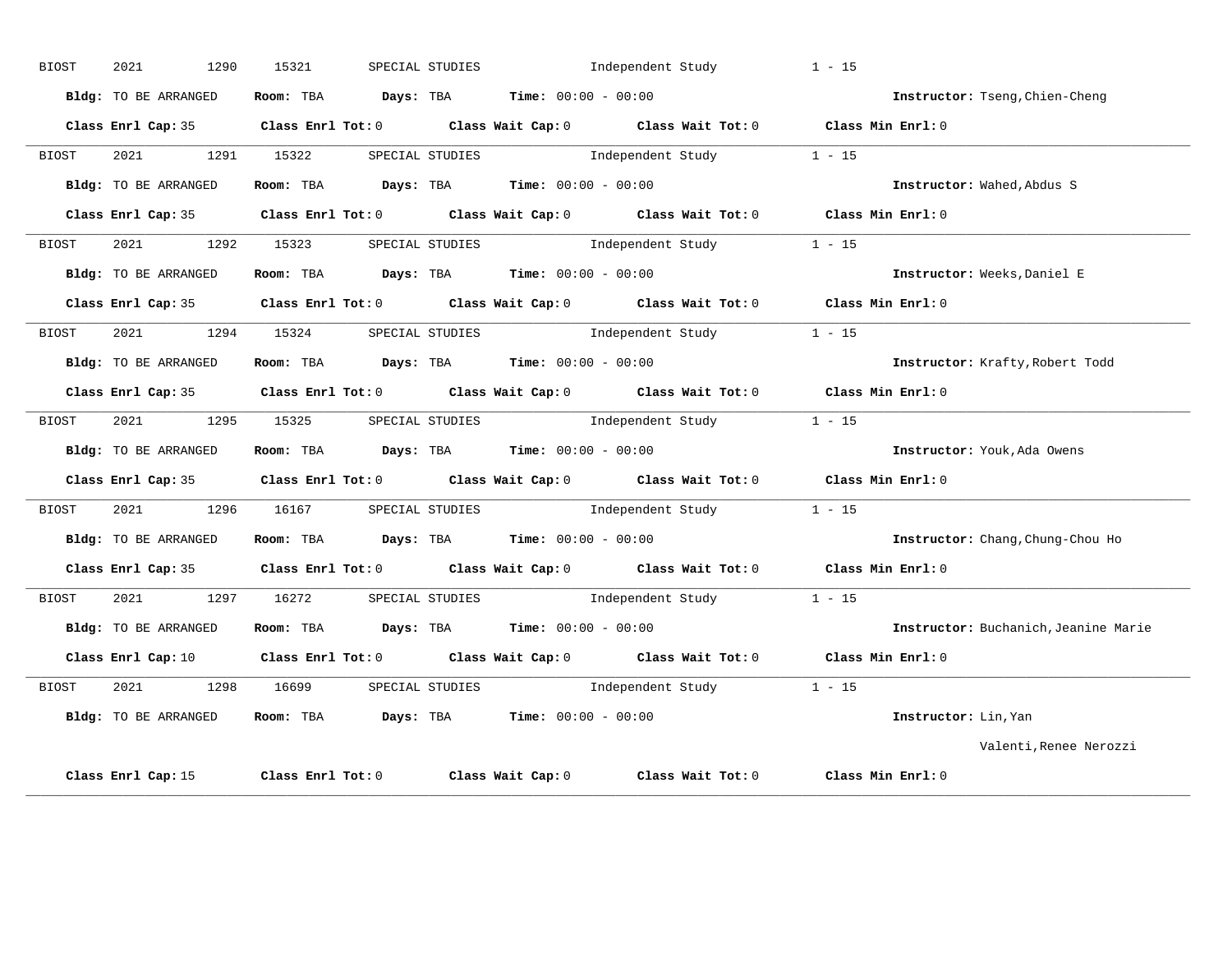| <b>BIOST</b> | 2021<br>1290         | 15321     | SPECIAL STUDIES                                                                         | Independent Study                                                                                                              | $1 - 15$                             |
|--------------|----------------------|-----------|-----------------------------------------------------------------------------------------|--------------------------------------------------------------------------------------------------------------------------------|--------------------------------------|
|              | Bldg: TO BE ARRANGED | Room: TBA | <b>Days:</b> TBA <b>Time:</b> $00:00 - 00:00$                                           |                                                                                                                                | Instructor: Tseng, Chien-Cheng       |
|              |                      |           |                                                                                         | Class Enrl Cap: 35 Class Enrl Tot: 0 Class Wait Cap: 0 Class Wait Tot: 0 Class Min Enrl: 0                                     |                                      |
| BIOST        | 2021 1291 15322      |           | SPECIAL STUDIES                                                                         | Independent Study                                                                                                              | $1 - 15$                             |
|              | Bldg: TO BE ARRANGED |           | Room: TBA $\rule{1em}{0.15mm}$ Days: TBA $\rule{1.15mm}]{0.15mm}$ Time: $00:00 - 00:00$ |                                                                                                                                | Instructor: Wahed, Abdus S           |
|              | Class Enrl Cap: 35   |           |                                                                                         | Class Enrl Tot: 0 Class Wait Cap: 0 Class Wait Tot: 0 Class Min Enrl: 0                                                        |                                      |
| BIOST        | 2021<br>1292         | 15323     |                                                                                         | SPECIAL STUDIES 1ndependent Study                                                                                              | $1 - 15$                             |
|              | Bldg: TO BE ARRANGED |           | Room: TBA $Days: TBA$ Time: $00:00 - 00:00$                                             |                                                                                                                                | Instructor: Weeks, Daniel E          |
|              |                      |           |                                                                                         | Class Enrl Cap: 35 Class Enrl Tot: 0 Class Wait Cap: 0 Class Wait Tot: 0 Class Min Enrl: 0                                     |                                      |
| BIOST        | 2021 1294 15324      |           |                                                                                         | SPECIAL STUDIES 1ndependent Study 1 - 15                                                                                       |                                      |
|              | Bldg: TO BE ARRANGED |           |                                                                                         | Room: TBA $Days:$ TBA $Time:$ $00:00 - 00:00$                                                                                  | Instructor: Krafty, Robert Todd      |
|              | Class Enrl Cap: 35   |           |                                                                                         | Class Enrl Tot: 0 Class Wait Cap: 0 Class Wait Tot: 0 Class Min Enrl: 0                                                        |                                      |
| BIOST        | 2021<br>1295         | 15325     |                                                                                         | SPECIAL STUDIES $I - 15$                                                                                                       |                                      |
|              | Bldg: TO BE ARRANGED |           | Room: TBA $Days: TBA$ Time: $00:00 - 00:00$                                             |                                                                                                                                | Instructor: Youk, Ada Owens          |
|              |                      |           |                                                                                         | Class Enrl Cap: 35 Class Enrl Tot: 0 Class Wait Cap: 0 Class Wait Tot: 0 Class Min Enrl: 0                                     |                                      |
| BIOST        | 2021 1296            |           |                                                                                         | 16167 SPECIAL STUDIES 1ndependent Study 1 - 15                                                                                 |                                      |
|              | Bldg: TO BE ARRANGED |           |                                                                                         | Room: TBA $\rule{1em}{0.5em}$ Days: TBA $\rule{1.5em}{0.5em}$ Time: $00:00 - 00:00$                                            | Instructor: Chang, Chung-Chou Ho     |
|              |                      |           |                                                                                         | Class Enrl Cap: 35 Class Enrl Tot: 0 Class Wait Cap: 0 Class Wait Tot: 0 Class Min Enrl: 0                                     |                                      |
| BIOST        | 2021<br>1297         | 16272     |                                                                                         | SPECIAL STUDIES 1 - 15                                                                                                         |                                      |
|              | Bldg: TO BE ARRANGED |           | Room: TBA $Days: TBA$ Time: $00:00 - 00:00$                                             |                                                                                                                                | Instructor: Buchanich, Jeanine Marie |
|              |                      |           |                                                                                         | Class Enrl Cap: 10 $\qquad$ Class Enrl Tot: 0 $\qquad$ Class Wait Cap: 0 $\qquad$ Class Wait Tot: 0 $\qquad$ Class Min Enrl: 0 |                                      |
|              |                      | 16699     |                                                                                         | SPECIAL STUDIES 1 - 15                                                                                                         |                                      |
| BIOST        | 2021 1298            |           |                                                                                         |                                                                                                                                |                                      |
|              | Bldg: TO BE ARRANGED | Room: TBA |                                                                                         | $\texttt{Days:}$ TBA $\texttt{Time:}$ 00:00 - 00:00                                                                            | Instructor: Lin, Yan                 |
|              |                      |           |                                                                                         |                                                                                                                                | Valenti, Renee Nerozzi               |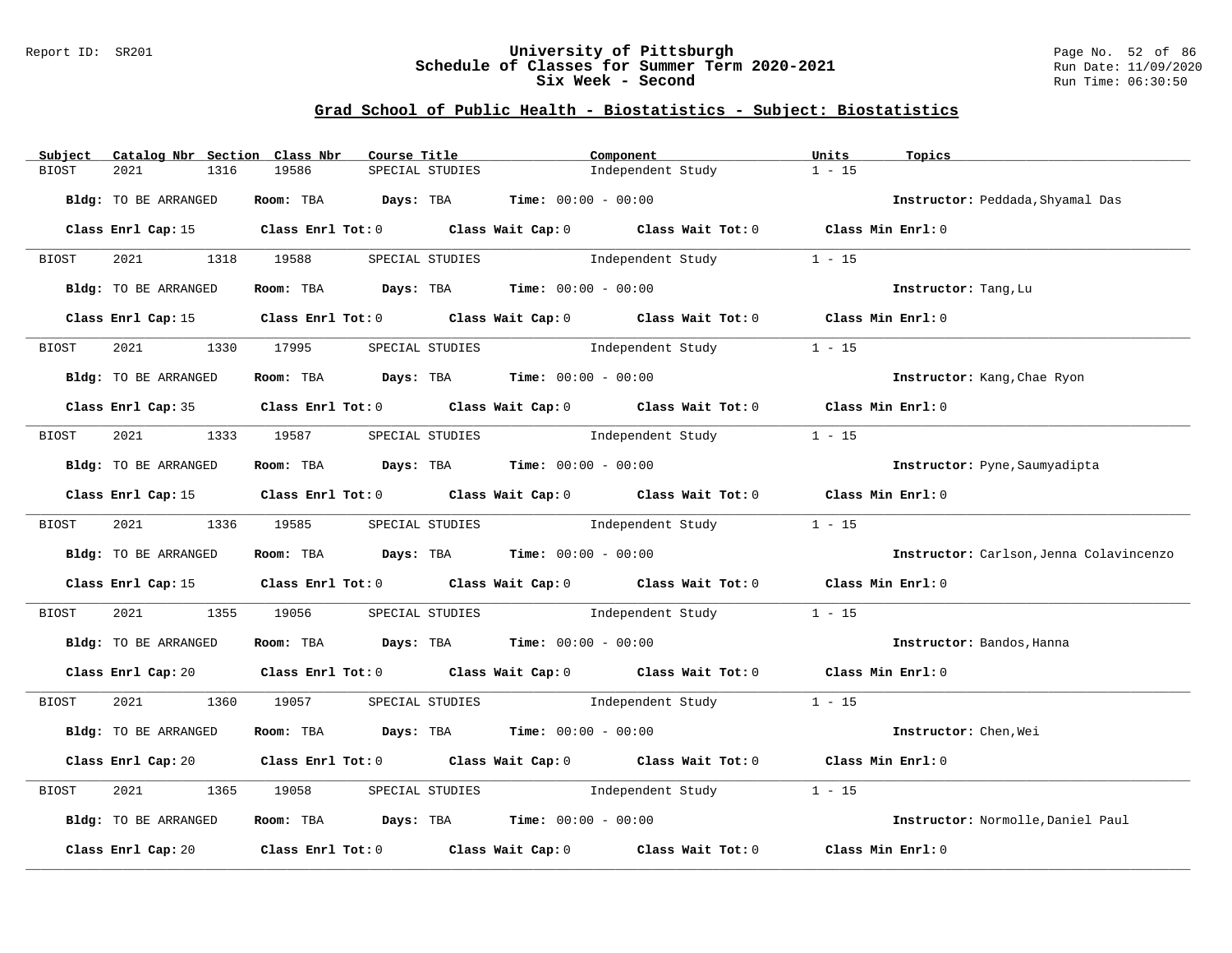## Report ID: SR201 **University of Pittsburgh** Page No. 52 of 86 **Schedule of Classes for Summer Term 2020-2021** Run Date: 11/09/2020 **Six Week - Second Run Time: 06:30:50**

| Subject      | Catalog Nbr Section Class Nbr | Course Title                                                                                           |                 | Component                         |                                          | Units             | Topics                                  |
|--------------|-------------------------------|--------------------------------------------------------------------------------------------------------|-----------------|-----------------------------------|------------------------------------------|-------------------|-----------------------------------------|
| <b>BIOST</b> | 2021<br>1316                  | 19586                                                                                                  | SPECIAL STUDIES |                                   | Independent Study                        | $1 - 15$          |                                         |
|              | Bldg: TO BE ARRANGED          | Room: TBA $Days:$ TBA $Time: 00:00 - 00:00$                                                            |                 |                                   |                                          |                   | Instructor: Peddada, Shyamal Das        |
|              | Class Enrl Cap: 15            | Class Enrl Tot: 0 Class Wait Cap: 0 Class Wait Tot: 0 Class Min Enrl: 0                                |                 |                                   |                                          |                   |                                         |
| BIOST        | 2021 1318 19588               |                                                                                                        |                 |                                   | SPECIAL STUDIES 1ndependent Study        | $1 - 15$          |                                         |
|              | Bldg: TO BE ARRANGED          | Room: TBA $Days: TBA$ Time: $00:00 - 00:00$                                                            |                 |                                   |                                          |                   | Instructor: Tang, Lu                    |
|              |                               | Class Enrl Cap: 15 Class Enrl Tot: 0 Class Wait Cap: 0 Class Wait Tot: 0 Class Min Enrl: 0             |                 |                                   |                                          |                   |                                         |
| BIOST        | 2021                          | 1330 17995                                                                                             | SPECIAL STUDIES |                                   | Independent Study                        | $1 - 15$          |                                         |
|              | Bldg: TO BE ARRANGED          | Room: TBA $Days:$ TBA $Time: 00:00 - 00:00$                                                            |                 |                                   |                                          |                   | Instructor: Kang, Chae Ryon             |
|              |                               | Class Enrl Cap: 35 Class Enrl Tot: 0 Class Wait Cap: 0 Class Wait Tot: 0 Class Min Enrl: 0             |                 |                                   |                                          |                   |                                         |
| BIOST        | 2021 1333 19587               |                                                                                                        | SPECIAL STUDIES | Independent Study                 |                                          | $1 - 15$          |                                         |
|              | Bldg: TO BE ARRANGED          | Room: TBA $Days:$ TBA Time: $00:00 - 00:00$                                                            |                 |                                   |                                          |                   | Instructor: Pyne, Saumyadipta           |
|              |                               | Class Enrl Cap: 15 Class Enrl Tot: 0 Class Wait Cap: 0 Class Wait Tot: 0 Class Min Enrl: 0             |                 |                                   |                                          |                   |                                         |
| BIOST        | 2021 1336 19585               |                                                                                                        | SPECIAL STUDIES |                                   | Independent Study                        | $1 - 15$          |                                         |
|              | Bldg: TO BE ARRANGED          | Room: TBA $Days: TBA$ Time: $00:00 - 00:00$                                                            |                 |                                   |                                          |                   | Instructor: Carlson, Jenna Colavincenzo |
|              |                               | Class Enrl Cap: 15 Class Enrl Tot: 0 Class Wait Cap: 0 Class Wait Tot: 0 Class Min Enrl: 0             |                 |                                   |                                          |                   |                                         |
| BIOST        | 2021<br>1355                  | 19056                                                                                                  |                 |                                   | SPECIAL STUDIES The Independent Study    | $1 - 15$          |                                         |
|              | Bldg: TO BE ARRANGED          | Room: TBA $Days: TBA$ Time: $00:00 - 00:00$                                                            |                 |                                   |                                          |                   | Instructor: Bandos, Hanna               |
|              |                               | Class Enrl Cap: 20 Class Enrl Tot: 0 Class Wait Cap: 0 Class Wait Tot: 0 Class Min Enrl: 0             |                 |                                   |                                          |                   |                                         |
| BIOST        | 2021 00                       | 1360 19057                                                                                             |                 |                                   | SPECIAL STUDIES 1ndependent Study 1 - 15 |                   |                                         |
|              | Bldg: TO BE ARRANGED          | Room: TBA $Days:$ TBA $Time: 00:00 - 00:00$                                                            |                 |                                   |                                          |                   | Instructor: Chen, Wei                   |
|              |                               | Class Enrl Cap: 20 		 Class Enrl Tot: 0 		 Class Wait Cap: 0 		 Class Wait Tot: 0 		 Class Min Enrl: 0 |                 |                                   |                                          |                   |                                         |
| BIOST        | 2021<br>1365                  | 19058                                                                                                  |                 | SPECIAL STUDIES 1ndependent Study |                                          | $1 - 15$          |                                         |
|              | Bldg: TO BE ARRANGED          | Room: TBA $Days:$ TBA $Time: 00:00 - 00:00$                                                            |                 |                                   |                                          |                   | Instructor: Normolle, Daniel Paul       |
|              | Class Enrl Cap: 20            | Class Enrl Tot: $0$ Class Wait Cap: $0$ Class Wait Tot: $0$                                            |                 |                                   |                                          | Class Min Enrl: 0 |                                         |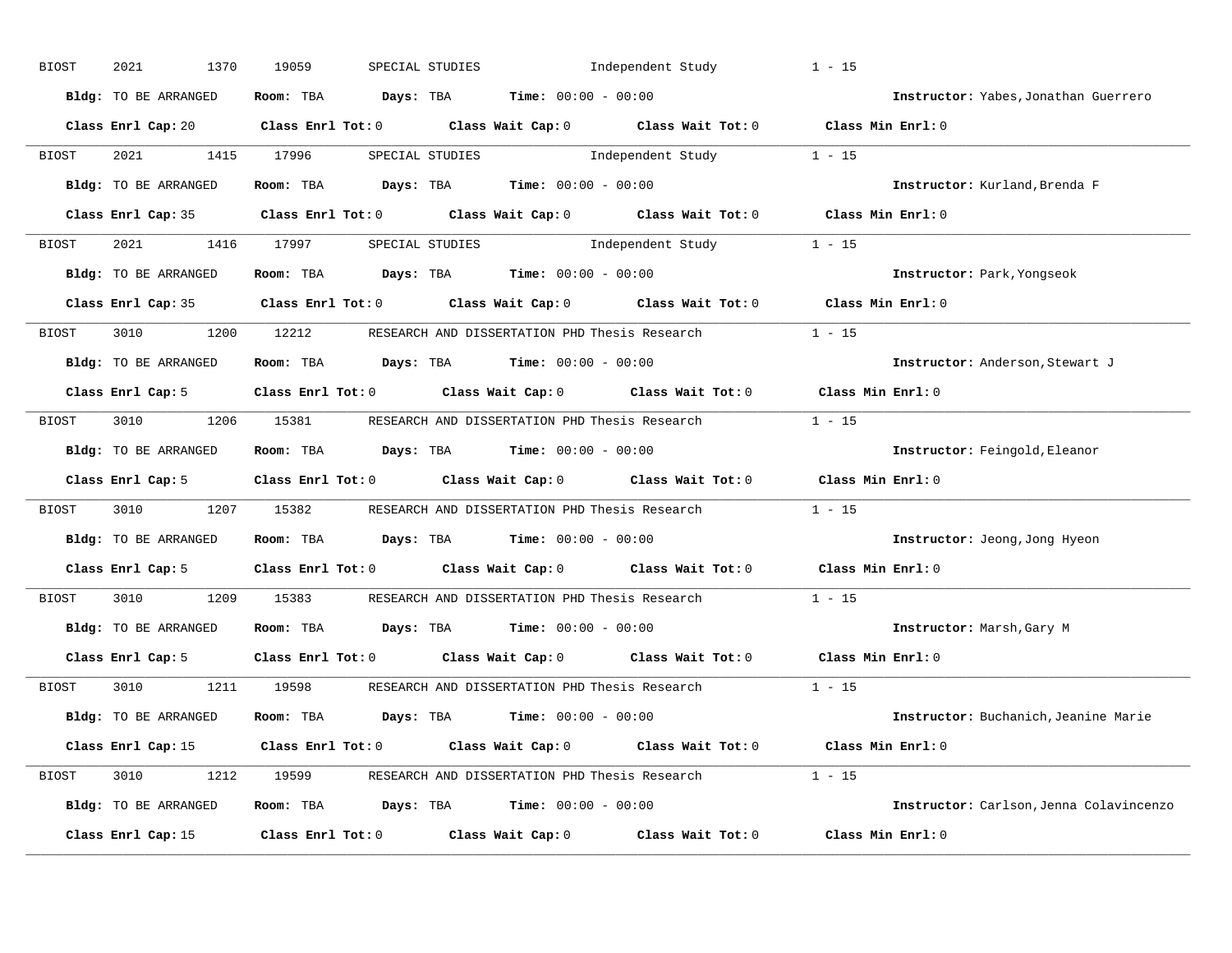| <b>BIOST</b> | 2021<br>1370         | 19059<br>SPECIAL STUDIES                                                                            |                                               | Independent Study | $1 - 15$                                |
|--------------|----------------------|-----------------------------------------------------------------------------------------------------|-----------------------------------------------|-------------------|-----------------------------------------|
|              | Bldg: TO BE ARRANGED | Room: TBA $Days:$ TBA $Time: 00:00 - 00:00$                                                         |                                               |                   | Instructor: Yabes, Jonathan Guerrero    |
|              |                      | Class Enrl Cap: 20 Class Enrl Tot: 0 Class Wait Cap: 0 Class Wait Tot: 0 Class Min Enrl: 0          |                                               |                   |                                         |
| BIOST        | 2021                 | 1415 17996                                                                                          | SPECIAL STUDIES 1ndependent Study 1 - 15      |                   |                                         |
|              | Bldg: TO BE ARRANGED | Room: TBA $Days:$ TBA $Time: 00:00 - 00:00$                                                         |                                               |                   | Instructor: Kurland, Brenda F           |
|              | Class Enrl Cap: 35   | Class Enrl Tot: 0 $\qquad$ Class Wait Cap: 0 $\qquad$ Class Wait Tot: 0 $\qquad$ Class Min Enrl: 0  |                                               |                   |                                         |
| BIOST        | 2021 1416 17997      |                                                                                                     | SPECIAL STUDIES 1ndependent Study 1 - 15      |                   |                                         |
|              | Bldg: TO BE ARRANGED | Room: TBA $\rule{1em}{0.15mm}$ Days: TBA Time: $00:00 - 00:00$                                      |                                               |                   | Instructor: Park, Yongseok              |
|              |                      | Class Enrl Cap: 35 $\qquad$ Class Enrl Tot: 0 $\qquad$ Class Wait Cap: 0 $\qquad$ Class Wait Tot: 0 |                                               |                   | Class Min Enrl: 0                       |
| BIOST        | 3010 000             | 1200 12212 RESEARCH AND DISSERTATION PHD Thesis Research                                            |                                               |                   | $1 - 15$                                |
|              | Bldg: TO BE ARRANGED | Room: TBA $Days:$ TBA $Time: 00:00 - 00:00$                                                         |                                               |                   | Instructor: Anderson, Stewart J         |
|              | Class Enrl Cap: 5    | Class Enrl Tot: $0$ Class Wait Cap: $0$ Class Wait Tot: $0$ Class Min Enrl: $0$                     |                                               |                   |                                         |
| BIOST        |                      | 3010 1206 15381 RESEARCH AND DISSERTATION PHD Thesis Research                                       |                                               |                   | $1 - 15$                                |
|              | Bldg: TO BE ARRANGED | Room: TBA $Days:$ TBA $Time: 00:00 - 00:00$                                                         |                                               |                   | Instructor: Feingold, Eleanor           |
|              | Class Enrl Cap: 5    | Class Enrl Tot: $0$ Class Wait Cap: $0$ Class Wait Tot: $0$                                         |                                               |                   | $\texttt{Class Min Enrl:} 0$            |
| BIOST        | 3010                 | 1207 15382                                                                                          | RESEARCH AND DISSERTATION PHD Thesis Research |                   | $1 - 15$                                |
|              | Bldg: TO BE ARRANGED | Room: TBA $\rule{1em}{0.15mm}$ Days: TBA $\rule{1.15mm}]{0.15mm}$ Time: $0.000 - 0.0000$            |                                               |                   | Instructor: Jeong, Jong Hyeon           |
|              | Class Enrl Cap: 5    | Class Enrl Tot: 0 Class Wait Cap: 0 Class Wait Tot: 0                                               |                                               |                   | Class Min Enrl: 0                       |
| BIOST        | 3010 000<br>1209     | 15383                                                                                               | RESEARCH AND DISSERTATION PHD Thesis Research |                   | $1 - 15$                                |
|              | Bldg: TO BE ARRANGED | Room: TBA $Days:$ TBA $Time: 00:00 - 00:00$                                                         |                                               |                   | Instructor: Marsh, Gary M               |
|              | Class Enrl Cap: 5    | Class Enrl Tot: 0 Class Wait Cap: 0 Class Wait Tot: 0                                               |                                               |                   | Class Min Enrl: 0                       |
| BIOST        | 3010                 | 1211 19598                                                                                          | RESEARCH AND DISSERTATION PHD Thesis Research |                   | $1 - 15$                                |
|              | Bldg: TO BE ARRANGED | Room: TBA $Days: TBA$ Time: $00:00 - 00:00$                                                         |                                               |                   | Instructor: Buchanich, Jeanine Marie    |
|              |                      | Class Enrl Cap: 15 Class Enrl Tot: 0 Class Wait Cap: 0 Class Wait Tot: 0 Class Min Enrl: 0          |                                               |                   |                                         |
| BIOST        |                      | 3010 1212 19599 RESEARCH AND DISSERTATION PHD Thesis Research 1 - 15                                |                                               |                   |                                         |
|              | Bldg: TO BE ARRANGED | Room: TBA $Days: TBA$ Time: $00:00 - 00:00$                                                         |                                               |                   | Instructor: Carlson, Jenna Colavincenzo |
|              | Class Enrl Cap: 15   | Class Enrl Tot: 0 Class Wait Cap: 0 Class Wait Tot: 0                                               |                                               |                   | Class Min Enrl: 0                       |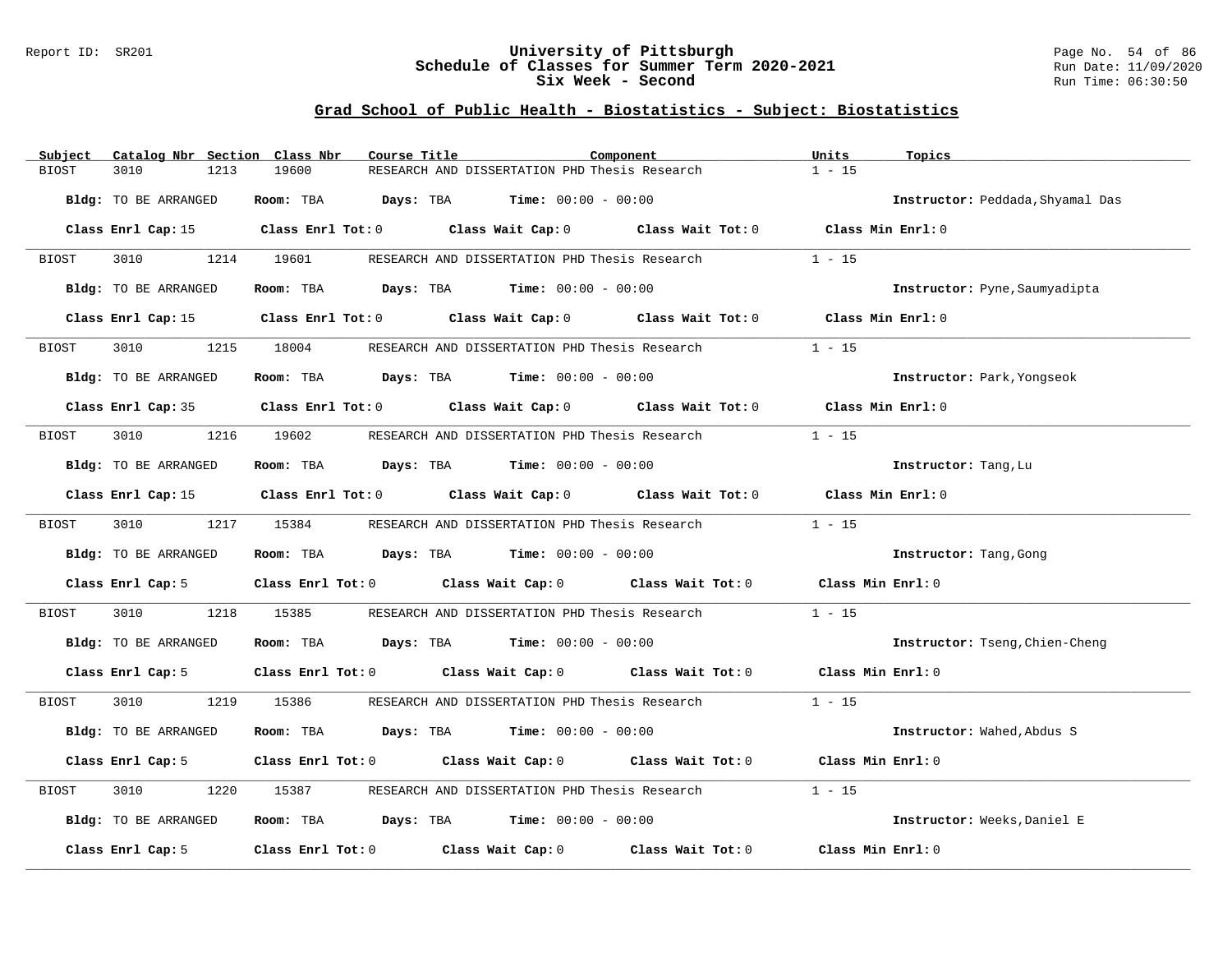## Report ID: SR201 **University of Pittsburgh** Page No. 54 of 86 **Schedule of Classes for Summer Term 2020-2021** Run Date: 11/09/2020 **Six Week - Second Run Time: 06:30:50**

| Subject      | Catalog Nbr Section  | Class Nbr<br>Course Title           |                                                                                                 | Component         | Units             | Topics                           |
|--------------|----------------------|-------------------------------------|-------------------------------------------------------------------------------------------------|-------------------|-------------------|----------------------------------|
| <b>BIOST</b> | 3010<br>1213         | 19600                               | RESEARCH AND DISSERTATION PHD Thesis Research                                                   |                   | $1 - 15$          |                                  |
|              | Bldg: TO BE ARRANGED |                                     | Room: TBA $Days: TBA$ Time: $00:00 - 00:00$                                                     |                   |                   | Instructor: Peddada, Shyamal Das |
|              |                      |                                     |                                                                                                 |                   |                   |                                  |
|              | Class Enrl Cap: 15   |                                     | Class Enrl Tot: 0 Class Wait Cap: 0 Class Wait Tot: 0 Class Min Enrl: 0                         |                   |                   |                                  |
| BIOST        | 3010                 | 1214 19601                          | RESEARCH AND DISSERTATION PHD Thesis Research                                                   |                   | $1 - 15$          |                                  |
|              | Bldg: TO BE ARRANGED |                                     | Room: TBA $Days:$ TBA $Time: 00:00 - 00:00$                                                     |                   |                   | Instructor: Pyne, Saumyadipta    |
|              | Class Enrl Cap: 15   |                                     | Class Enrl Tot: 0 Class Wait Cap: 0 Class Wait Tot: 0                                           |                   | Class Min Enrl: 0 |                                  |
| BIOST        | 1215<br>3010         | 18004                               | RESEARCH AND DISSERTATION PHD Thesis Research                                                   |                   | $1 - 15$          |                                  |
|              | Bldg: TO BE ARRANGED |                                     | Room: TBA $Days:$ TBA $Time: 00:00 - 00:00$                                                     |                   |                   | Instructor: Park, Yongseok       |
|              |                      |                                     |                                                                                                 |                   |                   |                                  |
|              |                      |                                     | Class Enrl Cap: 35 Class Enrl Tot: 0 Class Wait Cap: 0 Class Wait Tot: 0 Class Min Enrl: 0      |                   |                   |                                  |
| BIOST        | 3010                 | 1216 19602                          | RESEARCH AND DISSERTATION PHD Thesis Research                                                   |                   | $1 - 15$          |                                  |
|              | Bldg: TO BE ARRANGED |                                     | Room: TBA $\rule{1em}{0.15mm}$ Days: TBA $\rule{1.5mm}{0.15mm}$ Time: $00:00 - 00:00$           |                   |                   | Instructor: Tang, Lu             |
|              |                      |                                     | Class Enrl Cap: 15 (class Enrl Tot: 0 (class Wait Cap: 0 (class Wait Tot: 0 (class Min Enrl: 0) |                   |                   |                                  |
| BIOST        | 3010 2012            | 1217 15384                          | RESEARCH AND DISSERTATION PHD Thesis Research                                                   |                   | $1 - 15$          |                                  |
|              | Bldg: TO BE ARRANGED |                                     | Room: TBA $Days: TBA$ Time: $00:00 - 00:00$                                                     |                   |                   | Instructor: Tang, Gong           |
|              | Class Enrl Cap: 5    |                                     | Class Enrl Tot: 0 Class Wait Cap: 0 Class Wait Tot: 0                                           |                   | Class Min Enrl: 0 |                                  |
| BIOST        | 3010<br>1218         | 15385                               | RESEARCH AND DISSERTATION PHD Thesis Research                                                   |                   | $1 - 15$          |                                  |
|              |                      |                                     |                                                                                                 |                   |                   |                                  |
|              | Bldg: TO BE ARRANGED |                                     | Room: TBA $Days:$ TBA $Time: 00:00 - 00:00$                                                     |                   |                   | Instructor: Tseng, Chien-Cheng   |
|              | Class Enrl Cap: 5    |                                     | Class Enrl Tot: 0 Class Wait Cap: 0 Class Wait Tot: 0 Class Min Enrl: 0                         |                   |                   |                                  |
| BIOST        | 3010 000             | 1219 15386                          | RESEARCH AND DISSERTATION PHD Thesis Research                                                   |                   | $1 - 15$          |                                  |
|              | Bldg: TO BE ARRANGED |                                     | Room: TBA $Days:$ TBA $Time: 00:00 - 00:00$                                                     |                   |                   | Instructor: Wahed, Abdus S       |
|              | Class Enrl Cap: 5    |                                     | Class Enrl Tot: 0 Class Wait Cap: 0 Class Wait Tot: 0                                           |                   | Class Min Enrl: 0 |                                  |
| BIOST        | 3010<br>1220         | 15387                               | RESEARCH AND DISSERTATION PHD Thesis Research                                                   |                   | $1 - 15$          |                                  |
|              | Bldg: TO BE ARRANGED |                                     | Room: TBA $Days: TBA$ Time: $00:00 - 00:00$                                                     |                   |                   | Instructor: Weeks, Daniel E      |
|              | Class Enrl Cap: 5    | Class Enrl Tot: 0 Class Wait Cap: 0 |                                                                                                 | Class Wait Tot: 0 | Class Min Enrl: 0 |                                  |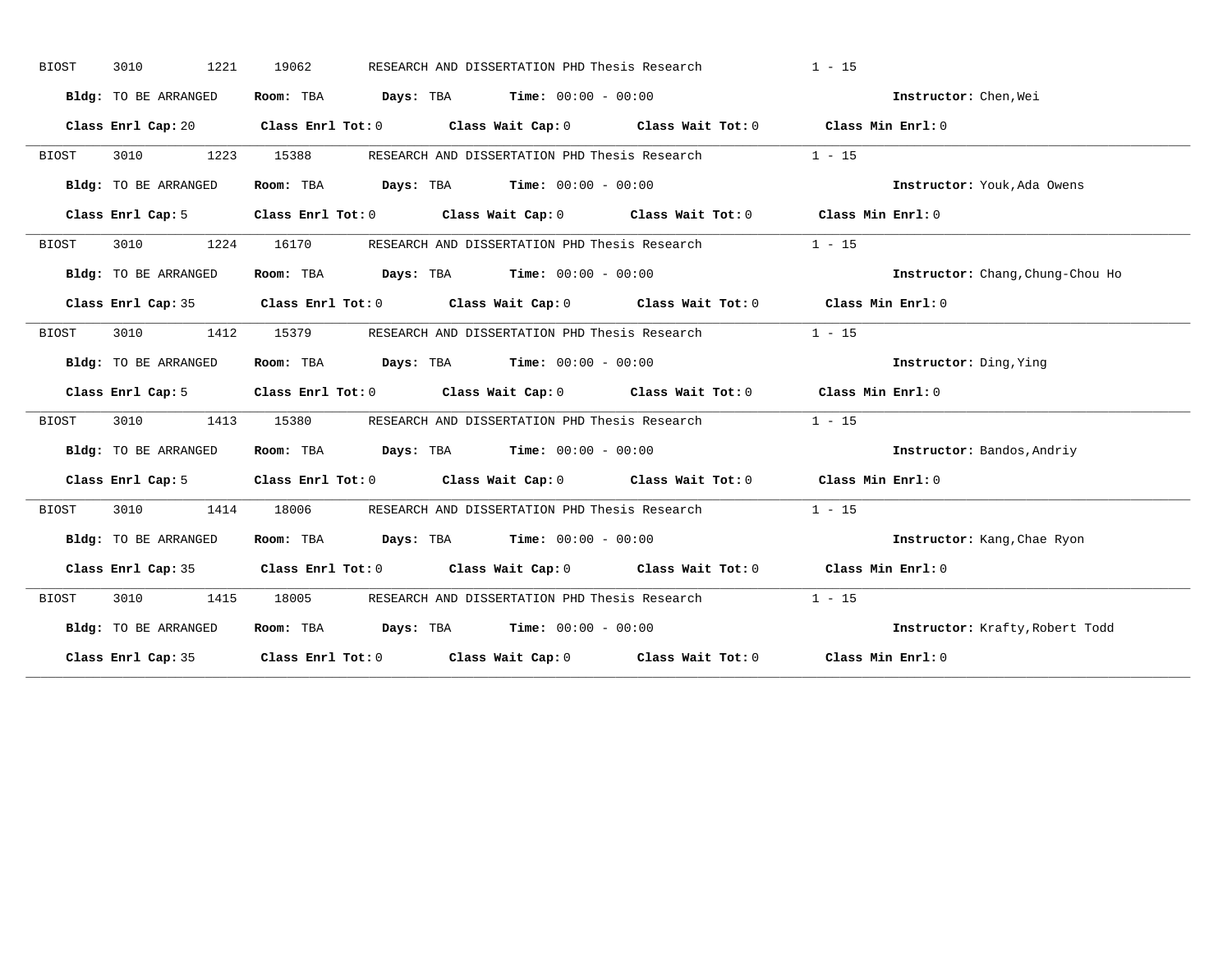| <b>BIOST</b> | 1221<br>3010         | 19062 | RESEARCH AND DISSERTATION PHD Thesis Research                                              | $1 - 15$                         |
|--------------|----------------------|-------|--------------------------------------------------------------------------------------------|----------------------------------|
|              | Bldg: TO BE ARRANGED |       | Room: TBA $Days:$ TBA $Time: 00:00 - 00:00$                                                | Instructor: Chen. Wei            |
|              |                      |       | Class Enrl Cap: 20 Class Enrl Tot: 0 Class Wait Cap: 0 Class Wait Tot: 0 Class Min Enrl: 0 |                                  |
| <b>BIOST</b> | 3010<br>1223         | 15388 | RESEARCH AND DISSERTATION PHD Thesis Research                                              | $1 - 15$                         |
|              | Bldg: TO BE ARRANGED |       | Room: TBA $Days:$ TBA $Time: 00:00 - 00:00$                                                | Instructor: Youk, Ada Owens      |
|              | Class Enrl Cap: 5    |       | Class Enrl Tot: 0 Class Wait Cap: 0 Class Wait Tot: 0 Class Min Enrl: 0                    |                                  |
| BIOST        | 3010<br>1224         | 16170 | RESEARCH AND DISSERTATION PHD Thesis Research                                              | $1 - 15$                         |
|              | Bldg: TO BE ARRANGED |       | Room: TBA $Days:$ TBA $Time: 00:00 - 00:00$                                                | Instructor: Chang, Chung-Chou Ho |
|              |                      |       | Class Enrl Cap: 35 Class Enrl Tot: 0 Class Wait Cap: 0 Class Wait Tot: 0 Class Min Enrl: 0 |                                  |
| BIOST        | 3010 1412            | 15379 | RESEARCH AND DISSERTATION PHD Thesis Research                                              | $1 - 15$                         |
|              | Bldg: TO BE ARRANGED |       | Room: TBA $\rule{1em}{0.15mm}$ Days: TBA Time: $00:00 - 00:00$                             | Instructor: Ding, Ying           |
|              |                      |       | Class Enrl Cap: 5 Class Enrl Tot: 0 Class Wait Cap: 0 Class Wait Tot: 0 Class Min Enrl: 0  |                                  |
| BIOST        | 3010 1413            |       | 15380 RESEARCH AND DISSERTATION PHD Thesis Research                                        | $1 - 15$                         |
|              | Bldg: TO BE ARRANGED |       | Room: TBA $Days:$ TBA $Time: 00:00 - 00:00$                                                | Instructor: Bandos, Andriy       |
|              | Class Enrl Cap: 5    |       | Class Enrl Tot: 0 Class Wait Cap: 0 Class Wait Tot: 0 Class Min Enrl: 0                    |                                  |
| BIOST        | 3010<br>1414         | 18006 | RESEARCH AND DISSERTATION PHD Thesis Research                                              | $1 - 15$                         |
|              | Bldg: TO BE ARRANGED |       | Room: TBA $Days:$ TBA $Time: 00:00 - 00:00$                                                | Instructor: Kang, Chae Ryon      |
|              |                      |       | Class Enrl Cap: 35 Class Enrl Tot: 0 Class Wait Cap: 0 Class Wait Tot: 0 Class Min Enrl: 0 |                                  |
| BIOST        | 3010 1415            | 18005 | RESEARCH AND DISSERTATION PHD Thesis Research                                              | $1 - 15$                         |
|              | Bldg: TO BE ARRANGED |       | Room: TBA $Days:$ TBA $Time: 00:00 - 00:00$                                                | Instructor: Krafty, Robert Todd  |
|              |                      |       | Class Enrl Cap: 35 Class Enrl Tot: 0 Class Wait Cap: 0 Class Wait Tot: 0 Class Min Enrl: 0 |                                  |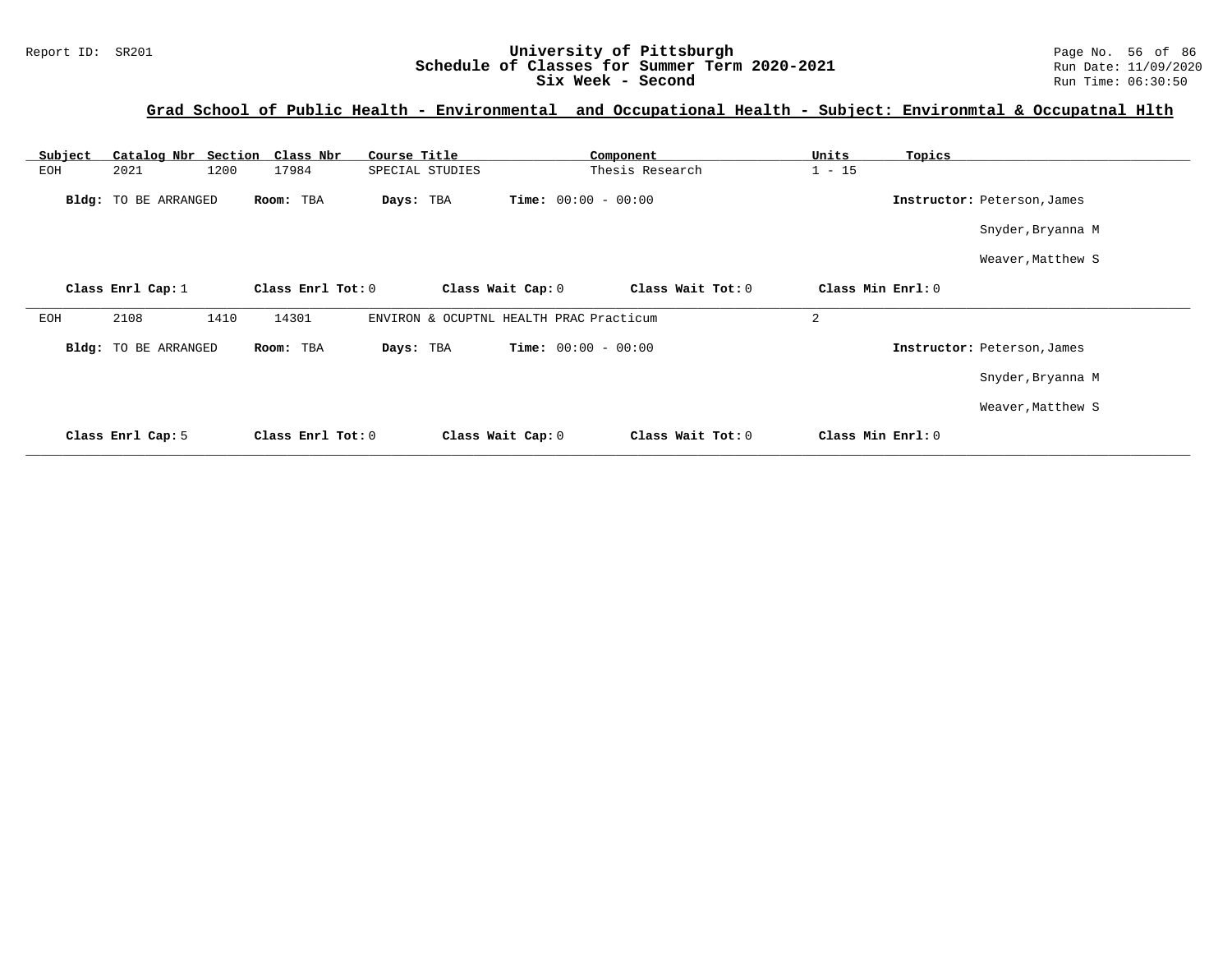## Report ID: SR201 **1988 Mage 10: SR201 University of Pittsburgh** Page No. 56 of 86<br>**Schedule of Classes for Summer Term 2020-2021** Run Date: 11/09/2020 **Schedule of Classes for Summer Term 2020-2021** Run Date: 11/09/2020<br>Six Week - Second Run Time: 06:30:50 Six Week - Second

## **Grad School of Public Health - Environmental and Occupational Health - Subject: Environmtal & Occupatnal Hlth**

| Subject |                      | Catalog Nbr Section Class Nbr | Course Title      | Component                               | Units<br>Topics             |  |
|---------|----------------------|-------------------------------|-------------------|-----------------------------------------|-----------------------------|--|
| EOH     | 2021                 | 1200<br>17984                 | SPECIAL STUDIES   | Thesis Research                         | $1 - 15$                    |  |
|         | Bldg: TO BE ARRANGED | Room: TBA                     | Days: TBA         | <b>Time:</b> $00:00 - 00:00$            | Instructor: Peterson, James |  |
|         |                      |                               |                   |                                         | Snyder, Bryanna M           |  |
|         |                      |                               |                   |                                         | Weaver, Matthew S           |  |
|         | Class Enrl Cap: 1    | Class Enrl Tot: 0             | Class Wait Cap: 0 | Class Wait Tot: 0                       | Class Min Enrl: 0           |  |
| EOH     | 2108                 | 1410<br>14301                 |                   | ENVIRON & OCUPTNL HEALTH PRAC Practicum | 2                           |  |
|         | Bldg: TO BE ARRANGED | Room: TBA                     | Days: TBA         | <b>Time:</b> $00:00 - 00:00$            | Instructor: Peterson, James |  |
|         |                      |                               |                   |                                         | Snyder, Bryanna M           |  |
|         |                      |                               |                   |                                         | Weaver, Matthew S           |  |
|         | Class Enrl Cap: 5    | Class Enrl Tot: 0             | Class Wait Cap: 0 | Class Wait Tot: 0                       | Class Min Enrl: 0           |  |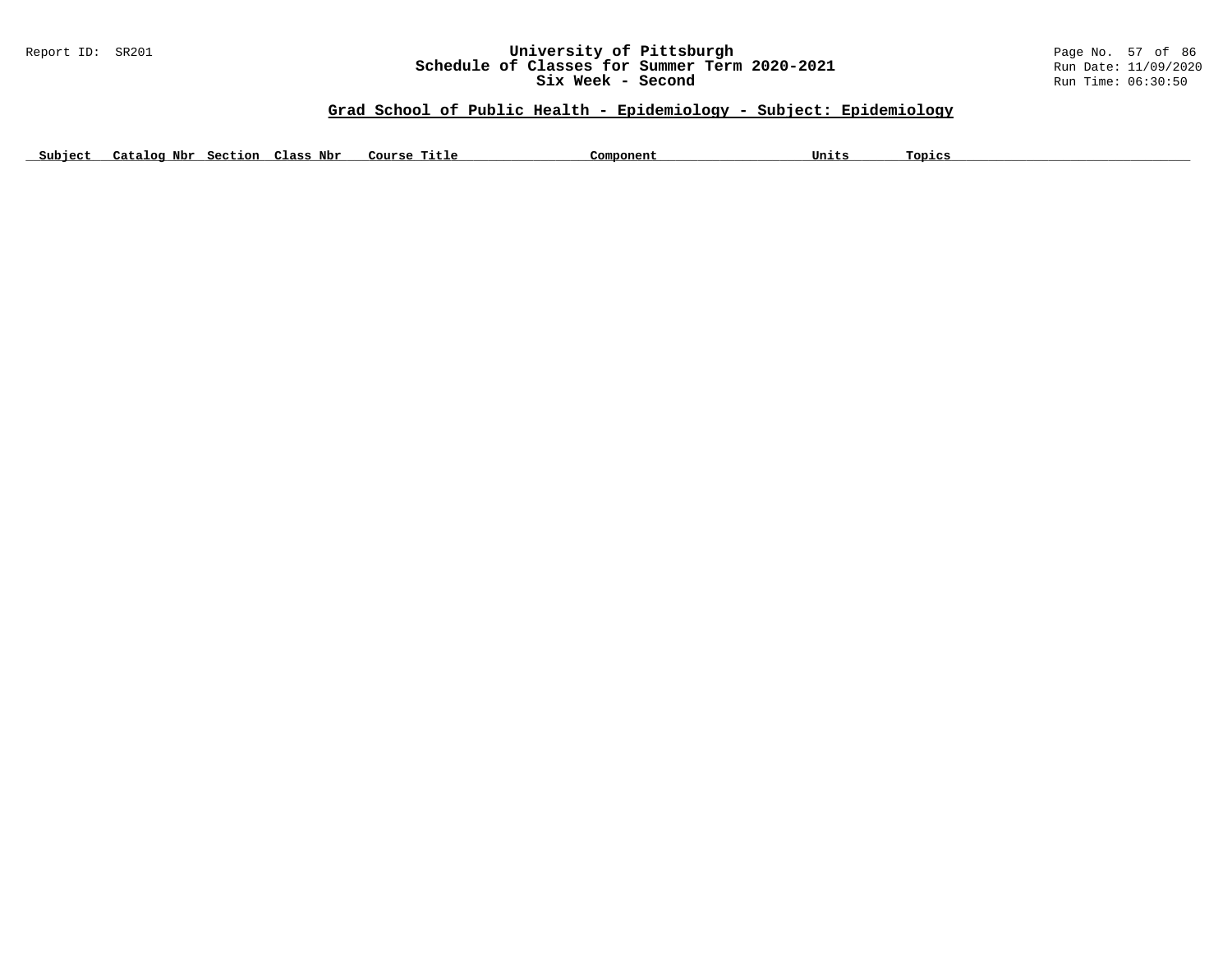#### Report ID: SR201 **University of Pittsburgh University of Pittsburgh** Page No. 57 of 86<br>**Schedule of Classes for Summer Term 2020-2021** Run Date: 11/09/2020 **Schedule of Classes for Summer Term 2020-2021** Run Date: 11/09/2020<br>Six Week - Second Run Time: 06:30:50 Six Week - Second

## **Grad School of Public Health - Epidemiology - Subject: Epidemiology**

Subject Catalog Nbr Section Class Nbr Course Title Component Component Units Topics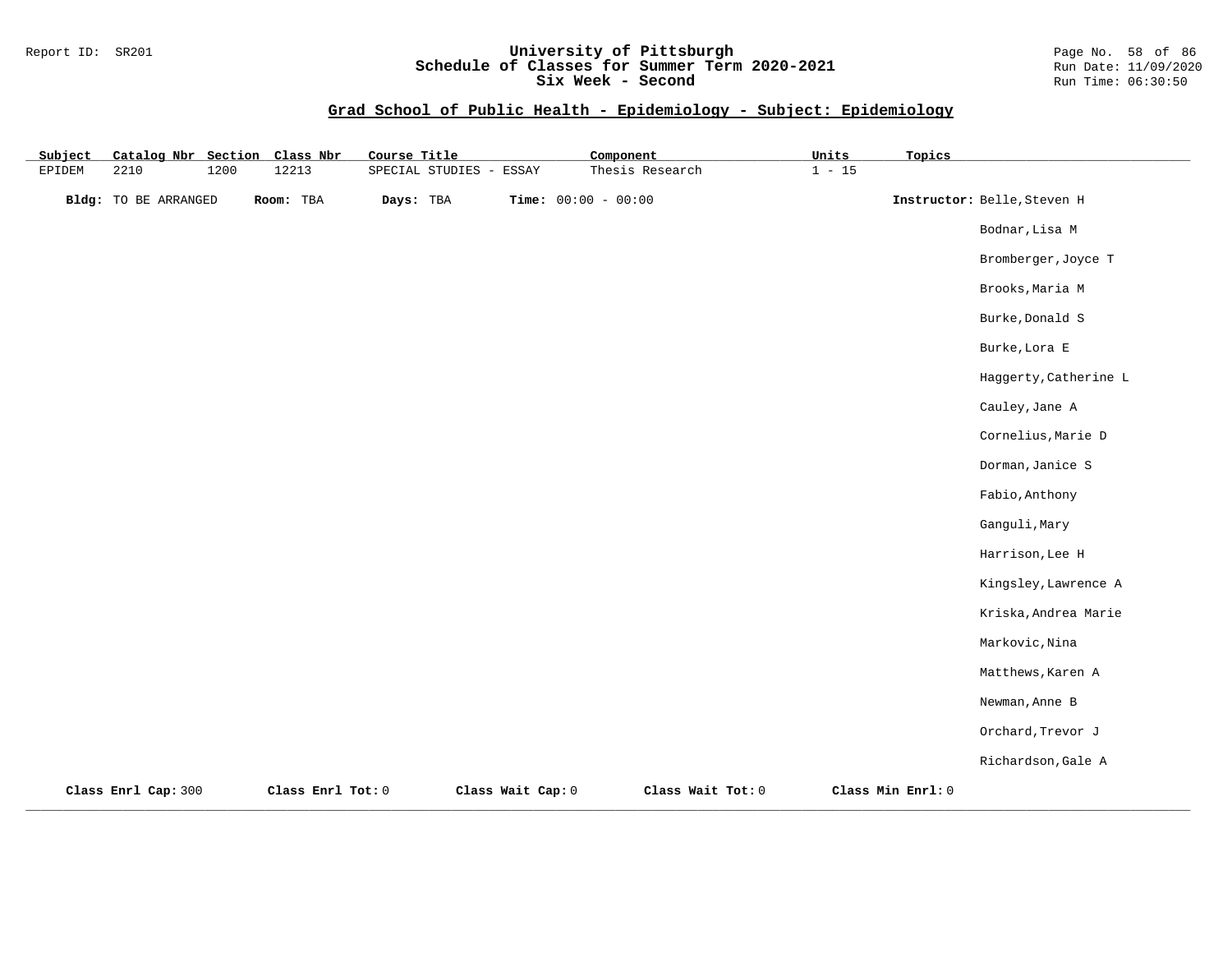## Report ID: SR201 **University of Pittsburgh** Page No. 58 of 86 **Schedule of Classes for Summer Term 2020-2021** Run Date: 11/09/2020 **Six Week - Second Run Time: 06:30:50**

| Subject       | Catalog Nbr Section Class Nbr |      |                   | Course Title |                         |                   | Component             |                   | Units    | Topics            |                             |
|---------------|-------------------------------|------|-------------------|--------------|-------------------------|-------------------|-----------------------|-------------------|----------|-------------------|-----------------------------|
| <b>EPIDEM</b> | 2210                          | 1200 | 12213             |              | SPECIAL STUDIES - ESSAY |                   |                       | Thesis Research   | $1 - 15$ |                   |                             |
|               | Bldg: TO BE ARRANGED          |      | Room: TBA         | Days: TBA    |                         |                   | Time: $00:00 - 00:00$ |                   |          |                   | Instructor: Belle, Steven H |
|               |                               |      |                   |              |                         |                   |                       |                   |          |                   | Bodnar, Lisa M              |
|               |                               |      |                   |              |                         |                   |                       |                   |          |                   | Bromberger, Joyce T         |
|               |                               |      |                   |              |                         |                   |                       |                   |          |                   | Brooks, Maria M             |
|               |                               |      |                   |              |                         |                   |                       |                   |          |                   | Burke, Donald S             |
|               |                               |      |                   |              |                         |                   |                       |                   |          |                   | Burke, Lora E               |
|               |                               |      |                   |              |                         |                   |                       |                   |          |                   | Haggerty, Catherine L       |
|               |                               |      |                   |              |                         |                   |                       |                   |          |                   | Cauley, Jane A              |
|               |                               |      |                   |              |                         |                   |                       |                   |          |                   | Cornelius, Marie D          |
|               |                               |      |                   |              |                         |                   |                       |                   |          |                   | Dorman, Janice S            |
|               |                               |      |                   |              |                         |                   |                       |                   |          |                   | Fabio, Anthony              |
|               |                               |      |                   |              |                         |                   |                       |                   |          |                   | Ganguli, Mary               |
|               |                               |      |                   |              |                         |                   |                       |                   |          |                   | Harrison, Lee H             |
|               |                               |      |                   |              |                         |                   |                       |                   |          |                   | Kingsley, Lawrence A        |
|               |                               |      |                   |              |                         |                   |                       |                   |          |                   | Kriska, Andrea Marie        |
|               |                               |      |                   |              |                         |                   |                       |                   |          |                   | Markovic, Nina              |
|               |                               |      |                   |              |                         |                   |                       |                   |          |                   | Matthews, Karen A           |
|               |                               |      |                   |              |                         |                   |                       |                   |          |                   | Newman, Anne B              |
|               |                               |      |                   |              |                         |                   |                       |                   |          |                   | Orchard, Trevor J           |
|               |                               |      |                   |              |                         |                   |                       |                   |          |                   | Richardson, Gale A          |
|               | Class Enrl Cap: 300           |      | Class Enrl Tot: 0 |              |                         | Class Wait Cap: 0 |                       | Class Wait Tot: 0 |          | Class Min Enrl: 0 |                             |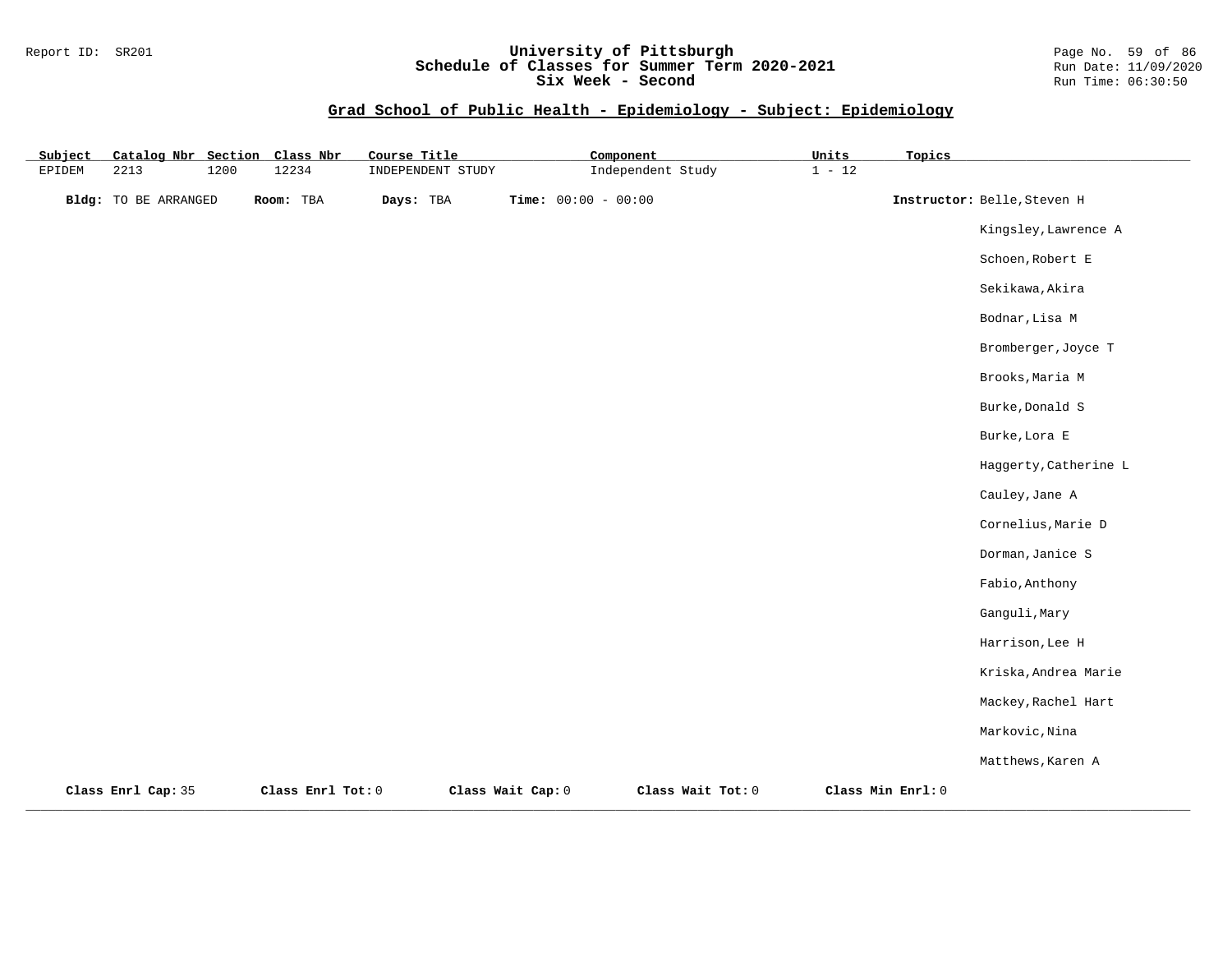## Report ID: SR201 **University of Pittsburgh** Page No. 59 of 86 **Schedule of Classes for Summer Term 2020-2021** Run Date: 11/09/2020 **Six Week - Second Run Time: 06:30:50**

| Subject       | Catalog Nbr Section         |      | Class Nbr         | Course Title      |                       | Component         | Units    | Topics            |                             |
|---------------|-----------------------------|------|-------------------|-------------------|-----------------------|-------------------|----------|-------------------|-----------------------------|
| <b>EPIDEM</b> | 2213                        | 1200 | 12234             | INDEPENDENT STUDY |                       | Independent Study | $1 - 12$ |                   |                             |
|               | <b>Bldg:</b> TO BE ARRANGED |      | Room: TBA         | Days: TBA         | Time: $00:00 - 00:00$ |                   |          |                   | Instructor: Belle, Steven H |
|               |                             |      |                   |                   |                       |                   |          |                   | Kingsley, Lawrence A        |
|               |                             |      |                   |                   |                       |                   |          |                   | Schoen, Robert E            |
|               |                             |      |                   |                   |                       |                   |          |                   | Sekikawa, Akira             |
|               |                             |      |                   |                   |                       |                   |          |                   | Bodnar, Lisa M              |
|               |                             |      |                   |                   |                       |                   |          |                   | Bromberger, Joyce T         |
|               |                             |      |                   |                   |                       |                   |          |                   | Brooks, Maria M             |
|               |                             |      |                   |                   |                       |                   |          |                   | Burke, Donald S             |
|               |                             |      |                   |                   |                       |                   |          |                   | Burke, Lora E               |
|               |                             |      |                   |                   |                       |                   |          |                   | Haggerty, Catherine L       |
|               |                             |      |                   |                   |                       |                   |          |                   | Cauley, Jane A              |
|               |                             |      |                   |                   |                       |                   |          |                   | Cornelius, Marie D          |
|               |                             |      |                   |                   |                       |                   |          |                   | Dorman, Janice S            |
|               |                             |      |                   |                   |                       |                   |          |                   | Fabio, Anthony              |
|               |                             |      |                   |                   |                       |                   |          |                   | Ganguli, Mary               |
|               |                             |      |                   |                   |                       |                   |          |                   | Harrison, Lee H             |
|               |                             |      |                   |                   |                       |                   |          |                   | Kriska, Andrea Marie        |
|               |                             |      |                   |                   |                       |                   |          |                   | Mackey, Rachel Hart         |
|               |                             |      |                   |                   |                       |                   |          |                   | Markovic, Nina              |
|               |                             |      |                   |                   |                       |                   |          |                   | Matthews, Karen A           |
|               | Class Enrl Cap: 35          |      | Class Enrl Tot: 0 |                   | Class Wait Cap: 0     | Class Wait Tot: 0 |          | Class Min Enrl: 0 |                             |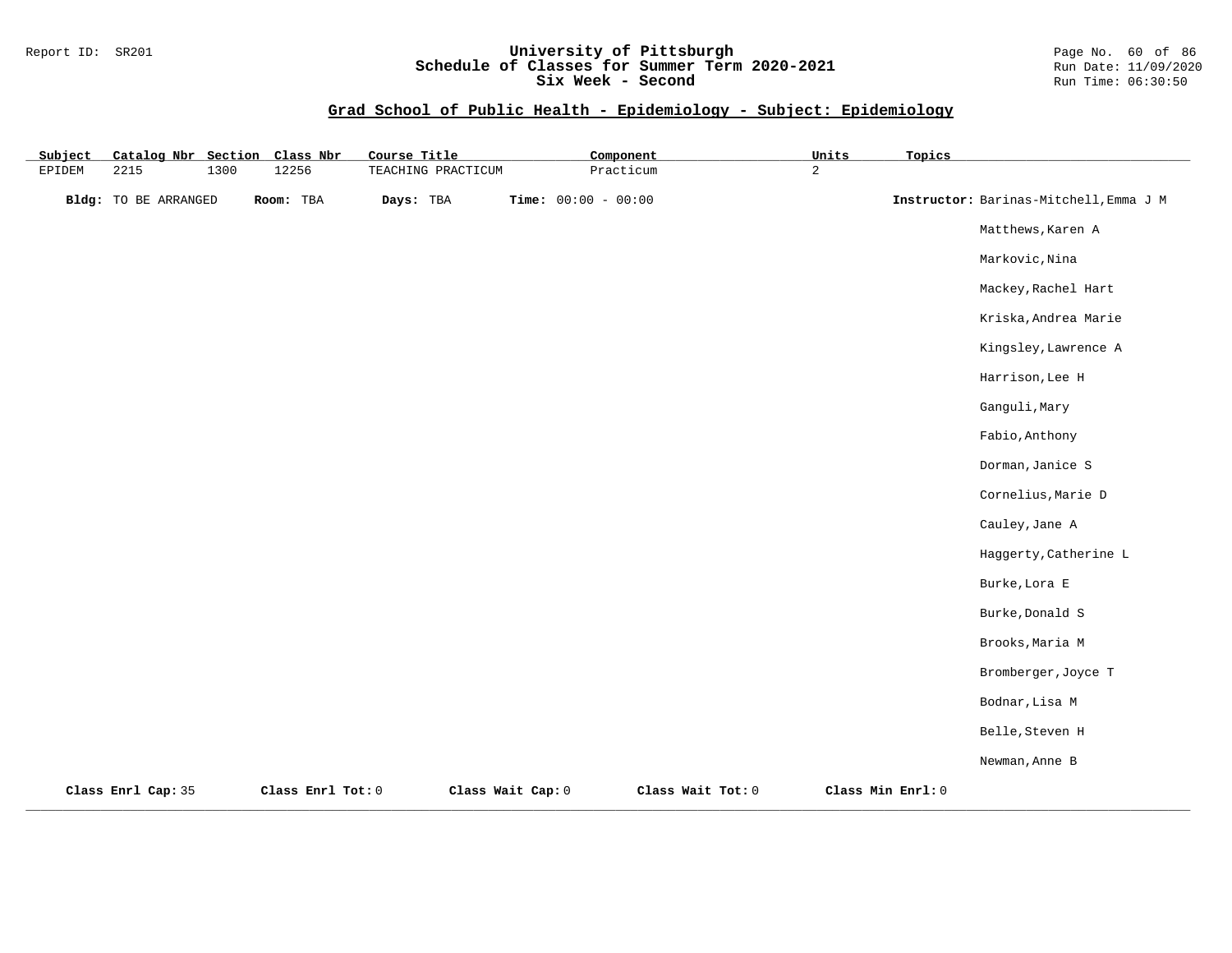## Report ID: SR201 **University of Pittsburgh** Page No. 60 of 86 **Schedule of Classes for Summer Term 2020-2021** Run Date: 11/09/2020 **Six Week - Second Run Time: 06:30:50**

| Subject | Catalog Nbr Section         |      | Class Nbr         | Course Title       |                   | Component             |                   | <b>Units</b>   | Topics            |                                        |
|---------|-----------------------------|------|-------------------|--------------------|-------------------|-----------------------|-------------------|----------------|-------------------|----------------------------------------|
| EPIDEM  | 2215                        | 1300 | 12256             | TEACHING PRACTICUM |                   | Practicum             |                   | $\overline{a}$ |                   |                                        |
|         | <b>Bldg:</b> TO BE ARRANGED |      | Room: TBA         | Days: TBA          |                   | Time: $00:00 - 00:00$ |                   |                |                   | Instructor: Barinas-Mitchell, Emma J M |
|         |                             |      |                   |                    |                   |                       |                   |                |                   | Matthews, Karen A                      |
|         |                             |      |                   |                    |                   |                       |                   |                |                   | Markovic, Nina                         |
|         |                             |      |                   |                    |                   |                       |                   |                |                   | Mackey, Rachel Hart                    |
|         |                             |      |                   |                    |                   |                       |                   |                |                   | Kriska, Andrea Marie                   |
|         |                             |      |                   |                    |                   |                       |                   |                |                   | Kingsley, Lawrence A                   |
|         |                             |      |                   |                    |                   |                       |                   |                |                   | Harrison, Lee H                        |
|         |                             |      |                   |                    |                   |                       |                   |                |                   | Ganguli, Mary                          |
|         |                             |      |                   |                    |                   |                       |                   |                |                   | Fabio, Anthony                         |
|         |                             |      |                   |                    |                   |                       |                   |                |                   | Dorman, Janice S                       |
|         |                             |      |                   |                    |                   |                       |                   |                |                   | Cornelius, Marie D                     |
|         |                             |      |                   |                    |                   |                       |                   |                |                   | Cauley, Jane A                         |
|         |                             |      |                   |                    |                   |                       |                   |                |                   | Haggerty, Catherine L                  |
|         |                             |      |                   |                    |                   |                       |                   |                |                   | Burke, Lora E                          |
|         |                             |      |                   |                    |                   |                       |                   |                |                   | Burke, Donald S                        |
|         |                             |      |                   |                    |                   |                       |                   |                |                   | Brooks, Maria M                        |
|         |                             |      |                   |                    |                   |                       |                   |                |                   | Bromberger, Joyce T                    |
|         |                             |      |                   |                    |                   |                       |                   |                |                   | Bodnar, Lisa M                         |
|         |                             |      |                   |                    |                   |                       |                   |                |                   | Belle, Steven H                        |
|         |                             |      |                   |                    |                   |                       |                   |                |                   | Newman, Anne B                         |
|         | Class Enrl Cap: 35          |      | Class Enrl Tot: 0 |                    | Class Wait Cap: 0 |                       | Class Wait Tot: 0 |                | Class Min Enrl: 0 |                                        |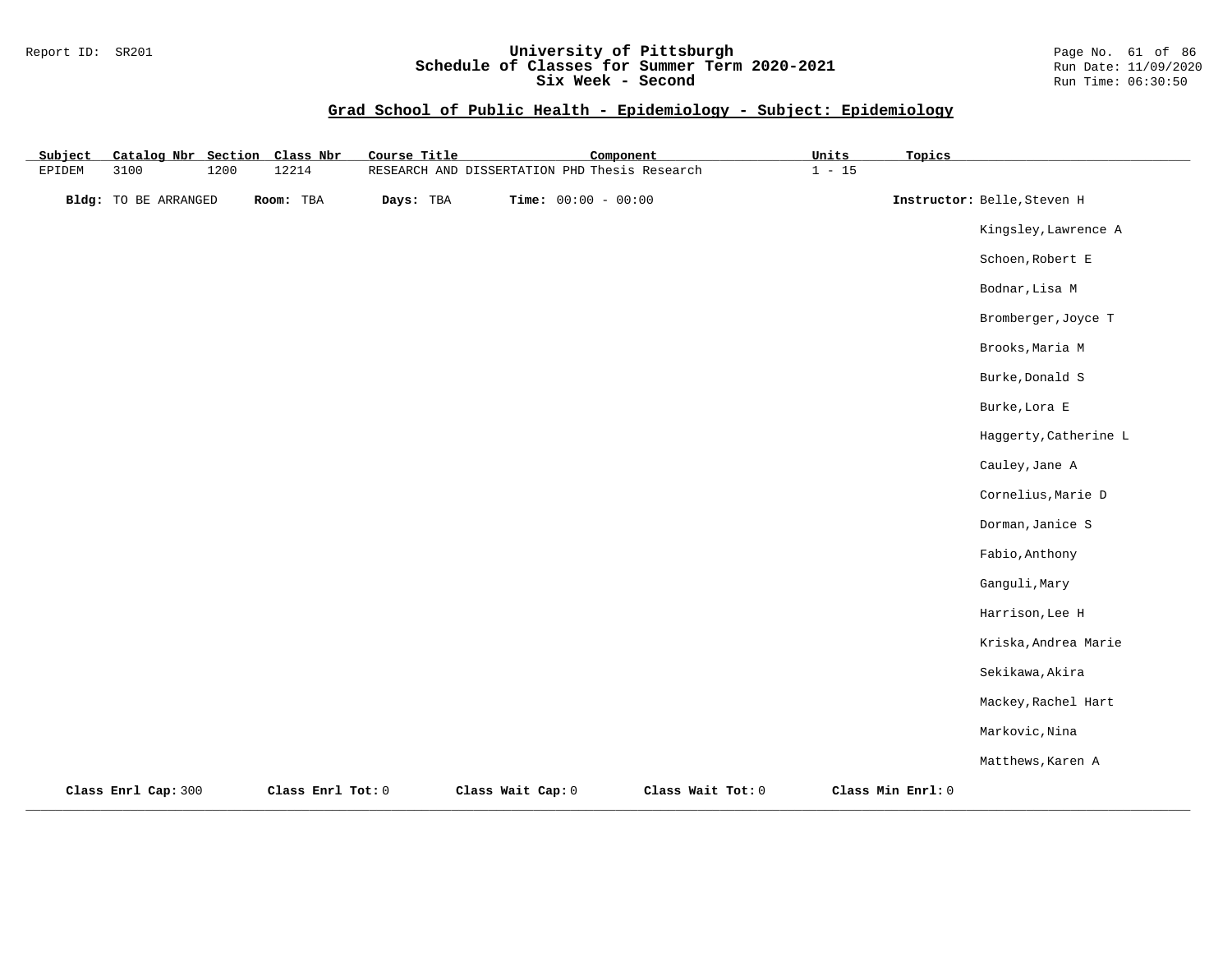## Report ID: SR201 **University of Pittsburgh** Page No. 61 of 86 **Schedule of Classes for Summer Term 2020-2021** Run Date: 11/09/2020 **Six Week - Second Run Time: 06:30:50**

| Subject | Catalog Nbr Section         |      | Class Nbr         | Course Title | Component                                     |                   | Units    | Topics            |                             |
|---------|-----------------------------|------|-------------------|--------------|-----------------------------------------------|-------------------|----------|-------------------|-----------------------------|
| EPIDEM  | 3100                        | 1200 | 12214             |              | RESEARCH AND DISSERTATION PHD Thesis Research |                   | $1 - 15$ |                   |                             |
|         | <b>Bldg:</b> TO BE ARRANGED |      | Room: TBA         | Days: TBA    | Time: $00:00 - 00:00$                         |                   |          |                   | Instructor: Belle, Steven H |
|         |                             |      |                   |              |                                               |                   |          |                   | Kingsley, Lawrence A        |
|         |                             |      |                   |              |                                               |                   |          |                   | Schoen, Robert E            |
|         |                             |      |                   |              |                                               |                   |          |                   | Bodnar, Lisa M              |
|         |                             |      |                   |              |                                               |                   |          |                   | Bromberger, Joyce T         |
|         |                             |      |                   |              |                                               |                   |          |                   | Brooks, Maria M             |
|         |                             |      |                   |              |                                               |                   |          |                   | Burke, Donald S             |
|         |                             |      |                   |              |                                               |                   |          |                   | Burke, Lora E               |
|         |                             |      |                   |              |                                               |                   |          |                   | Haggerty, Catherine L       |
|         |                             |      |                   |              |                                               |                   |          |                   | Cauley, Jane A              |
|         |                             |      |                   |              |                                               |                   |          |                   | Cornelius, Marie D          |
|         |                             |      |                   |              |                                               |                   |          |                   | Dorman, Janice S            |
|         |                             |      |                   |              |                                               |                   |          |                   | Fabio, Anthony              |
|         |                             |      |                   |              |                                               |                   |          |                   | Ganguli, Mary               |
|         |                             |      |                   |              |                                               |                   |          |                   | Harrison, Lee H             |
|         |                             |      |                   |              |                                               |                   |          |                   | Kriska, Andrea Marie        |
|         |                             |      |                   |              |                                               |                   |          |                   | Sekikawa, Akira             |
|         |                             |      |                   |              |                                               |                   |          |                   | Mackey, Rachel Hart         |
|         |                             |      |                   |              |                                               |                   |          |                   | Markovic, Nina              |
|         |                             |      |                   |              |                                               |                   |          |                   | Matthews, Karen A           |
|         | Class Enrl Cap: 300         |      | Class Enrl Tot: 0 |              | Class Wait Cap: 0                             | Class Wait Tot: 0 |          | Class Min Enrl: 0 |                             |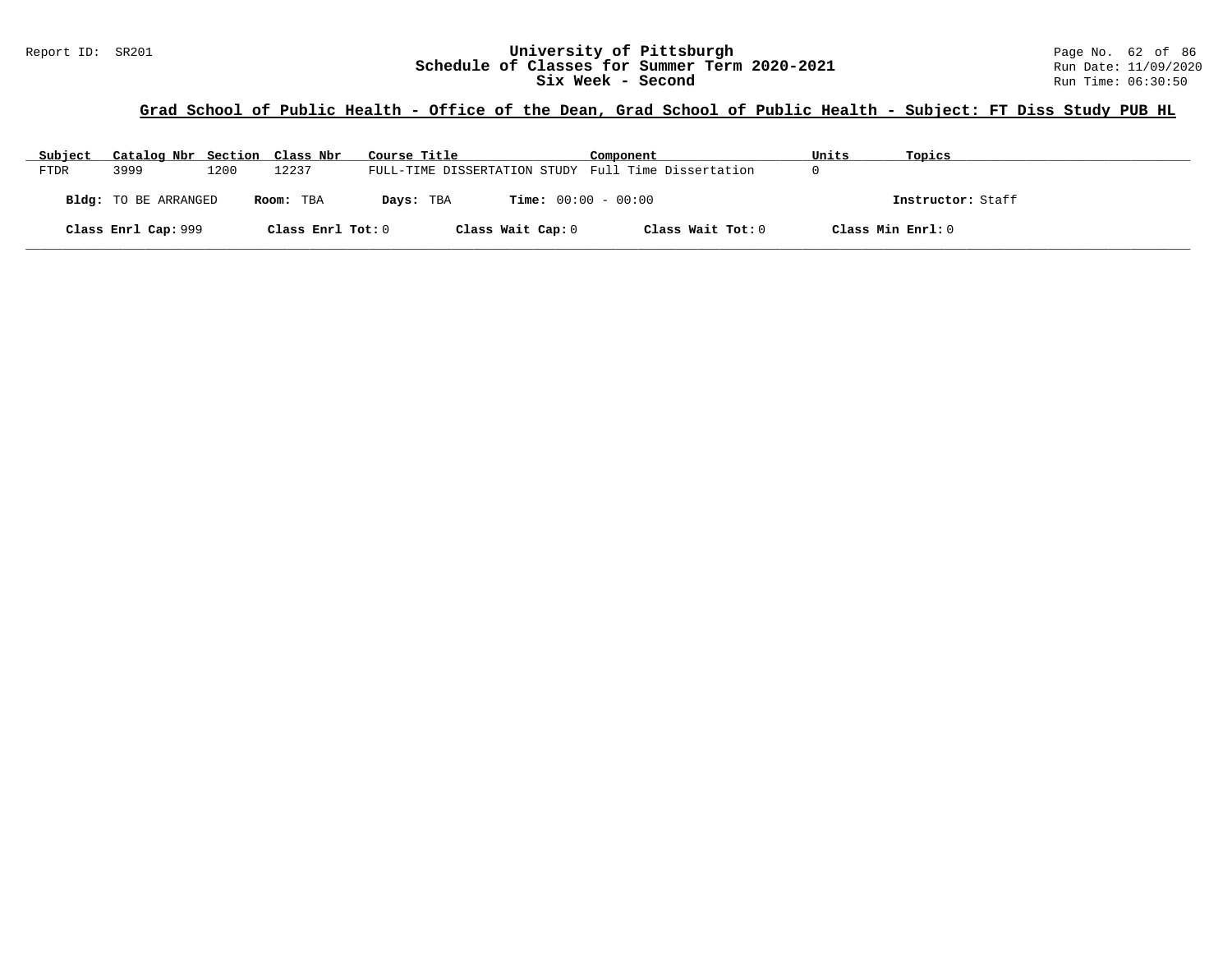## Report ID: SR201 **1988 Mage 10: SR201 University of Pittsburgh** Page No. 62 of 86<br>**Schedule of Classes for Summer Term 2020-2021** Run Date: 11/09/2020 **Schedule of Classes for Summer Term 2020-2021** Run Date: 11/09/2020<br>Six Week - Second Run Time: 06:30:50 Six Week - Second

# **Grad School of Public Health - Office of the Dean, Grad School of Public Health - Subject: FT Diss Study PUB HL**

| Subject     | Catalog Nbr Section Class Nbr |      |                   | Course Title                                        | Component         | Units             | Topics            |
|-------------|-------------------------------|------|-------------------|-----------------------------------------------------|-------------------|-------------------|-------------------|
| <b>FTDR</b> | 3999                          | 1200 | 12237             | FULL-TIME DISSERTATION STUDY Full Time Dissertation |                   |                   |                   |
|             | Bldg: TO BE ARRANGED          |      | Room: TBA         | <b>Time:</b> $00:00 - 00:00$<br>Days: TBA           |                   |                   | Instructor: Staff |
|             | Class Enrl Cap: 999           |      | Class Enrl Tot: 0 | Class Wait Cap: 0                                   | Class Wait Tot: 0 | Class Min Enrl: 0 |                   |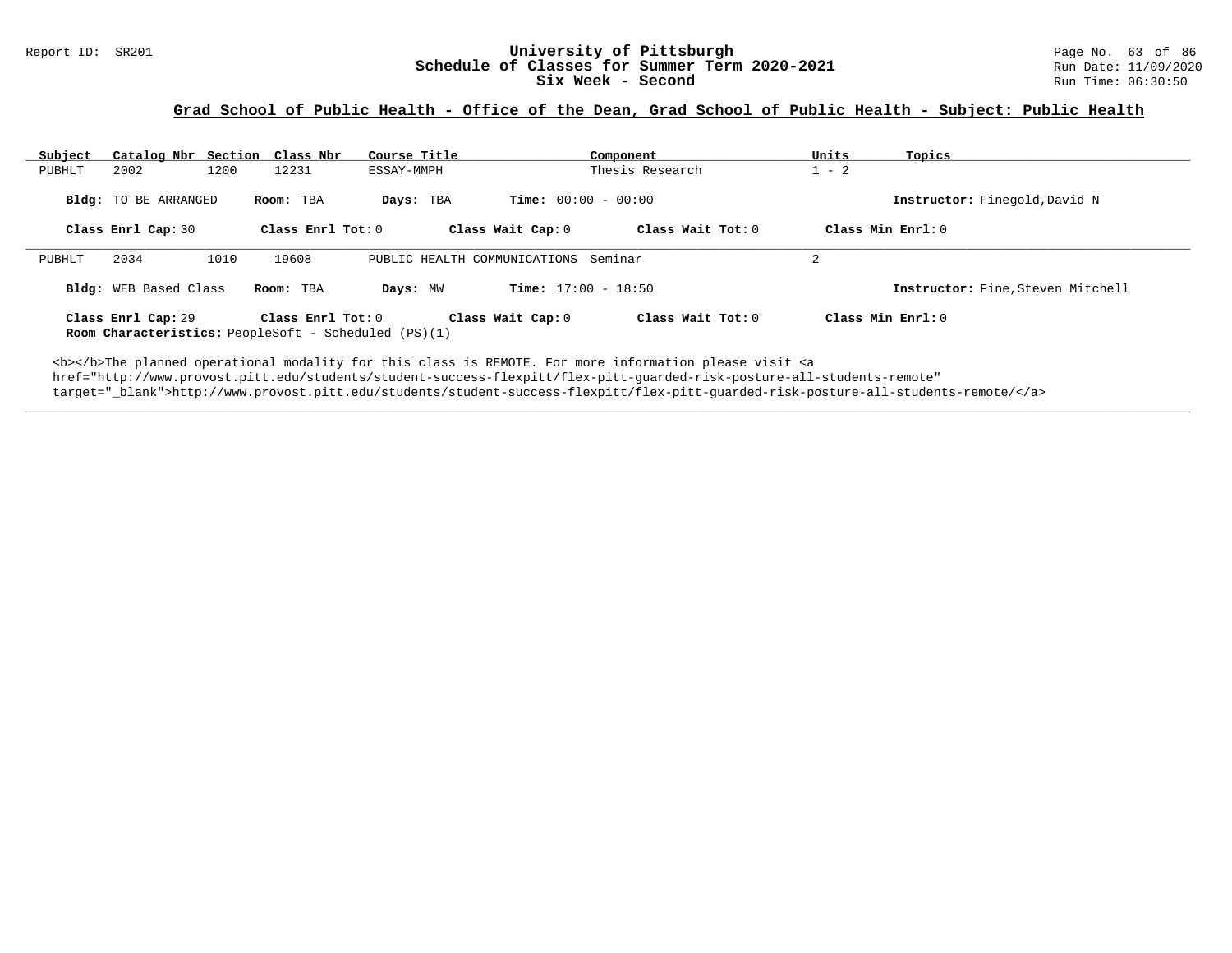#### Report ID: SR201 **University of Pittsburgh University of Pittsburgh** Page No. 63 of 86<br>**Schedule of Classes for Summer Term 2020-2021** Run Date: 11/09/2020 **Schedule of Classes for Summer Term 2020-2021** Run Date: 11/09/2020<br>Six Week - Second Run Time: 06:30:50 Six Week - Second

## **Grad School of Public Health - Office of the Dean, Grad School of Public Health - Subject: Public Health**

| Subject | Catalog Nbr Section Class Nbr |      |                     | Course Title                                                |                              | Component         | Units               | Topics                            |
|---------|-------------------------------|------|---------------------|-------------------------------------------------------------|------------------------------|-------------------|---------------------|-----------------------------------|
| PUBHLT  | 2002                          | 1200 | 12231               | ESSAY-MMPH                                                  |                              | Thesis Research   | $1 - 2$             |                                   |
|         | Bldg: TO BE ARRANGED          |      | Room: TBA           | Days: TBA                                                   | <b>Time:</b> $00:00 - 00:00$ |                   |                     | Instructor: Finegold, David N     |
|         | Class Enrl Cap: 30            |      | Class Enrl Tot: $0$ |                                                             | Class Wait Cap: 0            | Class Wait Tot: 0 | Class Min $Enrl: 0$ |                                   |
| PUBHLT  | 2034                          | 1010 | 19608               | PUBLIC HEALTH COMMUNICATIONS Seminar                        |                              |                   | $\mathfrak{D}$      |                                   |
|         | <b>Bldg:</b> WEB Based Class  |      | Room: TBA           | Days: MW                                                    | <b>Time:</b> $17:00 - 18:50$ |                   |                     | Instructor: Fine. Steven Mitchell |
|         | Class Enrl Cap: 29            |      | Class Enrl Tot: 0   | <b>Room Characteristics:</b> PeopleSoft - Scheduled (PS)(1) | Class Wait Cap: 0            | Class Wait Tot: 0 | Class Min $Enrl: 0$ |                                   |

**\_\_\_\_\_\_\_\_\_\_\_\_\_\_\_\_\_\_\_\_\_\_\_\_\_\_\_\_\_\_\_\_\_\_\_\_\_\_\_\_\_\_\_\_\_\_\_\_\_\_\_\_\_\_\_\_\_\_\_\_\_\_\_\_\_\_\_\_\_\_\_\_\_\_\_\_\_\_\_\_\_\_\_\_\_\_\_\_\_\_\_\_\_\_\_\_\_\_\_\_\_\_\_\_\_\_\_\_\_\_\_\_\_\_\_\_\_\_\_\_\_\_\_\_\_\_\_\_\_\_\_\_\_\_\_\_\_\_\_\_\_\_\_\_\_\_\_\_\_\_\_\_\_\_\_\_**

<b></b>The planned operational modality for this class is REMOTE. For more information please visit <a href="http://www.provost.pitt.edu/students/student-success-flexpitt/flex-pitt-guarded-risk-posture-all-students-remote" target="\_blank">http://www.provost.pitt.edu/students/student-success-flexpitt/flex-pitt-guarded-risk-posture-all-students-remote/</a>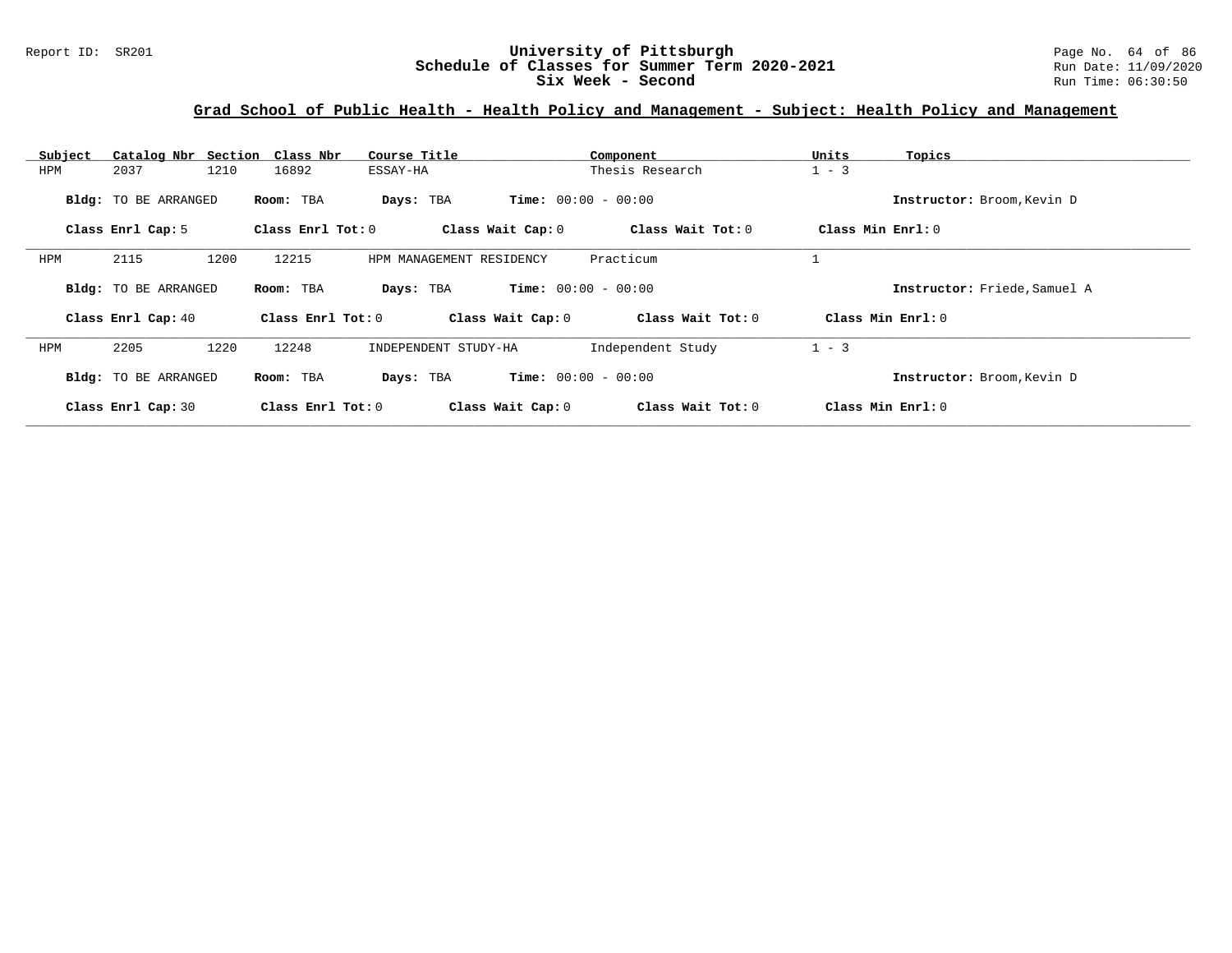#### Report ID: SR201 **University of Pittsburgh University of Pittsburgh** Page No. 64 of 86<br>**Schedule of Classes for Summer Term 2020-2021** Run Date: 11/09/2020 **Schedule of Classes for Summer Term 2020-2021** Run Date: 11/09/2021<br> **Six Week - Second** Run Time: 06:30:50 Six Week - Second

# **Grad School of Public Health - Health Policy and Management - Subject: Health Policy and Management**

| Subject | Catalog Nbr Section Class Nbr |                   | Course Title             | Component                    | Units<br>Topics              |
|---------|-------------------------------|-------------------|--------------------------|------------------------------|------------------------------|
| HPM     | 2037<br>1210                  | 16892             | ESSAY-HA                 | Thesis Research              | $1 - 3$                      |
|         | Bldg: TO BE ARRANGED          | Room: TBA         | Days: TBA                | <b>Time:</b> $00:00 - 00:00$ | Instructor: Broom, Kevin D   |
|         | Class Enrl Cap: 5             | Class Enrl Tot: 0 | Class Wait Cap: 0        | Class Wait Tot: 0            | Class Min Enrl: 0            |
| HPM     | 2115<br>1200                  | 12215             | HPM MANAGEMENT RESIDENCY | Practicum                    |                              |
|         | <b>Bldg:</b> TO BE ARRANGED   | Room: TBA         | Days: TBA                | <b>Time:</b> $00:00 - 00:00$ | Instructor: Friede, Samuel A |
|         | Class Enrl Cap: 40            | Class Enrl Tot: 0 | Class Wait Cap: 0        | Class Wait Tot: 0            | Class Min Enrl: 0            |
| HPM     | 2205<br>1220                  | 12248             | INDEPENDENT STUDY-HA     | Independent Study            | $1 - 3$                      |
|         | Bldg: TO BE ARRANGED          | Room: TBA         | Days: TBA                | <b>Time:</b> $00:00 - 00:00$ | Instructor: Broom, Kevin D   |
|         | Class Enrl Cap: 30            | Class Enrl Tot: 0 | Class Wait Cap: 0        | Class Wait Tot: 0            | Class Min Enrl: 0            |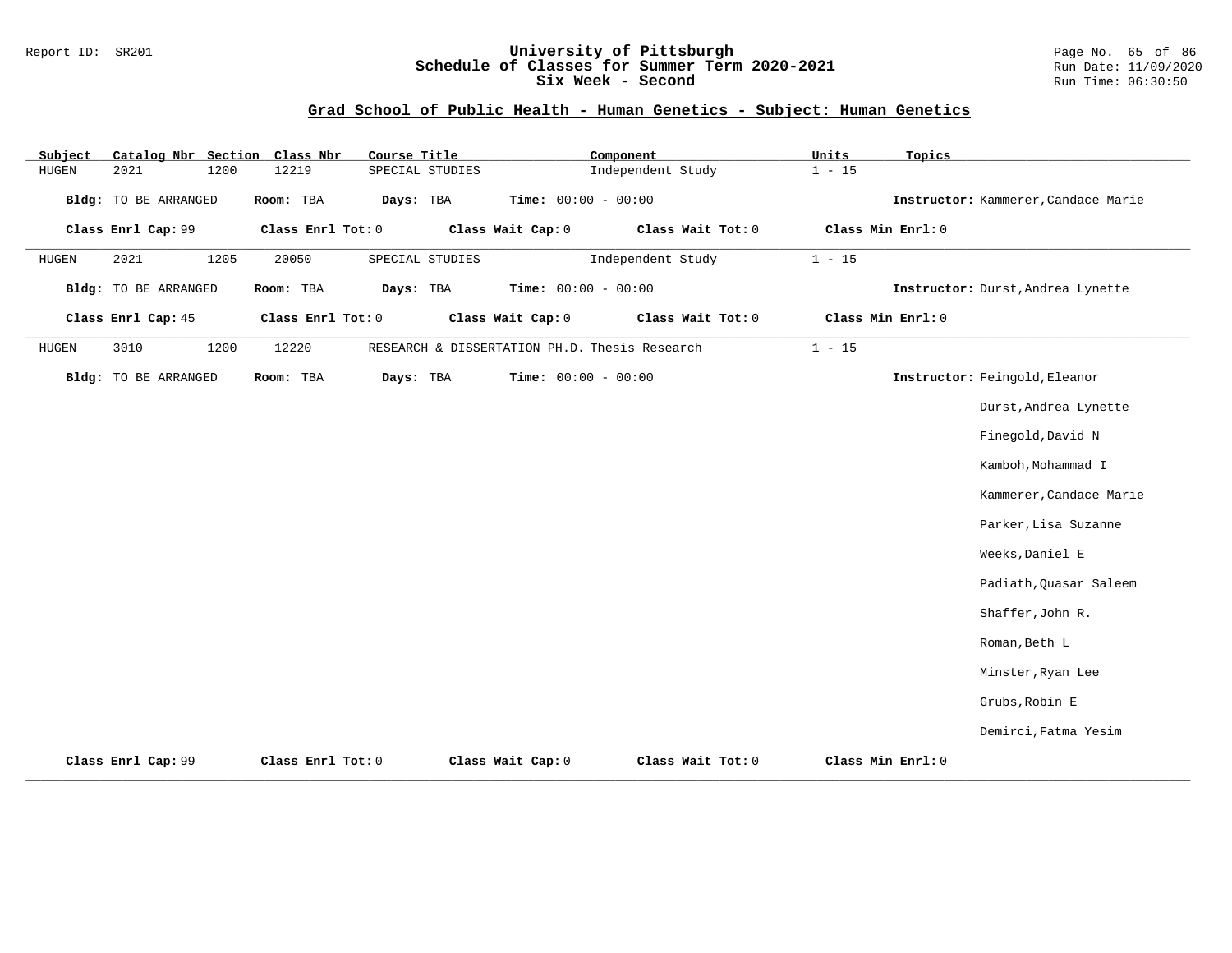## Report ID: SR201 **University of Pittsburgh** Page No. 65 of 86 **Schedule of Classes for Summer Term 2020-2021** Run Date: 11/09/2020 **Six Week - Second Run Time: 06:30:50**

## **Grad School of Public Health - Human Genetics - Subject: Human Genetics**

| Subject | Catalog Nbr Section Class Nbr |      |                   | Course Title    |                 |                       | Component |                                               | Units    | Topics            |                                     |
|---------|-------------------------------|------|-------------------|-----------------|-----------------|-----------------------|-----------|-----------------------------------------------|----------|-------------------|-------------------------------------|
| HUGEN   | 2021                          | 1200 | 12219             |                 | SPECIAL STUDIES |                       |           | Independent Study                             | $1 - 15$ |                   |                                     |
|         | <b>Bldg:</b> TO BE ARRANGED   |      | Room: TBA         | Days: TBA       |                 | Time: $00:00 - 00:00$ |           |                                               |          |                   | Instructor: Kammerer, Candace Marie |
|         | Class Enrl Cap: 99            |      | Class Enrl Tot: 0 |                 |                 | Class Wait Cap: 0     |           | Class Wait Tot: 0                             |          | Class Min Enrl: 0 |                                     |
| HUGEN   | 2021                          | 1205 | 20050             | SPECIAL STUDIES |                 |                       |           | Independent Study                             | $1 - 15$ |                   |                                     |
|         | <b>Bldg:</b> TO BE ARRANGED   |      | Room: TBA         | Days: TBA       |                 | Time: $00:00 - 00:00$ |           |                                               |          |                   | Instructor: Durst, Andrea Lynette   |
|         | Class Enrl Cap: 45            |      | Class Enrl Tot: 0 |                 |                 | Class Wait Cap: 0     |           | Class Wait Tot: 0                             |          | Class Min Enrl: 0 |                                     |
| HUGEN   | 3010                          | 1200 | 12220             |                 |                 |                       |           | RESEARCH & DISSERTATION PH.D. Thesis Research | $1 - 15$ |                   |                                     |
|         | Bldg: TO BE ARRANGED          |      | Room: TBA         | Days: TBA       |                 | Time: $00:00 - 00:00$ |           |                                               |          |                   | Instructor: Feingold, Eleanor       |
|         |                               |      |                   |                 |                 |                       |           |                                               |          |                   | Durst, Andrea Lynette               |
|         |                               |      |                   |                 |                 |                       |           |                                               |          |                   | Finegold, David N                   |
|         |                               |      |                   |                 |                 |                       |           |                                               |          |                   | Kamboh, Mohammad I                  |
|         |                               |      |                   |                 |                 |                       |           |                                               |          |                   | Kammerer, Candace Marie             |
|         |                               |      |                   |                 |                 |                       |           |                                               |          |                   | Parker, Lisa Suzanne                |
|         |                               |      |                   |                 |                 |                       |           |                                               |          |                   | Weeks, Daniel E                     |
|         |                               |      |                   |                 |                 |                       |           |                                               |          |                   | Padiath, Quasar Saleem              |
|         |                               |      |                   |                 |                 |                       |           |                                               |          |                   | Shaffer, John R.                    |
|         |                               |      |                   |                 |                 |                       |           |                                               |          |                   | Roman, Beth L                       |
|         |                               |      |                   |                 |                 |                       |           |                                               |          |                   | Minster, Ryan Lee                   |
|         |                               |      |                   |                 |                 |                       |           |                                               |          |                   | Grubs, Robin E                      |
|         |                               |      |                   |                 |                 |                       |           |                                               |          |                   | Demirci, Fatma Yesim                |
|         | Class Enrl Cap: 99            |      | Class Enrl Tot: 0 |                 |                 | Class Wait Cap: 0     |           | Class Wait Tot: 0                             |          | Class Min Enrl: 0 |                                     |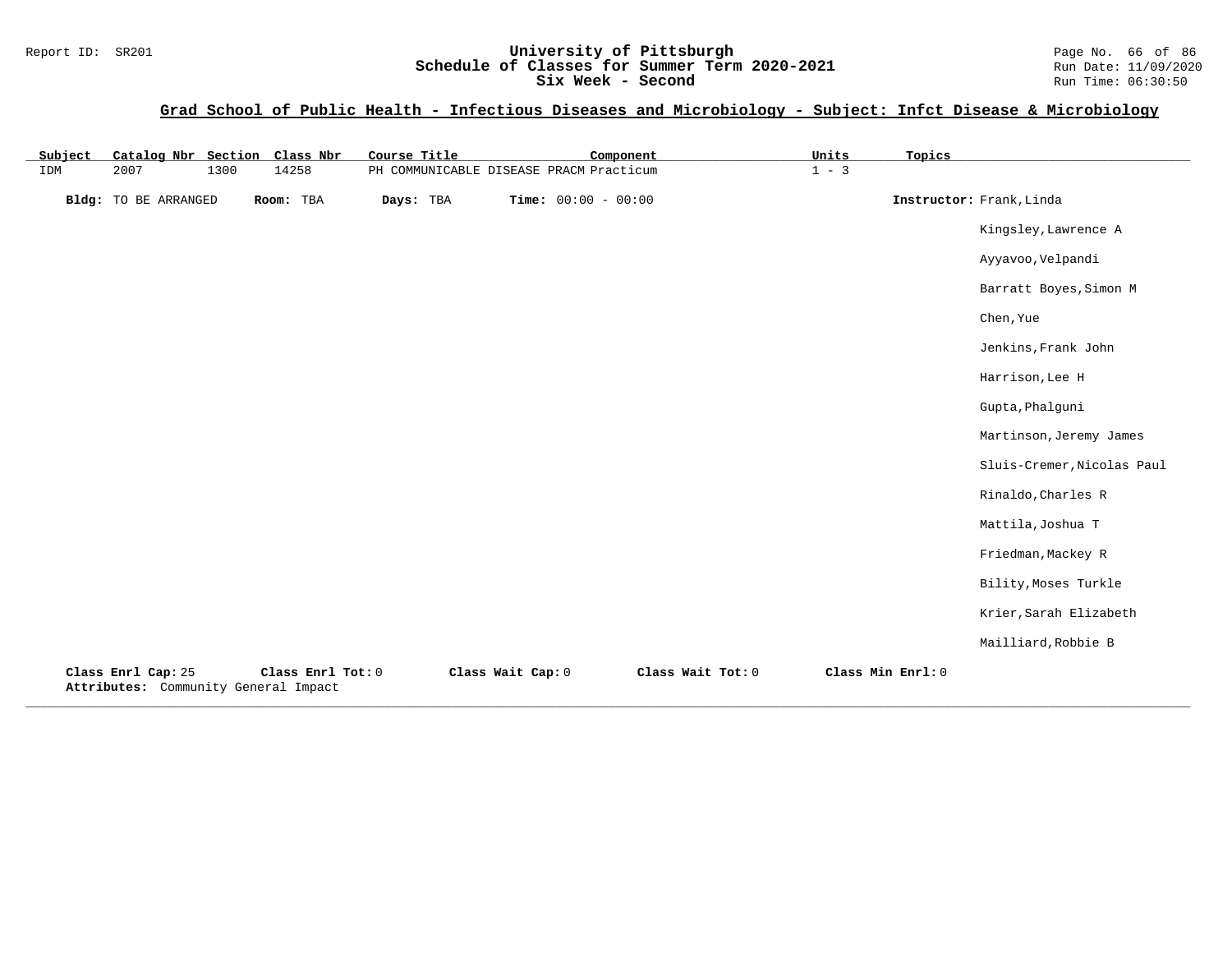## Report ID: SR201 **University of Pittsburgh University of Pittsburgh** Page No. 66 of 86<br>**Schedule of Classes for Summer Term 2020-2021** Run Date: 11/09/2020 **Schedule of Classes for Summer Term 2020-2021** Run Date: 11/09/2021<br> **Six Week - Second** Run Time: 06:30:50 Six Week - Second

# **Grad School of Public Health - Infectious Diseases and Microbiology - Subject: Infct Disease & Microbiology**

| Subject | Catalog Nbr Section Class Nbr                              |      |                   | Course Title |                   | Component                               |                   | Units   | Topics            |                            |
|---------|------------------------------------------------------------|------|-------------------|--------------|-------------------|-----------------------------------------|-------------------|---------|-------------------|----------------------------|
| IDM     | 2007                                                       | 1300 | 14258             |              |                   | PH COMMUNICABLE DISEASE PRACM Practicum |                   | $1 - 3$ |                   |                            |
|         | Bldg: TO BE ARRANGED                                       |      | Room: TBA         | Days: TBA    |                   | <b>Time:</b> $00:00 - 00:00$            |                   |         |                   | Instructor: Frank, Linda   |
|         |                                                            |      |                   |              |                   |                                         |                   |         |                   | Kingsley, Lawrence A       |
|         |                                                            |      |                   |              |                   |                                         |                   |         |                   | Ayyavoo, Velpandi          |
|         |                                                            |      |                   |              |                   |                                         |                   |         |                   | Barratt Boyes, Simon M     |
|         |                                                            |      |                   |              |                   |                                         |                   |         |                   | Chen, Yue                  |
|         |                                                            |      |                   |              |                   |                                         |                   |         |                   | Jenkins, Frank John        |
|         |                                                            |      |                   |              |                   |                                         |                   |         |                   | Harrison, Lee H            |
|         |                                                            |      |                   |              |                   |                                         |                   |         |                   | Gupta, Phalguni            |
|         |                                                            |      |                   |              |                   |                                         |                   |         |                   | Martinson, Jeremy James    |
|         |                                                            |      |                   |              |                   |                                         |                   |         |                   | Sluis-Cremer, Nicolas Paul |
|         |                                                            |      |                   |              |                   |                                         |                   |         |                   | Rinaldo, Charles R         |
|         |                                                            |      |                   |              |                   |                                         |                   |         |                   | Mattila, Joshua T          |
|         |                                                            |      |                   |              |                   |                                         |                   |         |                   | Friedman, Mackey R         |
|         |                                                            |      |                   |              |                   |                                         |                   |         |                   | Bility, Moses Turkle       |
|         |                                                            |      |                   |              |                   |                                         |                   |         |                   | Krier, Sarah Elizabeth     |
|         |                                                            |      |                   |              |                   |                                         |                   |         |                   | Mailliard, Robbie B        |
|         | Class Enrl Cap: 25<br>Attributes: Community General Impact |      | Class Enrl Tot: 0 |              | Class Wait Cap: 0 |                                         | Class Wait Tot: 0 |         | Class Min Enrl: 0 |                            |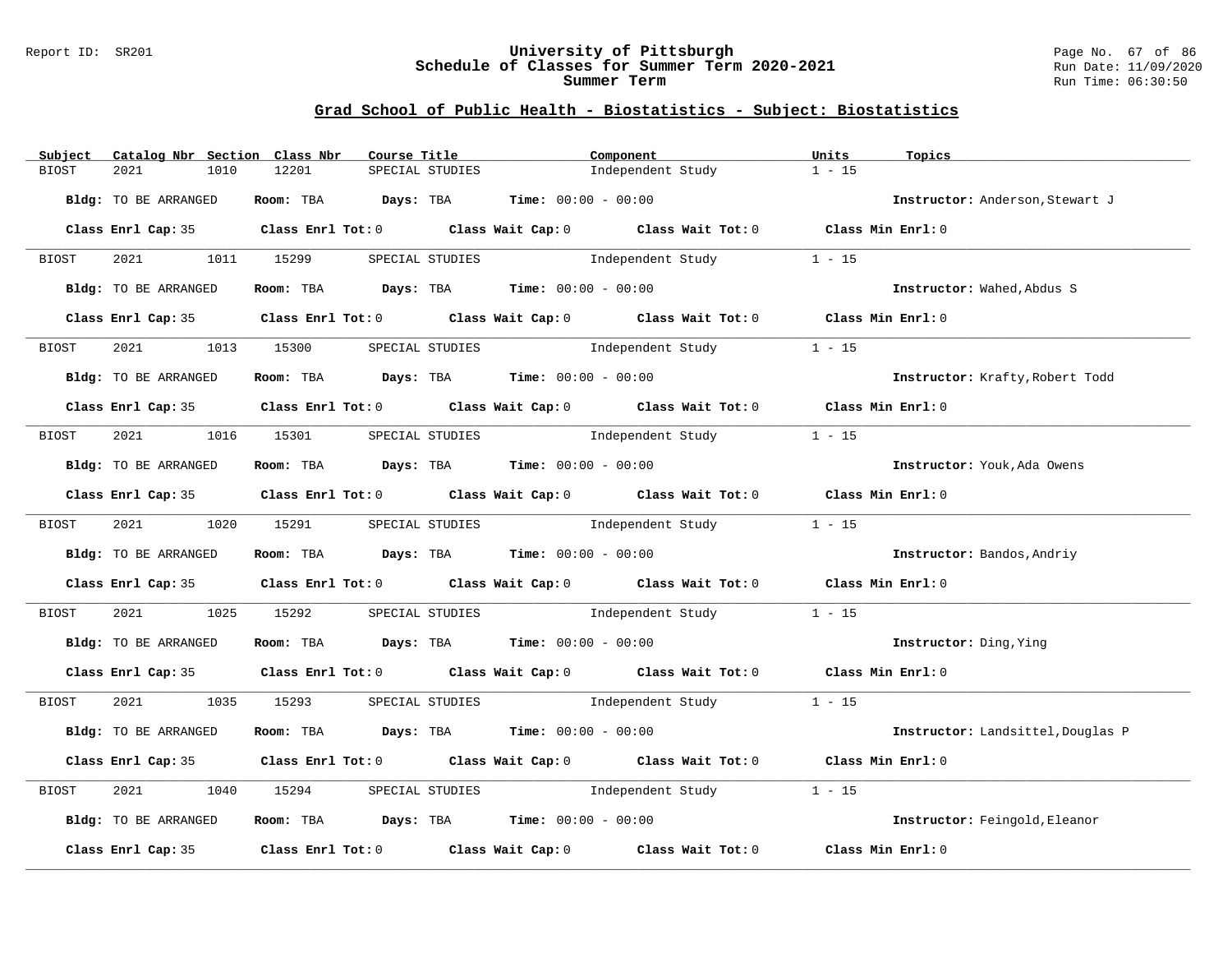## Report ID: SR201 **University of Pittsburgh** Page No. 67 of 86 **Schedule of Classes for Summer Term 2020-2021** Run Date: 11/09/2020 **Summer Term Run Time: 06:30:50** Run Time: 06:30:50

| Subject | Catalog Nbr Section Class Nbr | Course Title                                                                               |                 | Component |                                                          | Units             | Topics                            |
|---------|-------------------------------|--------------------------------------------------------------------------------------------|-----------------|-----------|----------------------------------------------------------|-------------------|-----------------------------------|
| BIOST   | 2021<br>1010                  | 12201                                                                                      | SPECIAL STUDIES |           | Independent Study                                        | $1 - 15$          |                                   |
|         | Bldg: TO BE ARRANGED          | Room: TBA $Days:$ TBA $Time: 00:00 - 00:00$                                                |                 |           |                                                          |                   | Instructor: Anderson, Stewart J   |
|         |                               |                                                                                            |                 |           |                                                          |                   |                                   |
|         |                               | Class Enrl Cap: 35 Class Enrl Tot: 0 Class Wait Cap: 0 Class Wait Tot: 0 Class Min Enrl: 0 |                 |           |                                                          |                   |                                   |
| BIOST   | 2021 1011 15299               |                                                                                            |                 |           | SPECIAL STUDIES 1 - 15                                   |                   |                                   |
|         | Bldg: TO BE ARRANGED          | Room: TBA $Days:$ TBA $Time: 00:00 - 00:00$                                                |                 |           |                                                          |                   | Instructor: Wahed, Abdus S        |
|         |                               | Class Enrl Cap: 35 Class Enrl Tot: 0 Class Wait Cap: 0 Class Wait Tot: 0 Class Min Enrl: 0 |                 |           |                                                          |                   |                                   |
| BIOST   | 2021                          | 1013 15300                                                                                 |                 |           | SPECIAL STUDIES <b>SPECIAL</b> STUDIES                   | $1 - 15$          |                                   |
|         | Bldg: TO BE ARRANGED          | Room: TBA $Days:$ TBA $Time: 00:00 - 00:00$                                                |                 |           |                                                          |                   | Instructor: Krafty, Robert Todd   |
|         |                               | Class Enrl Cap: 35 Class Enrl Tot: 0 Class Wait Cap: 0 Class Wait Tot: 0 Class Min Enrl: 0 |                 |           |                                                          |                   |                                   |
| BIOST   |                               | 2021 1016 15301 SPECIAL STUDIES                                                            |                 |           | Independent Study                                        | $1 - 15$          |                                   |
|         | Bldg: TO BE ARRANGED          | Room: TBA $Days:$ TBA $Time: 00:00 - 00:00$                                                |                 |           |                                                          |                   | Instructor: Youk, Ada Owens       |
|         |                               | Class Enrl Cap: 35 Class Enrl Tot: 0 Class Wait Cap: 0 Class Wait Tot: 0 Class Min Enrl: 0 |                 |           |                                                          |                   |                                   |
| BIOST   |                               | 2021 1020 15291 SPECIAL STUDIES                                                            |                 |           | Independent Study                                        | $1 - 15$          |                                   |
|         | Bldg: TO BE ARRANGED          | Room: TBA $Days:$ TBA $Time: 00:00 - 00:00$                                                |                 |           |                                                          |                   | Instructor: Bandos, Andriy        |
|         |                               | Class Enrl Cap: 35 Class Enrl Tot: 0 Class Wait Cap: 0 Class Wait Tot: 0 Class Min Enrl: 0 |                 |           |                                                          |                   |                                   |
| BIOST   | 2021 00                       | 1025 15292                                                                                 |                 |           | SPECIAL STUDIES <b>SPECIAL STUDIES Examplement Study</b> | $1 - 15$          |                                   |
|         | Bldg: TO BE ARRANGED          | Room: TBA $\rule{1em}{0.15mm}$ Days: TBA Time: $00:00 - 00:00$                             |                 |           |                                                          |                   | Instructor: Ding, Ying            |
|         |                               | Class Enrl Cap: 35 Class Enrl Tot: 0 Class Wait Cap: 0 Class Wait Tot: 0 Class Min Enrl: 0 |                 |           |                                                          |                   |                                   |
| BIOST   |                               | 2021 1035 15293 SPECIAL STUDIES Independent Study 1 - 15                                   |                 |           |                                                          |                   |                                   |
|         | Bldg: TO BE ARRANGED          | Room: TBA $Days: TBA$ Time: $00:00 - 00:00$                                                |                 |           |                                                          |                   | Instructor: Landsittel, Douglas P |
|         |                               | Class Enrl Cap: 35 Class Enrl Tot: 0 Class Wait Cap: 0 Class Wait Tot: 0 Class Min Enrl: 0 |                 |           |                                                          |                   |                                   |
| BIOST   | 2021<br>1040                  | 15294                                                                                      |                 |           | SPECIAL STUDIES and Independent Study                    | $1 - 15$          |                                   |
|         | Bldg: TO BE ARRANGED          | Room: TBA $Days:$ TBA $Time: 00:00 - 00:00$                                                |                 |           |                                                          |                   | Instructor: Feingold, Eleanor     |
|         |                               | Class Enrl Cap: 35 Class Enrl Tot: 0 Class Wait Cap: 0 Class Wait Tot: 0                   |                 |           |                                                          | Class Min Enrl: 0 |                                   |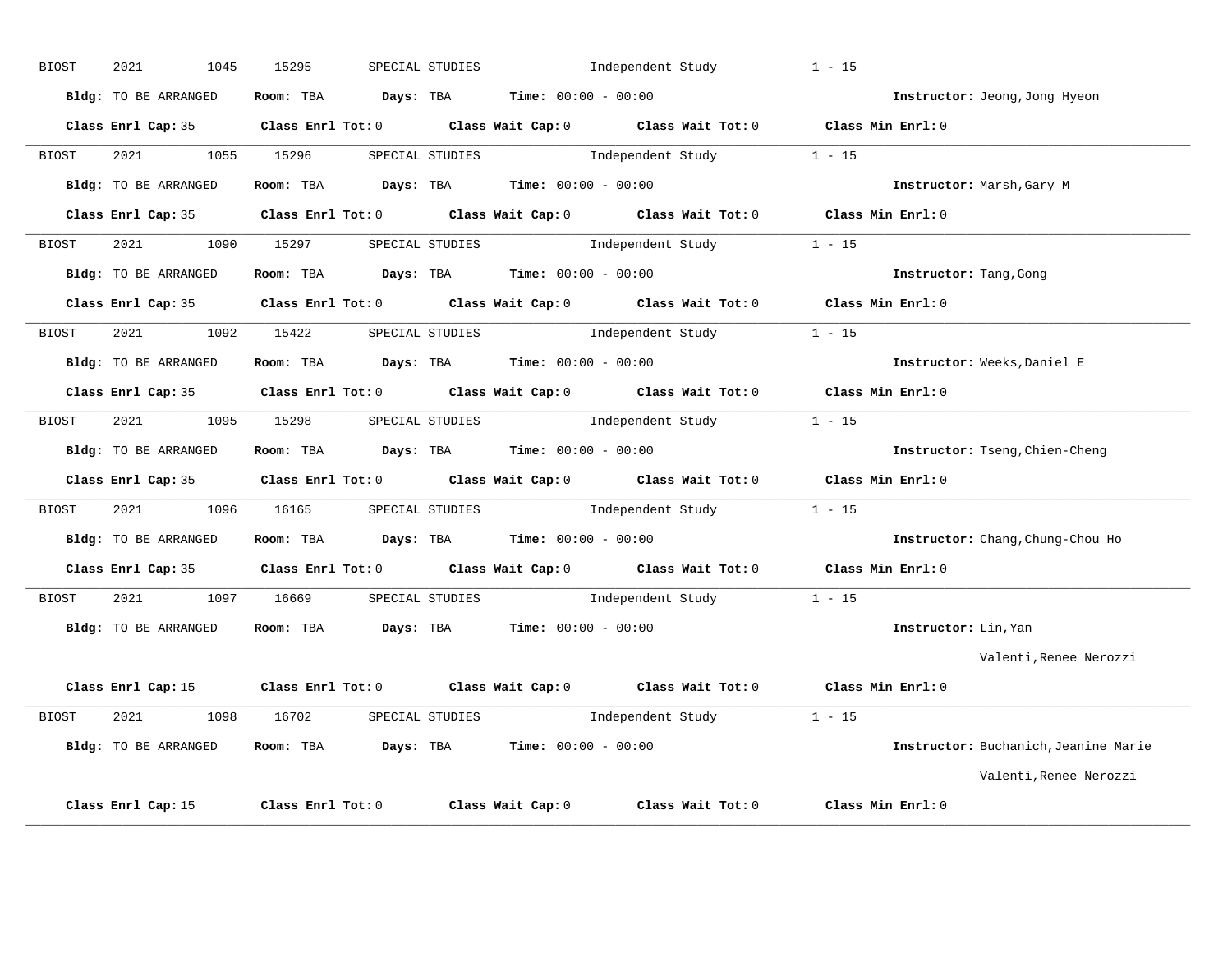| <b>BIOST</b> | 2021<br>1045         | 15295                                                                                               | SPECIAL STUDIES | Independent Study                        | $1 - 15$               |                                      |
|--------------|----------------------|-----------------------------------------------------------------------------------------------------|-----------------|------------------------------------------|------------------------|--------------------------------------|
|              | Bldg: TO BE ARRANGED | Room: TBA $Days:$ TBA $Time: 00:00 - 00:00$                                                         |                 |                                          |                        | Instructor: Jeong, Jong Hyeon        |
|              |                      | Class Enrl Cap: 35 Class Enrl Tot: 0 Class Wait Cap: 0 Class Wait Tot: 0 Class Min Enrl: 0          |                 |                                          |                        |                                      |
| <b>BIOST</b> |                      | 2021 1055 15296 SPECIAL STUDIES Independent Study 1 - 15                                            |                 |                                          |                        |                                      |
|              | Bldg: TO BE ARRANGED | Room: TBA $Days:$ TBA $Time: 00:00 - 00:00$                                                         |                 |                                          |                        | Instructor: Marsh, Gary M            |
|              |                      | Class Enrl Cap: 35 Class Enrl Tot: 0 Class Wait Cap: 0 Class Wait Tot: 0 Class Min Enrl: 0          |                 |                                          |                        |                                      |
| BIOST        | 2021 1090 15297      |                                                                                                     |                 | SPECIAL STUDIES 1ndependent Study 1 - 15 |                        |                                      |
|              | Bldg: TO BE ARRANGED | Room: TBA $Days: TBA$ Time: $00:00 - 00:00$                                                         |                 |                                          | Instructor: Tang, Gong |                                      |
|              |                      | Class Enrl Cap: 35 Class Enrl Tot: 0 Class Wait Cap: 0 Class Wait Tot: 0 Class Min Enrl: 0          |                 |                                          |                        |                                      |
| BIOST        | 2021 2022            | 1092 15422 SPECIAL STUDIES Independent Study 1 - 15                                                 |                 |                                          |                        |                                      |
|              | Bldg: TO BE ARRANGED | Room: TBA $Days:$ TBA $Time: 00:00 - 00:00$                                                         |                 |                                          |                        | Instructor: Weeks, Daniel E          |
|              |                      | Class Enrl Cap: 35 Class Enrl Tot: 0 Class Wait Cap: 0 Class Wait Tot: 0 Class Min Enrl: 0          |                 |                                          |                        |                                      |
|              |                      | BIOST 2021 1095 15298 SPECIAL STUDIES Independent Study 1 - 15                                      |                 |                                          |                        |                                      |
|              |                      | Bldg: TO BE ARRANGED Room: TBA Days: TBA Time: 00:00 - 00:00                                        |                 |                                          |                        | Instructor: Tseng, Chien-Cheng       |
|              |                      | Class Enrl Cap: 35 Class Enrl Tot: 0 Class Wait Cap: 0 Class Wait Tot: 0 Class Min Enrl: 0          |                 |                                          |                        |                                      |
| BIOST        |                      | 2021 1096 16165 SPECIAL STUDIES Independent Study 1 - 15                                            |                 |                                          |                        |                                      |
|              | Bldg: TO BE ARRANGED | Room: TBA $Days:$ TBA Time: $00:00 - 00:00$                                                         |                 |                                          |                        | Instructor: Chang, Chung-Chou Ho     |
|              |                      | Class Enrl Cap: 35 Class Enrl Tot: 0 Class Wait Cap: 0 Class Wait Tot: 0 Class Min Enrl: 0          |                 |                                          |                        |                                      |
| BIOST        |                      | 2021 1097 16669 SPECIAL STUDIES                                                                     |                 | Independent Study                        | $1 - 15$               |                                      |
|              | Bldg: TO BE ARRANGED | Room: TBA $Days:$ TBA $Time: 00:00 - 00:00$                                                         |                 |                                          | Instructor: Lin, Yan   |                                      |
|              |                      |                                                                                                     |                 |                                          |                        | Valenti, Renee Nerozzi               |
|              |                      | Class Enrl Cap: 15 Class Enrl Tot: 0 Class Wait Cap: 0 Class Wait Tot: 0 Class Min Enrl: 0          |                 |                                          |                        |                                      |
| BIOST        |                      | 2021 1098 16702 SPECIAL STUDIES Independent Study 1 - 15                                            |                 |                                          |                        |                                      |
|              | Bldg: TO BE ARRANGED | Room: TBA $Days: TBA$ Time: $00:00 - 00:00$                                                         |                 |                                          |                        | Instructor: Buchanich, Jeanine Marie |
|              |                      |                                                                                                     |                 |                                          |                        | Valenti, Renee Nerozzi               |
|              |                      | Class Enrl Cap: 15 $\qquad$ Class Enrl Tot: 0 $\qquad$ Class Wait Cap: 0 $\qquad$ Class Wait Tot: 0 |                 |                                          | Class Min Enrl: 0      |                                      |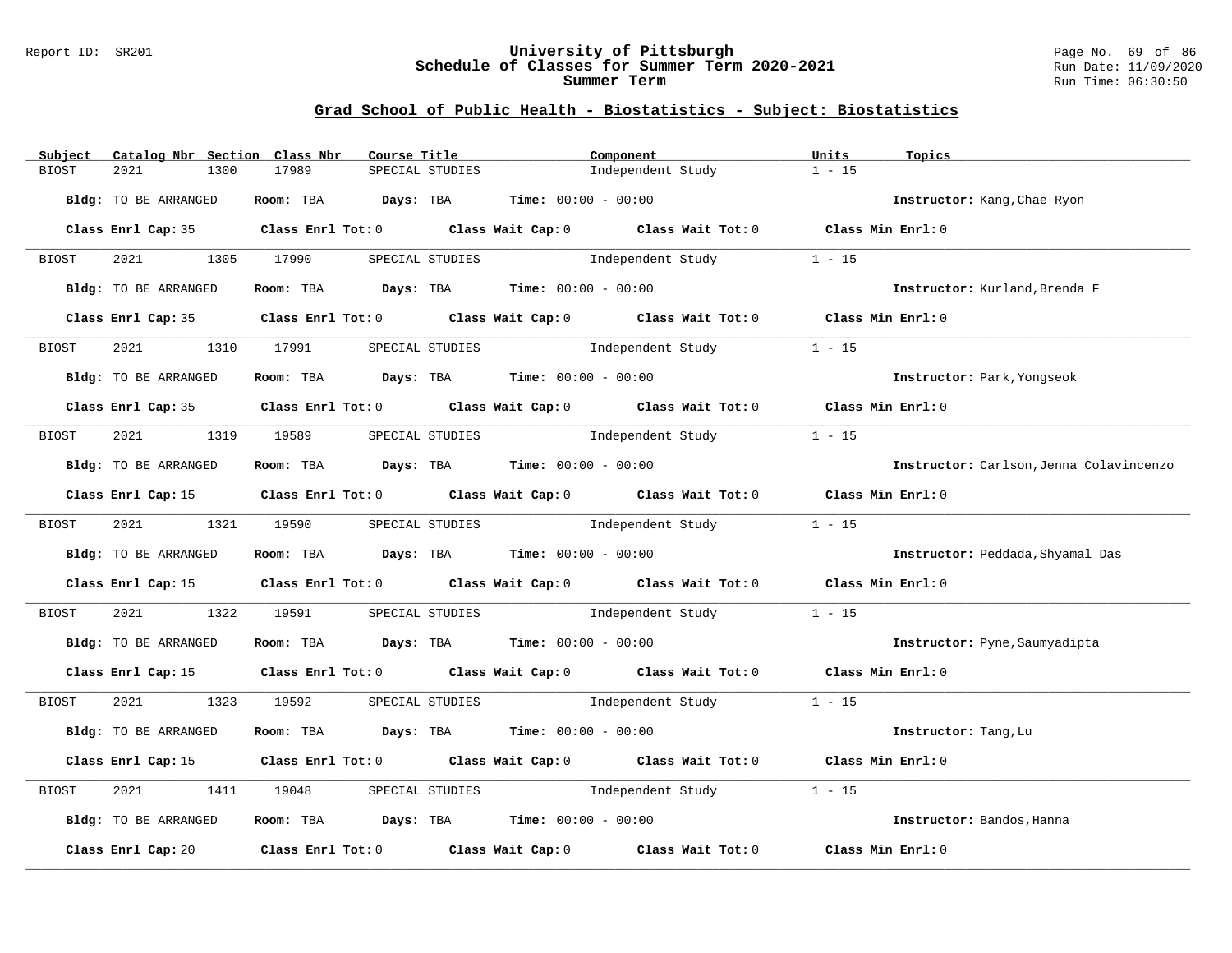## Report ID: SR201 **University of Pittsburgh** Page No. 69 of 86 **Schedule of Classes for Summer Term 2020-2021** Run Date: 11/09/2020 **Summer Term Run Time: 06:30:50** Run Time: 06:30:50

|       | Subject |                      |      | Catalog Nbr Section Class Nbr   | Course Title |                 |                                                                | Component                                                                                       | Units    | Topics                                  |
|-------|---------|----------------------|------|---------------------------------|--------------|-----------------|----------------------------------------------------------------|-------------------------------------------------------------------------------------------------|----------|-----------------------------------------|
| BIOST |         | 2021                 | 1300 | 17989                           |              | SPECIAL STUDIES |                                                                | Independent Study                                                                               | $1 - 15$ |                                         |
|       |         | Bldg: TO BE ARRANGED |      |                                 |              |                 | Room: TBA $Days:$ TBA $Time: 00:00 - 00:00$                    |                                                                                                 |          | Instructor: Kang, Chae Ryon             |
|       |         |                      |      |                                 |              |                 |                                                                |                                                                                                 |          |                                         |
|       |         |                      |      |                                 |              |                 |                                                                | Class Enrl Cap: 35 Class Enrl Tot: 0 Class Wait Cap: 0 Class Wait Tot: 0 Class Min Enrl: 0      |          |                                         |
|       | BIOST   |                      |      | 2021 1305 17990                 |              |                 |                                                                | SPECIAL STUDIES 1 - 15                                                                          |          |                                         |
|       |         | Bldg: TO BE ARRANGED |      |                                 |              |                 | Room: TBA $Days:$ TBA $Time: 00:00 - 00:00$                    |                                                                                                 |          | Instructor: Kurland, Brenda F           |
|       |         |                      |      |                                 |              |                 |                                                                | Class Enrl Cap: 35 Class Enrl Tot: 0 Class Wait Cap: 0 Class Wait Tot: 0 Class Min Enrl: 0      |          |                                         |
|       | BIOST   | 2021                 |      | 1310 17991                      |              |                 |                                                                | SPECIAL STUDIES <b>SPECIAL</b> STUDIES                                                          | $1 - 15$ |                                         |
|       |         | Bldg: TO BE ARRANGED |      |                                 |              |                 | Room: TBA $Days:$ TBA $Time: 00:00 - 00:00$                    |                                                                                                 |          | Instructor: Park, Yongseok              |
|       |         |                      |      |                                 |              |                 |                                                                |                                                                                                 |          |                                         |
|       |         |                      |      |                                 |              |                 |                                                                | Class Enrl Cap: 35 Class Enrl Tot: 0 Class Wait Cap: 0 Class Wait Tot: 0 Class Min Enrl: 0      |          |                                         |
|       | BIOST   |                      |      | 2021 1319 19589 SPECIAL STUDIES |              |                 |                                                                | Independent Study                                                                               | $1 - 15$ |                                         |
|       |         | Bldg: TO BE ARRANGED |      |                                 |              |                 | Room: TBA $Days:$ TBA $Time: 00:00 - 00:00$                    |                                                                                                 |          | Instructor: Carlson, Jenna Colavincenzo |
|       |         |                      |      |                                 |              |                 |                                                                | Class Enrl Cap: 15 Class Enrl Tot: 0 Class Wait Cap: 0 Class Wait Tot: 0 Class Min Enrl: 0      |          |                                         |
|       | BIOST   |                      |      | 2021 1321 19590 SPECIAL STUDIES |              |                 |                                                                | Independent Study                                                                               | $1 - 15$ |                                         |
|       |         | Bldg: TO BE ARRANGED |      |                                 |              |                 | Room: TBA $Days:$ TBA $Time: 00:00 - 00:00$                    |                                                                                                 |          | Instructor: Peddada, Shyamal Das        |
|       |         |                      |      |                                 |              |                 |                                                                | Class Enrl Cap: 15 (class Enrl Tot: 0 (class Wait Cap: 0 (class Wait Tot: 0 (class Min Enrl: 0) |          |                                         |
|       | BIOST   |                      |      | 2021 1322 19591                 |              |                 |                                                                | SPECIAL STUDIES <b>SPECIAL</b> STUDIES                                                          | $1 - 15$ |                                         |
|       |         | Bldg: TO BE ARRANGED |      |                                 |              |                 | Room: TBA $Days:$ TBA $Time: 00:00 - 00:00$                    |                                                                                                 |          | Instructor: Pyne, Saumyadipta           |
|       |         |                      |      |                                 |              |                 |                                                                | Class Enrl Cap: 15 (Class Enrl Tot: 0 (Class Wait Cap: 0 (Class Wait Tot: 0 (Class Min Enrl: 0) |          |                                         |
|       | BIOST   |                      |      |                                 |              |                 |                                                                | 2021 1323 19592 SPECIAL STUDIES 1ndependent Study                                               | $1 - 15$ |                                         |
|       |         | Bldg: TO BE ARRANGED |      |                                 |              |                 | Room: TBA $Days: TBA$ Time: $00:00 - 00:00$                    |                                                                                                 |          | Instructor: Tang, Lu                    |
|       |         |                      |      |                                 |              |                 |                                                                | Class Enrl Cap: 15 Class Enrl Tot: 0 Class Wait Cap: 0 Class Wait Tot: 0 Class Min Enrl: 0      |          |                                         |
| BIOST |         | 2021                 |      | 1411 19048                      |              |                 |                                                                | SPECIAL STUDIES and Independent Study                                                           | $1 - 15$ |                                         |
|       |         | Bldg: TO BE ARRANGED |      |                                 |              |                 | Room: TBA $\rule{1em}{0.15mm}$ Days: TBA Time: $00:00 - 00:00$ |                                                                                                 |          | Instructor: Bandos, Hanna               |
|       |         |                      |      |                                 |              |                 |                                                                | Class Enrl Cap: 20 Class Enrl Tot: 0 Class Wait Cap: 0 Class Wait Tot: 0 Class Min Enrl: 0      |          |                                         |
|       |         |                      |      |                                 |              |                 |                                                                |                                                                                                 |          |                                         |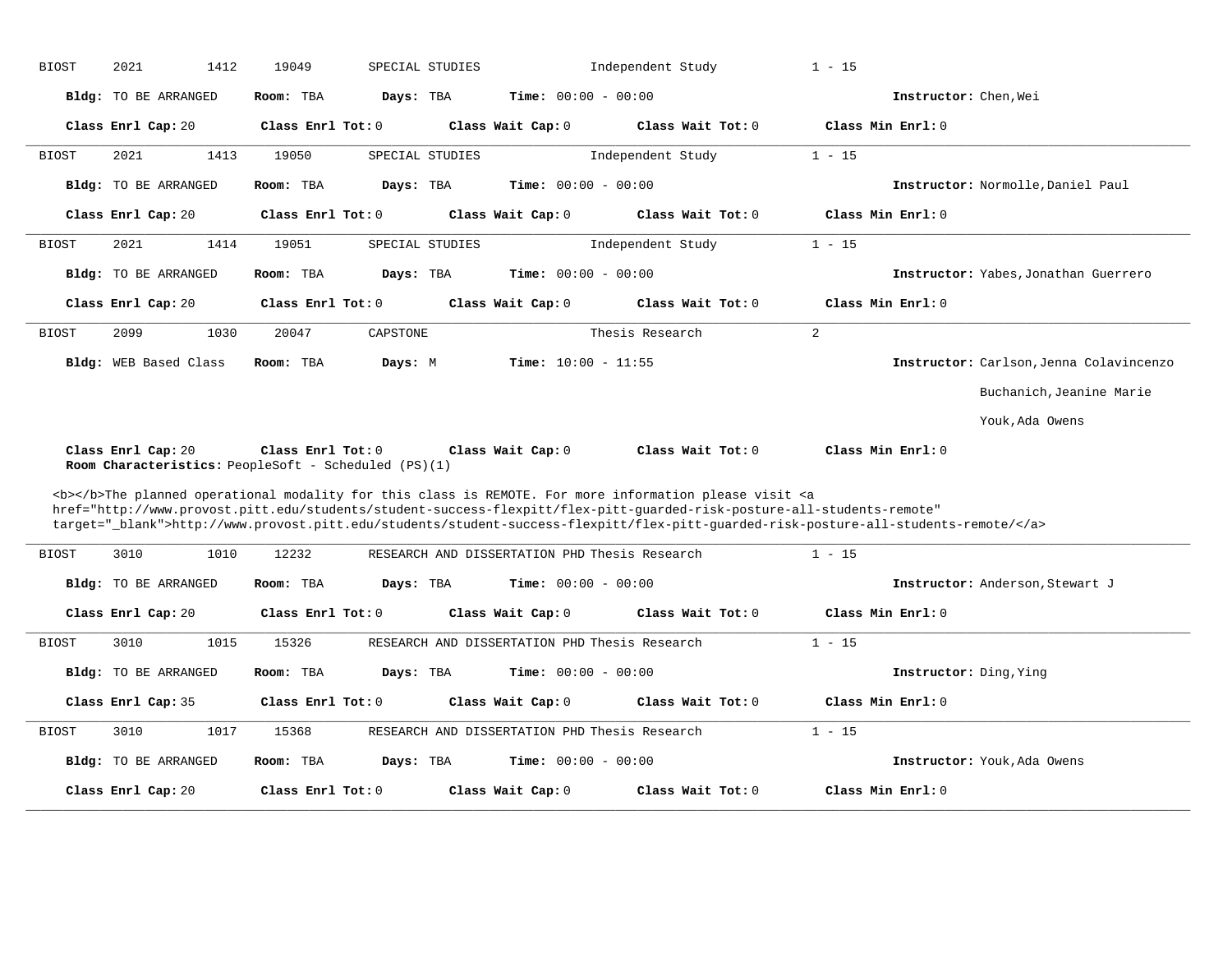| <b>BIOST</b> | 2021                                                                       | 1412 | 19049               | SPECIAL STUDIES |                              | Independent Study                                                                                                                                                                                                                                            | $1 - 15$       |                        |                                         |
|--------------|----------------------------------------------------------------------------|------|---------------------|-----------------|------------------------------|--------------------------------------------------------------------------------------------------------------------------------------------------------------------------------------------------------------------------------------------------------------|----------------|------------------------|-----------------------------------------|
|              | Bldg: TO BE ARRANGED                                                       |      | Room: TBA           | Days: TBA       | <b>Time:</b> $00:00 - 00:00$ |                                                                                                                                                                                                                                                              |                | Instructor: Chen, Wei  |                                         |
|              | Class Enrl Cap: 20                                                         |      | Class Enrl Tot: 0   |                 | Class Wait Cap: 0            | Class Wait Tot: 0                                                                                                                                                                                                                                            |                | Class Min Enrl: 0      |                                         |
| <b>BIOST</b> | 2021                                                                       | 1413 | 19050               | SPECIAL STUDIES |                              | Independent Study                                                                                                                                                                                                                                            | $1 - 15$       |                        |                                         |
|              | Bldg: TO BE ARRANGED                                                       |      | Room: TBA           | Days: TBA       | Time: $00:00 - 00:00$        |                                                                                                                                                                                                                                                              |                |                        | Instructor: Normolle, Daniel Paul       |
|              | Class Enrl Cap: 20                                                         |      | Class Enrl Tot: $0$ |                 | Class Wait Cap: 0            | Class Wait Tot: 0                                                                                                                                                                                                                                            |                | Class Min Enrl: 0      |                                         |
| <b>BIOST</b> | 2021                                                                       | 1414 | 19051               | SPECIAL STUDIES |                              | Independent Study                                                                                                                                                                                                                                            | $1 - 15$       |                        |                                         |
|              | Bldg: TO BE ARRANGED                                                       |      | Room: TBA           | Days: TBA       | $Time: 00:00 - 00:00$        |                                                                                                                                                                                                                                                              |                |                        | Instructor: Yabes, Jonathan Guerrero    |
|              | Class Enrl Cap: 20                                                         |      | Class $Enr1 Tot: 0$ |                 | Class Wait Cap: 0            | Class Wait Tot: 0                                                                                                                                                                                                                                            |                | Class Min Enrl: 0      |                                         |
| <b>BIOST</b> | 2099                                                                       | 1030 | 20047               | CAPSTONE        |                              | Thesis Research                                                                                                                                                                                                                                              | $\overline{a}$ |                        |                                         |
|              | Bldg: WEB Based Class                                                      |      | Room: TBA           | Days: M         | Time: $10:00 - 11:55$        |                                                                                                                                                                                                                                                              |                |                        | Instructor: Carlson, Jenna Colavincenzo |
|              |                                                                            |      |                     |                 |                              |                                                                                                                                                                                                                                                              |                |                        | Buchanich, Jeanine Marie                |
|              |                                                                            |      |                     |                 |                              |                                                                                                                                                                                                                                                              |                |                        | Youk, Ada Owens                         |
|              |                                                                            |      |                     |                 |                              |                                                                                                                                                                                                                                                              |                |                        |                                         |
|              | Class Enrl Cap: 20<br>Room Characteristics: PeopleSoft - Scheduled (PS)(1) |      | Class Enrl Tot: 0   |                 | Class Wait Cap: 0            | Class Wait Tot: 0                                                                                                                                                                                                                                            |                | Class Min Enrl: 0      |                                         |
|              |                                                                            |      |                     |                 |                              | <b></b> The planned operational modality for this class is REMOTE. For more information please visit <a< td=""><td></td><td></td><td></td></a<>                                                                                                              |                |                        |                                         |
|              |                                                                            |      |                     |                 |                              | href="http://www.provost.pitt.edu/students/student-success-flexpitt/flex-pitt-quarded-risk-posture-all-students-remote"<br>target="_blank">http://www.provost.pitt.edu/students/student-success-flexpitt/flex-pitt-guarded-risk-posture-all-students-remote/ |                |                        |                                         |
| <b>BIOST</b> | 3010                                                                       | 1010 | 12232               |                 |                              | RESEARCH AND DISSERTATION PHD Thesis Research                                                                                                                                                                                                                | $1 - 15$       |                        |                                         |
|              | Bldg: TO BE ARRANGED                                                       |      | Room: TBA           | Days: TBA       | <b>Time:</b> $00:00 - 00:00$ |                                                                                                                                                                                                                                                              |                |                        | Instructor: Anderson, Stewart J         |
|              | Class Enrl Cap: 20                                                         |      | Class Enrl Tot: 0   |                 | Class Wait Cap: 0            | Class Wait Tot: 0                                                                                                                                                                                                                                            |                | Class Min Enrl: 0      |                                         |
| <b>BIOST</b> | 3010                                                                       | 1015 | 15326               |                 |                              | RESEARCH AND DISSERTATION PHD Thesis Research                                                                                                                                                                                                                | $1 - 15$       |                        |                                         |
|              | Bldg: TO BE ARRANGED                                                       |      | Room: TBA           | Days: TBA       | Time: $00:00 - 00:00$        |                                                                                                                                                                                                                                                              |                | Instructor: Ding, Ying |                                         |
|              | Class Enrl Cap: 35                                                         |      | Class Enrl Tot: 0   |                 | Class Wait Cap: 0            | Class Wait $Tot: 0$                                                                                                                                                                                                                                          |                | Class Min Enrl: 0      |                                         |
| <b>BIOST</b> | 3010                                                                       | 1017 | 15368               |                 |                              | RESEARCH AND DISSERTATION PHD Thesis Research                                                                                                                                                                                                                | $1 - 15$       |                        |                                         |
|              | Bldg: TO BE ARRANGED                                                       |      | Room: TBA           | Days: TBA       | Time: $00:00 - 00:00$        |                                                                                                                                                                                                                                                              |                |                        | Instructor: Youk, Ada Owens             |
|              | Class Enrl Cap: 20                                                         |      | Class Enrl Tot: 0   |                 | Class Wait Cap: 0            | Class Wait Tot: 0                                                                                                                                                                                                                                            |                | Class Min Enrl: 0      |                                         |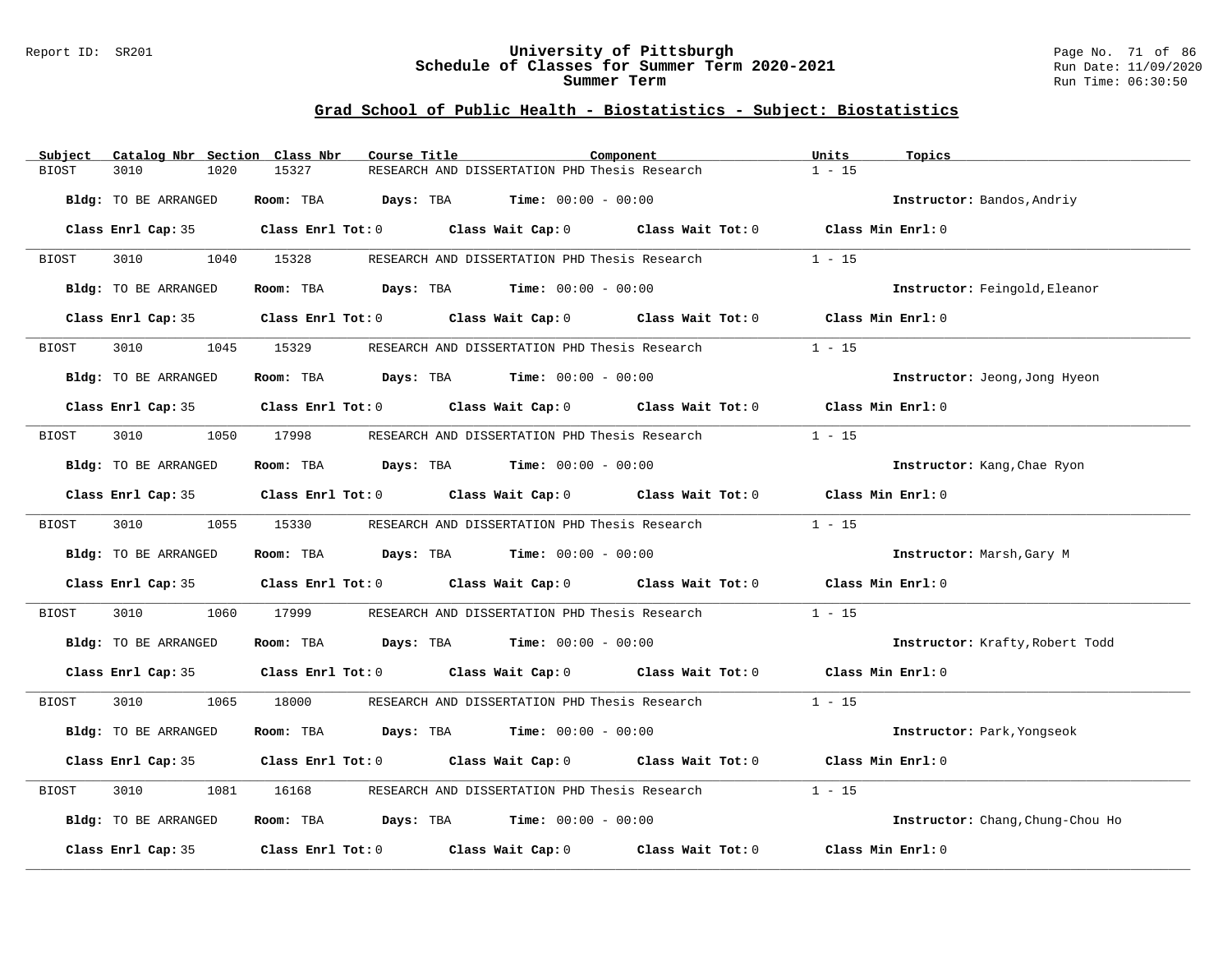#### Report ID: SR201 **University of Pittsburgh** Page No. 71 of 86 **Schedule of Classes for Summer Term 2020-2021** Run Date: 11/09/2020 **Summer Term** Run Time: 06:30:50

| Subject | Catalog Nbr Section Class Nbr | Course Title |                                                                                                     | Component | Units<br>Topics                  |  |
|---------|-------------------------------|--------------|-----------------------------------------------------------------------------------------------------|-----------|----------------------------------|--|
| BIOST   | 3010<br>1020                  | 15327        | RESEARCH AND DISSERTATION PHD Thesis Research                                                       |           | $1 - 15$                         |  |
|         | Bldg: TO BE ARRANGED          | Room: TBA    | <b>Days:</b> TBA <b>Time:</b> $00:00 - 00:00$                                                       |           | Instructor: Bandos, Andriy       |  |
|         |                               |              | Class Enrl Cap: 35 Class Enrl Tot: 0 Class Wait Cap: 0 Class Wait Tot: 0 Class Min Enrl: 0          |           |                                  |  |
| BIOST   | 3010                          | 1040 15328   | RESEARCH AND DISSERTATION PHD Thesis Research                                                       |           | $1 - 15$                         |  |
|         | Bldg: TO BE ARRANGED          |              | <b>Room:</b> TBA <b>Days:</b> TBA <b>Time:</b> 00:00 - 00:00                                        |           | Instructor: Feingold, Eleanor    |  |
|         |                               |              | Class Enrl Cap: 35 Class Enrl Tot: 0 Class Wait Cap: 0 Class Wait Tot: 0                            |           | Class Min Enrl: 0                |  |
| BIOST   | 3010                          | 1045 15329   | RESEARCH AND DISSERTATION PHD Thesis Research                                                       |           | $1 - 15$                         |  |
|         | <b>Bldg:</b> TO BE ARRANGED   |              | Room: TBA $Days:$ TBA $Time: 00:00 - 00:00$                                                         |           | Instructor: Jeong, Jong Hyeon    |  |
|         |                               |              | Class Enrl Cap: 35 Class Enrl Tot: 0 Class Wait Cap: 0 Class Wait Tot: 0 Class Min Enrl: 0          |           |                                  |  |
| BIOST   | 3010                          | 1050 17998   | RESEARCH AND DISSERTATION PHD Thesis Research                                                       |           | $1 - 15$                         |  |
|         | Bldg: TO BE ARRANGED          |              | Room: TBA $\rule{1em}{0.15mm}$ Days: TBA $\rule{1em}{0.15mm}$ Time: $00:00 - 00:00$                 |           | Instructor: Kang, Chae Ryon      |  |
|         |                               |              | Class Enrl Cap: 35 $\qquad$ Class Enrl Tot: 0 $\qquad$ Class Wait Cap: 0 $\qquad$ Class Wait Tot: 0 |           | Class Min Enrl: 0                |  |
| BIOST   | 3010                          | 1055 15330   | RESEARCH AND DISSERTATION PHD Thesis Research                                                       |           | $1 - 15$                         |  |
|         | Bldg: TO BE ARRANGED          |              | Room: TBA $Days:$ TBA $Time: 00:00 - 00:00$                                                         |           | Instructor: Marsh, Gary M        |  |
|         |                               |              | Class Enrl Cap: 35 Class Enrl Tot: 0 Class Wait Cap: 0 Class Wait Tot: 0 Class Min Enrl: 0          |           |                                  |  |
| BIOST   | 3010<br>1060                  | 17999        | RESEARCH AND DISSERTATION PHD Thesis Research                                                       |           | $1 - 15$                         |  |
|         | Bldg: TO BE ARRANGED          |              | Room: TBA $Days:$ TBA $Time: 00:00 - 00:00$                                                         |           | Instructor: Krafty, Robert Todd  |  |
|         |                               |              | Class Enrl Cap: 35 Class Enrl Tot: 0 Class Wait Cap: 0 Class Wait Tot: 0 Class Min Enrl: 0          |           |                                  |  |
| BIOST   | 3010<br>1065                  | 18000        | RESEARCH AND DISSERTATION PHD Thesis Research                                                       |           | $1 - 15$                         |  |
|         | Bldg: TO BE ARRANGED          |              | Room: TBA $Days:$ TBA $Time: 00:00 - 00:00$                                                         |           | Instructor: Park, Yongseok       |  |
|         |                               |              | Class Enrl Cap: 35 Class Enrl Tot: 0 Class Wait Cap: 0 Class Wait Tot: 0                            |           | Class Min Enrl: 0                |  |
| BIOST   | 3010<br>1081                  | 16168        | RESEARCH AND DISSERTATION PHD Thesis Research                                                       |           | $1 - 15$                         |  |
|         | Bldg: TO BE ARRANGED          |              | Room: TBA $\rule{1em}{0.15mm}$ Days: TBA $\rule{1.15mm}]{0.15mm}$ Time: $0.000 - 0.0000$            |           | Instructor: Chang, Chung-Chou Ho |  |
|         | Class Enrl Cap: 35            |              | Class Enrl Tot: $0$ Class Wait Cap: $0$ Class Wait Tot: $0$                                         |           | Class Min Enrl: 0                |  |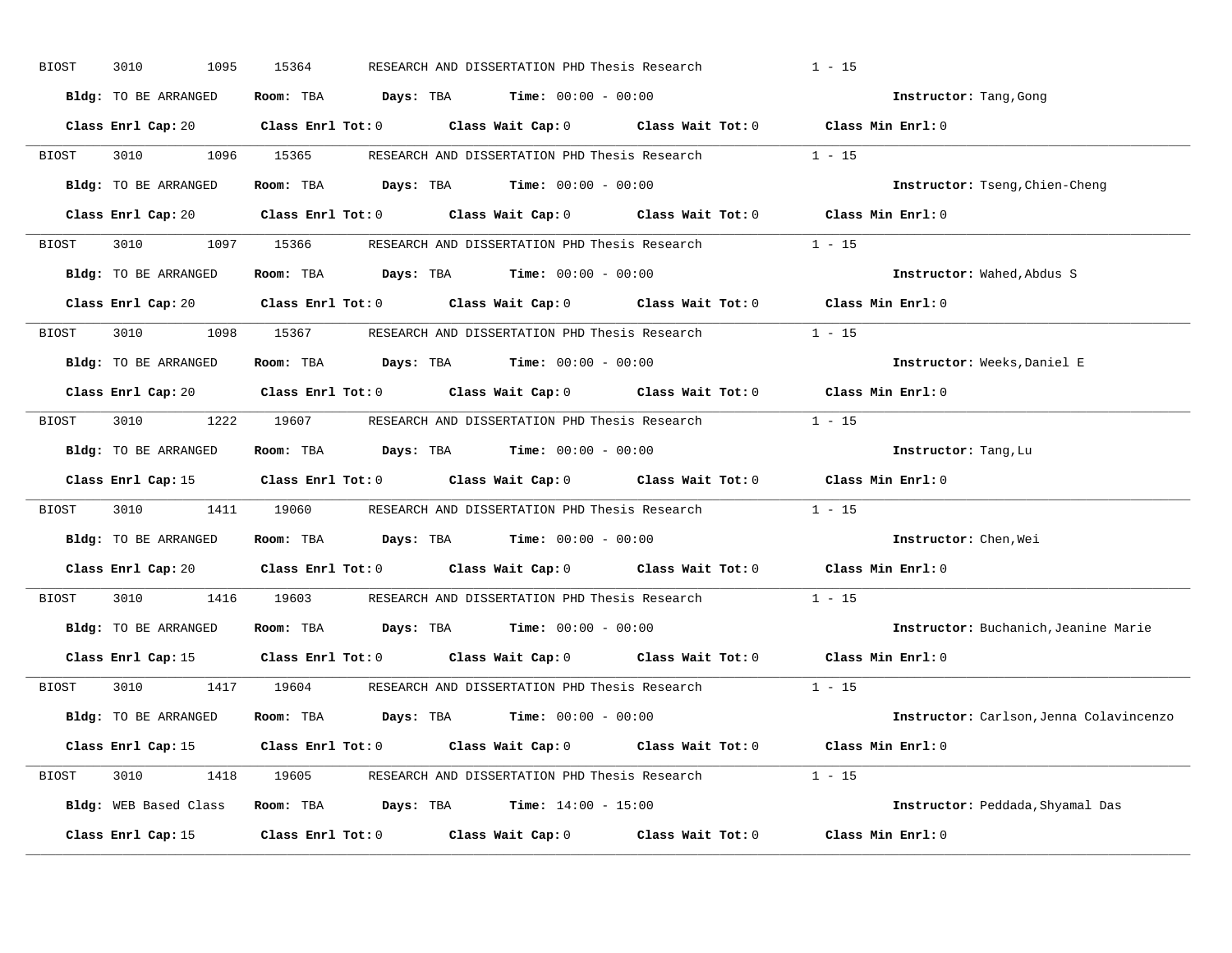| BIOST | 3010<br>1095         | 15364<br>RESEARCH AND DISSERTATION PHD Thesis Research                                              | $1 - 15$                                |
|-------|----------------------|-----------------------------------------------------------------------------------------------------|-----------------------------------------|
|       | Bldg: TO BE ARRANGED | Room: TBA $Days:$ TBA $Time: 00:00 - 00:00$                                                         | Instructor: Tang, Gong                  |
|       |                      | Class Enrl Cap: 20 Class Enrl Tot: 0 Class Wait Cap: 0 Class Wait Tot: 0 Class Min Enrl: 0          |                                         |
| BIOST | 3010 1096 15365      | RESEARCH AND DISSERTATION PHD Thesis Research 1 - 15                                                |                                         |
|       | Bldg: TO BE ARRANGED | Room: TBA $Days:$ TBA Time: $00:00 - 00:00$                                                         | Instructor: Tseng, Chien-Cheng          |
|       |                      | Class Enrl Cap: 20 Class Enrl Tot: 0 Class Wait Cap: 0 Class Wait Tot: 0 Class Min Enrl: 0          |                                         |
|       |                      | BIOST 3010 1097 15366 RESEARCH AND DISSERTATION PHD Thesis Research 1 - 15                          |                                         |
|       | Bldg: TO BE ARRANGED | Room: TBA $Days:$ TBA Time: $00:00 - 00:00$                                                         | Instructor: Wahed, Abdus S              |
|       |                      | Class Enrl Cap: 20 $\qquad$ Class Enrl Tot: 0 $\qquad$ Class Wait Cap: 0 $\qquad$ Class Wait Tot: 0 | Class Min Enrl: 0                       |
| BIOST |                      | 3010 1098 15367 RESEARCH AND DISSERTATION PHD Thesis Research                                       | $1 - 15$                                |
|       | Bldg: TO BE ARRANGED | Room: TBA $Days:$ TBA $Time: 00:00 - 00:00$                                                         | Instructor: Weeks, Daniel E             |
|       |                      | Class Enrl Cap: 20 Class Enrl Tot: 0 Class Wait Cap: 0 Class Wait Tot: 0 Class Min Enrl: 0          |                                         |
| BIOST |                      | 3010 1222 19607 RESEARCH AND DISSERTATION PHD Thesis Research 1 - 15                                |                                         |
|       | Bldg: TO BE ARRANGED | Room: TBA $Days: TBA$ Time: $00:00 - 00:00$                                                         | Instructor: Tang, Lu                    |
|       |                      | Class Enrl Cap: 15 (Class Enrl Tot: 0 (Class Wait Cap: 0 (Class Wait Tot: 0 (Class Min Enrl: 0)     |                                         |
| BIOST |                      | 3010 1411 19060 RESEARCH AND DISSERTATION PHD Thesis Research 1 - 15                                |                                         |
|       | Bldg: TO BE ARRANGED | Room: TBA $Days:$ TBA $Time: 00:00 - 00:00$                                                         | Instructor: Chen, Wei                   |
|       |                      | Class Enrl Cap: 20 $\qquad$ Class Enrl Tot: 0 $\qquad$ Class Wait Cap: 0 $\qquad$ Class Wait Tot: 0 | Class Min Enrl: 0                       |
| BIOST |                      | 3010 1416 19603 RESEARCH AND DISSERTATION PHD Thesis Research                                       | $1 - 15$                                |
|       |                      | Bldg: TO BE ARRANGED Room: TBA Days: TBA Time: 00:00 - 00:00                                        | Instructor: Buchanich, Jeanine Marie    |
|       |                      | Class Enrl Cap: 15 Class Enrl Tot: 0 Class Wait Cap: 0 Class Wait Tot: 0                            | Class Min Enrl: 0                       |
| BIOST |                      | 3010 1417 19604 RESEARCH AND DISSERTATION PHD Thesis Research 1 - 15                                |                                         |
|       | Bldg: TO BE ARRANGED | Room: TBA $Days:$ TBA $Time: 00:00 - 00:00$                                                         | Instructor: Carlson, Jenna Colavincenzo |
|       |                      | Class Enrl Cap: 15 Class Enrl Tot: 0 Class Wait Cap: 0 Class Wait Tot: 0 Class Min Enrl: 0          |                                         |
|       |                      | BIOST 3010 1418 19605 RESEARCH AND DISSERTATION PHD Thesis Research 1 - 15                          |                                         |
|       |                      | Bldg: WEB Based Class Room: TBA Days: TBA Time: 14:00 - 15:00                                       | Instructor: Peddada, Shyamal Das        |
|       |                      | Class Enrl Cap: 15 Class Enrl Tot: 0 Class Wait Cap: 0 Class Wait Tot: 0                            | Class Min Enrl: 0                       |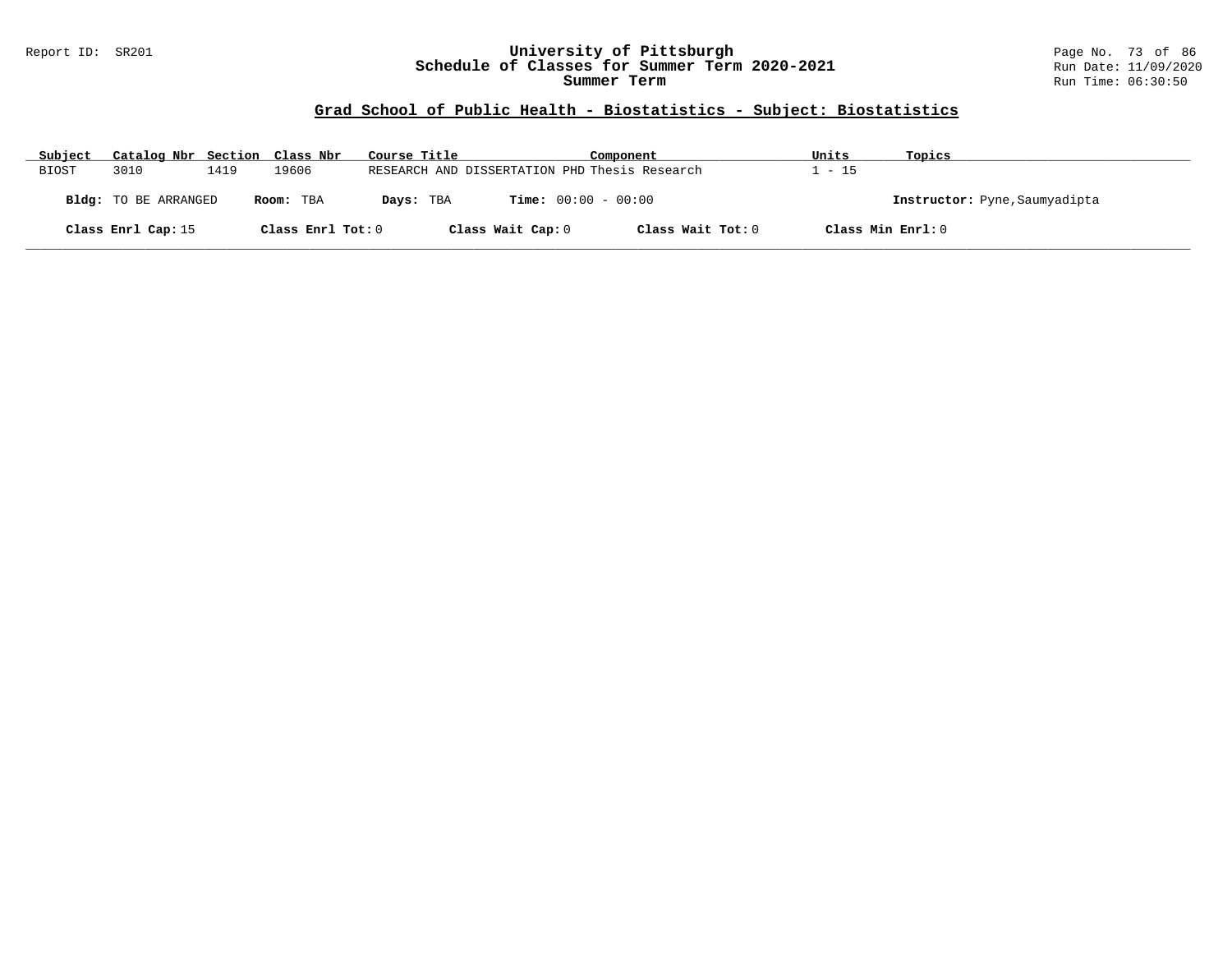#### Report ID: SR201 **University of Pittsburgh** Page No. 73 of 86 **Schedule of Classes for Summer Term 2020-2021** Run Date: 11/09/2020 **Summer Term** Run Time: 06:30:50

# **Grad School of Public Health - Biostatistics - Subject: Biostatistics**

| Subject                                  | Catalog Nbr Section Class Nbr |      |                   | Course Title                 |                                               | Component         |                               | Topics |
|------------------------------------------|-------------------------------|------|-------------------|------------------------------|-----------------------------------------------|-------------------|-------------------------------|--------|
| BIOST                                    | 3010                          | 1419 | 19606             |                              | RESEARCH AND DISSERTATION PHD Thesis Research |                   | $-15$                         |        |
| <b>Bldg:</b> TO BE ARRANGED<br>Room: TBA |                               |      | Days: TBA         | <b>Time:</b> $00:00 - 00:00$ |                                               |                   | Instructor: Pyne, Saumyadipta |        |
|                                          | Class Enrl Cap: 15            |      | Class Enrl Tot: 0 |                              | Class Wait Cap: 0                             | Class Wait Tot: 0 | Class Min Enrl: 0             |        |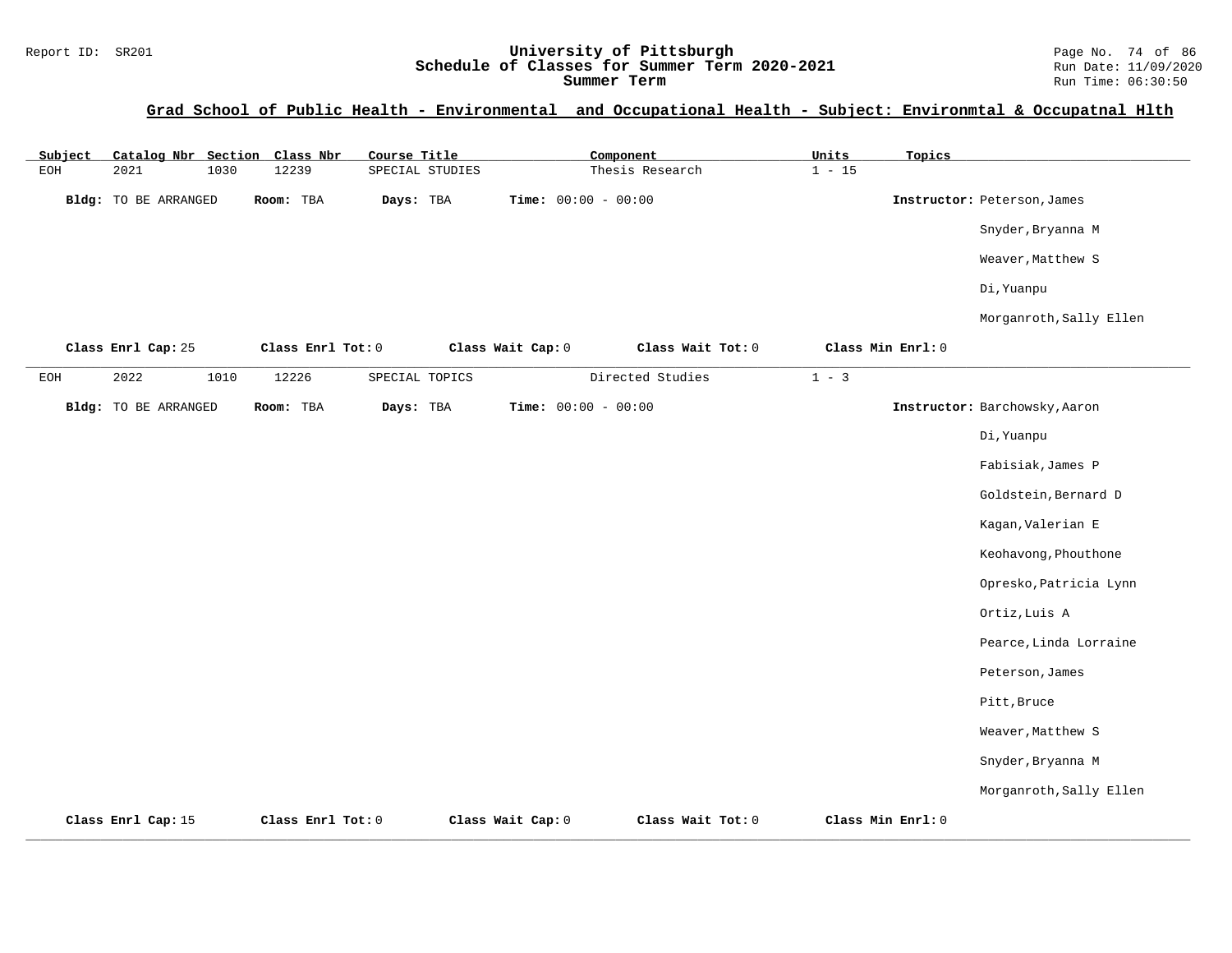# Report ID: SR201 **1988 Mage 10: SR201 University of Pittsburgh** Page No. 74 of 86<br>**Schedule of Classes for Summer Term 2020-2021** Run Date: 11/09/2020 Schedule of Classes for Summer Term 2020-2021

#### **Grad School of Public Health - Environmental and Occupational Health - Subject: Environmtal & Occupatnal Hlth**

| Subject      |                             |      | Catalog Nbr Section Class Nbr | Course Title    |                       | Component        |                   | Units    | Topics            |                               |
|--------------|-----------------------------|------|-------------------------------|-----------------|-----------------------|------------------|-------------------|----------|-------------------|-------------------------------|
| $_{\rm EOH}$ | 2021                        | 1030 | 12239                         | SPECIAL STUDIES |                       | Thesis Research  |                   | $1 - 15$ |                   |                               |
|              | Bldg: TO BE ARRANGED        |      | Room: TBA                     | Days: TBA       | Time: $00:00 - 00:00$ |                  |                   |          |                   | Instructor: Peterson, James   |
|              |                             |      |                               |                 |                       |                  |                   |          |                   | Snyder, Bryanna M             |
|              |                             |      |                               |                 |                       |                  |                   |          |                   | Weaver, Matthew S             |
|              |                             |      |                               |                 |                       |                  |                   |          |                   | Di, Yuanpu                    |
|              |                             |      |                               |                 |                       |                  |                   |          |                   | Morganroth, Sally Ellen       |
|              | Class Enrl Cap: 25          |      | Class Enrl Tot: 0             |                 | Class Wait Cap: 0     |                  | Class Wait Tot: 0 |          | Class Min Enrl: 0 |                               |
| EOH          | 2022                        | 1010 | 12226                         | SPECIAL TOPICS  |                       | Directed Studies |                   | $1 - 3$  |                   |                               |
|              | <b>Bldg:</b> TO BE ARRANGED |      | Room: TBA                     | Days: TBA       | Time: $00:00 - 00:00$ |                  |                   |          |                   | Instructor: Barchowsky, Aaron |
|              |                             |      |                               |                 |                       |                  |                   |          |                   | Di, Yuanpu                    |
|              |                             |      |                               |                 |                       |                  |                   |          |                   | Fabisiak, James P             |
|              |                             |      |                               |                 |                       |                  |                   |          |                   | Goldstein, Bernard D          |
|              |                             |      |                               |                 |                       |                  |                   |          |                   | Kagan, Valerian E             |
|              |                             |      |                               |                 |                       |                  |                   |          |                   | Keohavong, Phouthone          |
|              |                             |      |                               |                 |                       |                  |                   |          |                   | Opresko, Patricia Lynn        |
|              |                             |      |                               |                 |                       |                  |                   |          |                   | Ortiz, Luis A                 |
|              |                             |      |                               |                 |                       |                  |                   |          |                   | Pearce, Linda Lorraine        |
|              |                             |      |                               |                 |                       |                  |                   |          |                   | Peterson, James               |
|              |                             |      |                               |                 |                       |                  |                   |          |                   | Pitt, Bruce                   |
|              |                             |      |                               |                 |                       |                  |                   |          |                   | Weaver, Matthew S             |
|              |                             |      |                               |                 |                       |                  |                   |          |                   | Snyder, Bryanna M             |
|              |                             |      |                               |                 |                       |                  |                   |          |                   | Morganroth, Sally Ellen       |
|              | Class Enrl Cap: 15          |      | Class Enrl Tot: 0             |                 | Class Wait Cap: 0     |                  | Class Wait Tot: 0 |          | Class Min Enrl: 0 |                               |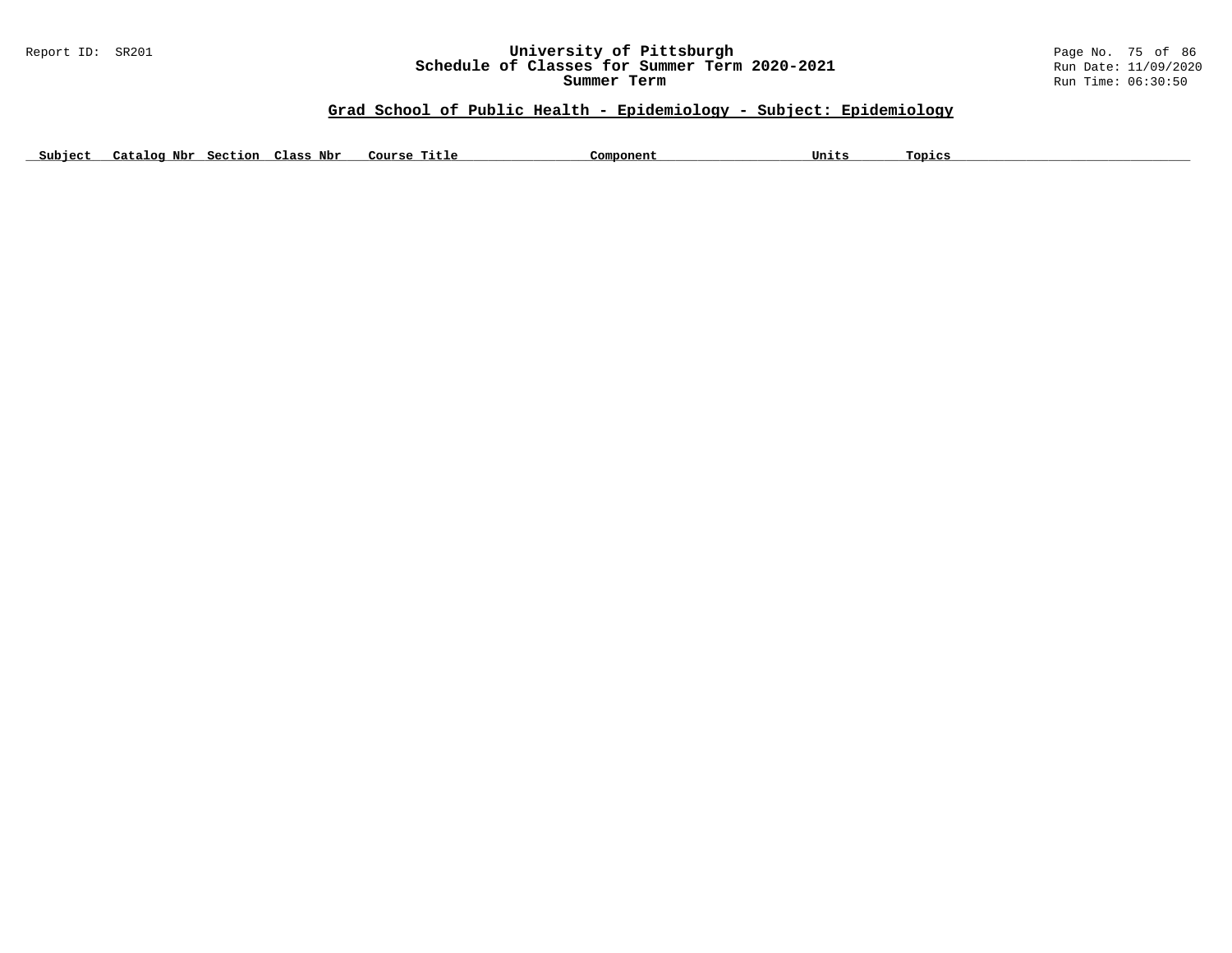# Report ID: SR201 **University of Pittsburgh University of Pittsburgh** Page No. 75 of 86<br>**Schedule of Classes for Summer Term 2020-2021** Run Date: 11/09/2020 Schedule of Classes for Summer Term 2020-2021

**Summer Term** Run Time: 06:30:50

# **Grad School of Public Health - Epidemiology - Subject: Epidemiology**

Subject Catalog Nbr Section Class Nbr Course Title Component Component Units Topics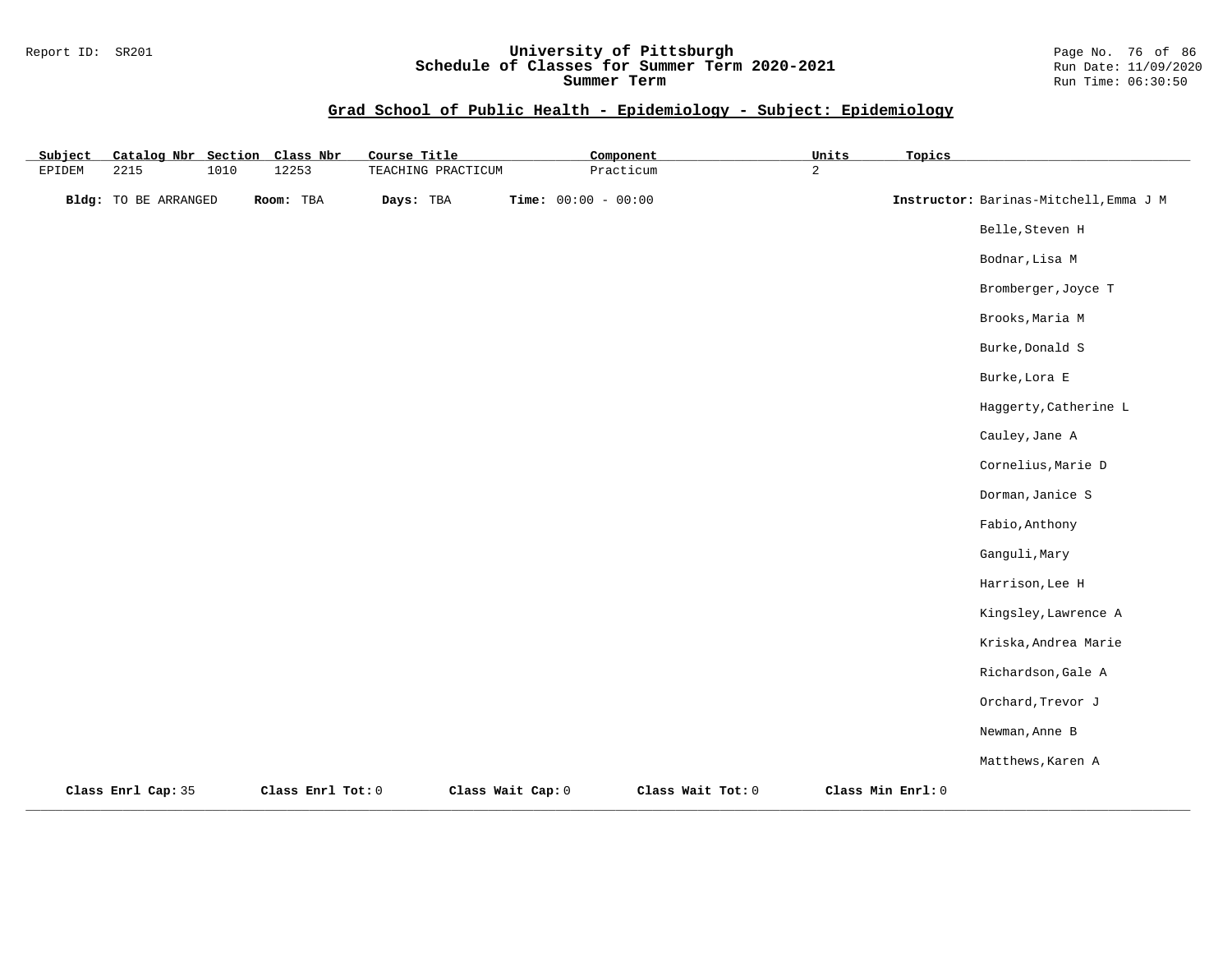#### Report ID: SR201 **University of Pittsburgh** Page No. 76 of 86 **Schedule of Classes for Summer Term 2020-2021** Run Date: 11/09/2020 **Summer Term** Run Time: 06:30:50

# **Grad School of Public Health - Epidemiology - Subject: Epidemiology**

| Subject |                             |      | Catalog Nbr Section Class Nbr | Course Title       |                       | Component         | Units          | Topics            |                                        |
|---------|-----------------------------|------|-------------------------------|--------------------|-----------------------|-------------------|----------------|-------------------|----------------------------------------|
| EPIDEM  | 2215                        | 1010 | 12253                         | TEACHING PRACTICUM |                       | Practicum         | $\overline{a}$ |                   |                                        |
|         | <b>Bldg:</b> TO BE ARRANGED |      | Room: TBA                     | Days: TBA          | Time: $00:00 - 00:00$ |                   |                |                   | Instructor: Barinas-Mitchell, Emma J M |
|         |                             |      |                               |                    |                       |                   |                |                   | Belle, Steven H                        |
|         |                             |      |                               |                    |                       |                   |                |                   | Bodnar, Lisa M                         |
|         |                             |      |                               |                    |                       |                   |                |                   | Bromberger, Joyce T                    |
|         |                             |      |                               |                    |                       |                   |                |                   | Brooks, Maria M                        |
|         |                             |      |                               |                    |                       |                   |                |                   | Burke, Donald S                        |
|         |                             |      |                               |                    |                       |                   |                |                   | Burke, Lora E                          |
|         |                             |      |                               |                    |                       |                   |                |                   | Haggerty, Catherine L                  |
|         |                             |      |                               |                    |                       |                   |                |                   | Cauley, Jane A                         |
|         |                             |      |                               |                    |                       |                   |                |                   | Cornelius, Marie D                     |
|         |                             |      |                               |                    |                       |                   |                |                   | Dorman, Janice S                       |
|         |                             |      |                               |                    |                       |                   |                |                   | Fabio, Anthony                         |
|         |                             |      |                               |                    |                       |                   |                |                   | Ganguli, Mary                          |
|         |                             |      |                               |                    |                       |                   |                |                   | Harrison, Lee H                        |
|         |                             |      |                               |                    |                       |                   |                |                   | Kingsley, Lawrence A                   |
|         |                             |      |                               |                    |                       |                   |                |                   | Kriska, Andrea Marie                   |
|         |                             |      |                               |                    |                       |                   |                |                   | Richardson, Gale A                     |
|         |                             |      |                               |                    |                       |                   |                |                   | Orchard, Trevor J                      |
|         |                             |      |                               |                    |                       |                   |                |                   | Newman, Anne B                         |
|         |                             |      |                               |                    |                       |                   |                |                   | Matthews, Karen A                      |
|         | Class Enrl Cap: 35          |      | Class Enrl Tot: 0             |                    | Class Wait Cap: 0     | Class Wait Tot: 0 |                | Class Min Enrl: 0 |                                        |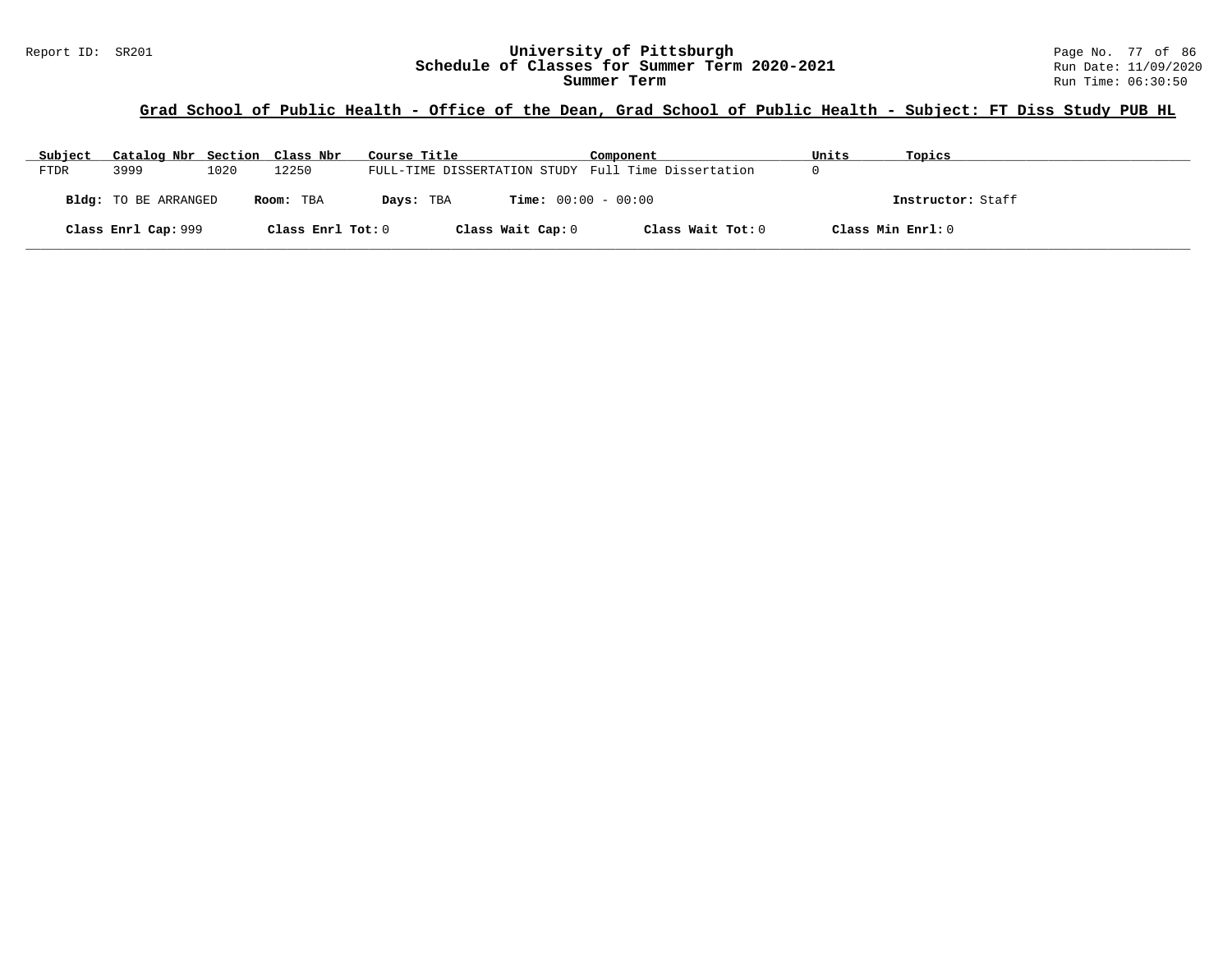# **Grad School of Public Health - Office of the Dean, Grad School of Public Health - Subject: FT Diss Study PUB HL**

| Subject     | Catalog Nbr Section Class Nbr |      |                   | Course Title                                        | Component         | Units             | Topics            |
|-------------|-------------------------------|------|-------------------|-----------------------------------------------------|-------------------|-------------------|-------------------|
| <b>FTDR</b> | 3999                          | 1020 | 12250             | FULL-TIME DISSERTATION STUDY Full Time Dissertation |                   |                   |                   |
|             | Bldg: TO BE ARRANGED          |      | Room: TBA         | <b>Time:</b> $00:00 - 00:00$<br>Days: TBA           |                   |                   | Instructor: Staff |
|             | Class Enrl Cap: 999           |      | Class Enrl Tot: 0 | Class Wait Cap: 0                                   | Class Wait Tot: 0 | Class Min Enrl: 0 |                   |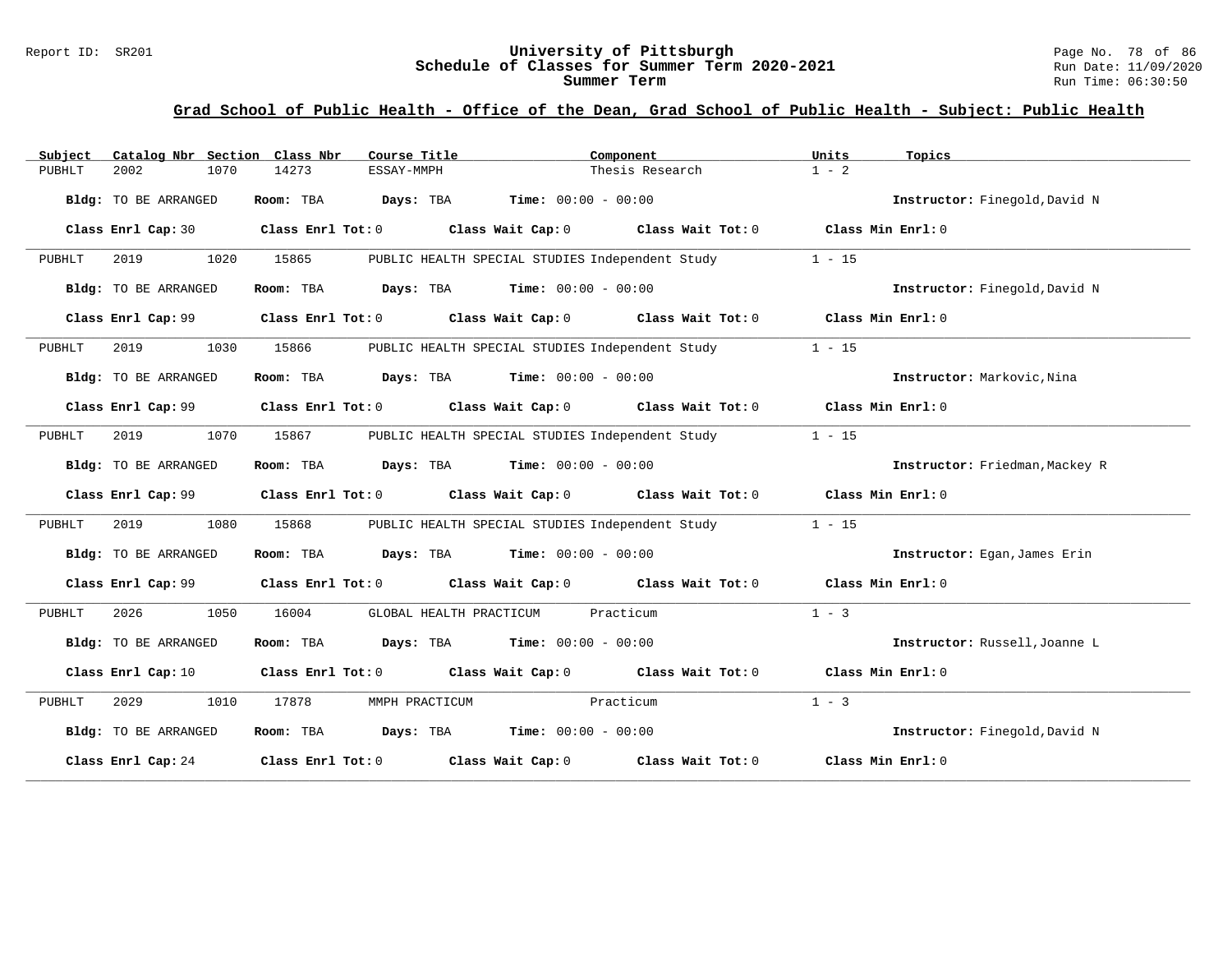# Report ID: SR201 **1988 Mage 10: SR201 University of Pittsburgh** Page No. 78 of 86<br>**Schedule of Classes for Summer Term 2020-2021** Run Date: 11/09/2020 Schedule of Classes for Summer Term 2020-2021

#### **Grad School of Public Health - Office of the Dean, Grad School of Public Health - Subject: Public Health**

| Subject | Catalog Nbr Section Class Nbr | Course Title                                                                                       |                                                 | Component                                       |                   | Topics                         |
|---------|-------------------------------|----------------------------------------------------------------------------------------------------|-------------------------------------------------|-------------------------------------------------|-------------------|--------------------------------|
| PUBHLT  | 2002<br>1070                  | 14273<br>ESSAY-MMPH                                                                                |                                                 | Thesis Research                                 | $1 - 2$           |                                |
|         | Bldg: TO BE ARRANGED          | Room: TBA<br><b>Days:</b> TBA <b>Time:</b> $00:00 - 00:00$                                         |                                                 |                                                 |                   | Instructor: Finegold, David N  |
|         | Class Enrl Cap: 30            | Class Enrl Tot: 0 Class Wait Cap: 0 Class Wait Tot: 0 Class Min Enrl: 0                            |                                                 |                                                 |                   |                                |
| PUBHLT  | 2019<br>1020                  | 15865                                                                                              | PUBLIC HEALTH SPECIAL STUDIES Independent Study |                                                 | $1 - 15$          |                                |
|         | Bldg: TO BE ARRANGED          | $\texttt{Davis:}$ TBA $\texttt{Time:}$ 00:00 - 00:00<br>Room: TBA                                  |                                                 |                                                 |                   | Instructor: Finegold, David N  |
|         | Class Enrl Cap: 99            | Class Enrl Tot: 0 $\qquad$ Class Wait Cap: 0 $\qquad$ Class Wait Tot: 0 $\qquad$ Class Min Enrl: 0 |                                                 |                                                 |                   |                                |
| PUBHLT  | 2019<br>1030                  | 15866                                                                                              | PUBLIC HEALTH SPECIAL STUDIES Independent Study |                                                 | $1 - 15$          |                                |
|         | Bldg: TO BE ARRANGED          | Room: TBA $Days:$ TBA $Time: 00:00 - 00:00$                                                        |                                                 |                                                 |                   | Instructor: Markovic, Nina     |
|         |                               | Class Enrl Cap: 99 Class Enrl Tot: 0 Class Wait Cap: 0 Class Wait Tot: 0 Class Min Enrl: 0         |                                                 |                                                 |                   |                                |
| PUBHLT  | 1070<br>2019                  | 15867                                                                                              |                                                 | PUBLIC HEALTH SPECIAL STUDIES Independent Study | $1 - 15$          |                                |
|         | Bldg: TO BE ARRANGED          | <b>Room:</b> TBA <b>Days:</b> TBA <b>Time:</b> 00:00 - 00:00                                       |                                                 |                                                 |                   | Instructor: Friedman, Mackey R |
|         | Class Enrl Cap: 99            | Class Enrl Tot: 0 Class Wait Cap: 0 Class Wait Tot: 0 Class Min Enrl: 0                            |                                                 |                                                 |                   |                                |
| PUBHLT  | 2019<br>1080                  | 15868                                                                                              |                                                 | PUBLIC HEALTH SPECIAL STUDIES Independent Study | $1 - 15$          |                                |
|         | Bldg: TO BE ARRANGED          | Room: TBA $Days:$ TBA $Time: 00:00 - 00:00$                                                        |                                                 |                                                 |                   | Instructor: Egan, James Erin   |
|         | Class Enrl Cap: 99            | Class Enrl Tot: 0 Class Wait Cap: 0 Class Wait Tot: 0 Class Min Enrl: 0                            |                                                 |                                                 |                   |                                |
| PUBHLT  | 2026<br>1050                  | 16004<br>GLOBAL HEALTH PRACTICUM                                                                   |                                                 | Practicum                                       | $1 - 3$           |                                |
|         | Bldg: TO BE ARRANGED          | Room: TBA $Days:$ TBA $Time: 00:00 - 00:00$                                                        |                                                 |                                                 |                   | Instructor: Russell, Joanne L  |
|         | Class Enrl Cap: 10            | Class Enrl Tot: $0$ Class Wait Cap: $0$ Class Wait Tot: $0$ Class Min Enrl: $0$                    |                                                 |                                                 |                   |                                |
| PUBHLT  | 2029<br>1010                  | 17878<br>MMPH PRACTICUM                                                                            |                                                 | Practicum                                       | $1 - 3$           |                                |
|         | Bldg: TO BE ARRANGED          | Room: TBA $Days:$ TBA $Time: 00:00 - 00:00$                                                        |                                                 |                                                 |                   | Instructor: Finegold, David N  |
|         |                               | Class Enrl Cap: 24 Class Enrl Tot: 0 Class Wait Cap: 0 Class Wait Tot: 0                           |                                                 |                                                 | Class Min Enrl: 0 |                                |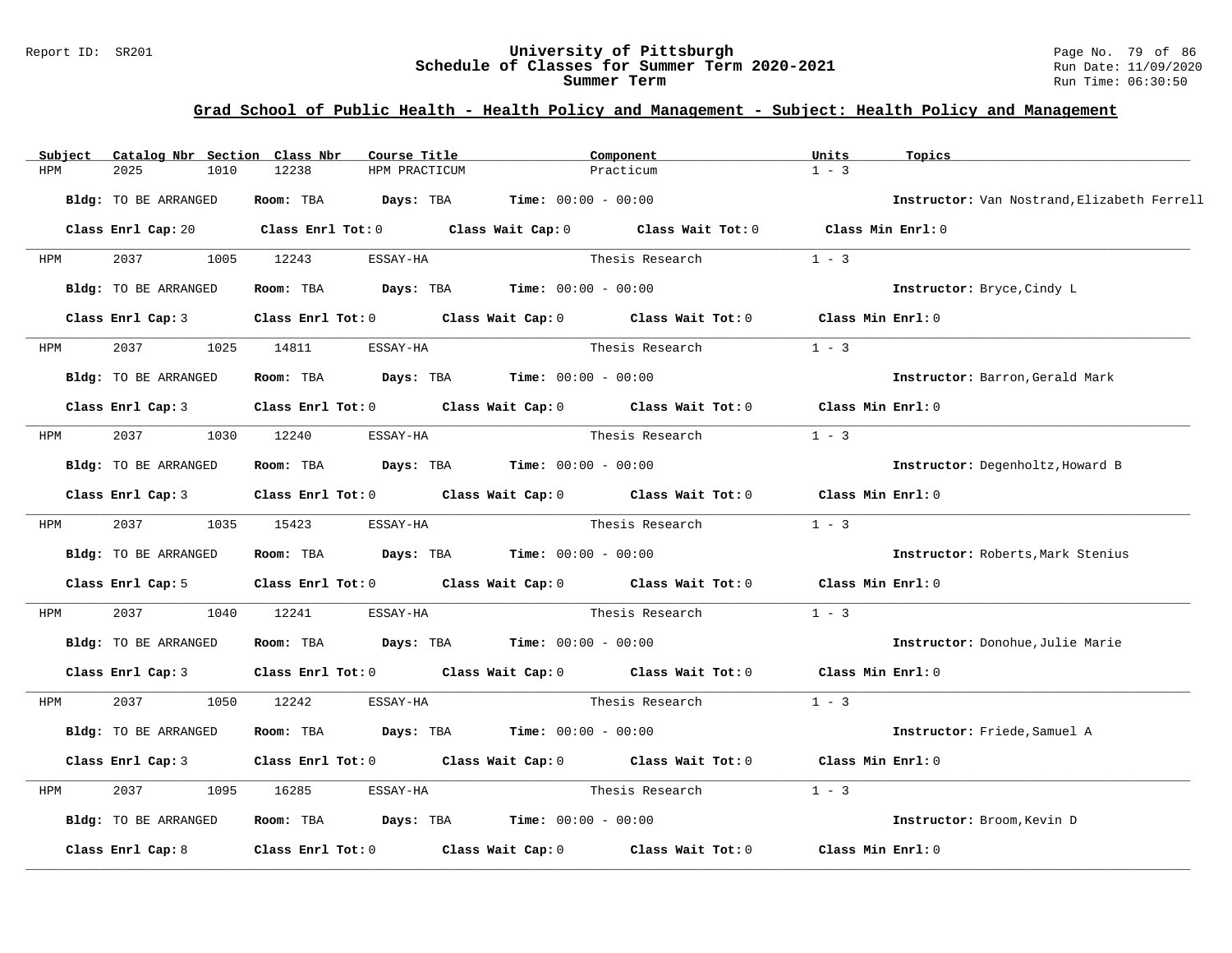#### Report ID: SR201 **University of Pittsburgh** Page No. 79 of 86 **Schedule of Classes for Summer Term 2020-2021** Run Date: 11/09/2020 **Summer Term** Run Time: 06:30:50

# **Grad School of Public Health - Health Policy and Management - Subject: Health Policy and Management**

| Subject              |                   | Catalog Nbr Section Class Nbr | Course Title                                                   |                                                                                            | Component                                                                       | Units             | Topics                                      |
|----------------------|-------------------|-------------------------------|----------------------------------------------------------------|--------------------------------------------------------------------------------------------|---------------------------------------------------------------------------------|-------------------|---------------------------------------------|
| 2025<br>HPM          | 1010              | 12238                         | HPM PRACTICUM                                                  |                                                                                            | Practicum                                                                       |                   |                                             |
| Bldg: TO BE ARRANGED |                   |                               | Room: TBA $Days:$ TBA $Time: 00:00 - 00:00$                    |                                                                                            |                                                                                 |                   | Instructor: Van Nostrand, Elizabeth Ferrell |
|                      |                   |                               |                                                                | Class Enrl Cap: 20 Class Enrl Tot: 0 Class Wait Cap: 0 Class Wait Tot: 0 Class Min Enrl: 0 |                                                                                 |                   |                                             |
| HPM                  |                   | 1005 12243                    | ESSAY-HA                                                       |                                                                                            | Thesis Research                                                                 | $1 - 3$           |                                             |
| Bldg: TO BE ARRANGED |                   |                               | Room: TBA $Days:$ TBA $Time: 00:00 - 00:00$                    |                                                                                            |                                                                                 |                   | Instructor: Bryce, Cindy L                  |
|                      | Class Enrl Cap: 3 |                               |                                                                |                                                                                            | Class Enrl Tot: 0 Class Wait Cap: 0 Class Wait Tot: 0                           | Class Min Enrl: 0 |                                             |
| 2037<br>HPM          | 1025              | 14811                         | ESSAY-HA                                                       |                                                                                            | Thesis Research                                                                 | $1 - 3$           |                                             |
| Bldg: TO BE ARRANGED |                   |                               | Room: TBA $Days:$ TBA Time: $00:00 - 00:00$                    |                                                                                            |                                                                                 |                   | Instructor: Barron, Gerald Mark             |
|                      | Class Enrl Cap: 3 |                               |                                                                |                                                                                            | Class Enrl Tot: $0$ Class Wait Cap: $0$ Class Wait Tot: $0$                     | Class Min Enrl: 0 |                                             |
| HPM                  | 2037 1030 12240   |                               | ESSAY-HA                                                       |                                                                                            | Thesis Research                                                                 | $1 - 3$           |                                             |
| Bldg: TO BE ARRANGED |                   |                               | Room: TBA $Days:$ TBA $Time: 00:00 - 00:00$                    |                                                                                            |                                                                                 |                   | Instructor: Degenholtz, Howard B            |
|                      | Class Enrl Cap: 3 |                               |                                                                |                                                                                            | Class Enrl Tot: $0$ Class Wait Cap: $0$ Class Wait Tot: $0$                     | Class Min Enrl: 0 |                                             |
| <b>HPM</b>           | 2037 1035 15423   |                               | ESSAY-HA                                                       |                                                                                            | Thesis Research                                                                 | $1 - 3$           |                                             |
| Bldg: TO BE ARRANGED |                   |                               | Room: TBA $\rule{1em}{0.15mm}$ Days: TBA Time: $00:00 - 00:00$ |                                                                                            |                                                                                 |                   | Instructor: Roberts, Mark Stenius           |
|                      | Class Enrl Cap: 5 |                               |                                                                |                                                                                            | Class Enrl Tot: 0 Class Wait Cap: 0 Class Wait Tot: 0                           | Class Min Enrl: 0 |                                             |
| 2037<br>HPM          | 1040              | 12241                         | ESSAY-HA                                                       |                                                                                            | Thesis Research                                                                 | $1 - 3$           |                                             |
| Bldg: TO BE ARRANGED |                   |                               | Room: TBA $Days:$ TBA $Time: 00:00 - 00:00$                    |                                                                                            |                                                                                 |                   | Instructor: Donohue, Julie Marie            |
|                      | Class Enrl Cap: 3 |                               |                                                                |                                                                                            | Class Enrl Tot: $0$ Class Wait Cap: $0$ Class Wait Tot: $0$ Class Min Enrl: $0$ |                   |                                             |
| HPM                  | 2037              | 1050 12242                    | ESSAY-HA                                                       |                                                                                            | Thesis Research                                                                 | $1 - 3$           |                                             |
| Bldg: TO BE ARRANGED |                   | Room: TBA                     | $\texttt{Davis:}$ TBA $\texttt{Time:}$ 00:00 - 00:00           |                                                                                            |                                                                                 |                   | Instructor: Friede, Samuel A                |
|                      | Class Enrl Cap: 3 |                               |                                                                |                                                                                            | Class Enrl Tot: $0$ Class Wait Cap: $0$ Class Wait Tot: $0$                     | Class Min Enrl: 0 |                                             |
| 2037<br>HPM          | 1095              | 16285                         | ESSAY-HA                                                       |                                                                                            | Thesis Research                                                                 | $1 - 3$           |                                             |
| Bldg: TO BE ARRANGED |                   |                               | Room: TBA $\rule{1em}{0.15mm}$ Days: TBA Time: $00:00 - 00:00$ |                                                                                            |                                                                                 |                   | Instructor: Broom, Kevin D                  |
| Class Enrl Cap: 8    |                   |                               |                                                                |                                                                                            | Class Enrl Tot: 0 Class Wait Cap: 0 Class Wait Tot: 0                           | Class Min Enrl: 0 |                                             |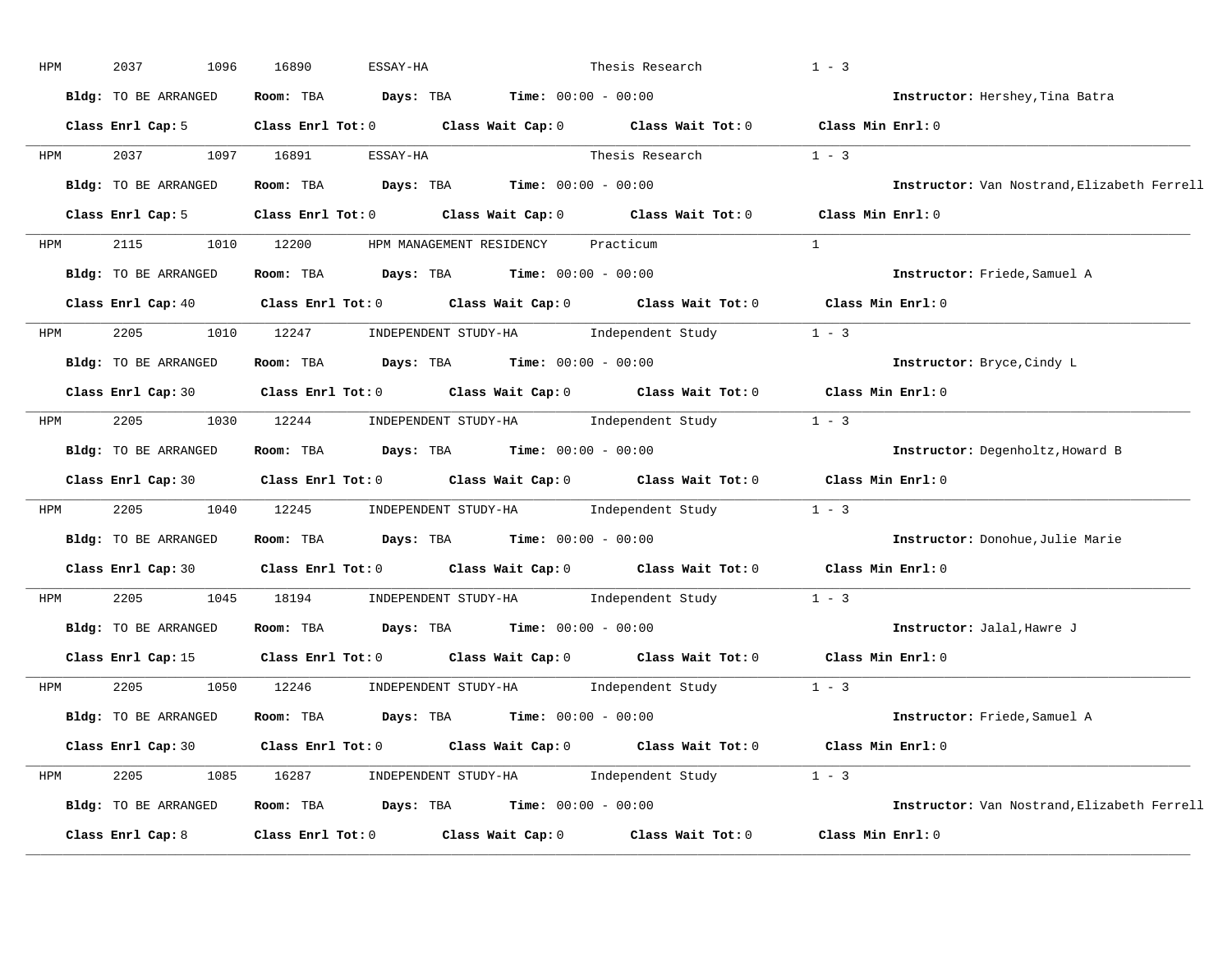| HPM        | 2037<br>1096         | 16890<br>ESSAY-HA                                                                                                              |                                                     | Thesis Research                                | $1 - 3$                                     |
|------------|----------------------|--------------------------------------------------------------------------------------------------------------------------------|-----------------------------------------------------|------------------------------------------------|---------------------------------------------|
|            | Bldg: TO BE ARRANGED | Room: TBA $Days:$ TBA $Time: 00:00 - 00:00$                                                                                    |                                                     |                                                | Instructor: Hershey, Tina Batra             |
|            | Class Enrl Cap: 5    | Class Enrl Tot: 0 Class Wait Cap: 0 Class Wait Tot: 0 Class Min Enrl: 0                                                        |                                                     |                                                |                                             |
| HPM        | 2037                 | 1097 16891<br>ESSAY-HA                                                                                                         |                                                     | Thesis Research                                | $1 - 3$                                     |
|            | Bldg: TO BE ARRANGED | Room: TBA $Days:$ TBA $Time: 00:00 - 00:00$                                                                                    |                                                     |                                                | Instructor: Van Nostrand, Elizabeth Ferrell |
|            | Class Enrl Cap: 5    | Class Enrl Tot: 0 Class Wait Cap: 0 Class Wait Tot: 0 Class Min Enrl: 0                                                        |                                                     |                                                |                                             |
| HPM        | 2115                 | 1010 12200                                                                                                                     | HPM MANAGEMENT RESIDENCY Practicum                  |                                                | $\mathbf{1}$                                |
|            | Bldg: TO BE ARRANGED | Room: TBA Days: TBA Time: $00:00 - 00:00$                                                                                      |                                                     |                                                | Instructor: Friede, Samuel A                |
|            |                      | Class Enrl Cap: 40 $\qquad$ Class Enrl Tot: 0 $\qquad$ Class Wait Cap: 0 $\qquad$ Class Wait Tot: 0 $\qquad$ Class Min Enrl: 0 |                                                     |                                                |                                             |
| <b>HPM</b> | 2205 320             | 1010 12247                                                                                                                     |                                                     | INDEPENDENT STUDY-HA 1ndependent Study 1 - 3   |                                             |
|            | Bldg: TO BE ARRANGED | Room: TBA $Days:$ TBA $Time:$ $00:00 - 00:00$                                                                                  |                                                     |                                                | Instructor: Bryce, Cindy L                  |
|            |                      | Class Enrl Cap: 30 Class Enrl Tot: 0 Class Wait Cap: 0 Class Wait Tot: 0 Class Min Enrl: 0                                     |                                                     |                                                |                                             |
| <b>HPM</b> |                      | 2205 1030 12244 INDEPENDENT STUDY-HA Independent Study 1 - 3                                                                   |                                                     |                                                |                                             |
|            | Bldg: TO BE ARRANGED | Room: TBA                                                                                                                      | $\texttt{DayS:}$ TBA $\texttt{Time:}$ 00:00 - 00:00 |                                                | Instructor: Degenholtz, Howard B            |
|            |                      | Class Enrl Cap: 30 Class Enrl Tot: 0 Class Wait Cap: 0 Class Wait Tot: 0 Class Min Enrl: 0                                     |                                                     |                                                |                                             |
| HPM        | 2205<br>1040         | 12245 INDEPENDENT STUDY-HA Independent Study 1 - 3                                                                             |                                                     |                                                |                                             |
|            | Bldg: TO BE ARRANGED | Room: TBA                                                                                                                      | $\texttt{DayS:}$ TBA $\texttt{Time:}$ 00:00 - 00:00 |                                                | Instructor: Donohue, Julie Marie            |
|            |                      | Class Enrl Cap: 30 $\qquad$ Class Enrl Tot: 0 $\qquad$ Class Wait Cap: 0 $\qquad$ Class Wait Tot: 0                            |                                                     |                                                | Class Min Enrl: 0                           |
| HPM        | 2205<br>1045         | 18194                                                                                                                          |                                                     | INDEPENDENT STUDY-HA Independent Study         | $1 - 3$                                     |
|            | Bldg: TO BE ARRANGED | Room: TBA $Days:$ TBA $Time: 00:00 - 00:00$                                                                                    |                                                     |                                                | Instructor: Jalal, Hawre J                  |
|            |                      | Class Enrl Cap: 15 $\qquad$ Class Enrl Tot: 0 $\qquad$ Class Wait Cap: 0 $\qquad$ Class Wait Tot: 0                            |                                                     |                                                | Class Min Enrl: 0                           |
| HPM        | 2205                 | 1050 12246                                                                                                                     |                                                     | INDEPENDENT STUDY-HA 1 Didependent Study 1 - 3 |                                             |
|            | Bldg: TO BE ARRANGED | Room: TBA $\rule{1em}{0.5em}$ Days: TBA Time: $00:00 - 00:00$                                                                  |                                                     |                                                | Instructor: Friede, Samuel A                |
|            |                      | Class Enrl Cap: 30 Class Enrl Tot: 0 Class Wait Cap: 0 Class Wait Tot: 0 Class Min Enrl: 0                                     |                                                     |                                                |                                             |
| HPM        | 2205                 | 1085 16287 INDEPENDENT STUDY-HA Independent Study 1 - 3                                                                        |                                                     |                                                |                                             |
|            | Bldg: TO BE ARRANGED | Room: TBA $Days:$ TBA Time: $00:00 - 00:00$                                                                                    |                                                     |                                                | Instructor: Van Nostrand, Elizabeth Ferrell |
|            | Class Enrl Cap: 8    | Class Enrl Tot: 0                                                                                                              |                                                     | Class Wait Cap: 0 Class Wait Tot: 0            | Class Min Enrl: 0                           |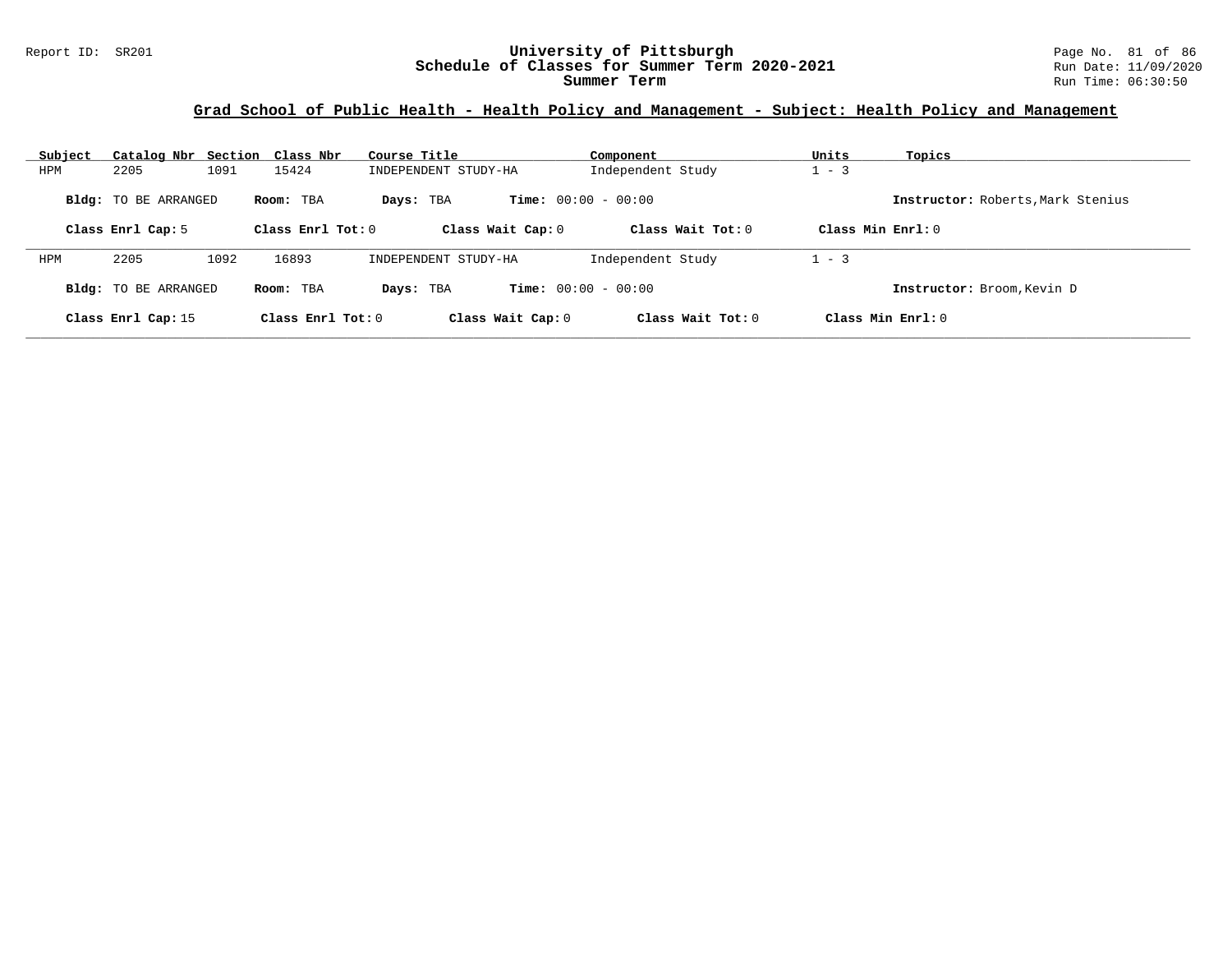# **Grad School of Public Health - Health Policy and Management - Subject: Health Policy and Management**

| Subject    | Catalog Nbr Section Class Nbr |                     | Course Title         | Component                    |                     | Units               | Topics                            |
|------------|-------------------------------|---------------------|----------------------|------------------------------|---------------------|---------------------|-----------------------------------|
| <b>HPM</b> | 2205                          | 1091<br>15424       | INDEPENDENT STUDY-HA |                              | Independent Study   | $1 - 3$             |                                   |
|            | <b>Bldg:</b> TO BE ARRANGED   | Room: TBA           | Days: TBA            | <b>Time:</b> $00:00 - 00:00$ |                     |                     | Instructor: Roberts, Mark Stenius |
|            | Class Enrl Cap: 5             | Class Enrl Tot: $0$ |                      | Class Wait Cap: 0            | Class Wait $Tot: 0$ | Class Min $Enrl: 0$ |                                   |
| <b>HPM</b> | 2205                          | 16893<br>1092       | INDEPENDENT STUDY-HA |                              | Independent Study   | $1 - 3$             |                                   |
|            | <b>Bldg:</b> TO BE ARRANGED   | Room: TBA           | Days: TBA            | <b>Time:</b> $00:00 - 00:00$ |                     |                     | Instructor: Broom, Kevin D        |
|            | Class Enrl Cap: 15            |                     | Class Enrl Tot: 0    | Class Wait Cap: 0            | Class Wait $Tot: 0$ | Class Min $Enrl: 0$ |                                   |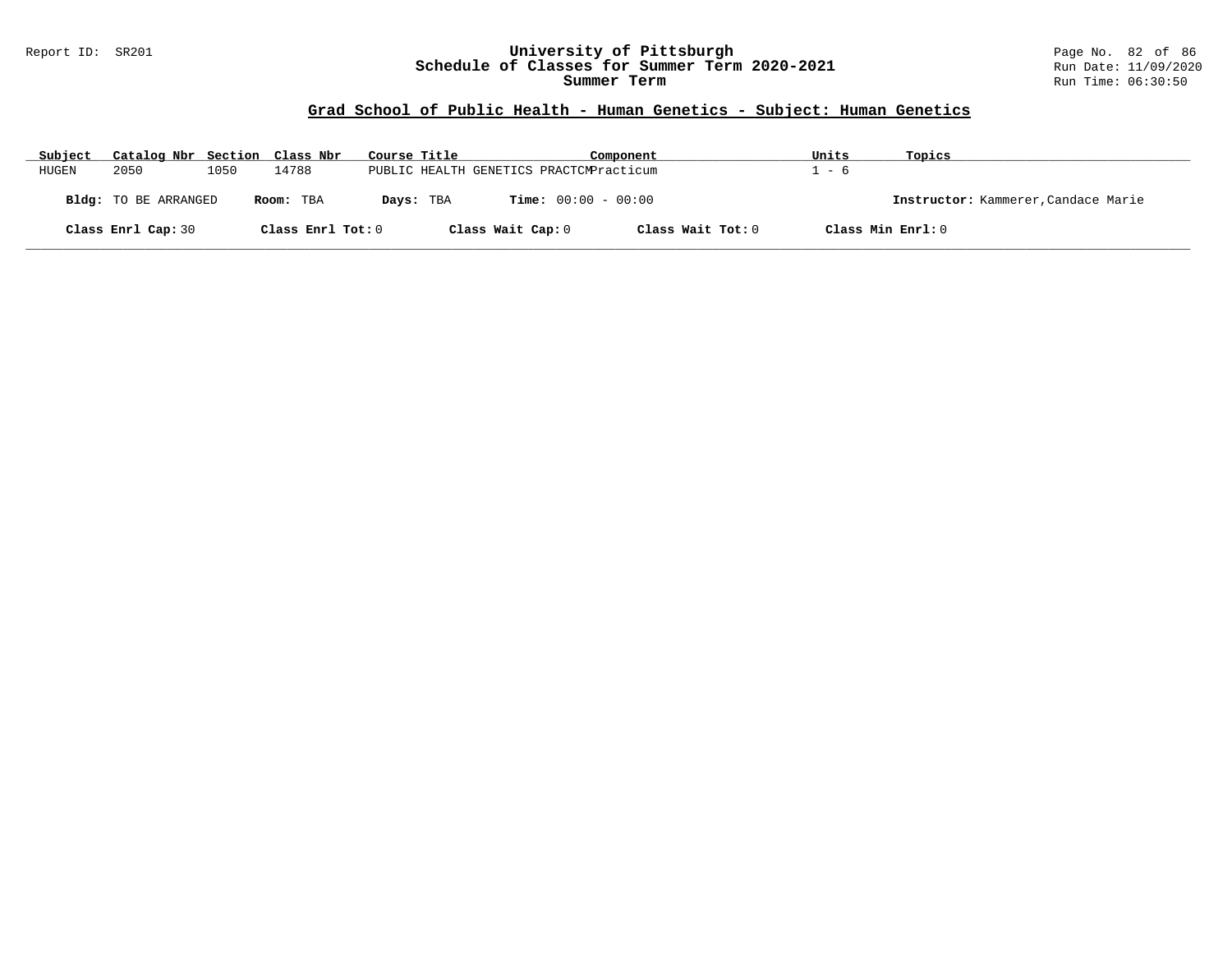#### Report ID: SR201 **University of Pittsburgh** Page No. 82 of 86 **Schedule of Classes for Summer Term 2020-2021** Run Date: 11/09/2020 **Summer Term** Run Time: 06:30:50

#### **Grad School of Public Health - Human Genetics - Subject: Human Genetics**

| Subject | Catalog Nbr Section Class Nbr |      |                   | Course Title |                   | Component                               |                   | Units             | Topics                              |
|---------|-------------------------------|------|-------------------|--------------|-------------------|-----------------------------------------|-------------------|-------------------|-------------------------------------|
| HUGEN   | 2050                          | 1050 | 14788             |              |                   | PUBLIC HEALTH GENETICS PRACTCMPracticum |                   | - 6               |                                     |
|         | Bldg: TO BE ARRANGED          |      | Room: TBA         |              | Days: TBA         | <b>Time:</b> $00:00 - 00:00$            |                   |                   | Instructor: Kammerer, Candace Marie |
|         | Class Enrl Cap: 30            |      | Class Enrl Tot: 0 |              | Class Wait Cap: 0 |                                         | Class Wait Tot: 0 | Class Min Enrl: 0 |                                     |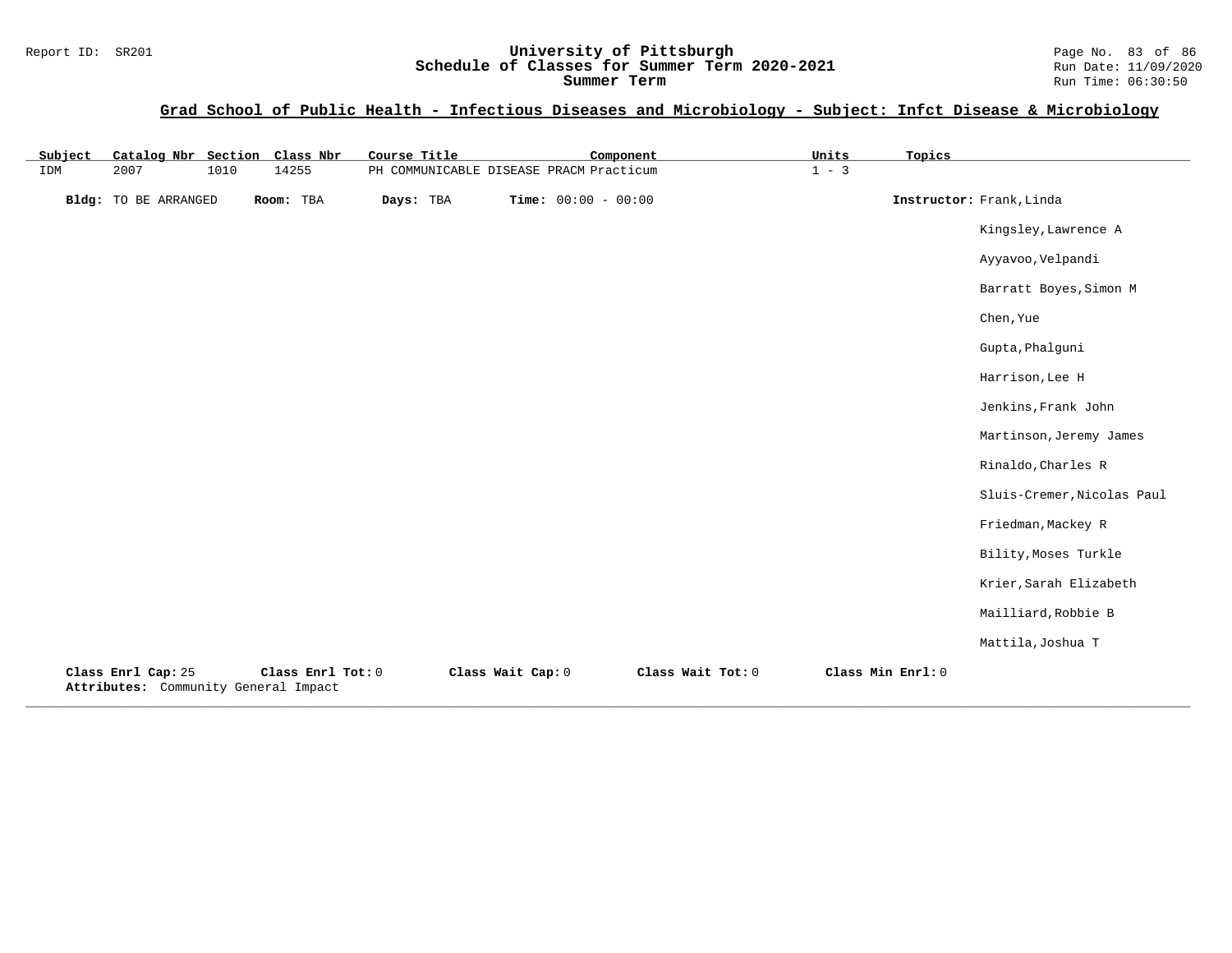#### Report ID: SR201 **University of Pittsburgh** Page No. 83 of 86 **Schedule of Classes for Summer Term 2020-2021** Run Date: 11/09/2020 **Summer Term** Run Time: 06:30:50

# **Grad School of Public Health - Infectious Diseases and Microbiology - Subject: Infct Disease & Microbiology**

| Subject | Catalog Nbr Section Class Nbr                              |      |                   | Course Title |                   | Component                               |                   | Units   | Topics            |                            |
|---------|------------------------------------------------------------|------|-------------------|--------------|-------------------|-----------------------------------------|-------------------|---------|-------------------|----------------------------|
| IDM     | 2007                                                       | 1010 | 14255             |              |                   | PH COMMUNICABLE DISEASE PRACM Practicum |                   | $1 - 3$ |                   |                            |
|         | Bldg: TO BE ARRANGED                                       |      | Room: TBA         | Days: TBA    |                   | Time: $00:00 - 00:00$                   |                   |         |                   | Instructor: Frank, Linda   |
|         |                                                            |      |                   |              |                   |                                         |                   |         |                   | Kingsley, Lawrence A       |
|         |                                                            |      |                   |              |                   |                                         |                   |         |                   | Ayyavoo, Velpandi          |
|         |                                                            |      |                   |              |                   |                                         |                   |         |                   | Barratt Boyes, Simon M     |
|         |                                                            |      |                   |              |                   |                                         |                   |         |                   | Chen, Yue                  |
|         |                                                            |      |                   |              |                   |                                         |                   |         |                   | Gupta, Phalguni            |
|         |                                                            |      |                   |              |                   |                                         |                   |         |                   | Harrison, Lee H            |
|         |                                                            |      |                   |              |                   |                                         |                   |         |                   | Jenkins, Frank John        |
|         |                                                            |      |                   |              |                   |                                         |                   |         |                   | Martinson, Jeremy James    |
|         |                                                            |      |                   |              |                   |                                         |                   |         |                   | Rinaldo, Charles R         |
|         |                                                            |      |                   |              |                   |                                         |                   |         |                   | Sluis-Cremer, Nicolas Paul |
|         |                                                            |      |                   |              |                   |                                         |                   |         |                   | Friedman, Mackey R         |
|         |                                                            |      |                   |              |                   |                                         |                   |         |                   | Bility, Moses Turkle       |
|         |                                                            |      |                   |              |                   |                                         |                   |         |                   | Krier, Sarah Elizabeth     |
|         |                                                            |      |                   |              |                   |                                         |                   |         |                   | Mailliard, Robbie B        |
|         |                                                            |      |                   |              |                   |                                         |                   |         |                   | Mattila, Joshua T          |
|         | Class Enrl Cap: 25<br>Attributes: Community General Impact |      | Class Enrl Tot: 0 |              | Class Wait Cap: 0 |                                         | Class Wait Tot: 0 |         | Class Min Enrl: 0 |                            |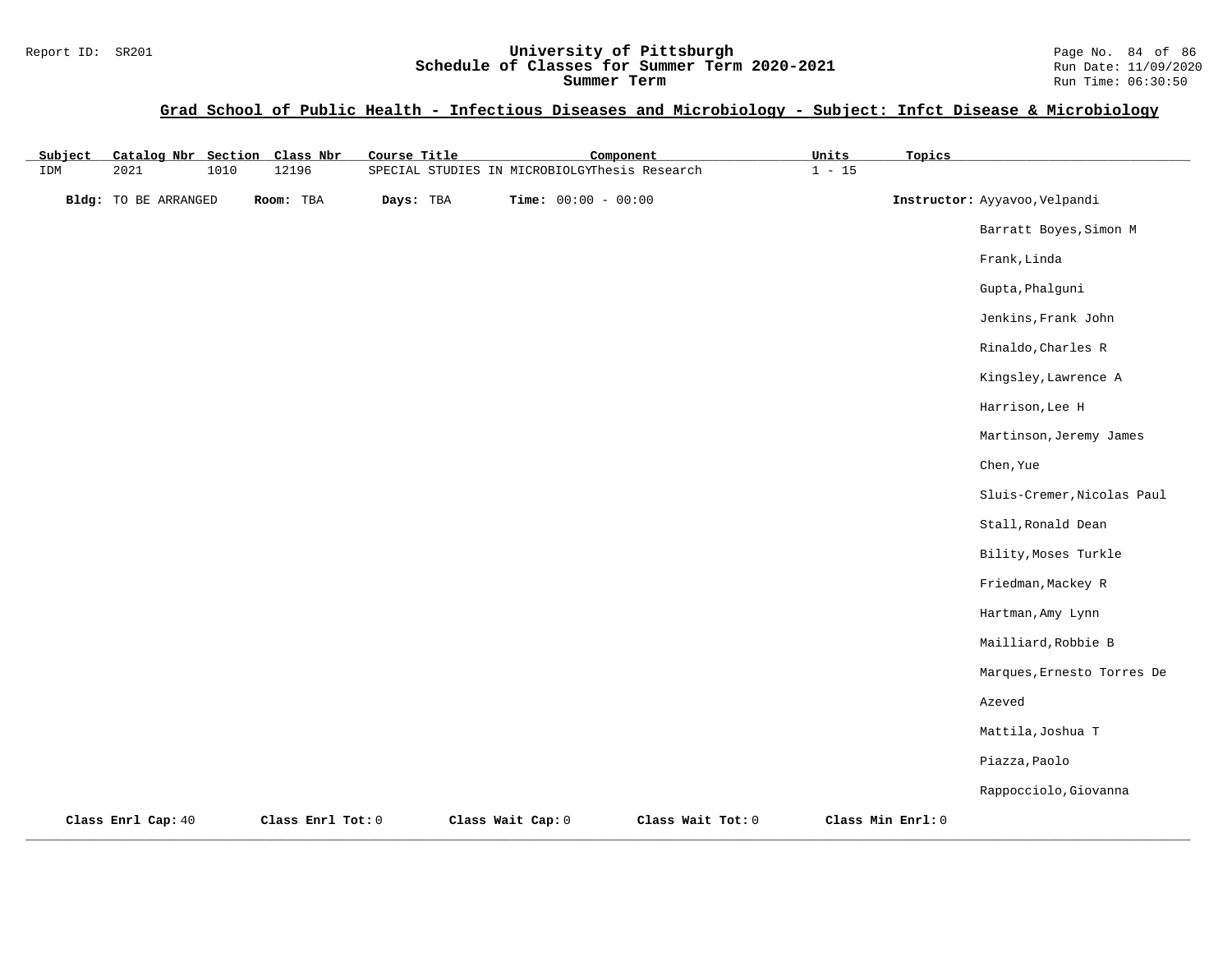#### Report ID: SR201 **University of Pittsburgh** Page No. 84 of 86 **Schedule of Classes for Summer Term 2020-2021** Run Date: 11/09/2020 **Summer Term** Run Time: 06:30:50

**Grad School of Public Health - Infectious Diseases and Microbiology - Subject: Infct Disease & Microbiology**

| Subject | Catalog Nbr Section Class Nbr |      |                   | Course Title |                                               | Component             |                   | Units    | Topics            |                               |
|---------|-------------------------------|------|-------------------|--------------|-----------------------------------------------|-----------------------|-------------------|----------|-------------------|-------------------------------|
| IDM     | 2021                          | 1010 | 12196             |              | SPECIAL STUDIES IN MICROBIOLGYThesis Research |                       |                   | $1 - 15$ |                   |                               |
|         | <b>Bldg:</b> TO BE ARRANGED   |      | Room: TBA         | Days: TBA    |                                               | Time: $00:00 - 00:00$ |                   |          |                   | Instructor: Ayyavoo, Velpandi |
|         |                               |      |                   |              |                                               |                       |                   |          |                   | Barratt Boyes, Simon M        |
|         |                               |      |                   |              |                                               |                       |                   |          |                   | Frank, Linda                  |
|         |                               |      |                   |              |                                               |                       |                   |          |                   | Gupta, Phalguni               |
|         |                               |      |                   |              |                                               |                       |                   |          |                   | Jenkins, Frank John           |
|         |                               |      |                   |              |                                               |                       |                   |          |                   | Rinaldo, Charles R            |
|         |                               |      |                   |              |                                               |                       |                   |          |                   | Kingsley, Lawrence A          |
|         |                               |      |                   |              |                                               |                       |                   |          |                   | Harrison, Lee H               |
|         |                               |      |                   |              |                                               |                       |                   |          |                   | Martinson, Jeremy James       |
|         |                               |      |                   |              |                                               |                       |                   |          |                   | Chen, Yue                     |
|         |                               |      |                   |              |                                               |                       |                   |          |                   | Sluis-Cremer, Nicolas Paul    |
|         |                               |      |                   |              |                                               |                       |                   |          |                   | Stall, Ronald Dean            |
|         |                               |      |                   |              |                                               |                       |                   |          |                   | Bility, Moses Turkle          |
|         |                               |      |                   |              |                                               |                       |                   |          |                   | Friedman, Mackey R            |
|         |                               |      |                   |              |                                               |                       |                   |          |                   | Hartman, Amy Lynn             |
|         |                               |      |                   |              |                                               |                       |                   |          |                   | Mailliard, Robbie B           |
|         |                               |      |                   |              |                                               |                       |                   |          |                   | Marques, Ernesto Torres De    |
|         |                               |      |                   |              |                                               |                       |                   |          |                   | Azeved                        |
|         |                               |      |                   |              |                                               |                       |                   |          |                   | Mattila, Joshua T             |
|         |                               |      |                   |              |                                               |                       |                   |          |                   | Piazza, Paolo                 |
|         |                               |      |                   |              |                                               |                       |                   |          |                   | Rappocciolo, Giovanna         |
|         | Class Enrl Cap: 40            |      | Class Enrl Tot: 0 |              | Class Wait Cap: 0                             |                       | Class Wait Tot: 0 |          | Class Min Enrl: 0 |                               |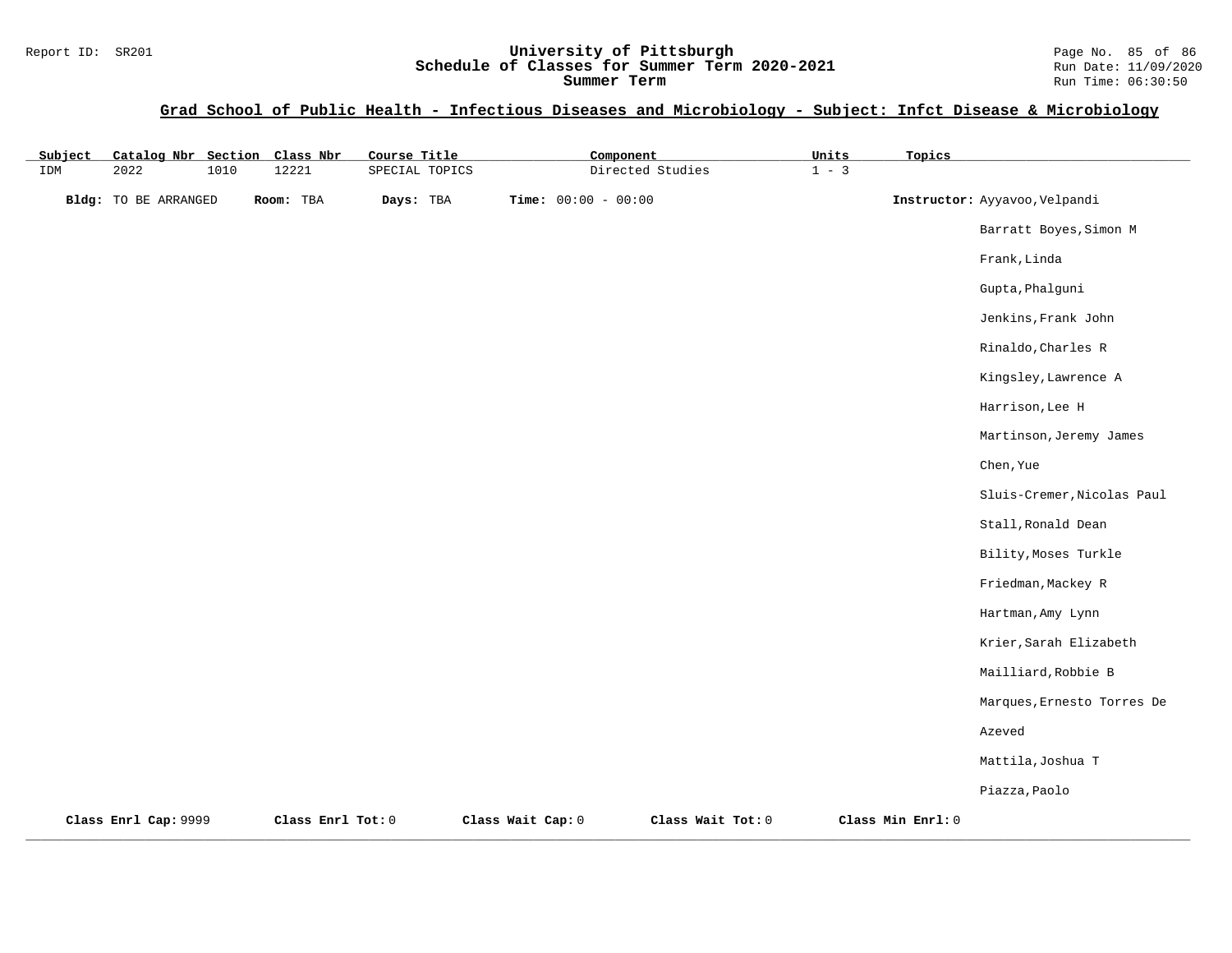# Report ID: SR201 **University of Pittsburgh University of Pittsburgh** Page No. 85 of 86<br>**Schedule of Classes for Summer Term 2020-2021** Run Date: 11/09/2020 Schedule of Classes for Summer Term 2020-2021

#### **Grad School of Public Health - Infectious Diseases and Microbiology - Subject: Infct Disease & Microbiology**

| Subject | Catalog Nbr Section Class Nbr |      |                   | Course Title   |                   | Component             |                   | Units   | Topics            |                               |
|---------|-------------------------------|------|-------------------|----------------|-------------------|-----------------------|-------------------|---------|-------------------|-------------------------------|
| IDM     | 2022                          | 1010 | 12221             | SPECIAL TOPICS |                   |                       | Directed Studies  | $1 - 3$ |                   |                               |
|         | Bldg: TO BE ARRANGED          |      | Room: TBA         | Days: TBA      |                   | Time: $00:00 - 00:00$ |                   |         |                   | Instructor: Ayyavoo, Velpandi |
|         |                               |      |                   |                |                   |                       |                   |         |                   | Barratt Boyes, Simon M        |
|         |                               |      |                   |                |                   |                       |                   |         |                   | Frank, Linda                  |
|         |                               |      |                   |                |                   |                       |                   |         |                   | Gupta, Phalguni               |
|         |                               |      |                   |                |                   |                       |                   |         |                   | Jenkins, Frank John           |
|         |                               |      |                   |                |                   |                       |                   |         |                   | Rinaldo, Charles R            |
|         |                               |      |                   |                |                   |                       |                   |         |                   | Kingsley, Lawrence A          |
|         |                               |      |                   |                |                   |                       |                   |         |                   | Harrison, Lee H               |
|         |                               |      |                   |                |                   |                       |                   |         |                   | Martinson, Jeremy James       |
|         |                               |      |                   |                |                   |                       |                   |         |                   | Chen, Yue                     |
|         |                               |      |                   |                |                   |                       |                   |         |                   | Sluis-Cremer, Nicolas Paul    |
|         |                               |      |                   |                |                   |                       |                   |         |                   | Stall, Ronald Dean            |
|         |                               |      |                   |                |                   |                       |                   |         |                   | Bility, Moses Turkle          |
|         |                               |      |                   |                |                   |                       |                   |         |                   | Friedman, Mackey R            |
|         |                               |      |                   |                |                   |                       |                   |         |                   | Hartman, Amy Lynn             |
|         |                               |      |                   |                |                   |                       |                   |         |                   | Krier, Sarah Elizabeth        |
|         |                               |      |                   |                |                   |                       |                   |         |                   | Mailliard, Robbie B           |
|         |                               |      |                   |                |                   |                       |                   |         |                   | Marques, Ernesto Torres De    |
|         |                               |      |                   |                |                   |                       |                   |         |                   | Azeved                        |
|         |                               |      |                   |                |                   |                       |                   |         |                   | Mattila, Joshua T             |
|         |                               |      |                   |                |                   |                       |                   |         |                   | Piazza, Paolo                 |
|         | Class Enrl Cap: 9999          |      | Class Enrl Tot: 0 |                | Class Wait Cap: 0 |                       | Class Wait Tot: 0 |         | Class Min Enrl: 0 |                               |